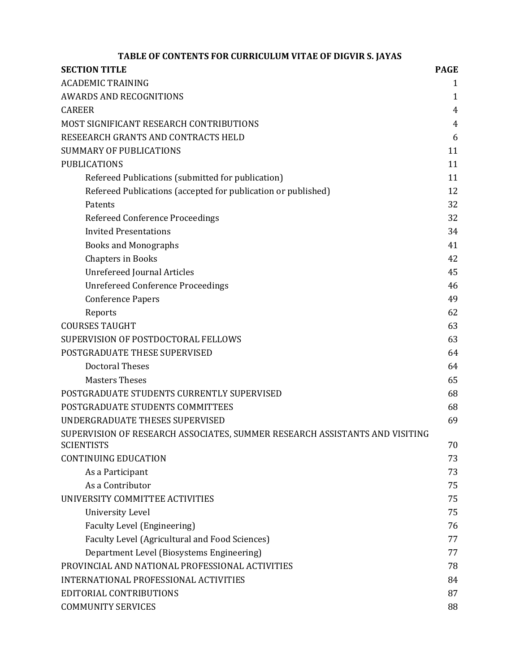# **TABLE OF CONTENTS FOR CURRICULUM VITAE OF DIGVIR S. JAYAS**

| <b>SECTION TITLE</b>                                                        | <b>PAGE</b>  |
|-----------------------------------------------------------------------------|--------------|
| <b>ACADEMIC TRAINING</b>                                                    | 1            |
| <b>AWARDS AND RECOGNITIONS</b>                                              | $\mathbf{1}$ |
| <b>CAREER</b>                                                               | 4            |
| MOST SIGNIFICANT RESEARCH CONTRIBUTIONS                                     | 4            |
| RESEEARCH GRANTS AND CONTRACTS HELD                                         | 6            |
| <b>SUMMARY OF PUBLICATIONS</b>                                              | 11           |
| <b>PUBLICATIONS</b>                                                         | 11           |
| Refereed Publications (submitted for publication)                           | 11           |
| Refereed Publications (accepted for publication or published)               | 12           |
| Patents                                                                     | 32           |
| Refereed Conference Proceedings                                             | 32           |
| <b>Invited Presentations</b>                                                | 34           |
| <b>Books and Monographs</b>                                                 | 41           |
| <b>Chapters in Books</b>                                                    | 42           |
| <b>Unrefereed Journal Articles</b>                                          | 45           |
| <b>Unrefereed Conference Proceedings</b>                                    | 46           |
| <b>Conference Papers</b>                                                    | 49           |
| Reports                                                                     | 62           |
| <b>COURSES TAUGHT</b>                                                       | 63           |
| SUPERVISION OF POSTDOCTORAL FELLOWS                                         | 63           |
| POSTGRADUATE THESE SUPERVISED                                               | 64           |
| <b>Doctoral Theses</b>                                                      | 64           |
| <b>Masters Theses</b>                                                       | 65           |
| POSTGRADUATE STUDENTS CURRENTLY SUPERVISED                                  | 68           |
| POSTGRADUATE STUDENTS COMMITTEES                                            | 68           |
| UNDERGRADUATE THESES SUPERVISED                                             | 69           |
| SUPERVISION OF RESEARCH ASSOCIATES, SUMMER RESEARCH ASSISTANTS AND VISITING |              |
| <b>SCIENTISTS</b>                                                           | 70           |
| <b>CONTINUING EDUCATION</b>                                                 | 73           |
| As a Participant                                                            | 73           |
| As a Contributor                                                            | 75           |
| UNIVERSITY COMMITTEE ACTIVITIES                                             | 75           |
| <b>University Level</b>                                                     | 75           |
| Faculty Level (Engineering)                                                 | 76           |
| Faculty Level (Agricultural and Food Sciences)                              | 77           |
| Department Level (Biosystems Engineering)                                   | 77           |
| PROVINCIAL AND NATIONAL PROFESSIONAL ACTIVITIES                             | 78           |
| INTERNATIONAL PROFESSIONAL ACTIVITIES                                       | 84           |
| EDITORIAL CONTRIBUTIONS                                                     | 87           |
| <b>COMMUNITY SERVICES</b>                                                   | 88           |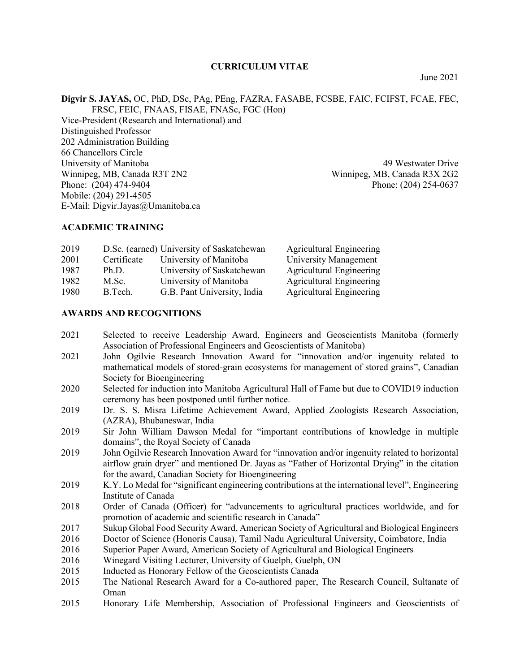#### **CURRICULUM VITAE**

June 2021

# **Digvir S. JAYAS,** OC, PhD, DSc, PAg, PEng, FAZRA, FASABE, FCSBE, FAIC, FCIFST, FCAE, FEC, FRSC, FEIC, FNAAS, FISAE, FNASc, FGC (Hon)

Vice-President (Research and International) and Distinguished Professor 202 Administration Building 66 Chancellors Circle University of Manitoba 49 Westwater Drive Winnipeg, MB, Canada R3T 2N2 Winnipeg, MB, Canada R3X 2G2 Phone: (204) 474-9404 Phone: (204) 254-0637 Mobile: (204) 291-4505 E-Mail: Digvir.Jayas@Umanitoba.ca

# **ACADEMIC TRAINING**

| 2019 |             | D.Sc. (earned) University of Saskatchewan | <b>Agricultural Engineering</b> |
|------|-------------|-------------------------------------------|---------------------------------|
| 2001 | Certificate | University of Manitoba                    | University Management           |
| 1987 | Ph.D.       | University of Saskatchewan                | <b>Agricultural Engineering</b> |
| 1982 | M.Sc.       | University of Manitoba                    | <b>Agricultural Engineering</b> |
| 1980 | B.Tech.     | G.B. Pant University, India               | <b>Agricultural Engineering</b> |
|      |             |                                           |                                 |

# **AWARDS AND RECOGNITIONS**

- 2021 Selected to receive Leadership Award, Engineers and Geoscientists Manitoba (formerly Association of Professional Engineers and Geoscientists of Manitoba)
- 2021 John Ogilvie Research Innovation Award for "innovation and/or ingenuity related to mathematical models of stored-grain ecosystems for management of stored grains", Canadian Society for Bioengineering
- 2020 Selected for induction into Manitoba Agricultural Hall of Fame but due to COVID19 induction ceremony has been postponed until further notice.
- 2019 Dr. S. S. Misra Lifetime Achievement Award, Applied Zoologists Research Association, (AZRA), Bhubaneswar, India
- 2019 Sir John William Dawson Medal for "important contributions of knowledge in multiple domains", the Royal Society of Canada
- 2019 John Ogilvie Research Innovation Award for "innovation and/or ingenuity related to horizontal airflow grain dryer" and mentioned Dr. Jayas as "Father of Horizontal Drying" in the citation for the award, Canadian Society for Bioengineering
- 2019 K.Y. Lo Medal for "significant engineering contributions at the international level", Engineering Institute of Canada
- 2018 Order of Canada (Officer) for "advancements to agricultural practices worldwide, and for promotion of academic and scientific research in Canada"
- 2017 Sukup Global Food Security Award, American Society of Agricultural and Biological Engineers
- 2016 Doctor of Science (Honoris Causa), Tamil Nadu Agricultural University, Coimbatore, India
- 2016 Superior Paper Award, American Society of Agricultural and Biological Engineers
- 2016 Winegard Visiting Lecturer, University of Guelph, Guelph, ON
- 2015 Inducted as Honorary Fellow of the Geoscientists Canada
- 2015 The National Research Award for a Co-authored paper, The Research Council, Sultanate of Oman
- 2015 Honorary Life Membership, Association of Professional Engineers and Geoscientists of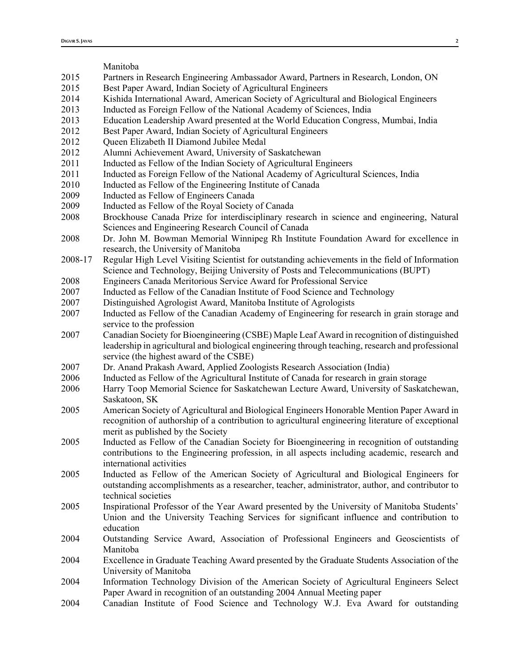|         | Manitoba                                                                                                                                          |
|---------|---------------------------------------------------------------------------------------------------------------------------------------------------|
| 2015    | Partners in Research Engineering Ambassador Award, Partners in Research, London, ON                                                               |
| 2015    | Best Paper Award, Indian Society of Agricultural Engineers                                                                                        |
| 2014    | Kishida International Award, American Society of Agricultural and Biological Engineers                                                            |
| 2013    | Inducted as Foreign Fellow of the National Academy of Sciences, India                                                                             |
| 2013    | Education Leadership Award presented at the World Education Congress, Mumbai, India                                                               |
| 2012    | Best Paper Award, Indian Society of Agricultural Engineers                                                                                        |
| 2012    | Queen Elizabeth II Diamond Jubilee Medal                                                                                                          |
| 2012    | Alumni Achievement Award, University of Saskatchewan                                                                                              |
|         |                                                                                                                                                   |
| 2011    | Inducted as Fellow of the Indian Society of Agricultural Engineers                                                                                |
| 2011    | Inducted as Foreign Fellow of the National Academy of Agricultural Sciences, India                                                                |
| 2010    | Inducted as Fellow of the Engineering Institute of Canada                                                                                         |
| 2009    | Inducted as Fellow of Engineers Canada                                                                                                            |
| 2009    | Inducted as Fellow of the Royal Society of Canada                                                                                                 |
| 2008    | Brockhouse Canada Prize for interdisciplinary research in science and engineering, Natural<br>Sciences and Engineering Research Council of Canada |
| 2008    | Dr. John M. Bowman Memorial Winnipeg Rh Institute Foundation Award for excellence in                                                              |
|         | research, the University of Manitoba                                                                                                              |
| 2008-17 | Regular High Level Visiting Scientist for outstanding achievements in the field of Information                                                    |
|         | Science and Technology, Beijing University of Posts and Telecommunications (BUPT)                                                                 |
| 2008    | Engineers Canada Meritorious Service Award for Professional Service                                                                               |
| 2007    | Inducted as Fellow of the Canadian Institute of Food Science and Technology                                                                       |
| 2007    | Distinguished Agrologist Award, Manitoba Institute of Agrologists                                                                                 |
| 2007    | Inducted as Fellow of the Canadian Academy of Engineering for research in grain storage and                                                       |
|         | service to the profession                                                                                                                         |
| 2007    | Canadian Society for Bioengineering (CSBE) Maple Leaf Award in recognition of distinguished                                                       |
|         | leadership in agricultural and biological engineering through teaching, research and professional                                                 |
|         | service (the highest award of the CSBE)                                                                                                           |
| 2007    | Dr. Anand Prakash Award, Applied Zoologists Research Association (India)                                                                          |
| 2006    | Inducted as Fellow of the Agricultural Institute of Canada for research in grain storage                                                          |
| 2006    | Harry Toop Memorial Science for Saskatchewan Lecture Award, University of Saskatchewan,                                                           |
|         | Saskatoon, SK                                                                                                                                     |
| 2005    | American Society of Agricultural and Biological Engineers Honorable Mention Paper Award in                                                        |
|         | recognition of authorship of a contribution to agricultural engineering literature of exceptional                                                 |
|         | merit as published by the Society                                                                                                                 |
| 2005    | Inducted as Fellow of the Canadian Society for Bioengineering in recognition of outstanding                                                       |
|         | contributions to the Engineering profession, in all aspects including academic, research and                                                      |
|         | international activities                                                                                                                          |
| 2005    | Inducted as Fellow of the American Society of Agricultural and Biological Engineers for                                                           |
|         | outstanding accomplishments as a researcher, teacher, administrator, author, and contributor to                                                   |
|         | technical societies                                                                                                                               |
| 2005    | Inspirational Professor of the Year Award presented by the University of Manitoba Students'                                                       |
|         | Union and the University Teaching Services for significant influence and contribution to                                                          |
|         | education                                                                                                                                         |
| 2004    | Outstanding Service Award, Association of Professional Engineers and Geoscientists of                                                             |
|         | Manitoba                                                                                                                                          |
| 2004    | Excellence in Graduate Teaching Award presented by the Graduate Students Association of the                                                       |
|         | University of Manitoba                                                                                                                            |
| 2004    | Information Technology Division of the American Society of Agricultural Engineers Select                                                          |
|         | Paper Award in recognition of an outstanding 2004 Annual Meeting paper                                                                            |
| 2004    | Canadian Institute of Food Science and Technology W.J. Eva Award for outstanding                                                                  |
|         |                                                                                                                                                   |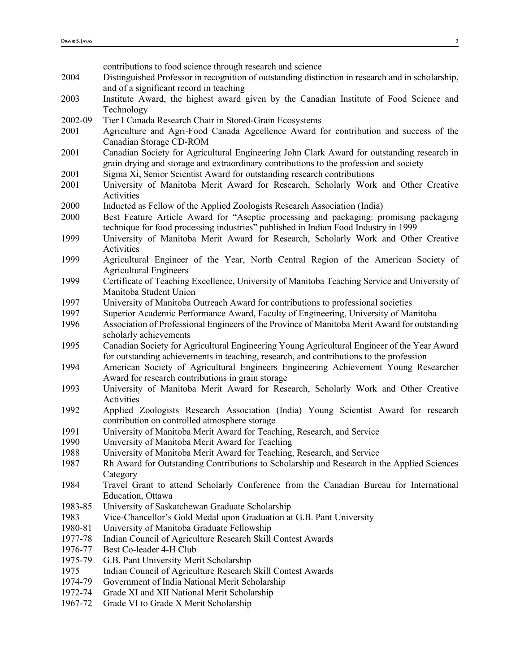|         | contributions to food science through research and science                                                                                                                           |
|---------|--------------------------------------------------------------------------------------------------------------------------------------------------------------------------------------|
| 2004    | Distinguished Professor in recognition of outstanding distinction in research and in scholarship,<br>and of a significant record in teaching                                         |
| 2003    | Institute Award, the highest award given by the Canadian Institute of Food Science and                                                                                               |
|         | Technology                                                                                                                                                                           |
| 2002-09 | Tier I Canada Research Chair in Stored-Grain Ecosystems                                                                                                                              |
| 2001    | Agriculture and Agri-Food Canada Agcellence Award for contribution and success of the<br>Canadian Storage CD-ROM                                                                     |
| 2001    | Canadian Society for Agricultural Engineering John Clark Award for outstanding research in<br>grain drying and storage and extraordinary contributions to the profession and society |
| 2001    | Sigma Xi, Senior Scientist Award for outstanding research contributions                                                                                                              |
| 2001    | University of Manitoba Merit Award for Research, Scholarly Work and Other Creative                                                                                                   |
|         | Activities                                                                                                                                                                           |
| 2000    | Inducted as Fellow of the Applied Zoologists Research Association (India)                                                                                                            |
| 2000    | Best Feature Article Award for "Aseptic processing and packaging: promising packaging                                                                                                |
|         | technique for food processing industries" published in Indian Food Industry in 1999                                                                                                  |
| 1999    | University of Manitoba Merit Award for Research, Scholarly Work and Other Creative<br>Activities                                                                                     |
| 1999    |                                                                                                                                                                                      |
|         | Agricultural Engineer of the Year, North Central Region of the American Society of<br><b>Agricultural Engineers</b>                                                                  |
| 1999    | Certificate of Teaching Excellence, University of Manitoba Teaching Service and University of                                                                                        |
|         | Manitoba Student Union                                                                                                                                                               |
| 1997    | University of Manitoba Outreach Award for contributions to professional societies                                                                                                    |
| 1997    | Superior Academic Performance Award, Faculty of Engineering, University of Manitoba                                                                                                  |
| 1996    | Association of Professional Engineers of the Province of Manitoba Merit Award for outstanding<br>scholarly achievements                                                              |
| 1995    | Canadian Society for Agricultural Engineering Young Agricultural Engineer of the Year Award                                                                                          |
|         | for outstanding achievements in teaching, research, and contributions to the profession                                                                                              |
| 1994    | American Society of Agricultural Engineers Engineering Achievement Young Researcher                                                                                                  |
|         | Award for research contributions in grain storage                                                                                                                                    |
| 1993    | University of Manitoba Merit Award for Research, Scholarly Work and Other Creative                                                                                                   |
|         | Activities                                                                                                                                                                           |
| 1992    | Applied Zoologists Research Association (India) Young Scientist Award for research<br>contribution on controlled atmosphere storage                                                  |
| 1991    | University of Manitoba Merit Award for Teaching, Research, and Service                                                                                                               |
| 1990    | University of Manitoba Merit Award for Teaching                                                                                                                                      |
| 1988    | University of Manitoba Merit Award for Teaching, Research, and Service                                                                                                               |
| 1987    | Rh Award for Outstanding Contributions to Scholarship and Research in the Applied Sciences                                                                                           |
|         | Category                                                                                                                                                                             |
| 1984    | Travel Grant to attend Scholarly Conference from the Canadian Bureau for International                                                                                               |
|         | Education, Ottawa                                                                                                                                                                    |
| 1983-85 | University of Saskatchewan Graduate Scholarship                                                                                                                                      |
| 1983    | Vice-Chancellor's Gold Medal upon Graduation at G.B. Pant University                                                                                                                 |
| 1980-81 | University of Manitoba Graduate Fellowship                                                                                                                                           |
| 1977-78 | Indian Council of Agriculture Research Skill Contest Awards                                                                                                                          |
| 1976-77 | Best Co-leader 4-H Club                                                                                                                                                              |
| 1975-79 | G.B. Pant University Merit Scholarship                                                                                                                                               |
| 1975    | Indian Council of Agriculture Research Skill Contest Awards                                                                                                                          |
| 1974-79 | Government of India National Merit Scholarship                                                                                                                                       |
| 1972-74 | Grade XI and XII National Merit Scholarship                                                                                                                                          |
| 1967-72 | Grade VI to Grade X Merit Scholarship                                                                                                                                                |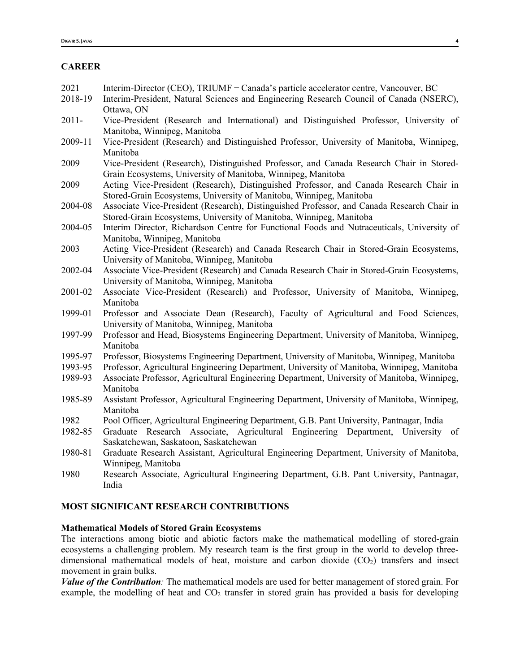# **CAREER**

| 2021     | Interim-Director (CEO), TRIUMF – Canada's particle accelerator centre, Vancouver, BC        |
|----------|---------------------------------------------------------------------------------------------|
| 2018-19  | Interim-President, Natural Sciences and Engineering Research Council of Canada (NSERC),     |
|          | Ottawa, ON                                                                                  |
| $2011 -$ | Vice-President (Research and International) and Distinguished Professor, University of      |
|          | Manitoba, Winnipeg, Manitoba                                                                |
| 2009-11  | Vice-President (Research) and Distinguished Professor, University of Manitoba, Winnipeg,    |
|          | Manitoba                                                                                    |
| 2009     | Vice-President (Research), Distinguished Professor, and Canada Research Chair in Stored-    |
|          | Grain Ecosystems, University of Manitoba, Winnipeg, Manitoba                                |
| 2009     | Acting Vice-President (Research), Distinguished Professor, and Canada Research Chair in     |
|          | Stored-Grain Ecosystems, University of Manitoba, Winnipeg, Manitoba                         |
| 2004-08  | Associate Vice-President (Research), Distinguished Professor, and Canada Research Chair in  |
|          | Stored-Grain Ecosystems, University of Manitoba, Winnipeg, Manitoba                         |
| 2004-05  | Interim Director, Richardson Centre for Functional Foods and Nutraceuticals, University of  |
|          | Manitoba, Winnipeg, Manitoba                                                                |
| 2003     | Acting Vice-President (Research) and Canada Research Chair in Stored-Grain Ecosystems,      |
|          | University of Manitoba, Winnipeg, Manitoba                                                  |
| 2002-04  | Associate Vice-President (Research) and Canada Research Chair in Stored-Grain Ecosystems,   |
|          | University of Manitoba, Winnipeg, Manitoba                                                  |
| 2001-02  | Associate Vice-President (Research) and Professor, University of Manitoba, Winnipeg,        |
|          | Manitoba                                                                                    |
| 1999-01  | Professor and Associate Dean (Research), Faculty of Agricultural and Food Sciences,         |
|          | University of Manitoba, Winnipeg, Manitoba                                                  |
| 1997-99  | Professor and Head, Biosystems Engineering Department, University of Manitoba, Winnipeg,    |
|          | Manitoba                                                                                    |
| 1995-97  | Professor, Biosystems Engineering Department, University of Manitoba, Winnipeg, Manitoba    |
| 1993-95  | Professor, Agricultural Engineering Department, University of Manitoba, Winnipeg, Manitoba  |
| 1989-93  | Associate Professor, Agricultural Engineering Department, University of Manitoba, Winnipeg, |
|          | Manitoba                                                                                    |
| 1985-89  | Assistant Professor, Agricultural Engineering Department, University of Manitoba, Winnipeg, |
|          | Manitoba                                                                                    |
| 1982     | Pool Officer, Agricultural Engineering Department, G.B. Pant University, Pantnagar, India   |
| 1982-85  | Graduate Research Associate, Agricultural Engineering Department, University of             |
|          | Saskatchewan, Saskatoon, Saskatchewan                                                       |
| 1980-81  | Graduate Research Assistant, Agricultural Engineering Department, University of Manitoba,   |
|          | Winnipeg, Manitoba                                                                          |
| 1980     | Research Associate, Agricultural Engineering Department, G.B. Pant University, Pantnagar,   |
|          | India                                                                                       |
|          |                                                                                             |

# **MOST SIGNIFICANT RESEARCH CONTRIBUTIONS**

# **Mathematical Models of Stored Grain Ecosystems**

The interactions among biotic and abiotic factors make the mathematical modelling of stored-grain ecosystems a challenging problem. My research team is the first group in the world to develop threedimensional mathematical models of heat, moisture and carbon dioxide  $(CO<sub>2</sub>)$  transfers and insect movement in grain bulks.

*Value of the Contribution:* The mathematical models are used for better management of stored grain. For example, the modelling of heat and  $CO<sub>2</sub>$  transfer in stored grain has provided a basis for developing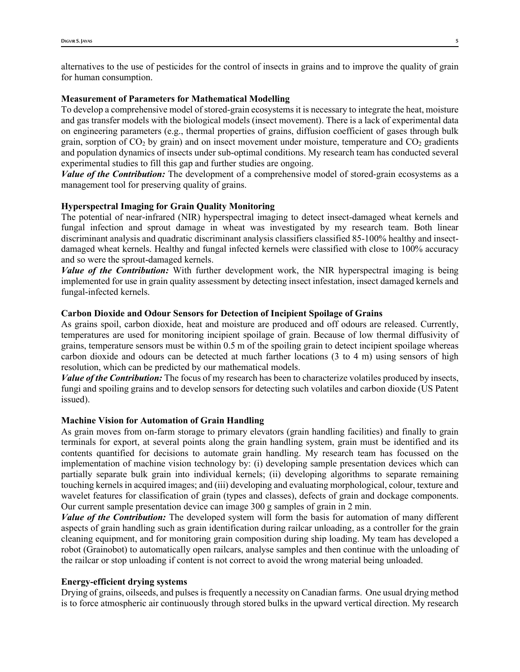alternatives to the use of pesticides for the control of insects in grains and to improve the quality of grain for human consumption.

### **Measurement of Parameters for Mathematical Modelling**

To develop a comprehensive model of stored-grain ecosystems it is necessary to integrate the heat, moisture and gas transfer models with the biological models (insect movement). There is a lack of experimental data on engineering parameters (e.g., thermal properties of grains, diffusion coefficient of gases through bulk grain, sorption of  $CO<sub>2</sub>$  by grain) and on insect movement under moisture, temperature and  $CO<sub>2</sub>$  gradients and population dynamics of insects under sub-optimal conditions. My research team has conducted several experimental studies to fill this gap and further studies are ongoing.

*Value of the Contribution:* The development of a comprehensive model of stored-grain ecosystems as a management tool for preserving quality of grains.

### **Hyperspectral Imaging for Grain Quality Monitoring**

The potential of near-infrared (NIR) hyperspectral imaging to detect insect-damaged wheat kernels and fungal infection and sprout damage in wheat was investigated by my research team. Both linear discriminant analysis and quadratic discriminant analysis classifiers classified 85-100% healthy and insectdamaged wheat kernels. Healthy and fungal infected kernels were classified with close to 100% accuracy and so were the sprout-damaged kernels.

*Value of the Contribution:* With further development work, the NIR hyperspectral imaging is being implemented for use in grain quality assessment by detecting insect infestation, insect damaged kernels and fungal-infected kernels.

### **Carbon Dioxide and Odour Sensors for Detection of Incipient Spoilage of Grains**

As grains spoil, carbon dioxide, heat and moisture are produced and off odours are released. Currently, temperatures are used for monitoring incipient spoilage of grain. Because of low thermal diffusivity of grains, temperature sensors must be within 0.5 m of the spoiling grain to detect incipient spoilage whereas carbon dioxide and odours can be detected at much farther locations (3 to 4 m) using sensors of high resolution, which can be predicted by our mathematical models.

*Value of the Contribution:* The focus of my research has been to characterize volatiles produced by insects, fungi and spoiling grains and to develop sensors for detecting such volatiles and carbon dioxide (US Patent issued).

### **Machine Vision for Automation of Grain Handling**

As grain moves from on-farm storage to primary elevators (grain handling facilities) and finally to grain terminals for export, at several points along the grain handling system, grain must be identified and its contents quantified for decisions to automate grain handling. My research team has focussed on the implementation of machine vision technology by: (i) developing sample presentation devices which can partially separate bulk grain into individual kernels; (ii) developing algorithms to separate remaining touching kernels in acquired images; and (iii) developing and evaluating morphological, colour, texture and wavelet features for classification of grain (types and classes), defects of grain and dockage components. Our current sample presentation device can image 300 g samples of grain in 2 min.

*Value of the Contribution:* The developed system will form the basis for automation of many different aspects of grain handling such as grain identification during railcar unloading, as a controller for the grain cleaning equipment, and for monitoring grain composition during ship loading. My team has developed a robot (Grainobot) to automatically open railcars, analyse samples and then continue with the unloading of the railcar or stop unloading if content is not correct to avoid the wrong material being unloaded.

#### **Energy-efficient drying systems**

Drying of grains, oilseeds, and pulses is frequently a necessity on Canadian farms. One usual drying method is to force atmospheric air continuously through stored bulks in the upward vertical direction. My research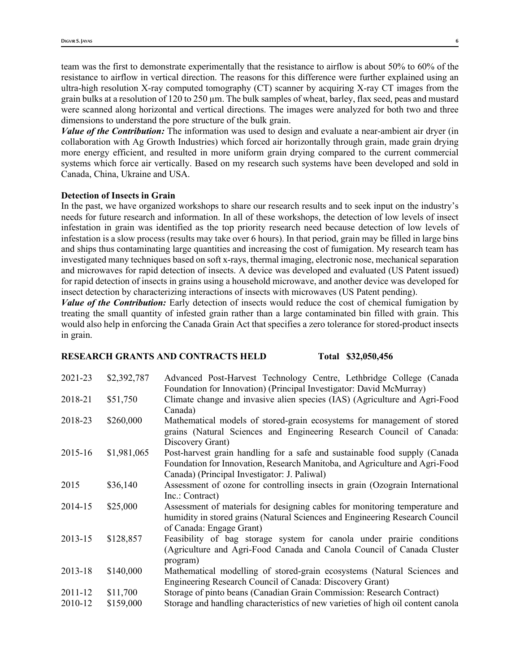team was the first to demonstrate experimentally that the resistance to airflow is about 50% to 60% of the resistance to airflow in vertical direction. The reasons for this difference were further explained using an ultra-high resolution X-ray computed tomography (CT) scanner by acquiring X-ray CT images from the grain bulks at a resolution of 120 to 250 µm. The bulk samples of wheat, barley, flax seed, peas and mustard were scanned along horizontal and vertical directions. The images were analyzed for both two and three dimensions to understand the pore structure of the bulk grain.

*Value of the Contribution:* The information was used to design and evaluate a near-ambient air dryer (in collaboration with Ag Growth Industries) which forced air horizontally through grain, made grain drying more energy efficient, and resulted in more uniform grain drying compared to the current commercial systems which force air vertically. Based on my research such systems have been developed and sold in Canada, China, Ukraine and USA.

### **Detection of Insects in Grain**

In the past, we have organized workshops to share our research results and to seek input on the industry's needs for future research and information. In all of these workshops, the detection of low levels of insect infestation in grain was identified as the top priority research need because detection of low levels of infestation is a slow process (results may take over 6 hours). In that period, grain may be filled in large bins and ships thus contaminating large quantities and increasing the cost of fumigation. My research team has investigated many techniques based on soft x-rays, thermal imaging, electronic nose, mechanical separation and microwaves for rapid detection of insects. A device was developed and evaluated (US Patent issued) for rapid detection of insects in grains using a household microwave, and another device was developed for insect detection by characterizing interactions of insects with microwaves (US Patent pending).

*Value of the Contribution:* Early detection of insects would reduce the cost of chemical fumigation by treating the small quantity of infested grain rather than a large contaminated bin filled with grain. This would also help in enforcing the Canada Grain Act that specifies a zero tolerance for stored-product insects in grain.

### **RESEARCH GRANTS AND CONTRACTS HELD Total \$32,050,456**

| 2021-23     | \$2,392,787 | Advanced Post-Harvest Technology Centre, Lethbridge College (Canada<br>Foundation for Innovation) (Principal Investigator: David McMurray)                                                                |
|-------------|-------------|-----------------------------------------------------------------------------------------------------------------------------------------------------------------------------------------------------------|
| 2018-21     | \$51,750    | Climate change and invasive alien species (IAS) (Agriculture and Agri-Food<br>Canada)                                                                                                                     |
| 2018-23     | \$260,000   | Mathematical models of stored-grain ecosystems for management of stored<br>grains (Natural Sciences and Engineering Research Council of Canada:<br>Discovery Grant)                                       |
| 2015-16     | \$1,981,065 | Post-harvest grain handling for a safe and sustainable food supply (Canada<br>Foundation for Innovation, Research Manitoba, and Agriculture and Agri-Food<br>Canada) (Principal Investigator: J. Paliwal) |
| 2015        | \$36,140    | Assessment of ozone for controlling insects in grain (Ozograin International<br>Inc.: Contract)                                                                                                           |
| 2014-15     | \$25,000    | Assessment of materials for designing cables for monitoring temperature and<br>humidity in stored grains (Natural Sciences and Engineering Research Council<br>of Canada: Engage Grant)                   |
| 2013-15     | \$128,857   | Feasibility of bag storage system for canola under prairie conditions<br>(Agriculture and Agri-Food Canada and Canola Council of Canada Cluster<br>program)                                               |
| 2013-18     | \$140,000   | Mathematical modelling of stored-grain ecosystems (Natural Sciences and<br>Engineering Research Council of Canada: Discovery Grant)                                                                       |
| $2011 - 12$ | \$11,700    | Storage of pinto beans (Canadian Grain Commission: Research Contract)                                                                                                                                     |
| 2010-12     | \$159,000   | Storage and handling characteristics of new varieties of high oil content canola                                                                                                                          |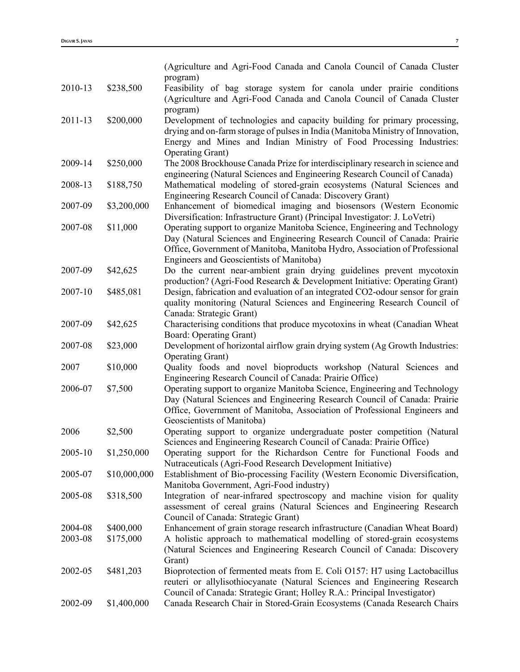|         |              | (Agriculture and Agri-Food Canada and Canola Council of Canada Cluster<br>program)                                                                           |
|---------|--------------|--------------------------------------------------------------------------------------------------------------------------------------------------------------|
| 2010-13 | \$238,500    | Feasibility of bag storage system for canola under prairie conditions<br>(Agriculture and Agri-Food Canada and Canola Council of Canada Cluster              |
|         |              | program)                                                                                                                                                     |
| 2011-13 | \$200,000    | Development of technologies and capacity building for primary processing,<br>drying and on-farm storage of pulses in India (Manitoba Ministry of Innovation, |
|         |              | Energy and Mines and Indian Ministry of Food Processing Industries:                                                                                          |
| 2009-14 | \$250,000    | <b>Operating Grant</b> )<br>The 2008 Brockhouse Canada Prize for interdisciplinary research in science and                                                   |
|         |              | engineering (Natural Sciences and Engineering Research Council of Canada)                                                                                    |
| 2008-13 | \$188,750    | Mathematical modeling of stored-grain ecosystems (Natural Sciences and<br>Engineering Research Council of Canada: Discovery Grant)                           |
| 2007-09 | \$3,200,000  | Enhancement of biomedical imaging and biosensors (Western Economic                                                                                           |
|         |              | Diversification: Infrastructure Grant) (Principal Investigator: J. LoVetri)                                                                                  |
| 2007-08 | \$11,000     | Operating support to organize Manitoba Science, Engineering and Technology<br>Day (Natural Sciences and Engineering Research Council of Canada: Prairie      |
|         |              | Office, Government of Manitoba, Manitoba Hydro, Association of Professional                                                                                  |
| 2007-09 | \$42,625     | Engineers and Geoscientists of Manitoba)<br>Do the current near-ambient grain drying guidelines prevent mycotoxin                                            |
|         |              | production? (Agri-Food Research & Development Initiative: Operating Grant)                                                                                   |
| 2007-10 | \$485,081    | Design, fabrication and evaluation of an integrated CO2-odour sensor for grain                                                                               |
|         |              | quality monitoring (Natural Sciences and Engineering Research Council of<br>Canada: Strategic Grant)                                                         |
| 2007-09 | \$42,625     | Characterising conditions that produce mycotoxins in wheat (Canadian Wheat                                                                                   |
|         |              | Board: Operating Grant)                                                                                                                                      |
| 2007-08 | \$23,000     | Development of horizontal airflow grain drying system (Ag Growth Industries:                                                                                 |
| 2007    | \$10,000     | <b>Operating Grant</b> )<br>Quality foods and novel bioproducts workshop (Natural Sciences and                                                               |
|         |              | Engineering Research Council of Canada: Prairie Office)                                                                                                      |
| 2006-07 | \$7,500      | Operating support to organize Manitoba Science, Engineering and Technology                                                                                   |
|         |              | Day (Natural Sciences and Engineering Research Council of Canada: Prairie                                                                                    |
|         |              | Office, Government of Manitoba, Association of Professional Engineers and<br>Geoscientists of Manitoba)                                                      |
| 2006    | \$2,500      | Operating support to organize undergraduate poster competition (Natural                                                                                      |
|         |              | Sciences and Engineering Research Council of Canada: Prairie Office)                                                                                         |
| 2005-10 | \$1,250,000  | Operating support for the Richardson Centre for Functional Foods and                                                                                         |
|         |              | Nutraceuticals (Agri-Food Research Development Initiative)                                                                                                   |
| 2005-07 | \$10,000,000 | Establishment of Bio-processing Facility (Western Economic Diversification,<br>Manitoba Government, Agri-Food industry)                                      |
| 2005-08 | \$318,500    | Integration of near-infrared spectroscopy and machine vision for quality                                                                                     |
|         |              | assessment of cereal grains (Natural Sciences and Engineering Research                                                                                       |
|         |              | Council of Canada: Strategic Grant)                                                                                                                          |
| 2004-08 | \$400,000    | Enhancement of grain storage research infrastructure (Canadian Wheat Board)                                                                                  |
| 2003-08 | \$175,000    | A holistic approach to mathematical modelling of stored-grain ecosystems                                                                                     |
|         |              | (Natural Sciences and Engineering Research Council of Canada: Discovery<br>Grant)                                                                            |
| 2002-05 | \$481,203    | Bioprotection of fermented meats from E. Coli O157: H7 using Lactobacillus                                                                                   |
|         |              | reuteri or allylisothiocyanate (Natural Sciences and Engineering Research                                                                                    |
|         |              | Council of Canada: Strategic Grant; Holley R.A.: Principal Investigator)                                                                                     |
| 2002-09 | \$1,400,000  | Canada Research Chair in Stored-Grain Ecosystems (Canada Research Chairs                                                                                     |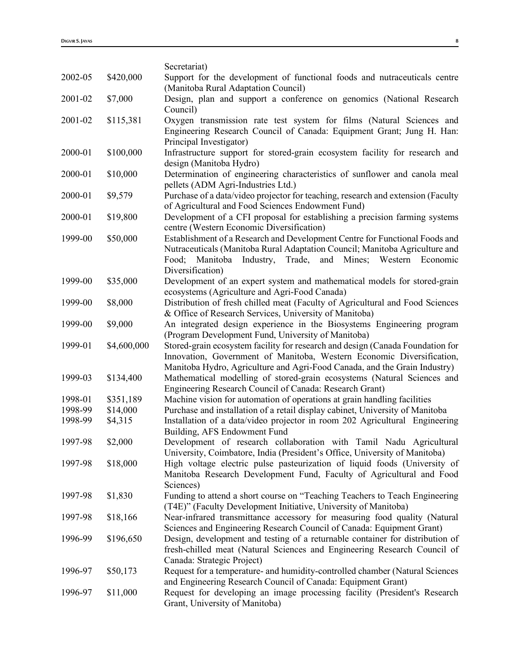|         |             | Secretariat)                                                                                                                                                                                                                                              |
|---------|-------------|-----------------------------------------------------------------------------------------------------------------------------------------------------------------------------------------------------------------------------------------------------------|
| 2002-05 | \$420,000   | Support for the development of functional foods and nutraceuticals centre<br>(Manitoba Rural Adaptation Council)                                                                                                                                          |
| 2001-02 | \$7,000     | Design, plan and support a conference on genomics (National Research<br>Council)                                                                                                                                                                          |
| 2001-02 | \$115,381   | Oxygen transmission rate test system for films (Natural Sciences and<br>Engineering Research Council of Canada: Equipment Grant; Jung H. Han:<br>Principal Investigator)                                                                                  |
| 2000-01 | \$100,000   | Infrastructure support for stored-grain ecosystem facility for research and<br>design (Manitoba Hydro)                                                                                                                                                    |
| 2000-01 | \$10,000    | Determination of engineering characteristics of sunflower and canola meal<br>pellets (ADM Agri-Industries Ltd.)                                                                                                                                           |
| 2000-01 | \$9,579     | Purchase of a data/video projector for teaching, research and extension (Faculty<br>of Agricultural and Food Sciences Endowment Fund)                                                                                                                     |
| 2000-01 | \$19,800    | Development of a CFI proposal for establishing a precision farming systems<br>centre (Western Economic Diversification)                                                                                                                                   |
| 1999-00 | \$50,000    | Establishment of a Research and Development Centre for Functional Foods and<br>Nutraceuticals (Manitoba Rural Adaptation Council; Manitoba Agriculture and<br>Industry,<br>Trade,<br>and Mines; Western Economic<br>Food:<br>Manitoba<br>Diversification) |
| 1999-00 | \$35,000    | Development of an expert system and mathematical models for stored-grain<br>ecosystems (Agriculture and Agri-Food Canada)                                                                                                                                 |
| 1999-00 | \$8,000     | Distribution of fresh chilled meat (Faculty of Agricultural and Food Sciences<br>& Office of Research Services, University of Manitoba)                                                                                                                   |
| 1999-00 | \$9,000     | An integrated design experience in the Biosystems Engineering program<br>(Program Development Fund, University of Manitoba)                                                                                                                               |
| 1999-01 | \$4,600,000 | Stored-grain ecosystem facility for research and design (Canada Foundation for<br>Innovation, Government of Manitoba, Western Economic Diversification,<br>Manitoba Hydro, Agriculture and Agri-Food Canada, and the Grain Industry)                      |
| 1999-03 | \$134,400   | Mathematical modelling of stored-grain ecosystems (Natural Sciences and<br>Engineering Research Council of Canada: Research Grant)                                                                                                                        |
| 1998-01 | \$351,189   | Machine vision for automation of operations at grain handling facilities                                                                                                                                                                                  |
| 1998-99 | \$14,000    | Purchase and installation of a retail display cabinet, University of Manitoba                                                                                                                                                                             |
| 1998-99 | \$4,315     | Installation of a data/video projector in room 202 Agricultural Engineering<br>Building, AFS Endowment Fund                                                                                                                                               |
| 1997-98 | \$2,000     | Development of research collaboration with Tamil Nadu Agricultural<br>University, Coimbatore, India (President's Office, University of Manitoba)                                                                                                          |
| 1997-98 | \$18,000    | High voltage electric pulse pasteurization of liquid foods (University of<br>Manitoba Research Development Fund, Faculty of Agricultural and Food<br>Sciences)                                                                                            |
| 1997-98 | \$1,830     | Funding to attend a short course on "Teaching Teachers to Teach Engineering<br>(T4E)" (Faculty Development Initiative, University of Manitoba)                                                                                                            |
| 1997-98 | \$18,166    | Near-infrared transmittance accessory for measuring food quality (Natural<br>Sciences and Engineering Research Council of Canada: Equipment Grant)                                                                                                        |
| 1996-99 | \$196,650   | Design, development and testing of a returnable container for distribution of<br>fresh-chilled meat (Natural Sciences and Engineering Research Council of<br>Canada: Strategic Project)                                                                   |
| 1996-97 | \$50,173    | Request for a temperature- and humidity-controlled chamber (Natural Sciences<br>and Engineering Research Council of Canada: Equipment Grant)                                                                                                              |
| 1996-97 | \$11,000    | Request for developing an image processing facility (President's Research<br>Grant, University of Manitoba)                                                                                                                                               |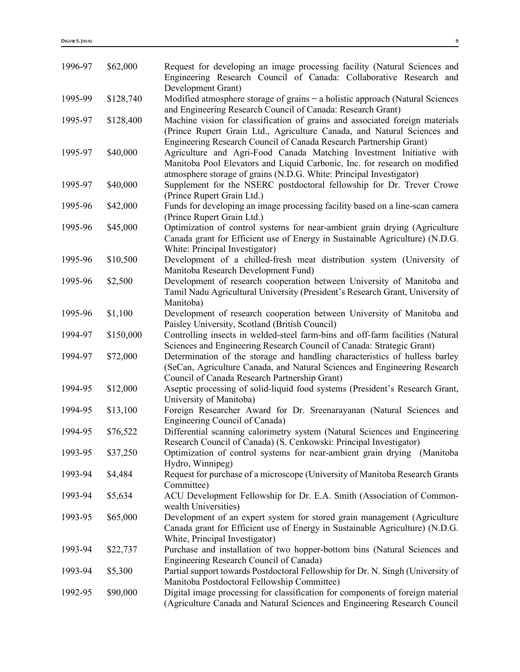| 1996-97 | \$62,000  | Request for developing an image processing facility (Natural Sciences and<br>Engineering Research Council of Canada: Collaborative Research and |
|---------|-----------|-------------------------------------------------------------------------------------------------------------------------------------------------|
|         |           | Development Grant)                                                                                                                              |
| 1995-99 | \$128,740 | Modified atmosphere storage of grains $-$ a holistic approach (Natural Sciences<br>and Engineering Research Council of Canada: Research Grant)  |
| 1995-97 | \$128,400 | Machine vision for classification of grains and associated foreign materials                                                                    |
|         |           | (Prince Rupert Grain Ltd., Agriculture Canada, and Natural Sciences and                                                                         |
|         |           | Engineering Research Council of Canada Research Partnership Grant)                                                                              |
| 1995-97 | \$40,000  | Agriculture and Agri-Food Canada Matching Investment Initiative with                                                                            |
|         |           | Manitoba Pool Elevators and Liquid Carbonic, Inc. for research on modified                                                                      |
|         |           | atmosphere storage of grains (N.D.G. White: Principal Investigator)                                                                             |
| 1995-97 | \$40,000  | Supplement for the NSERC postdoctoral fellowship for Dr. Trever Crowe                                                                           |
|         |           | (Prince Rupert Grain Ltd.)                                                                                                                      |
| 1995-96 | \$42,000  | Funds for developing an image processing facility based on a line-scan camera<br>(Prince Rupert Grain Ltd.)                                     |
| 1995-96 | \$45,000  | Optimization of control systems for near-ambient grain drying (Agriculture                                                                      |
|         |           | Canada grant for Efficient use of Energy in Sustainable Agriculture) (N.D.G.<br>White: Principal Investigator)                                  |
| 1995-96 | \$10,500  | Development of a chilled-fresh meat distribution system (University of                                                                          |
|         |           | Manitoba Research Development Fund)                                                                                                             |
| 1995-96 | \$2,500   | Development of research cooperation between University of Manitoba and                                                                          |
|         |           | Tamil Nadu Agricultural University (President's Research Grant, University of                                                                   |
|         |           | Manitoba)                                                                                                                                       |
| 1995-96 | \$1,100   | Development of research cooperation between University of Manitoba and                                                                          |
|         |           | Paisley University, Scotland (British Council)                                                                                                  |
| 1994-97 | \$150,000 | Controlling insects in welded-steel farm-bins and off-farm facilities (Natural                                                                  |
|         |           | Sciences and Engineering Research Council of Canada: Strategic Grant)                                                                           |
| 1994-97 | \$72,000  | Determination of the storage and handling characteristics of hulless barley                                                                     |
|         |           | (SeCan, Agriculture Canada, and Natural Sciences and Engineering Research                                                                       |
|         |           | Council of Canada Research Partnership Grant)                                                                                                   |
| 1994-95 | \$12,000  | Aseptic processing of solid-liquid food systems (President's Research Grant,                                                                    |
|         |           | University of Manitoba)                                                                                                                         |
| 1994-95 | \$13,100  | Foreign Researcher Award for Dr. Sreenarayanan (Natural Sciences and                                                                            |
|         |           | Engineering Council of Canada)                                                                                                                  |
| 1994-95 | \$76,522  | Differential scanning calorimetry system (Natural Sciences and Engineering                                                                      |
|         |           | Research Council of Canada) (S. Cenkowski: Principal Investigator)                                                                              |
| 1993-95 | \$37,250  | Optimization of control systems for near-ambient grain drying (Manitoba                                                                         |
|         |           | Hydro, Winnipeg)                                                                                                                                |
| 1993-94 | \$4,484   | Request for purchase of a microscope (University of Manitoba Research Grants                                                                    |
|         |           | Committee)                                                                                                                                      |
| 1993-94 | \$5,634   | ACU Development Fellowship for Dr. E.A. Smith (Association of Common-                                                                           |
|         |           | wealth Universities)                                                                                                                            |
| 1993-95 | \$65,000  | Development of an expert system for stored grain management (Agriculture                                                                        |
|         |           | Canada grant for Efficient use of Energy in Sustainable Agriculture) (N.D.G.                                                                    |
|         |           | White, Principal Investigator)                                                                                                                  |
| 1993-94 | \$22,737  | Purchase and installation of two hopper-bottom bins (Natural Sciences and                                                                       |
|         |           | Engineering Research Council of Canada)                                                                                                         |
| 1993-94 | \$5,300   | Partial support towards Postdoctoral Fellowship for Dr. N. Singh (University of                                                                 |
|         |           | Manitoba Postdoctoral Fellowship Committee)                                                                                                     |
| 1992-95 | \$90,000  | Digital image processing for classification for components of foreign material                                                                  |
|         |           | (Agriculture Canada and Natural Sciences and Engineering Research Council                                                                       |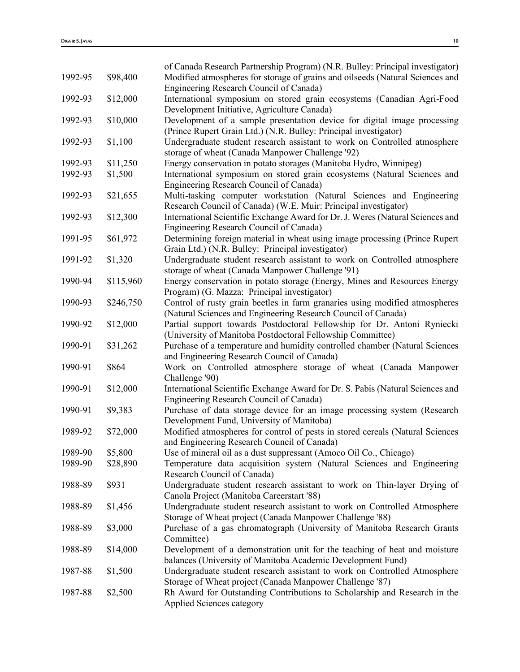|         |           | of Canada Research Partnership Program) (N.R. Bulley: Principal investigator)  |
|---------|-----------|--------------------------------------------------------------------------------|
| 1992-95 | \$98,400  | Modified atmospheres for storage of grains and oilseeds (Natural Sciences and  |
|         |           | Engineering Research Council of Canada)                                        |
| 1992-93 | \$12,000  | International symposium on stored grain ecosystems (Canadian Agri-Food         |
|         |           | Development Initiative, Agriculture Canada)                                    |
| 1992-93 | \$10,000  | Development of a sample presentation device for digital image processing       |
|         |           | (Prince Rupert Grain Ltd.) (N.R. Bulley: Principal investigator)               |
| 1992-93 | \$1,100   | Undergraduate student research assistant to work on Controlled atmosphere      |
|         |           | storage of wheat (Canada Manpower Challenge '92)                               |
| 1992-93 | \$11,250  | Energy conservation in potato storages (Manitoba Hydro, Winnipeg)              |
| 1992-93 | \$1,500   | International symposium on stored grain ecosystems (Natural Sciences and       |
|         |           | Engineering Research Council of Canada)                                        |
| 1992-93 | \$21,655  | Multi-tasking computer workstation (Natural Sciences and Engineering           |
|         |           | Research Council of Canada) (W.E. Muir: Principal investigator)                |
| 1992-93 | \$12,300  | International Scientific Exchange Award for Dr. J. Weres (Natural Sciences and |
|         |           | Engineering Research Council of Canada)                                        |
| 1991-95 | \$61,972  | Determining foreign material in wheat using image processing (Prince Rupert    |
|         |           | Grain Ltd.) (N.R. Bulley: Principal investigator)                              |
| 1991-92 | \$1,320   | Undergraduate student research assistant to work on Controlled atmosphere      |
|         |           | storage of wheat (Canada Manpower Challenge '91)                               |
| 1990-94 | \$115,960 | Energy conservation in potato storage (Energy, Mines and Resources Energy      |
|         |           | Program) (G. Mazza: Principal investigator)                                    |
| 1990-93 | \$246,750 | Control of rusty grain beetles in farm granaries using modified atmospheres    |
|         |           | (Natural Sciences and Engineering Research Council of Canada)                  |
| 1990-92 | \$12,000  | Partial support towards Postdoctoral Fellowship for Dr. Antoni Ryniecki        |
|         |           | (University of Manitoba Postdoctoral Fellowship Committee)                     |
| 1990-91 | \$31,262  | Purchase of a temperature and humidity controlled chamber (Natural Sciences    |
|         |           | and Engineering Research Council of Canada)                                    |
| 1990-91 | \$864     | Work on Controlled atmosphere storage of wheat (Canada Manpower                |
|         |           | Challenge '90)                                                                 |
| 1990-91 | \$12,000  | International Scientific Exchange Award for Dr. S. Pabis (Natural Sciences and |
|         |           | Engineering Research Council of Canada)                                        |
| 1990-91 | \$9,383   | Purchase of data storage device for an image processing system (Research       |
|         |           | Development Fund, University of Manitoba)                                      |
| 1989-92 | \$72,000  | Modified atmospheres for control of pests in stored cereals (Natural Sciences  |
|         |           | and Engineering Research Council of Canada)                                    |
| 1989-90 | \$5,800   | Use of mineral oil as a dust suppressant (Amoco Oil Co., Chicago)              |
| 1989-90 | \$28,890  | Temperature data acquisition system (Natural Sciences and Engineering          |
|         |           | Research Council of Canada)                                                    |
| 1988-89 | \$931     | Undergraduate student research assistant to work on Thin-layer Drying of       |
|         |           | Canola Project (Manitoba Careerstart '88)                                      |
| 1988-89 | \$1,456   | Undergraduate student research assistant to work on Controlled Atmosphere      |
|         |           | Storage of Wheat project (Canada Manpower Challenge '88)                       |
| 1988-89 | \$3,000   | Purchase of a gas chromatograph (University of Manitoba Research Grants        |
|         |           | Committee)                                                                     |
| 1988-89 | \$14,000  | Development of a demonstration unit for the teaching of heat and moisture      |
|         |           | balances (University of Manitoba Academic Development Fund)                    |
| 1987-88 | \$1,500   | Undergraduate student research assistant to work on Controlled Atmosphere      |
|         |           | Storage of Wheat project (Canada Manpower Challenge '87)                       |
| 1987-88 | \$2,500   | Rh Award for Outstanding Contributions to Scholarship and Research in the      |
|         |           | Applied Sciences category                                                      |
|         |           |                                                                                |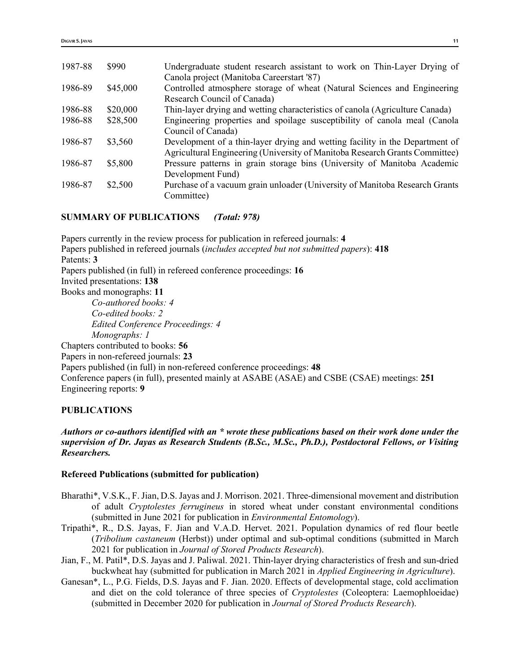| 1987-88 | \$990    | Undergraduate student research assistant to work on Thin-Layer Drying of     |
|---------|----------|------------------------------------------------------------------------------|
|         |          | Canola project (Manitoba Careerstart '87)                                    |
| 1986-89 | \$45,000 | Controlled atmosphere storage of wheat (Natural Sciences and Engineering     |
|         |          | Research Council of Canada)                                                  |
| 1986-88 | \$20,000 | Thin-layer drying and wetting characteristics of canola (Agriculture Canada) |
| 1986-88 | \$28,500 | Engineering properties and spoilage susceptibility of canola meal (Canola    |
|         |          | Council of Canada)                                                           |
| 1986-87 | \$3,560  | Development of a thin-layer drying and wetting facility in the Department of |
|         |          | Agricultural Engineering (University of Manitoba Research Grants Committee)  |
| 1986-87 | \$5,800  | Pressure patterns in grain storage bins (University of Manitoba Academic     |
|         |          | Development Fund)                                                            |
| 1986-87 | \$2,500  | Purchase of a vacuum grain unloader (University of Manitoba Research Grants  |
|         |          | Committee)                                                                   |

# **SUMMARY OF PUBLICATIONS** *(Total: 978)*

Papers currently in the review process for publication in refereed journals: **4** Papers published in refereed journals (*includes accepted but not submitted papers*): **418** Patents: **3** Papers published (in full) in refereed conference proceedings: **16** Invited presentations: **138** Books and monographs: **11** *Co-authored books: 4 Co-edited books: 2 Edited Conference Proceedings: 4 Monographs: 1* Chapters contributed to books: **56** Papers in non-refereed journals: **23** Papers published (in full) in non-refereed conference proceedings: **48** Conference papers (in full), presented mainly at ASABE (ASAE) and CSBE (CSAE) meetings: **251** Engineering reports: **9**

### **PUBLICATIONS**

# *Authors or co-authors identified with an \* wrote these publications based on their work done under the supervision of Dr. Jayas as Research Students (B.Sc., M.Sc., Ph.D.), Postdoctoral Fellows, or Visiting Researchers.*

#### **Refereed Publications (submitted for publication)**

- Bharathi\*, V.S.K., F. Jian, D.S. Jayas and J. Morrison. 2021. Three-dimensional movement and distribution of adult *Cryptolestes ferrugineus* in stored wheat under constant environmental conditions (submitted in June 2021 for publication in *Environmental Entomology*).
- Tripathi\*, R., D.S. Jayas, F. Jian and V.A.D. Hervet. 2021. Population dynamics of red flour beetle (*Tribolium castaneum* (Herbst)) under optimal and sub-optimal conditions (submitted in March 2021 for publication in *Journal of Stored Products Research*).
- Jian, F., M. Patil\*, D.S. Jayas and J. Paliwal. 2021. Thin-layer drying characteristics of fresh and sun-dried buckwheat hay (submitted for publication in March 2021 in *Applied Engineering in Agriculture*).
- Ganesan\*, L., P.G. Fields, D.S. Jayas and F. Jian. 2020. Effects of developmental stage, cold acclimation and diet on the cold tolerance of three species of *Cryptolestes* (Coleoptera: Laemophloeidae) (submitted in December 2020 for publication in *Journal of Stored Products Research*).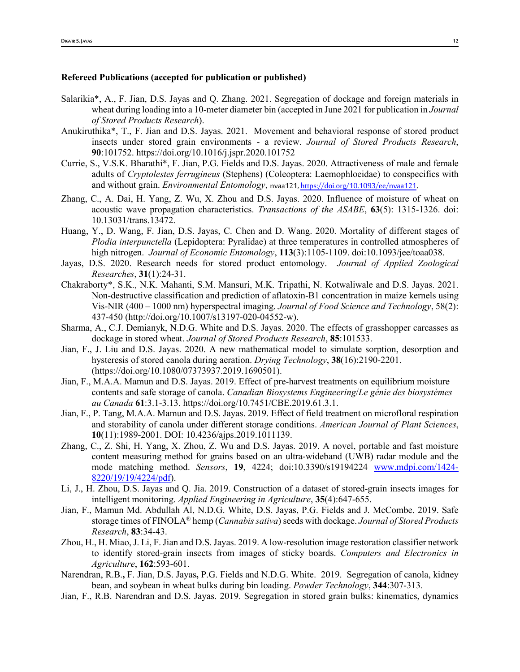#### **Refereed Publications (accepted for publication or published)**

- Salarikia\*, A., F. Jian, D.S. Jayas and Q. Zhang. 2021. Segregation of dockage and foreign materials in wheat during loading into a 10-meter diameter bin (accepted in June 2021 for publication in *Journal of Stored Products Research*).
- Anukiruthika\*, T., F. Jian and D.S. Jayas. 2021. Movement and behavioral response of stored product insects under stored grain environments - a review. *Journal of Stored Products Research*, **90**:101752. https://doi.org/10.1016/j.jspr.2020.101752
- Currie, S., V.S.K. Bharathi\*, F. Jian, P.G. Fields and D.S. Jayas. 2020. Attractiveness of male and female adults of *Cryptolestes ferrugineus* (Stephens) (Coleoptera: Laemophloeidae) to conspecifics with and without grain. *Environmental Entomology*, nvaa121[, https://doi.org/10.1093/ee/nvaa121](https://doi.org/10.1093/ee/nvaa121).
- Zhang, C., A. Dai, H. Yang, Z. Wu, X. Zhou and D.S. Jayas. 2020. Influence of moisture of wheat on acoustic wave propagation characteristics. *Transactions of the ASABE*, **63**(5): 1315-1326. doi: 10.13031/trans.13472.
- Huang, Y., D. Wang, [F. Jian,](https://www.researchgate.net/profile/Fuji_Jian2?_sg%5B0%5D=D32v8rCzmYpXRFC0qDigFdK69Rasz7Xqp9bivVHJ4u_LHdjOAn-cxpzhXwtlQew-H4-PXvw.yrHwKmb9vlqE_4EamUiAFQBMkg8MyW-SBKM9jJwXgl9s8nLPYy2AN9RMundONEje56ebH0rH7qug_VKbg2VJFA&_sg%5B1%5D=EOvGRzNlNlYpkA4MvvXfXd7qdKHGl8cLr6mnfwoK1_K0QXYkPzNaXcvUySKr_QOUvySuxd9KpaAwckGj.WEQ2jvuNeE7NN3Lj8BETzSe7RJgZOnnyYhoO3q1wdXui87TVhahBi5QvQ7hItLCrxY_X3DW2tCubKRYcVevPPw) D.S. Jayas, C. Chen and D. Wang. 2020. Mortality of different stages of *Plodia interpunctella* (Lepidoptera: Pyralidae) at three temperatures in controlled atmospheres of high nitrogen. *Journal of Economic Entomology*, **113**(3):1105-1109. doi:10.1093/jee/toaa038.
- Jayas, D.S. 2020. Research needs for stored product entomology. *Journal of Applied Zoological Researches*, **31**(1):24-31.
- Chakraborty\*, S.K., N.K. Mahanti, S.M. Mansuri, M.K. Tripathi, N. Kotwaliwale and D.S. Jayas. 2021. Non-destructive classification and prediction of aflatoxin-B1 concentration in maize kernels using Vis-NIR (400 – 1000 nm) hyperspectral imaging. *Journal of Food Science and Technology*, 58(2): 437-450 (http://doi.org/10.1007/s13197-020-04552-w).
- Sharma, A., C.J. Demianyk, N.D.G. White and D.S. Jayas. 2020. The effects of grasshopper carcasses as dockage in stored wheat. *Journal of Stored Products Research*, **85**:101533.
- Jian, F., J. Liu and D.S. Jayas. 2020. A new mathematical model to simulate sorption, desorption and hysteresis of stored canola during aeration. *Drying Technology*, **38**(16):2190-2201. (https://doi.org/10.1080/07373937.2019.1690501).
- Jian, F., M.A.A. Mamun and D.S. Jayas. 2019. Effect of pre-harvest treatments on equilibrium moisture contents and safe storage of canola. *Canadian Biosystems Engineering*/*Le génie des biosystèmes au Canada* **61**:3.1-3.13. https://doi.org/10.7451/CBE.2019.61.3.1.
- Jian, F., P. Tang, M.A.A. Mamun and D.S. Jayas. 2019. Effect of field treatment on microfloral respiration and storability of canola under different storage conditions. *American Journal of Plant Sciences*, **10**(11):1989-2001. DOI: 10.4236/ajps.2019.1011139.
- Zhang, C., Z. Shi, H. Yang, X. Zhou, Z. Wu and D.S. Jayas. 2019. A novel, portable and fast moisture content measuring method for grains based on an ultra-wideband (UWB) radar module and the mode matching method. *Sensors*, **19**, 4224; doi:10.3390/s19194224 [www.mdpi.com/1424-](http://www.mdpi.com/1424-8220/19/19/4224/pdf) [8220/19/19/4224/pdf\)](http://www.mdpi.com/1424-8220/19/19/4224/pdf).
- Li, J., H. Zhou, D.S. Jayas and Q. Jia. 2019. Construction of a dataset of stored-grain insects images for intelligent monitoring. *Applied Engineering in Agriculture*, **35**(4):647-655.
- Jian, F., Mamun Md. Abdullah Al, N.D.G. White, D.S. Jayas, P.G. Fields and J. McCombe. 2019. Safe storage times of FINOLA® hemp (*Cannabis sativa*) seeds with dockage. *Journal of Stored Products Research*, **83**:34-43.
- Zhou, H., H. Miao, J. Li, F. Jian and D.S. Jayas. 2019. A low-resolution image restoration classifier network to identify stored-grain insects from images of sticky boards. *Computers and Electronics in Agriculture*, **162**:593-601.
- Narendran, R.B.**,** F. Jian, D.S. Jayas**,** P.G. Fields and N.D.G. White. 2019. Segregation of canola, kidney bean, and soybean in wheat bulks during bin loading. *Powder Technology*, **344**:307-313.
- Jian, F., R.B. Narendran and D.S. Jayas. 2019. Segregation in stored grain bulks: kinematics, dynamics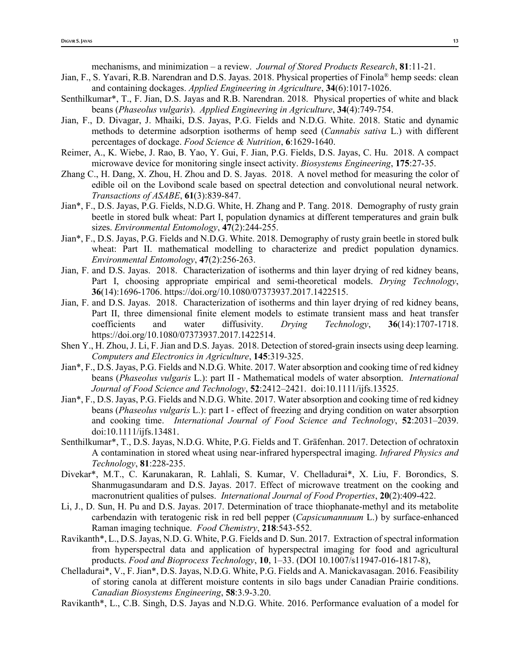mechanisms, and minimization – a review. *Journal of Stored Products Research*, **81**:11-21.

- Jian, F., S. Yavari, R.B. Narendran and D.S. Jayas. 2018. Physical properties of Finola® hemp seeds: clean and containing dockages. *Applied Engineering in Agriculture*, **34**(6):1017-1026.
- Senthilkumar\*, T., F. Jian, D.S. Jayas and R.B. Narendran. 2018. Physical properties of white and black beans (*Phaseolus vulgaris*). *Applied Engineering in Agriculture*, **34**(4):749-754.
- Jian, F., D. Divagar, J. Mhaiki, D.S. Jayas, P.G. Fields and N.D.G. White. 2018. Static and dynamic methods to determine adsorption isotherms of hemp seed (*Cannabis sativa* L.) with different percentages of dockage. *Food Science & Nutrition*, **6**:1629-1640.
- Reimer, A., K. Wiebe, J. Rao, B. Yao, Y. Gui, F. Jian, P.G. Fields, D.S. Jayas, C. Hu. 2018. A compact microwave device for monitoring single insect activity. *Biosystems Engineering*, **175**:27-35.
- Zhang C., H. Dang, X. Zhou, H. Zhou and D. S. Jayas. 2018. A novel method for measuring the color of edible oil on the Lovibond scale based on spectral detection and convolutional neural network. *Transactions of ASABE*, **61**(3):839-847.
- Jian\*, F., D.S. Jayas, P.G. Fields, N.D.G. White, H. Zhang and P. Tang. 2018. Demography of rusty grain beetle in stored bulk wheat: Part I, population dynamics at different temperatures and grain bulk sizes. *Environmental Entomology*, **47**(2):244-255.
- Jian\*, F., D.S. Jayas, P.G. Fields and N.D.G. White. 2018. Demography of rusty grain beetle in stored bulk wheat: Part II. mathematical modelling to characterize and predict population dynamics. *Environmental Entomology*, **47**(2):256-263.
- Jian, F. and D.S. Jayas. 2018. Characterization of isotherms and thin layer drying of red kidney beans, Part I, choosing appropriate empirical and semi-theoretical models. *Drying Technology*, **36**(14):1696-1706. https://doi.org/10.1080/07373937.2017.1422515.
- Jian, F. and D.S. Jayas. 2018. Characterization of isotherms and thin layer drying of red kidney beans, Part II, three dimensional finite element models to estimate transient mass and heat transfer coefficients and water diffusivity. *Drying Technology*, **36**(14):1707-1718. https://doi.org/10.1080/07373937.2017.1422514.
- Shen Y., H. Zhou, J. Li, F. Jian and D.S. Jayas. 2018. Detection of stored-grain insects using deep learning. *Computers and Electronics in Agriculture*, **145**:319-325.
- Jian\*, F., D.S. Jayas, P.G. Fields and N.D.G. White. 2017. Water absorption and cooking time of red kidney beans (*Phaseolus vulgaris* L.): part II - Mathematical models of water absorption. *International Journal of Food Science and Technology*, **52**:2412–2421. doi:10.1111/ijfs.13525.
- Jian\*, F., D.S. Jayas, P.G. Fields and N.D.G. White. 2017. Water absorption and cooking time of red kidney beans (*Phaseolus vulgaris* L.): part I - effect of freezing and drying condition on water absorption and cooking time. *International Journal of Food Science and Technology*, **52**:2031–2039. doi:10.1111/ijfs.13481.
- Senthilkumar\*, T., D.S. Jayas, N.D.G. White, P.G. Fields and T. Gräfenhan. 2017. Detection of ochratoxin A contamination in stored wheat using near-infrared hyperspectral imaging. *Infrared Physics and Technology*, **81**:228-235.
- Divekar\*, M.T., C. Karunakaran, R. Lahlali, S. Kumar, V. Chelladurai\*, X. Liu, F. Borondics, S. Shanmugasundaram and D.S. Jayas. 2017. Effect of microwave treatment on the cooking and macronutrient qualities of pulses. *International Journal of Food Properties*, **20**(2):409-422.
- Li, J., D. Sun, H. Pu and D.S. Jayas. 2017. Determination of trace thiophanate-methyl and its metabolite carbendazin with teratogenic risk in red bell pepper (*Capsicumannuum* L.) by surface-enhanced Raman imaging technique. *Food Chemistry*, **218**:543-552.
- Ravikanth\*, L., D.S. Jayas, N.D. G. White, P.G. Fields and D. Sun. 2017. Extraction of spectral information from hyperspectral data and application of hyperspectral imaging for food and agricultural products. *Food and Bioprocess Technology*, **10**, 1–33. (DOI 10.1007/s11947-016-1817-8),
- Chelladurai\*, V., F. Jian\*, D.S. Jayas, N.D.G. White, P.G. Fields and A. Manickavasagan. 2016. Feasibility of storing canola at different moisture contents in silo bags under Canadian Prairie conditions. *Canadian Biosystems Engineering*, **58**:3.9-3.20.
- Ravikanth\*, L., C.B. Singh, D.S. Jayas and N.D.G. White. 2016. Performance evaluation of a model for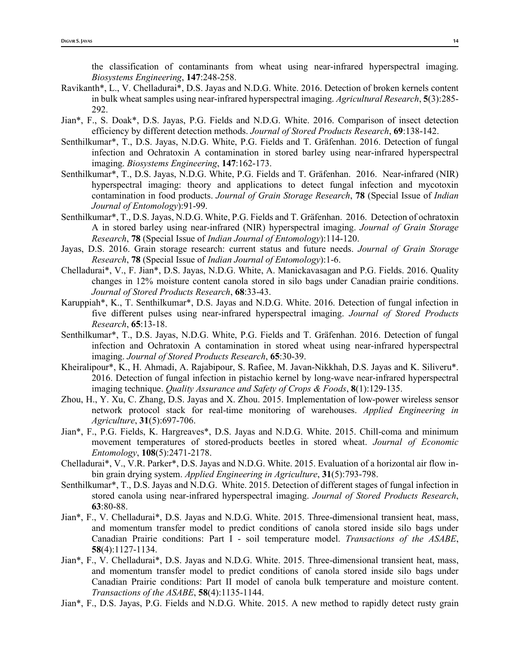the classification of contaminants from wheat using near-infrared hyperspectral imaging. *Biosystems Engineering*, **147**:248-258.

- Ravikanth\*, L., V. Chelladurai\*, D.S. Jayas and N.D.G. White. 2016. Detection of broken kernels content in bulk wheat samples using near-infrared hyperspectral imaging. *Agricultural Research*, **5**(3):285- 292.
- Jian\*, F., S. Doak\*, D.S. Jayas, P.G. Fields and N.D.G. White. 2016. Comparison of insect detection efficiency by different detection methods. *Journal of Stored Products Research*, **69**:138-142.
- Senthilkumar\*, T., D.S. Jayas, N.D.G. White, P.G. Fields and T. Gräfenhan. 2016. Detection of fungal infection and Ochratoxin A contamination in stored barley using near-infrared hyperspectral imaging. *Biosystems Engineering*, **147**:162-173.
- Senthilkumar\*, T., D.S. Jayas, N.D.G. White, P.G. Fields and T. Gräfenhan. 2016. Near-infrared (NIR) hyperspectral imaging: theory and applications to detect fungal infection and mycotoxin contamination in food products. *Journal of Grain Storage Research*, **78** (Special Issue of *Indian Journal of Entomology*):91-99.
- Senthilkumar\*, T., D.S. Jayas, N.D.G. White, P.G. Fields and T. Gräfenhan. 2016. Detection of ochratoxin A in stored barley using near-infrared (NIR) hyperspectral imaging. *Journal of Grain Storage Research*, **78** (Special Issue of *Indian Journal of Entomology*):114-120.
- Jayas, D.S. 2016. Grain storage research: current status and future needs. *Journal of Grain Storage Research*, **78** (Special Issue of *Indian Journal of Entomology*):1-6.
- Chelladurai\*, V., F. Jian\*, D.S. Jayas, N.D.G. White, A. Manickavasagan and P.G. Fields. 2016. Quality changes in 12% moisture content canola stored in silo bags under Canadian prairie conditions. *Journal of Stored Products Research*, **68**:33-43.
- Karuppiah\*, K., T. Senthilkumar\*, D.S. Jayas and N.D.G. White. 2016. Detection of fungal infection in five different pulses using near-infrared hyperspectral imaging. *Journal of Stored Products Research*, **65**:13-18.
- Senthilkumar\*, T., D.S. Jayas, N.D.G. White, P.G. Fields and T. Gräfenhan. 2016. Detection of fungal infection and Ochratoxin A contamination in stored wheat using near-infrared hyperspectral imaging. *Journal of Stored Products Research*, **65**:30-39.
- Kheiralipour\*, K., H. Ahmadi, A. Rajabipour, S. Rafiee, M. Javan-Nikkhah, D.S. Jayas and K. Siliveru\*. 2016. Detection of fungal infection in pistachio kernel by long-wave near-infrared hyperspectral imaging technique. *Quality Assurance and Safety of Crops & Foods*, **8**(1):129-135.
- Zhou, H., Y. Xu, C. Zhang, D.S. Jayas and X. Zhou. 2015. Implementation of low-power wireless sensor network protocol stack for real-time monitoring of warehouses. *Applied Engineering in Agriculture*, **31**(5):697-706.
- Jian\*, F., P.G. Fields, K. Hargreaves\*, D.S. Jayas and N.D.G. White. 2015. Chill-coma and minimum movement temperatures of stored-products beetles in stored wheat. *Journal of Economic Entomology*, **108**(5):2471-2178.
- Chelladurai\*, V., V.R. Parker\*, D.S. Jayas and N.D.G. White. 2015. Evaluation of a horizontal air flow inbin grain drying system. *Applied Engineering in Agriculture*, **31**(5):793-798.
- Senthilkumar\*, T., D.S. Jayas and N.D.G. White. 2015. Detection of different stages of fungal infection in stored canola using near-infrared hyperspectral imaging. *Journal of Stored Products Research*, **63**:80-88.
- Jian\*, F., V. Chelladurai\*, D.S. Jayas and N.D.G. White. 2015. Three-dimensional transient heat, mass, and momentum transfer model to predict conditions of canola stored inside silo bags under Canadian Prairie conditions: Part I - soil temperature model. *Transactions of the ASABE*, **58**(4):1127-1134.
- Jian\*, F., V. Chelladurai\*, D.S. Jayas and N.D.G. White. 2015. Three-dimensional transient heat, mass, and momentum transfer model to predict conditions of canola stored inside silo bags under Canadian Prairie conditions: Part II model of canola bulk temperature and moisture content. *Transactions of the ASABE*, **58**(4):1135-1144.
- Jian\*, F., D.S. Jayas, P.G. Fields and N.D.G. White. 2015. A new method to rapidly detect rusty grain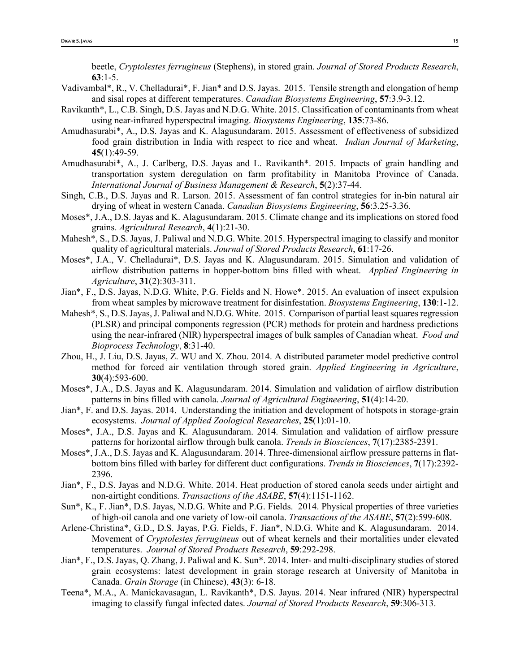beetle, *Cryptolestes ferrugineus* (Stephens), in stored grain. *Journal of Stored Products Research*, **63**:1-5.

- Vadivambal\*, R., V. Chelladurai\*, F. Jian\* and D.S. Jayas. 2015. Tensile strength and elongation of hemp and sisal ropes at different temperatures. *Canadian Biosystems Engineering*, **57**:3.9-3.12.
- Ravikanth\*, L., C.B. Singh, D.S. Jayas and N.D.G. White. 2015. Classification of contaminants from wheat using near-infrared hyperspectral imaging. *Biosystems Engineering*, **135**:73-86.
- Amudhasurabi\*, A., D.S. Jayas and K. Alagusundaram. 2015. Assessment of effectiveness of subsidized food grain distribution in India with respect to rice and wheat. *Indian Journal of Marketing*, **45**(1):49-59.
- Amudhasurabi\*, A., J. Carlberg, D.S. Jayas and L. Ravikanth\*. 2015. Impacts of grain handling and transportation system deregulation on farm profitability in Manitoba Province of Canada. *International Journal of Business Management & Research*, **5**(2):37-44.
- Singh, C.B., D.S. Jayas and R. Larson. 2015. Assessment of fan control strategies for in-bin natural air drying of wheat in western Canada. *Canadian Biosystems Engineering*, **56**:3.25-3.36.
- Moses\*, J.A., D.S. Jayas and K. Alagusundaram. 2015. Climate change and its implications on stored food grains. *Agricultural Research*, **4**(1):21-30.
- Mahesh\*, S., D.S. Jayas, J. Paliwal and N.D.G. White. 2015. Hyperspectral imaging to classify and monitor quality of agricultural materials. *Journal of Stored Products Research*, **61**:17-26.
- Moses\*, J.A., V. Chelladurai\*, D.S. Jayas and K. Alagusundaram. 2015. Simulation and validation of airflow distribution patterns in hopper-bottom bins filled with wheat. *Applied Engineering in Agriculture*, **31**(2):303-311.
- Jian\*, F., D.S. Jayas, N.D.G. White, P.G. Fields and N. Howe\*. 2015. An evaluation of insect expulsion from wheat samples by microwave treatment for disinfestation. *Biosystems Engineering*, **130**:1-12.
- Mahesh\*, S., D.S. Jayas, J. Paliwal and N.D.G. White. 2015. Comparison of partial least squares regression (PLSR) and principal components regression (PCR) methods for protein and hardness predictions using the near-infrared (NIR) hyperspectral images of bulk samples of Canadian wheat. *Food and Bioprocess Technology*, **8**:31-40.
- Zhou, H., J. Liu, D.S. Jayas, Z. WU and X. Zhou. 2014. A distributed parameter model predictive control method for forced air ventilation through stored grain. *Applied Engineering in Agriculture*, **30**(4):593-600.
- Moses\*, J.A., D.S. Jayas and K. Alagusundaram. 2014. Simulation and validation of airflow distribution patterns in bins filled with canola. *Journal of Agricultural Engineering*, **51**(4):14-20.
- Jian\*, F. and D.S. Jayas. 2014. Understanding the initiation and development of hotspots in storage-grain ecosystems. *Journal of Applied Zoological Researches*, **25**(1):01-10.
- Moses\*, J.A., D.S. Jayas and K. Alagusundaram. 2014. Simulation and validation of airflow pressure patterns for horizontal airflow through bulk canola. *Trends in Biosciences*, **7**(17):2385-2391.
- Moses\*, J.A., D.S. Jayas and K. Alagusundaram. 2014. Three-dimensional airflow pressure patterns in flatbottom bins filled with barley for different duct configurations. *Trends in Biosciences*, **7**(17):2392- 2396.
- Jian\*, F., D.S. Jayas and N.D.G. White. 2014. Heat production of stored canola seeds under airtight and non-airtight conditions. *Transactions of the ASABE*, **57**(4):1151-1162.
- Sun\*, K., F. Jian\*, D.S. Jayas, N.D.G. White and P.G. Fields. 2014. Physical properties of three varieties of high-oil canola and one variety of low-oil canola. *Transactions of the ASABE*, **57**(2):599-608.
- Arlene-Christina\*, G.D., D.S. Jayas, P.G. Fields, F. Jian\*, N.D.G. White and K. Alagusundaram. 2014. Movement of *Cryptolestes ferrugineus* out of wheat kernels and their mortalities under elevated temperatures. *Journal of Stored Products Research*, **59**:292-298.
- Jian\*, F., D.S. Jayas, Q. Zhang, J. Paliwal and K. Sun\*. 2014. Inter- and multi-disciplinary studies of stored grain ecosystems: latest development in grain storage research at University of Manitoba in Canada. *Grain Storage* (in Chinese), **43**(3): 6-18.
- Teena\*, M.A., A. Manickavasagan, L. Ravikanth\*, D.S. Jayas. 2014. Near infrared (NIR) hyperspectral imaging to classify fungal infected dates. *Journal of Stored Products Research*, **59**:306-313.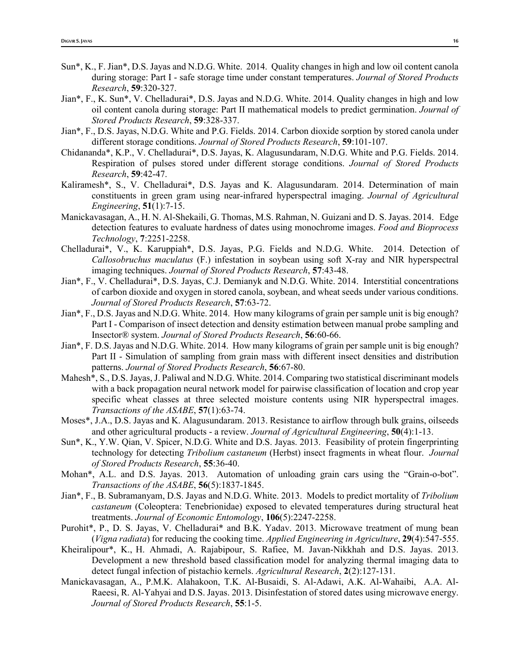- Sun\*, K., F. Jian\*, D.S. Jayas and N.D.G. White. 2014. Quality changes in high and low oil content canola during storage: Part I - safe storage time under constant temperatures. *Journal of Stored Products Research*, **59**:320-327.
- Jian\*, F., K. Sun\*, V. Chelladurai\*, D.S. Jayas and N.D.G. White. 2014. Quality changes in high and low oil content canola during storage: Part II mathematical models to predict germination. *Journal of Stored Products Research*, **59**:328-337.
- Jian\*, F., D.S. Jayas, N.D.G. White and P.G. Fields. 2014. Carbon dioxide sorption by stored canola under different storage conditions. *Journal of Stored Products Research*, **59**:101-107.
- Chidananda\*, K.P., V. Chelladurai\*, D.S. Jayas, K. Alagusundaram, N.D.G. White and P.G. Fields. 2014. Respiration of pulses stored under different storage conditions. *Journal of Stored Products Research*, **59**:42-47.
- Kaliramesh\*, S., V. Chelladurai\*, D.S. Jayas and K. Alagusundaram. 2014. Determination of main constituents in green gram using near-infrared hyperspectral imaging. *Journal of Agricultural Engineering*, **51**(1):7-15.
- Manickavasagan, A., H. N. Al-Shekaili, G. Thomas, M.S. Rahman, N. Guizani and D. S. Jayas. 2014. Edge detection features to evaluate hardness of dates using monochrome images. *Food and Bioprocess Technology*, **7**:2251-2258.
- Chelladurai\*, V., K. Karuppiah\*, D.S. Jayas, P.G. Fields and N.D.G. White. 2014. Detection of *Callosobruchus maculatus* (F.) infestation in soybean using soft X-ray and NIR hyperspectral imaging techniques. *Journal of Stored Products Research*, **57**:43-48.
- Jian\*, F., V. Chelladurai\*, D.S. Jayas, C.J. Demianyk and N.D.G. White. 2014. Interstitial concentrations of carbon dioxide and oxygen in stored canola, soybean, and wheat seeds under various conditions. *Journal of Stored Products Research*, **57**:63-72.
- Jian\*, F., D.S. Jayas and N.D.G. White. 2014. How many kilograms of grain per sample unit is big enough? Part I - Comparison of insect detection and density estimation between manual probe sampling and Insector® system. *Journal of Stored Products Research*, **56**:60-66.
- Jian\*, F. D.S. Jayas and N.D.G. White. 2014. How many kilograms of grain per sample unit is big enough? Part II - Simulation of sampling from grain mass with different insect densities and distribution patterns. *Journal of Stored Products Research*, **56**:67-80.
- Mahesh\*, S., D.S. Jayas, J. Paliwal and N.D.G. White. 2014. Comparing two statistical discriminant models with a back propagation neural network model for pairwise classification of location and crop year specific wheat classes at three selected moisture contents using NIR hyperspectral images. *Transactions of the ASABE*, **57**(1):63-74.
- Moses\*, J.A., D.S. Jayas and K. Alagusundaram. 2013. Resistance to airflow through bulk grains, oilseeds and other agricultural products - a review. *Journal of Agricultural Engineering*, **50**(4):1-13.
- Sun\*, K., Y.W. Qian, V. Spicer, N.D.G. White and D.S. Jayas. 2013. Feasibility of protein fingerprinting technology for detecting *Tribolium castaneum* (Herbst) insect fragments in wheat flour. *Journal of Stored Products Research*, **55**:36-40.
- Mohan\*, A.L. and D.S. Jayas. 2013. Automation of unloading grain cars using the "Grain-o-bot". *Transactions of the ASABE*, **56**(5):1837-1845.
- Jian\*, F., B. Subramanyam, D.S. Jayas and N.D.G. White. 2013. Models to predict mortality of *Tribolium castaneum* (Coleoptera: Tenebrionidae) exposed to elevated temperatures during structural heat treatments. *Journal of Economic Entomology*, **106**(5):2247-2258.
- Purohit\*, P., D. S. Jayas, V. Chelladurai\* and B.K. Yadav. 2013. Microwave treatment of mung bean (*Vigna radiata*) for reducing the cooking time. *Applied Engineering in Agriculture*, **29**(4):547-555.
- Kheiralipour\*, K., H. Ahmadi, A. Rajabipour, S. Rafiee, M. Javan-Nikkhah and D.S. Jayas. 2013. Development a new threshold based classification model for analyzing thermal imaging data to detect fungal infection of pistachio kernels. *Agricultural Research*, **2**(2):127-131.
- Manickavasagan, A., P.M.K. Alahakoon, T.K. Al-Busaidi, S. Al-Adawi, A.K. Al-Wahaibi, A.A. Al-Raeesi, R. Al-Yahyai and D.S. Jayas. 2013. Disinfestation of stored dates using microwave energy. *Journal of Stored Products Research*, **55**:1-5.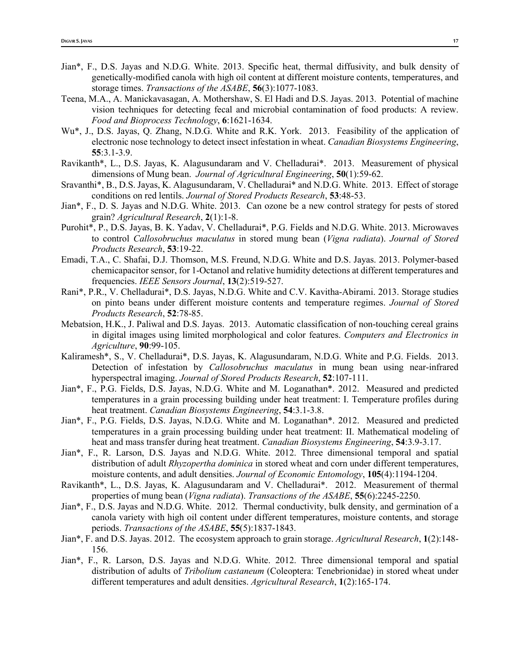- Jian\*, F., D.S. Jayas and N.D.G. White. 2013. Specific heat, thermal diffusivity, and bulk density of genetically-modified canola with high oil content at different moisture contents, temperatures, and storage times. *Transactions of the ASABE*, **56**(3):1077-1083.
- Teena, M.A., A. Manickavasagan, A. Mothershaw, S. El Hadi and D.S. Jayas. 2013. Potential of machine vision techniques for detecting fecal and microbial contamination of food products: A review. *Food and Bioprocess Technology*, **6**:1621-1634.
- Wu\*, J., D.S. Jayas, Q. Zhang, N.D.G. White and R.K. York. 2013. Feasibility of the application of electronic nose technology to detect insect infestation in wheat. *Canadian Biosystems Engineering*, **55**:3.1-3.9.
- Ravikanth\*, L., D.S. Jayas, K. Alagusundaram and V. Chelladurai\*. 2013. Measurement of physical dimensions of Mung bean. *Journal of Agricultural Engineering*, **50**(1):59-62.
- Sravanthi\*, B., D.S. Jayas, K. Alagusundaram, V. Chelladurai\* and N.D.G. White. 2013. Effect of storage conditions on red lentils. *Journal of Stored Products Research*, **53**:48-53.
- Jian\*, F., D. S. Jayas and N.D.G. White. 2013. Can ozone be a new control strategy for pests of stored grain? *Agricultural Research*, **2**(1):1-8.
- Purohit\*, P., D.S. Jayas, B. K. Yadav, V. Chelladurai\*, P.G. Fields and N.D.G. White. 2013. Microwaves to control *Callosobruchus maculatus* in stored mung bean (*Vigna radiata*). *Journal of Stored Products Research*, **53**:19-22.
- Emadi, T.A., C. Shafai, D.J. Thomson, M.S. Freund, N.D.G. White and D.S. Jayas. 2013. Polymer-based chemicapacitor sensor, for 1-Octanol and relative humidity detections at different temperatures and frequencies. *IEEE Sensors Journal*, **13**(2):519-527.
- Rani\*, P.R., V. Chelladurai\*, D.S. Jayas, N.D.G. White and C.V. Kavitha-Abirami. 2013. Storage studies on pinto beans under different moisture contents and temperature regimes. *Journal of Stored Products Research*, **52**:78-85.
- Mebatsion, H.K., J. Paliwal and D.S. Jayas. 2013. Automatic classification of non-touching cereal grains in digital images using limited morphological and color features. *Computers and Electronics in Agriculture*, **90**:99-105.
- Kaliramesh\*, S., V. Chelladurai\*, D.S. Jayas, K. Alagusundaram, N.D.G. White and P.G. Fields. 2013. Detection of infestation by *Callosobruchus maculatus* in mung bean using near-infrared hyperspectral imaging. *Journal of Stored Products Research*, **52**:107-111.
- Jian\*, F., P.G. Fields, D.S. Jayas, N.D.G. White and M. Loganathan\*. 2012. Measured and predicted temperatures in a grain processing building under heat treatment: I. Temperature profiles during heat treatment. *Canadian Biosystems Engineering*, **54**:3.1-3.8.
- Jian\*, F., P.G. Fields, D.S. Jayas, N.D.G. White and M. Loganathan\*. 2012. Measured and predicted temperatures in a grain processing building under heat treatment: II. Mathematical modeling of heat and mass transfer during heat treatment. *Canadian Biosystems Engineering*, **54**:3.9-3.17.
- Jian\*, F., R. Larson, D.S. Jayas and N.D.G. White. 2012. Three dimensional temporal and spatial distribution of adult *Rhyzopertha dominica* in stored wheat and corn under different temperatures, moisture contents, and adult densities. *Journal of Economic Entomology*, **105**(4):1194-1204.
- Ravikanth\*, L., D.S. Jayas, K. Alagusundaram and V. Chelladurai\*. 2012. Measurement of thermal properties of mung bean (*Vigna radiata*). *Transactions of the ASABE*, **55**(6):2245-2250.
- Jian\*, F., D.S. Jayas and N.D.G. White. 2012. Thermal conductivity, bulk density, and germination of a canola variety with high oil content under different temperatures, moisture contents, and storage periods. *Transactions of the ASABE*, **55**(5):1837-1843.
- Jian\*, F. and D.S. Jayas. 2012. The ecosystem approach to grain storage. *Agricultural Research*, **1**(2):148- 156.
- Jian\*, F., R. Larson, D.S. Jayas and N.D.G. White. 2012. Three dimensional temporal and spatial distribution of adults of *Tribolium castaneum* (Coleoptera: Tenebrionidae) in stored wheat under different temperatures and adult densities. *Agricultural Research*, **1**(2):165-174.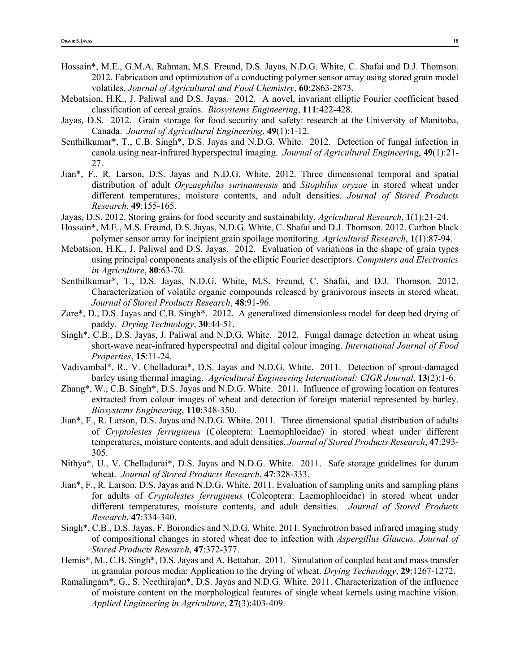- Hossain\*, M.E., G.M.A. Rahman, M.S. Freund, D.S. Jayas, N.D.G. White, C. Shafai and D.J. Thomson. 2012. Fabrication and optimization of a conducting polymer sensor array using stored grain model volatiles. *Journal of Agricultural and Food Chemistry*, **60**:2863-2873.
- Mebatsion, H.K., J. Paliwal and D.S. Jayas. 2012. A novel, invariant elliptic Fourier coefficient based classification of cereal grains. *Biosystems Engineering*, **111**:422-428.
- Jayas, D.S. 2012. Grain storage for food security and safety: research at the University of Manitoba, Canada. *Journal of Agricultural Engineering*, **49**(1):1-12.
- Senthilkumar\*, T., C.B. Singh\*, D.S. Jayas and N.D.G. White. 2012. Detection of fungal infection in canola using near-infrared hyperspectral imaging. *Journal of Agricultural Engineering*, **49**(1):21- 27.
- Jian\*, F., R. Larson, D.S. Jayas and N.D.G. White. 2012. Three dimensional temporal and spatial distribution of adult *Oryzaephilus surinamensis* and *Sitophilus oryzae* in stored wheat under different temperatures, moisture contents, and adult densities. *Journal of Stored Products Research*, **49**:155-165.
- Jayas, D.S. 2012. Storing grains for food security and sustainability. *Agricultural Research*, **1**(1):21-24.
- Hossain\*, M.E., M.S. Freund, D.S. Jayas, N.D.G. White, C. Shafai and D.J. Thomson. 2012. Carbon black polymer sensor array for incipient grain spoilage monitoring. *Agricultural Research*, **1**(1):87-94.
- Mebatsion, H.K., J. Paliwal and D.S. Jayas. 2012. Evaluation of variations in the shape of grain types using principal components analysis of the elliptic Fourier descriptors. *Computers and Electronics in Agriculture*, **80**:63-70.
- Senthilkumar\*, T., D.S. Jayas, N.D.G. White, M.S. Freund, C. Shafai, and D.J. Thomson. 2012. Characterization of volatile organic compounds released by granivorous insects in stored wheat. *Journal of Stored Products Research*, **48**:91-96.
- Zare\*, D., D.S. Jayas and C.B. Singh\*. 2012. A generalized dimensionless model for deep bed drying of paddy. *Drying Technology*, **30**:44-51.
- Singh\*, C.B., D.S. Jayas, J. Paliwal and N.D.G. White. 2012. Fungal damage detection in wheat using short-wave near-infrared hyperspectral and digital colour imaging. *International Journal of Food Properties*, **15**:11-24.
- Vadivambal\*, R., V. Chelladurai\*, D.S. Jayas and N.D.G. White. 2011. Detection of sprout-damaged barley using thermal imaging. *Agricultural Engineering International: CIGR Journal*, **13**(2):1-6.
- Zhang\*, W., C.B. Singh\*, D.S. Jayas and N.D.G. White. 2011. Influence of growing location on features extracted from colour images of wheat and detection of foreign material represented by barley. *Biosystems Engineering*, **110**:348-350.
- Jian\*, F., R. Larson, D.S. Jayas and N.D.G. White. 2011. Three dimensional spatial distribution of adults of *Cryptolestes ferrugineus* (Coleoptera: Laemophloeidae) in stored wheat under different temperatures, moisture contents, and adult densities. *Journal of Stored Products Research*, **47**:293- 305.
- Nithya\*, U., V. Chelladurai\*, D.S. Jayas and N.D.G. White. 2011. Safe storage guidelines for durum wheat. *Journal of Stored Products Research*, **47**:328-333.
- Jian\*, F., R. Larson, D.S. Jayas and N.D.G. White. 2011. Evaluation of sampling units and sampling plans for adults of *Cryptolestes ferrugineus* (Coleoptera: Laemophloeidae) in stored wheat under different temperatures, moisture contents, and adult densities. *Journal of Stored Products Research*, **47**:334-340.
- Singh\*, C.B., D.S. Jayas, F. Borondics and N.D.G. White. 2011. Synchrotron based infrared imaging study of compositional changes in stored wheat due to infection with *Aspergillus Glaucus*. *Journal of Stored Products Research*, **47**:372-377.
- Hemis\*, M., C.B. Singh\*, D.S. Jayas and A. Bettahar. 2011. Simulation of coupled heat and mass transfer in granular porous media: Application to the drying of wheat. *Drying Technology*, **29**:1267-1272.
- Ramalingam\*, G., S. Neethirajan\*, D.S. Jayas and N.D.G. White. 2011. Characterization of the influence of moisture content on the morphological features of single wheat kernels using machine vision. *Applied Engineering in Agriculture*, **27**(3):403-409.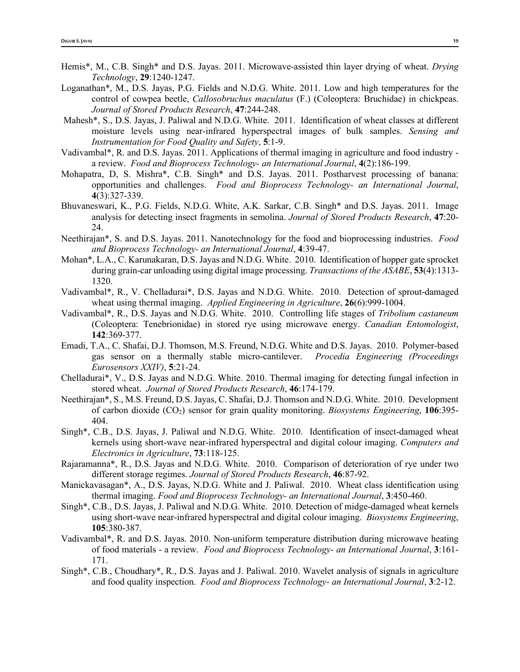- Hemis\*, M., C.B. Singh\* and D.S. Jayas. 2011. Microwave-assisted thin layer drying of wheat. *Drying Technology*, **29**:1240-1247.
- Loganathan\*, M., D.S. Jayas, P.G. Fields and N.D.G. White. 2011. Low and high temperatures for the control of cowpea beetle, *Callosobruchus maculatus* (F.) (Coleoptera: Bruchidae) in chickpeas. *Journal of Stored Products Research*, **47**:244-248.
- Mahesh\*, S., D.S. Jayas, J. Paliwal and N.D.G. White. 2011. Identification of wheat classes at different moisture levels using near-infrared hyperspectral images of bulk samples. *Sensing and Instrumentation for Food Quality and Safety*, **5**:1-9.
- Vadivambal\*, R. and D.S. Jayas. 2011. Applications of thermal imaging in agriculture and food industry a review. *Food and Bioprocess Technology- an International Journal*, **4**(2):186-199.
- Mohapatra, D, S. Mishra\*, C.B. Singh\* and D.S. Jayas. 2011. Postharvest processing of banana: opportunities and challenges. *Food and Bioprocess Technology- an International Journal*, **4**(3):327-339.
- Bhuvaneswari, K., P.G. Fields, N.D.G. White, A.K. Sarkar, C.B. Singh\* and D.S. Jayas. 2011. Image analysis for detecting insect fragments in semolina. *Journal of Stored Products Research*, **47**:20- 24.
- Neethirajan\*, S. and D.S. Jayas. 2011. Nanotechnology for the food and bioprocessing industries. *Food and Bioprocess Technology- an International Journal*, **4**:39-47.
- Mohan\*, L.A., C. Karunakaran, D.S. Jayas and N.D.G. White. 2010. Identification of hopper gate sprocket during grain-car unloading using digital image processing. *Transactions of the ASABE*, **53**(4):1313- 1320.
- Vadivambal\*, R., V. Chelladurai\*, D.S. Jayas and N.D.G. White. 2010. Detection of sprout-damaged wheat using thermal imaging. *Applied Engineering in Agriculture*, **26**(6):999-1004.
- Vadivambal\*, R., D.S. Jayas and N.D.G. White. 2010. Controlling life stages of *Tribolium castaneum*  (Coleoptera: Tenebrionidae) in stored rye using microwave energy. *Canadian Entomologist*, **142**:369-377.
- Emadi, T.A., C. Shafai, D.J. Thomson, M.S. Freund, N.D.G. White and D.S. Jayas. 2010. Polymer-based gas sensor on a thermally stable micro-cantilever. *Procedia Engineering (Proceedings Eurosensors XXIV)*, **5**:21-24.
- Chelladurai\*, V., D.S. Jayas and N.D.G. White. 2010. Thermal imaging for detecting fungal infection in stored wheat. *Journal of Stored Products Research*, **46**:174-179.
- Neethirajan\*, S., M.S. Freund, D.S. Jayas, C. Shafai, D.J. Thomson and N.D.G. White. 2010. Development of carbon dioxide (CO2) sensor for grain quality monitoring. *Biosystems Engineering*, **106**:395- 404.
- Singh\*, C.B., D.S. Jayas, J. Paliwal and N.D.G. White. 2010. Identification of insect-damaged wheat kernels using short-wave near-infrared hyperspectral and digital colour imaging. *Computers and Electronics in Agriculture*, **73**:118-125.
- Rajaramanna\*, R., D.S. Jayas and N.D.G. White. 2010. Comparison of deterioration of rye under two different storage regimes. *Journal of Stored Products Research*, **46**:87-92.
- Manickavasagan\*, A., D.S. Jayas, N.D.G. White and J. Paliwal. 2010. Wheat class identification using thermal imaging. *Food and Bioprocess Technology- an International Journal*, **3**:450-460.
- Singh\*, C.B., D.S. Jayas, J. Paliwal and N.D.G. White. 2010. Detection of midge-damaged wheat kernels using short-wave near-infrared hyperspectral and digital colour imaging. *Biosystems Engineering*, **105**:380-387.
- Vadivambal\*, R. and D.S. Jayas. 2010. Non-uniform temperature distribution during microwave heating of food materials - a review. *Food and Bioprocess Technology- an International Journal*, **3**:161- 171.
- Singh\*, C.B., Choudhary\*, R., D.S. Jayas and J. Paliwal. 2010. Wavelet analysis of signals in agriculture and food quality inspection. *Food and Bioprocess Technology- an International Journal*, **3**:2-12.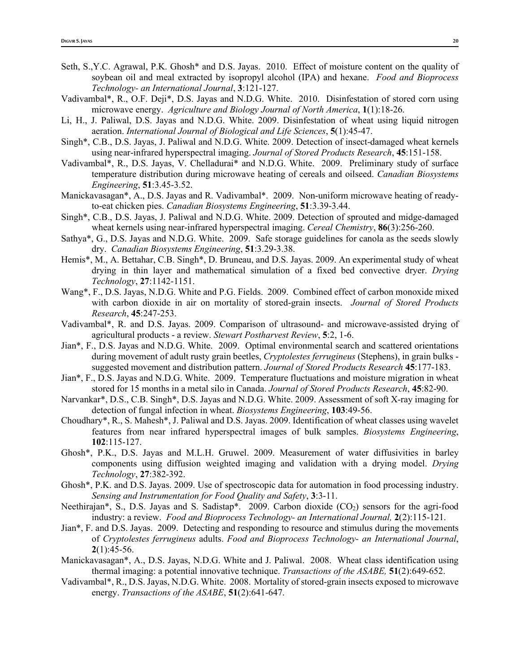- Seth, S.,Y.C. Agrawal, P.K. Ghosh\* and D.S. Jayas. 2010. Effect of moisture content on the quality of soybean oil and meal extracted by isopropyl alcohol (IPA) and hexane. *Food and Bioprocess Technology- an International Journal*, **3**:121-127.
- Vadivambal\*, R., O.F. Deji\*, D.S. Jayas and N.D.G. White. 2010. Disinfestation of stored corn using microwave energy. *Agriculture and Biology Journal of North America*, **1**(1):18-26.
- Li, H., J. Paliwal, D.S. Jayas and N.D.G. White. 2009. Disinfestation of wheat using liquid nitrogen aeration. *International Journal of Biological and Life Sciences*, **5**(1):45-47.
- Singh\*, C.B., D.S. Jayas, J. Paliwal and N.D.G. White. 2009. Detection of insect-damaged wheat kernels using near-infrared hyperspectral imaging. *Journal of Stored Products Research*, **45**:151-158.
- Vadivambal\*, R., D.S. Jayas, V. Chelladurai\* and N.D.G. White. 2009. Preliminary study of surface temperature distribution during microwave heating of cereals and oilseed. *Canadian Biosystems Engineering*, **51**:3.45-3.52.
- Manickavasagan\*, A., D.S. Jayas and R. Vadivambal\*. 2009. Non-uniform microwave heating of readyto-eat chicken pies. *Canadian Biosystems Engineering*, **51**:3.39-3.44.
- Singh\*, C.B., D.S. Jayas, J. Paliwal and N.D.G. White. 2009. Detection of sprouted and midge-damaged wheat kernels using near-infrared hyperspectral imaging. *Cereal Chemistry*, **86**(3):256-260.
- Sathya\*, G., D.S. Jayas and N.D.G. White. 2009. Safe storage guidelines for canola as the seeds slowly dry. *Canadian Biosystems Engineering*, **51**:3.29-3.38.
- Hemis\*, M., A. Bettahar, C.B. Singh\*, D. Bruneau, and D.S. Jayas. 2009. An experimental study of wheat drying in thin layer and mathematical simulation of a fixed bed convective dryer. *Drying Technology*, **27**:1142-1151.
- Wang\*, F., D.S. Jayas, N.D.G. White and P.G. Fields. 2009. Combined effect of carbon monoxide mixed with carbon dioxide in air on mortality of stored-grain insects. *Journal of Stored Products Research*, **45**:247-253.
- Vadivambal\*, R. and D.S. Jayas. 2009. Comparison of ultrasound- and microwave-assisted drying of agricultural products - a review. *Stewart Postharvest Review*, **5**:2, 1-6.
- Jian\*, F., D.S. Jayas and N.D.G. White. 2009. Optimal environmental search and scattered orientations during movement of adult rusty grain beetles, *Cryptolestes ferrugineus* (Stephens), in grain bulks suggested movement and distribution pattern. *Journal of Stored Products Research* **45**:177-183.
- Jian\*, F., D.S. Jayas and N.D.G. White. 2009. Temperature fluctuations and moisture migration in wheat stored for 15 months in a metal silo in Canada. *Journal of Stored Products Research*, **45**:82-90.
- Narvankar\*, D.S., C.B. Singh\*, D.S. Jayas and N.D.G. White. 2009. Assessment of soft X-ray imaging for detection of fungal infection in wheat. *Biosystems Engineering*, **103**:49-56.
- Choudhary\*, R., S. Mahesh\*, J. Paliwal and D.S. Jayas. 2009. Identification of wheat classes using wavelet features from near infrared hyperspectral images of bulk samples. *Biosystems Engineering*, **102**:115-127.
- Ghosh\*, P.K., D.S. Jayas and M.L.H. Gruwel. 2009. Measurement of water diffusivities in barley components using diffusion weighted imaging and validation with a drying model. *Drying Technology*, **27**:382-392.
- Ghosh\*, P.K. and D.S. Jayas. 2009. Use of spectroscopic data for automation in food processing industry. *Sensing and Instrumentation for Food Quality and Safety*, **3**:3-11.
- Neethirajan\*, S., D.S. Jayas and S. Sadistap\*. 2009. Carbon dioxide  $(CO<sub>2</sub>)$  sensors for the agri-food industry: a review. *Food and Bioprocess Technology- an International Journal,* **2**(2):115-121.
- Jian\*, F. and D.S. Jayas. 2009. Detecting and responding to resource and stimulus during the movements of *Cryptolestes ferrugineus* adults. *Food and Bioprocess Technology- an International Journal*, **2**(1):45-56.
- Manickavasagan\*, A., D.S. Jayas, N.D.G. White and J. Paliwal. 2008. Wheat class identification using thermal imaging: a potential innovative technique. *Transactions of the ASABE,* **51**(2):649-652.
- Vadivambal\*, R., D.S. Jayas, N.D.G. White. 2008. Mortality of stored-grain insects exposed to microwave energy. *Transactions of the ASABE*, **51**(2):641-647.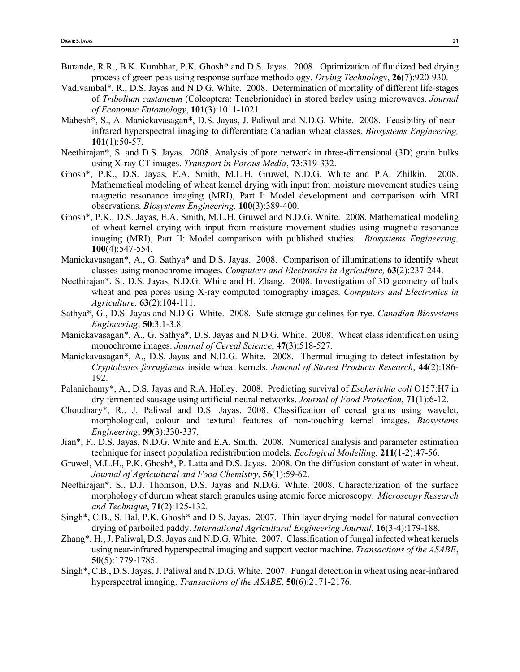- Burande, R.R., B.K. Kumbhar, P.K. Ghosh\* and D.S. Jayas. 2008. Optimization of fluidized bed drying process of green peas using response surface methodology. *Drying Technology*, **26**(7):920-930.
- Vadivambal\*, R., D.S. Jayas and N.D.G. White. 2008. Determination of mortality of different life-stages of *Tribolium castaneum* (Coleoptera: Tenebrionidae) in stored barley using microwaves. *Journal of Economic Entomology*, **101**(3):1011-1021.
- Mahesh\*, S., A. Manickavasagan\*, D.S. Jayas, J. Paliwal and N.D.G. White. 2008. Feasibility of nearinfrared hyperspectral imaging to differentiate Canadian wheat classes. *Biosystems Engineering,*  **101**(1):50-57.
- Neethirajan\*, S. and D.S. Jayas. 2008. Analysis of pore network in three-dimensional (3D) grain bulks using X-ray CT images. *Transport in Porous Media*, **73**:319-332.
- Ghosh\*, P.K., D.S. Jayas, E.A. Smith, M.L.H. Gruwel, N.D.G. White and P.A. Zhilkin. 2008. Mathematical modeling of wheat kernel drying with input from moisture movement studies using magnetic resonance imaging (MRI), Part I: Model development and comparison with MRI observations. *Biosystems Engineering,* **100**(3):389-400.
- Ghosh\*, P.K., D.S. Jayas, E.A. Smith, M.L.H. Gruwel and N.D.G. White. 2008. Mathematical modeling of wheat kernel drying with input from moisture movement studies using magnetic resonance imaging (MRI), Part II: Model comparison with published studies. *Biosystems Engineering,* **100**(4):547-554.
- Manickavasagan\*, A., G. Sathya\* and D.S. Jayas. 2008. Comparison of illuminations to identify wheat classes using monochrome images. *Computers and Electronics in Agriculture,* **63**(2):237-244.
- Neethirajan\*, S., D.S. Jayas, N.D.G. White and H. Zhang. 2008. Investigation of 3D geometry of bulk wheat and pea pores using X-ray computed tomography images. *Computers and Electronics in Agriculture,* **63**(2):104-111.
- Sathya\*, G., D.S. Jayas and N.D.G. White. 2008. Safe storage guidelines for rye. *Canadian Biosystems Engineering*, **50**:3.1-3.8.
- Manickavasagan\*, A., G. Sathya\*, D.S. Jayas and N.D.G. White. 2008. Wheat class identification using monochrome images. *Journal of Cereal Science*, **47**(3):518-527.
- Manickavasagan\*, A., D.S. Jayas and N.D.G. White. 2008. Thermal imaging to detect infestation by *Cryptolestes ferrugineus* inside wheat kernels. *Journal of Stored Products Research*, **44**(2):186- 192.
- Palanichamy\*, A., D.S. Jayas and R.A. Holley. 2008. Predicting survival of *Escherichia coli* O157:H7 in dry fermented sausage using artificial neural networks. *Journal of Food Protection*, **71**(1):6-12.
- Choudhary\*, R., J. Paliwal and D.S. Jayas. 2008. Classification of cereal grains using wavelet, morphological, colour and textural features of non-touching kernel images. *Biosystems Engineering*, **99**(3):330-337.
- Jian\*, F., D.S. Jayas, N.D.G. White and E.A. Smith. 2008. Numerical analysis and parameter estimation technique for insect population redistribution models. *Ecological Modelling*, **211**(1-2):47-56.
- Gruwel, M.L.H., P.K. Ghosh\*, P. Latta and D.S. Jayas. 2008. On the diffusion constant of water in wheat. *Journal of Agricultural and Food Chemistry*, **56**(1):59-62.
- Neethirajan\*, S., D.J. Thomson, D.S. Jayas and N.D.G. White. 2008. Characterization of the surface morphology of durum wheat starch granules using atomic force microscopy. *Microscopy Research and Technique*, **71**(2):125-132.
- Singh\*, C.B., S. Bal, P.K. Ghosh\* and D.S. Jayas. 2007. Thin layer drying model for natural convection drying of parboiled paddy. *International Agricultural Engineering Journal*, **16**(3-4):179-188.
- Zhang\*, H., J. Paliwal, D.S. Jayas and N.D.G. White. 2007. Classification of fungal infected wheat kernels using near-infrared hyperspectral imaging and support vector machine. *Transactions of the ASABE*, **50**(5):1779-1785.
- Singh\*, C.B., D.S. Jayas, J. Paliwal and N.D.G. White. 2007. Fungal detection in wheat using near-infrared hyperspectral imaging. *Transactions of the ASABE*, **50**(6):2171-2176.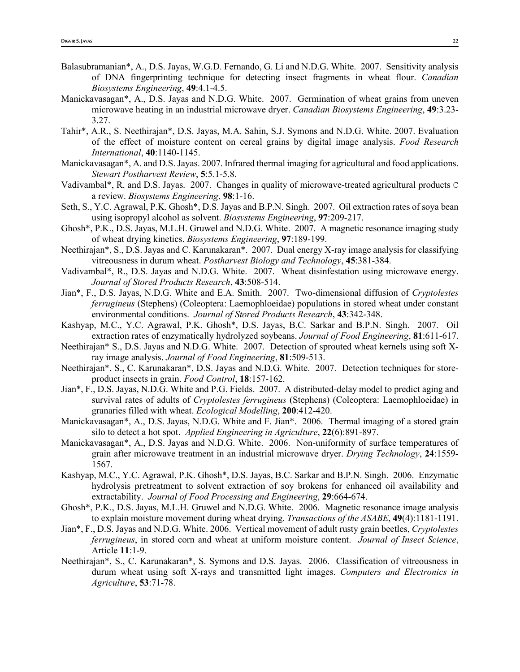- Balasubramanian\*, A., D.S. Jayas, W.G.D. Fernando, G. Li and N.D.G. White. 2007. Sensitivity analysis of DNA fingerprinting technique for detecting insect fragments in wheat flour. *Canadian Biosystems Engineering*, **49**:4.1-4.5.
- Manickavasagan\*, A., D.S. Jayas and N.D.G. White. 2007. Germination of wheat grains from uneven microwave heating in an industrial microwave dryer. *Canadian Biosystems Engineering*, **49**:3.23- 3.27.
- Tahir\*, A.R., S. Neethirajan\*, D.S. Jayas, M.A. Sahin, S.J. Symons and N.D.G. White. 2007. Evaluation of the effect of moisture content on cereal grains by digital image analysis. *Food Research International*, **40**:1140-1145.
- Manickavasagan\*, A. and D.S. Jayas. 2007. Infrared thermal imaging for agricultural and food applications. *Stewart Postharvest Review*, **5**:5.1-5.8.
- Vadivambal\*, R. and D.S. Jayas. 2007. Changes in quality of microwave-treated agricultural products C a review. *Biosystems Engineering*, **98**:1-16.
- Seth, S., Y.C. Agrawal, P.K. Ghosh\*, D.S. Jayas and B.P.N. Singh. 2007. Oil extraction rates of soya bean using isopropyl alcohol as solvent. *Biosystems Engineering*, **97**:209-217.
- Ghosh\*, P.K., D.S. Jayas, M.L.H. Gruwel and N.D.G. White. 2007. A magnetic resonance imaging study of wheat drying kinetics. *Biosystems Engineering*, **97**:189-199.
- Neethirajan\*, S., D.S. Jayas and C. Karunakaran\*. 2007. Dual energy X-ray image analysis for classifying vitreousness in durum wheat. *Postharvest Biology and Technology*, **45**:381-384.
- Vadivambal\*, R., D.S. Jayas and N.D.G. White. 2007. Wheat disinfestation using microwave energy. *Journal of Stored Products Research*, **43**:508-514.
- Jian\*, F., D.S. Jayas, N.D.G. White and E.A. Smith. 2007. Two-dimensional diffusion of *Cryptolestes ferrugineus* (Stephens) (Coleoptera: Laemophloeidae) populations in stored wheat under constant environmental conditions. *Journal of Stored Products Research*, **43**:342-348.
- Kashyap, M.C., Y.C. Agrawal, P.K. Ghosh\*, D.S. Jayas, B.C. Sarkar and B.P.N. Singh. 2007. Oil extraction rates of enzymatically hydrolyzed soybeans. *Journal of Food Engineering*, **81**:611-617.
- Neethirajan\* S., D.S. Jayas and N.D.G. White. 2007. Detection of sprouted wheat kernels using soft Xray image analysis. *Journal of Food Engineering*, **81**:509-513.
- Neethirajan\*, S., C. Karunakaran\*, D.S. Jayas and N.D.G. White. 2007. Detection techniques for storeproduct insects in grain. *Food Control*, **18**:157-162.
- Jian\*, F., D.S. Jayas, N.D.G. White and P.G. Fields. 2007. A distributed-delay model to predict aging and survival rates of adults of *Cryptolestes ferrugineus* (Stephens) (Coleoptera: Laemophloeidae) in granaries filled with wheat. *Ecological Modelling*, **200**:412-420.
- Manickavasagan\*, A., D.S. Jayas, N.D.G. White and F. Jian\*. 2006. Thermal imaging of a stored grain silo to detect a hot spot. *Applied Engineering in Agriculture*, **22**(6):891-897.
- Manickavasagan\*, A., D.S. Jayas and N.D.G. White. 2006. Non-uniformity of surface temperatures of grain after microwave treatment in an industrial microwave dryer. *Drying Technology*, **24**:1559- 1567.
- Kashyap, M.C., Y.C. Agrawal, P.K. Ghosh\*, D.S. Jayas, B.C. Sarkar and B.P.N. Singh. 2006. Enzymatic hydrolysis pretreatment to solvent extraction of soy brokens for enhanced oil availability and extractability. *Journal of Food Processing and Engineering*, **29**:664-674.
- Ghosh\*, P.K., D.S. Jayas, M.L.H. Gruwel and N.D.G. White. 2006. Magnetic resonance image analysis to explain moisture movement during wheat drying. *Transactions of the ASABE*, **49**(4):1181-1191.
- Jian\*, F., D.S. Jayas and N.D.G. White. 2006. Vertical movement of adult rusty grain beetles, *Cryptolestes ferrugineus*, in stored corn and wheat at uniform moisture content. *Journal of Insect Science*, Article **11**:1-9.
- Neethirajan\*, S., C. Karunakaran\*, S. Symons and D.S. Jayas. 2006. Classification of vitreousness in durum wheat using soft X-rays and transmitted light images. *Computers and Electronics in Agriculture*, **53**:71-78.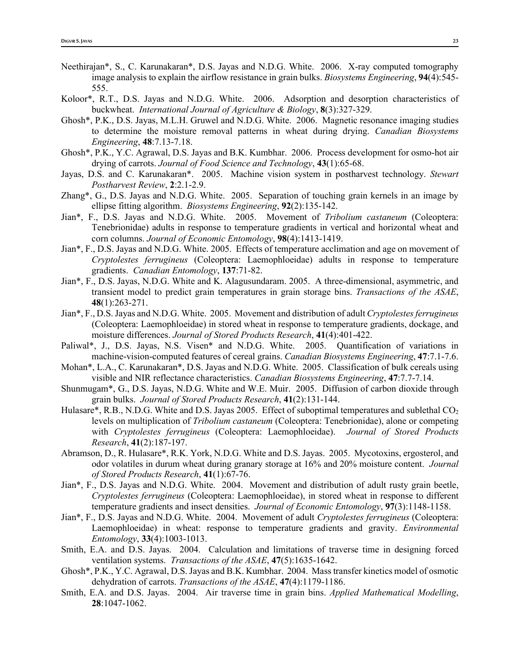- Neethirajan\*, S., C. Karunakaran\*, D.S. Jayas and N.D.G. White. 2006. X-ray computed tomography image analysis to explain the airflow resistance in grain bulks. *Biosystems Engineering*, **94**(4):545- 555.
- Koloor\*, R.T., D.S. Jayas and N.D.G. White. 2006. Adsorption and desorption characteristics of buckwheat. *International Journal of Agriculture & Biology*, **8**(3):327-329.
- Ghosh\*, P.K., D.S. Jayas, M.L.H. Gruwel and N.D.G. White. 2006. Magnetic resonance imaging studies to determine the moisture removal patterns in wheat during drying. *Canadian Biosystems Engineering*, **48**:7.13-7.18.
- Ghosh\*, P.K., Y.C. Agrawal, D.S. Jayas and B.K. Kumbhar. 2006. Process development for osmo-hot air drying of carrots. *Journal of Food Science and Technology*, **43**(1):65-68.
- Jayas, D.S. and C. Karunakaran\*. 2005. Machine vision system in postharvest technology. *Stewart Postharvest Review*, **2**:2.1-2.9.
- Zhang\*, G., D.S. Jayas and N.D.G. White. 2005. Separation of touching grain kernels in an image by ellipse fitting algorithm. *Biosystems Engineering*, **92**(2):135-142.
- Jian\*, F., D.S. Jayas and N.D.G. White. 2005. Movement of *Tribolium castaneum* (Coleoptera: Tenebrionidae) adults in response to temperature gradients in vertical and horizontal wheat and corn columns. *Journal of Economic Entomology*, **98**(4):1413-1419.
- Jian\*, F., D.S. Jayas and N.D.G. White. 2005. Effects of temperature acclimation and age on movement of *Cryptolestes ferrugineus* (Coleoptera: Laemophloeidae) adults in response to temperature gradients. *Canadian Entomology*, **137**:71-82.
- Jian\*, F., D.S. Jayas, N.D.G. White and K. Alagusundaram. 2005. A three-dimensional, asymmetric, and transient model to predict grain temperatures in grain storage bins. *Transactions of the ASAE*, **48**(1):263-271.
- Jian\*, F., D.S. Jayas and N.D.G. White. 2005. Movement and distribution of adult *Cryptolestes ferrugineus* (Coleoptera: Laemophloeidae) in stored wheat in response to temperature gradients, dockage, and moisture differences. *Journal of Stored Products Research*, **41**(4):401-422.
- Paliwal\*, J., D.S. Jayas, N.S. Visen\* and N.D.G. White. 2005. Quantification of variations in machine-vision-computed features of cereal grains. *Canadian Biosystems Engineering*, **47**:7.1-7.6.
- Mohan\*, L.A., C. Karunakaran\*, D.S. Jayas and N.D.G. White. 2005. Classification of bulk cereals using visible and NIR reflectance characteristics. *Canadian Biosystems Engineering*, **47**:7.7-7.14.
- Shunmugam\*, G., D.S. Jayas, N.D.G. White and W.E. Muir. 2005. Diffusion of carbon dioxide through grain bulks. *Journal of Stored Products Research*, **41**(2):131-144.
- Hulasare\*, R.B., N.D.G. White and D.S. Jayas 2005. Effect of suboptimal temperatures and sublethal CO<sub>2</sub> levels on multiplication of *Tribolium castaneum* (Coleoptera: Tenebrionidae), alone or competing with *Cryptolestes ferrugineus* (Coleoptera: Laemophloeidae). *Journal of Stored Products Research*, **41**(2):187-197.
- Abramson, D., R. Hulasare\*, R.K. York, N.D.G. White and D.S. Jayas. 2005. Mycotoxins, ergosterol, and odor volatiles in durum wheat during granary storage at 16% and 20% moisture content. *Journal of Stored Products Research*, **41**(1):67-76.
- Jian\*, F., D.S. Jayas and N.D.G. White. 2004. Movement and distribution of adult rusty grain beetle, *Cryptolestes ferrugineus* (Coleoptera: Laemophloeidae), in stored wheat in response to different temperature gradients and insect densities. *Journal of Economic Entomology*, **97**(3):1148-1158.
- Jian\*, F., D.S. Jayas and N.D.G. White. 2004. Movement of adult *Cryptolestes ferrugineus* (Coleoptera: Laemophloeidae) in wheat: response to temperature gradients and gravity. *Environmental Entomology*, **33**(4):1003-1013.
- Smith, E.A. and D.S. Jayas. 2004. Calculation and limitations of traverse time in designing forced ventilation systems. *Transactions of the ASAE*, **47**(5):1635-1642.
- Ghosh\*, P.K., Y.C. Agrawal, D.S. Jayas and B.K. Kumbhar. 2004. Mass transfer kinetics model of osmotic dehydration of carrots. *Transactions of the ASAE*, **47**(4):1179-1186.
- Smith, E.A. and D.S. Jayas. 2004. Air traverse time in grain bins. *Applied Mathematical Modelling*, **28**:1047-1062.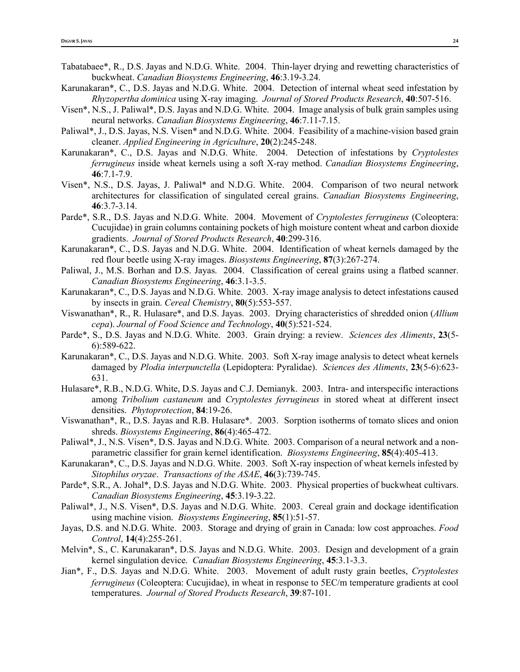- Tabatabaee\*, R., D.S. Jayas and N.D.G. White. 2004. Thin-layer drying and rewetting characteristics of buckwheat. *Canadian Biosystems Engineering*, **46**:3.19-3.24.
- Karunakaran\*, C., D.S. Jayas and N.D.G. White. 2004. Detection of internal wheat seed infestation by *Rhyzopertha dominica* using X-ray imaging. *Journal of Stored Products Research*, **40**:507-516.
- Visen\*, N.S., J. Paliwal\*, D.S. Jayas and N.D.G. White. 2004. Image analysis of bulk grain samples using neural networks. *Canadian Biosystems Engineering*, **46**:7.11-7.15.
- Paliwal\*, J., D.S. Jayas, N.S. Visen\* and N.D.G. White. 2004. Feasibility of a machine-vision based grain cleaner. *Applied Engineering in Agriculture*, **20**(2):245-248.
- Karunakaran\*, C., D.S. Jayas and N.D.G. White. 2004. Detection of infestations by *Cryptolestes ferrugineus* inside wheat kernels using a soft X-ray method. *Canadian Biosystems Engineering*, **46**:7.1-7.9.
- Visen\*, N.S., D.S. Jayas, J. Paliwal\* and N.D.G. White. 2004. Comparison of two neural network architectures for classification of singulated cereal grains. *Canadian Biosystems Engineering*, **46**:3.7-3.14.
- Parde\*, S.R., D.S. Jayas and N.D.G. White. 2004. Movement of *Cryptolestes ferrugineus* (Coleoptera: Cucujidae) in grain columns containing pockets of high moisture content wheat and carbon dioxide gradients. *Journal of Stored Products Research*, **40**:299-316.
- Karunakaran\*, C., D.S. Jayas and N.D.G. White. 2004. Identification of wheat kernels damaged by the red flour beetle using X-ray images. *Biosystems Engineering*, **87**(3):267-274.
- Paliwal, J., M.S. Borhan and D.S. Jayas. 2004. Classification of cereal grains using a flatbed scanner. *Canadian Biosystems Engineering*, **46**:3.1-3.5.
- Karunakaran\*, C., D.S. Jayas and N.D.G. White. 2003. X-ray image analysis to detect infestations caused by insects in grain. *Cereal Chemistry*, **80**(5):553-557.
- Viswanathan\*, R., R. Hulasare\*, and D.S. Jayas. 2003. Drying characteristics of shredded onion (*Allium cepa*). *Journal of Food Science and Technology*, **40**(5):521-524.
- Parde\*, S., D.S. Jayas and N.D.G. White. 2003. Grain drying: a review. *Sciences des Aliments*, **23**(5- 6):589-622.
- Karunakaran\*, C., D.S. Jayas and N.D.G. White. 2003. Soft X-ray image analysis to detect wheat kernels damaged by *Plodia interpunctella* (Lepidoptera: Pyralidae). *Sciences des Aliments*, **23**(5-6):623- 631.
- Hulasare\*, R.B., N.D.G. White, D.S. Jayas and C.J. Demianyk. 2003. Intra- and interspecific interactions among *Tribolium castaneum* and *Cryptolestes ferrugineus* in stored wheat at different insect densities. *Phytoprotection*, **84**:19-26.
- Viswanathan\*, R., D.S. Jayas and R.B. Hulasare\*. 2003. Sorption isotherms of tomato slices and onion shreds. *Biosystems Engineering*, **86**(4):465-472.
- Paliwal\*, J., N.S. Visen\*, D.S. Jayas and N.D.G. White. 2003. Comparison of a neural network and a nonparametric classifier for grain kernel identification. *Biosystems Engineering*, **85**(4):405-413.
- Karunakaran\*, C., D.S. Jayas and N.D.G. White. 2003. Soft X-ray inspection of wheat kernels infested by *Sitophilus oryzae*. *Transactions of the ASAE*, **46**(3):739-745.
- Parde\*, S.R., A. Johal\*, D.S. Jayas and N.D.G. White. 2003. Physical properties of buckwheat cultivars. *Canadian Biosystems Engineering*, **45**:3.19-3.22.
- Paliwal\*, J., N.S. Visen\*, D.S. Jayas and N.D.G. White. 2003. Cereal grain and dockage identification using machine vision. *Biosystems Engineering*, **85**(1):51-57.
- Jayas, D.S. and N.D.G. White. 2003. Storage and drying of grain in Canada: low cost approaches. *Food Control*, **14**(4):255-261.
- Melvin\*, S., C. Karunakaran\*, D.S. Jayas and N.D.G. White. 2003. Design and development of a grain kernel singulation device. *Canadian Biosystems Engineering*, **45**:3.1-3.3.
- Jian\*, F., D.S. Jayas and N.D.G. White. 2003. Movement of adult rusty grain beetles, *Cryptolestes ferrugineus* (Coleoptera: Cucujidae), in wheat in response to 5ΕC/m temperature gradients at cool temperatures. *Journal of Stored Products Research*, **39**:87-101.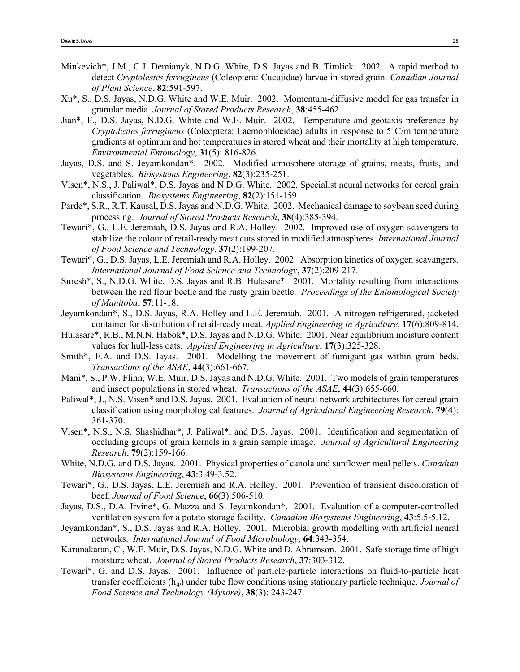- Minkevich\*, J.M., C.J. Demianyk, N.D.G. White, D.S. Jayas and B. Timlick. 2002. A rapid method to detect *Cryptolestes ferrugineus* (Coleoptera: Cucujidae) larvae in stored grain. *Canadian Journal of Plant Science*, **82**:591-597.
- Xu\*, S., D.S. Jayas, N.D.G. White and W.E. Muir. 2002. Momentum-diffusive model for gas transfer in granular media. *Journal of Stored Products Research*, **38**:455-462.
- Jian\*, F., D.S. Jayas, N.D.G. White and W.E. Muir. 2002. Temperature and geotaxis preference by *Cryptolestes ferrugineus* (Coleoptera: Laemophloeidae) adults in response to 5°C/m temperature gradients at optimum and hot temperatures in stored wheat and their mortality at high temperature. *Environmental Entomology*, **31**(5): 816-826.
- Jayas, D.S. and S. Jeyamkondan\*. 2002. Modified atmosphere storage of grains, meats, fruits, and vegetables. *Biosystems Engineering*, **82**(3):235-251.
- Visen\*, N.S., J. Paliwal\*, D.S. Jayas and N.D.G. White. 2002. Specialist neural networks for cereal grain classification. *Biosystems Engineering*, **82**(2):151-159.
- Parde\*, S.R., R.T. Kausal, D.S. Jayas and N.D.G. White. 2002. Mechanical damage to soybean seed during processing. *Journal of Stored Products Research*, **38**(4):385-394.
- Tewari\*, G., L.E. Jeremiah, D.S. Jayas and R.A. Holley. 2002. Improved use of oxygen scavengers to stabilize the colour of retail-ready meat cuts stored in modified atmospheres. *International Journal of Food Science and Technology*, **37**(2):199-207.
- Tewari\*, G., D.S. Jayas, L.E. Jeremiah and R.A. Holley. 2002. Absorption kinetics of oxygen scavangers. *International Journal of Food Science and Technology*, **37**(2):209-217.
- Suresh\*, S., N.D.G. White, D.S. Jayas and R.B. Hulasare\*. 2001. Mortality resulting from interactions between the red flour beetle and the rusty grain beetle. *Proceedings of the Entomological Society of Manitoba*, **57**:11-18.
- Jeyamkondan\*, S., D.S. Jayas, R.A. Holley and L.E. Jeremiah. 2001. A nitrogen refrigerated, jacketed container for distribution of retail-ready meat. *Applied Engineering in Agriculture*, **17**(6):809-814.
- Hulasare\*, R.B., M.N.N. Habok\*, D.S. Jayas and N.D.G. White. 2001. Near equilibrium moisture content values for hull-less oats. *Applied Engineering in Agriculture*, **17**(3):325-328.
- Smith\*, E.A. and D.S. Jayas. 2001. Modelling the movement of fumigant gas within grain beds. *Transactions of the ASAE*, **44**(3):661-667.
- Mani\*, S., P.W. Flinn, W.E. Muir, D.S. Jayas and N.D.G. White. 2001. Two models of grain temperatures and insect populations in stored wheat. *Transactions of the ASAE*, **44**(3):655-660.
- Paliwal\*, J., N.S. Visen\* and D.S. Jayas. 2001. Evaluation of neural network architectures for cereal grain classification using morphological features. *Journal of Agricultural Engineering Research*, **79**(4): 361-370.
- Visen\*, N.S., N.S. Shashidhar\*, J. Paliwal\*, and D.S. Jayas. 2001. Identification and segmentation of occluding groups of grain kernels in a grain sample image. *Journal of Agricultural Engineering Research*, **79**(2):159-166.
- White, N.D.G. and D.S. Jayas. 2001. Physical properties of canola and sunflower meal pellets. *Canadian Biosystems Engineering*, **43**:3.49-3.52.
- Tewari\*, G., D.S. Jayas, L.E. Jeremiah and R.A. Holley. 2001. Prevention of transient discoloration of beef. *Journal of Food Science*, **66**(3):506-510.
- Jayas, D.S., D.A. Irvine\*, G. Mazza and S. Jeyamkondan\*. 2001. Evaluation of a computer-controlled ventilation system for a potato storage facility. *Canadian Biosystems Engineering*, **43**:5.5-5.12.
- Jeyamkondan\*, S., D.S. Jayas and R.A. Holley. 2001. Microbial growth modelling with artificial neural networks. *International Journal of Food Microbiology*, **64**:343-354.
- Karunakaran, C., W.E. Muir, D.S. Jayas, N.D.G. White and D. Abramson. 2001. Safe storage time of high moisture wheat. *Journal of Stored Products Research*, **37**:303-312.
- Tewari\*, G. and D.S. Jayas. 2001. Influence of particle-particle interactions on fluid-to-particle heat transfer coefficients  $(h_{fp})$  under tube flow conditions using stationary particle technique. *Journal of Food Science and Technology (Mysore)*, **38**(3): 243-247.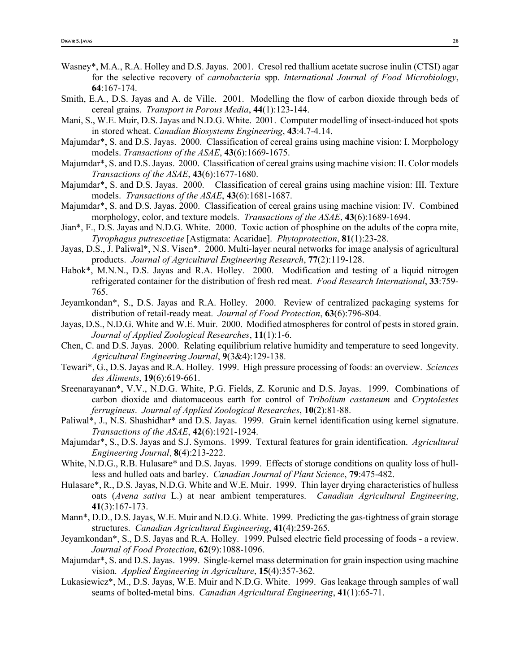- Wasney\*, M.A., R.A. Holley and D.S. Jayas. 2001. Cresol red thallium acetate sucrose inulin (CTSI) agar for the selective recovery of *carnobacteria* spp. *International Journal of Food Microbiology*, **64**:167-174.
- Smith, E.A., D.S. Jayas and A. de Ville. 2001. Modelling the flow of carbon dioxide through beds of cereal grains. *Transport in Porous Media*, **44**(1):123-144.
- Mani, S., W.E. Muir, D.S. Jayas and N.D.G. White. 2001. Computer modelling of insect-induced hot spots in stored wheat. *Canadian Biosystems Engineering*, **43**:4.7-4.14.
- Majumdar\*, S. and D.S. Jayas. 2000. Classification of cereal grains using machine vision: I. Morphology models. *Transactions of the ASAE*, **43**(6):1669-1675.
- Majumdar\*, S. and D.S. Jayas. 2000. Classification of cereal grains using machine vision: II. Color models *Transactions of the ASAE*, **43**(6):1677-1680.
- Majumdar\*, S. and D.S. Jayas. 2000. Classification of cereal grains using machine vision: III. Texture models. *Transactions of the ASAE*, **43**(6):1681-1687.
- Majumdar\*, S. and D.S. Jayas. 2000. Classification of cereal grains using machine vision: IV. Combined morphology, color, and texture models. *Transactions of the ASAE*, **43**(6):1689-1694.
- Jian\*, F., D.S. Jayas and N.D.G. White. 2000. Toxic action of phosphine on the adults of the copra mite, *Tyrophagus putrescetiae* [Astigmata: Acaridae]. *Phytoprotection*, **81**(1):23-28.
- Jayas, D.S., J. Paliwal\*, N.S. Visen\*. 2000. Multi-layer neural networks for image analysis of agricultural products. *Journal of Agricultural Engineering Research*, **77**(2):119-128.
- Habok\*, M.N.N., D.S. Jayas and R.A. Holley. 2000. Modification and testing of a liquid nitrogen refrigerated container for the distribution of fresh red meat. *Food Research International*, **33**:759- 765.
- Jeyamkondan\*, S., D.S. Jayas and R.A. Holley. 2000. Review of centralized packaging systems for distribution of retail-ready meat. *Journal of Food Protection*, **63**(6):796-804.
- Jayas, D.S., N.D.G. White and W.E. Muir. 2000. Modified atmospheres for control of pests in stored grain. *Journal of Applied Zoological Researches*, **11**(1):1-6.
- Chen, C. and D.S. Jayas. 2000. Relating equilibrium relative humidity and temperature to seed longevity. *Agricultural Engineering Journal*, **9**(3&4):129-138.
- Tewari\*, G., D.S. Jayas and R.A. Holley. 1999. High pressure processing of foods: an overview. *Sciences des Aliments*, **19**(6):619-661.
- Sreenarayanan\*, V.V., N.D.G. White, P.G. Fields, Z. Korunic and D.S. Jayas. 1999. Combinations of carbon dioxide and diatomaceous earth for control of *Tribolium castaneum* and *Cryptolestes ferrugineus*. *Journal of Applied Zoological Researches*, **10**(2):81-88.
- Paliwal\*, J., N.S. Shashidhar\* and D.S. Jayas. 1999. Grain kernel identification using kernel signature. *Transactions of the ASAE*, **42**(6):1921-1924.
- Majumdar\*, S., D.S. Jayas and S.J. Symons. 1999. Textural features for grain identification. *Agricultural Engineering Journal*, **8**(4):213-222.
- White, N.D.G., R.B. Hulasare\* and D.S. Jayas. 1999. Effects of storage conditions on quality loss of hullless and hulled oats and barley. *Canadian Journal of Plant Science*, **79**:475-482.
- Hulasare\*, R., D.S. Jayas, N.D.G. White and W.E. Muir. 1999. Thin layer drying characteristics of hulless oats (*Avena sativa* L.) at near ambient temperatures. *Canadian Agricultural Engineering*, **41**(3):167-173.
- Mann\*, D.D., D.S. Jayas, W.E. Muir and N.D.G. White. 1999. Predicting the gas-tightness of grain storage structures. *Canadian Agricultural Engineering*, **41**(4):259-265.
- Jeyamkondan\*, S., D.S. Jayas and R.A. Holley. 1999. Pulsed electric field processing of foods a review. *Journal of Food Protection*, **62**(9):1088-1096.
- Majumdar\*, S. and D.S. Jayas. 1999. Single-kernel mass determination for grain inspection using machine vision. *Applied Engineering in Agriculture*, **15**(4):357-362.
- Lukasiewicz\*, M., D.S. Jayas, W.E. Muir and N.D.G. White. 1999. Gas leakage through samples of wall seams of bolted-metal bins. *Canadian Agricultural Engineering*, **41**(1):65-71.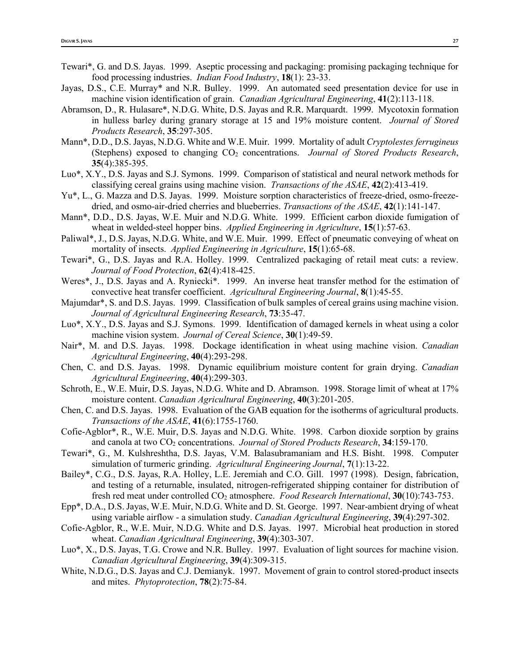- Tewari\*, G. and D.S. Jayas. 1999. Aseptic processing and packaging: promising packaging technique for food processing industries. *Indian Food Industry*, **18**(1): 23-33.
- Jayas, D.S., C.E. Murray\* and N.R. Bulley. 1999. An automated seed presentation device for use in machine vision identification of grain. *Canadian Agricultural Engineering*, **41**(2):113-118.
- Abramson, D., R. Hulasare\*, N.D.G. White, D.S. Jayas and R.R. Marquardt. 1999. Mycotoxin formation in hulless barley during granary storage at 15 and 19% moisture content. *Journal of Stored Products Research*, **35**:297-305.
- Mann\*, D.D., D.S. Jayas, N.D.G. White and W.E. Muir. 1999. Mortality of adult *Cryptolestes ferrugineus* (Stephens) exposed to changing CO2 concentrations. *Journal of Stored Products Research*, **35**(4):385-395.
- Luo\*, X.Y., D.S. Jayas and S.J. Symons. 1999. Comparison of statistical and neural network methods for classifying cereal grains using machine vision. *Transactions of the ASAE*, **42**(2):413-419.
- Yu\*, L., G. Mazza and D.S. Jayas. 1999. Moisture sorption characteristics of freeze-dried, osmo-freezedried, and osmo-air-dried cherries and blueberries. *Transactions of the ASAE*, **42**(1):141-147.
- Mann\*, D.D., D.S. Jayas, W.E. Muir and N.D.G. White. 1999. Efficient carbon dioxide fumigation of wheat in welded-steel hopper bins. *Applied Engineering in Agriculture*, **15**(1):57-63.
- Paliwal\*, J., D.S. Jayas, N.D.G. White, and W.E. Muir. 1999. Effect of pneumatic conveying of wheat on mortality of insects. *Applied Engineering in Agriculture*, **15**(1):65-68.
- Tewari\*, G., D.S. Jayas and R.A. Holley. 1999. Centralized packaging of retail meat cuts: a review. *Journal of Food Protection*, **62**(4):418-425.
- Weres\*, J., D.S. Jayas and A. Ryniecki\*. 1999. An inverse heat transfer method for the estimation of convective heat transfer coefficient. *Agricultural Engineering Journal*, **8**(1):45-55.
- Majumdar\*, S. and D.S. Jayas. 1999. Classification of bulk samples of cereal grains using machine vision. *Journal of Agricultural Engineering Research*, **73**:35-47.
- Luo\*, X.Y., D.S. Jayas and S.J. Symons. 1999. Identification of damaged kernels in wheat using a color machine vision system. *Journal of Cereal Science*, **30**(1):49-59.
- Nair\*, M. and D.S. Jayas. 1998. Dockage identification in wheat using machine vision. *Canadian Agricultural Engineering*, **40**(4):293-298.
- Chen, C. and D.S. Jayas. 1998. Dynamic equilibrium moisture content for grain drying. *Canadian Agricultural Engineering*, **40**(4):299-303.
- Schroth, E., W.E. Muir, D.S. Jayas, N.D.G. White and D. Abramson. 1998. Storage limit of wheat at 17% moisture content. *Canadian Agricultural Engineering*, **40**(3):201-205.
- Chen, C. and D.S. Jayas. 1998. Evaluation of the GAB equation for the isotherms of agricultural products. *Transactions of the ASAE*, **41**(6):1755-1760.
- Cofie-Agblor\*, R., W.E. Muir, D.S. Jayas and N.D.G. White. 1998. Carbon dioxide sorption by grains and canola at two CO2 concentrations. *Journal of Stored Products Research*, **34**:159-170.
- Tewari\*, G., M. Kulshreshtha, D.S. Jayas, V.M. Balasubramaniam and H.S. Bisht. 1998. Computer simulation of turmeric grinding. *Agricultural Engineering Journal*, **7**(1):13-22.
- Bailey\*, C.G., D.S. Jayas, R.A. Holley, L.E. Jeremiah and C.O. Gill. 1997 (1998). Design, fabrication, and testing of a returnable, insulated, nitrogen-refrigerated shipping container for distribution of fresh red meat under controlled CO2 atmosphere. *Food Research International*, **30**(10):743-753.
- Epp\*, D.A., D.S. Jayas, W.E. Muir, N.D.G. White and D. St. George. 1997. Near-ambient drying of wheat using variable airflow - a simulation study. *Canadian Agricultural Engineering*, **39**(4):297-302.
- Cofie-Agblor, R., W.E. Muir, N.D.G. White and D.S. Jayas. 1997. Microbial heat production in stored wheat. *Canadian Agricultural Engineering*, **39**(4):303-307.
- Luo\*, X., D.S. Jayas, T.G. Crowe and N.R. Bulley. 1997. Evaluation of light sources for machine vision. *Canadian Agricultural Engineering*, **39**(4):309-315.
- White, N.D.G., D.S. Jayas and C.J. Demianyk. 1997. Movement of grain to control stored-product insects and mites. *Phytoprotection*, **78**(2):75-84.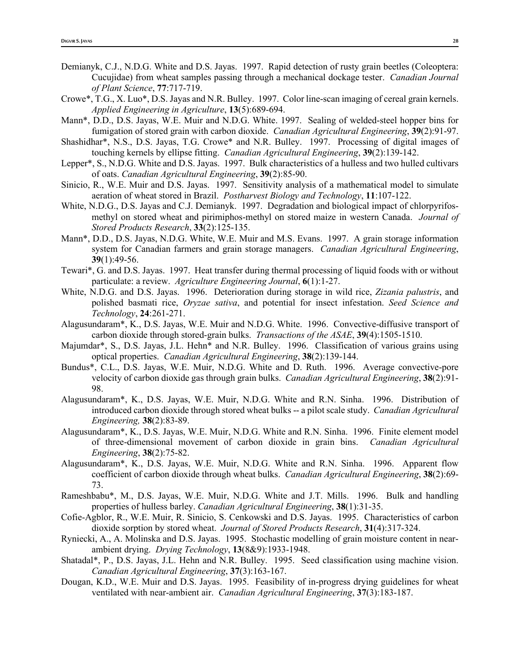- Demianyk, C.J., N.D.G. White and D.S. Jayas. 1997. Rapid detection of rusty grain beetles (Coleoptera: Cucujidae) from wheat samples passing through a mechanical dockage tester. *Canadian Journal of Plant Science*, **77**:717-719.
- Crowe\*, T.G., X. Luo\*, D.S. Jayas and N.R. Bulley. 1997. Color line-scan imaging of cereal grain kernels. *Applied Engineering in Agriculture*, **13**(5):689-694.
- Mann\*, D.D., D.S. Jayas, W.E. Muir and N.D.G. White. 1997. Sealing of welded-steel hopper bins for fumigation of stored grain with carbon dioxide. *Canadian Agricultural Engineering*, **39**(2):91-97.
- Shashidhar\*, N.S., D.S. Jayas, T.G. Crowe\* and N.R. Bulley. 1997. Processing of digital images of touching kernels by ellipse fitting. *Canadian Agricultural Engineering*, **39**(2):139-142.
- Lepper\*, S., N.D.G. White and D.S. Jayas. 1997. Bulk characteristics of a hulless and two hulled cultivars of oats. *Canadian Agricultural Engineering*, **39**(2):85-90.
- Sinicio, R., W.E. Muir and D.S. Jayas. 1997. Sensitivity analysis of a mathematical model to simulate aeration of wheat stored in Brazil. *Postharvest Biology and Technology*, **11**:107-122.
- White, N.D.G., D.S. Jayas and C.J. Demianyk. 1997. Degradation and biological impact of chlorpyrifosmethyl on stored wheat and pirimiphos-methyl on stored maize in western Canada. *Journal of Stored Products Research*, **33**(2):125-135.
- Mann\*, D.D., D.S. Jayas, N.D.G. White, W.E. Muir and M.S. Evans. 1997. A grain storage information system for Canadian farmers and grain storage managers. *Canadian Agricultural Engineering*, **39**(1):49-56.
- Tewari\*, G. and D.S. Jayas. 1997. Heat transfer during thermal processing of liquid foods with or without particulate: a review. *Agriculture Engineering Journal*, **6**(1):1-27.
- White, N.D.G. and D.S. Jayas. 1996. Deterioration during storage in wild rice, *Zizania palustris*, and polished basmati rice, *Oryzae sativa*, and potential for insect infestation. *Seed Science and Technology*, **24**:261-271.
- Alagusundaram\*, K., D.S. Jayas, W.E. Muir and N.D.G. White. 1996. Convective-diffusive transport of carbon dioxide through stored-grain bulks. *Transactions of the ASAE*, **39**(4):1505-1510.
- Majumdar\*, S., D.S. Jayas, J.L. Hehn\* and N.R. Bulley. 1996. Classification of various grains using optical properties. *Canadian Agricultural Engineering*, **38**(2):139-144.
- Bundus\*, C.L., D.S. Jayas, W.E. Muir, N.D.G. White and D. Ruth. 1996. Average convective-pore velocity of carbon dioxide gas through grain bulks. *Canadian Agricultural Engineering*, **38**(2):91- 98.
- Alagusundaram\*, K., D.S. Jayas, W.E. Muir, N.D.G. White and R.N. Sinha. 1996. Distribution of introduced carbon dioxide through stored wheat bulks -- a pilot scale study. *Canadian Agricultural Engineering,* **38**(2):83-89.
- Alagusundaram\*, K., D.S. Jayas, W.E. Muir, N.D.G. White and R.N. Sinha. 1996. Finite element model of three-dimensional movement of carbon dioxide in grain bins. *Canadian Agricultural Engineering*, **38**(2):75-82.
- Alagusundaram\*, K., D.S. Jayas, W.E. Muir, N.D.G. White and R.N. Sinha. 1996. Apparent flow coefficient of carbon dioxide through wheat bulks. *Canadian Agricultural Engineering*, **38**(2):69- 73.
- Rameshbabu\*, M., D.S. Jayas, W.E. Muir, N.D.G. White and J.T. Mills. 1996. Bulk and handling properties of hulless barley. *Canadian Agricultural Engineering*, **38**(1):31-35.
- Cofie-Agblor, R., W.E. Muir, R. Sinicio, S. Cenkowski and D.S. Jayas. 1995. Characteristics of carbon dioxide sorption by stored wheat. *Journal of Stored Products Research*, **31**(4):317-324.
- Ryniecki, A., A. Molinska and D.S. Jayas. 1995. Stochastic modelling of grain moisture content in nearambient drying. *Drying Technology*, **13**(8&9):1933-1948.
- Shatadal\*, P., D.S. Jayas, J.L. Hehn and N.R. Bulley. 1995. Seed classification using machine vision. *Canadian Agricultural Engineering*, **37**(3):163-167.
- Dougan, K.D., W.E. Muir and D.S. Jayas. 1995. Feasibility of in-progress drying guidelines for wheat ventilated with near-ambient air. *Canadian Agricultural Engineering*, **37**(3):183-187.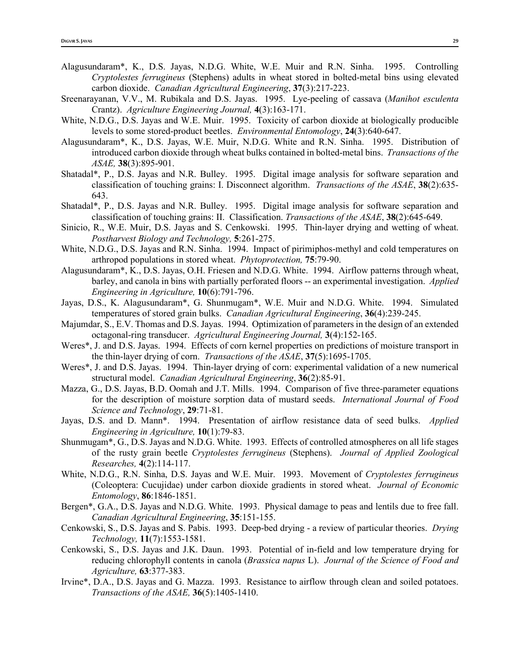- Alagusundaram\*, K., D.S. Jayas, N.D.G. White, W.E. Muir and R.N. Sinha. 1995. Controlling *Cryptolestes ferrugineus* (Stephens) adults in wheat stored in bolted-metal bins using elevated carbon dioxide. *Canadian Agricultural Engineering*, **37**(3):217-223.
- Sreenarayanan, V.V., M. Rubikala and D.S. Jayas. 1995. Lye-peeling of cassava (*Manihot esculenta* Crantz). *Agriculture Engineering Journal,* **4**(3):163-171.
- White, N.D.G., D.S. Jayas and W.E. Muir. 1995. Toxicity of carbon dioxide at biologically producible levels to some stored-product beetles. *Environmental Entomology*, **24**(3):640-647.
- Alagusundaram\*, K., D.S. Jayas, W.E. Muir, N.D.G. White and R.N. Sinha. 1995. Distribution of introduced carbon dioxide through wheat bulks contained in bolted-metal bins. *Transactions of the ASAE,* **38**(3):895-901.
- Shatadal\*, P., D.S. Jayas and N.R. Bulley. 1995. Digital image analysis for software separation and classification of touching grains: I. Disconnect algorithm. *Transactions of the ASAE*, **38**(2):635- 643.
- Shatadal\*, P., D.S. Jayas and N.R. Bulley. 1995. Digital image analysis for software separation and classification of touching grains: II. Classification. *Transactions of the ASAE*, **38**(2):645-649.
- Sinicio, R., W.E. Muir, D.S. Jayas and S. Cenkowski. 1995. Thin-layer drying and wetting of wheat. *Postharvest Biology and Technology,* **5**:261-275.
- White, N.D.G., D.S. Jayas and R.N. Sinha. 1994. Impact of pirimiphos-methyl and cold temperatures on arthropod populations in stored wheat. *Phytoprotection,* **75**:79-90.
- Alagusundaram\*, K., D.S. Jayas, O.H. Friesen and N.D.G. White. 1994. Airflow patterns through wheat, barley, and canola in bins with partially perforated floors -- an experimental investigation. *Applied Engineering in Agriculture,* **10**(6):791-796.
- Jayas, D.S., K. Alagusundaram\*, G. Shunmugam\*, W.E. Muir and N.D.G. White. 1994. Simulated temperatures of stored grain bulks. *Canadian Agricultural Engineering*, **36**(4):239-245.
- Majumdar, S., E.V. Thomas and D.S. Jayas. 1994. Optimization of parameters in the design of an extended octagonal-ring transducer. *Agricultural Engineering Journal,* **3**(4):152-165.
- Weres\*, J. and D.S. Jayas. 1994. Effects of corn kernel properties on predictions of moisture transport in the thin-layer drying of corn. *Transactions of the ASAE*, **37**(5):1695-1705.
- Weres\*, J. and D.S. Jayas. 1994. Thin-layer drying of corn: experimental validation of a new numerical structural model. *Canadian Agricultural Engineering*, **36**(2):85-91.
- Mazza, G., D.S. Jayas, B.D. Oomah and J.T. Mills. 1994. Comparison of five three-parameter equations for the description of moisture sorption data of mustard seeds. *International Journal of Food Science and Technology*, **29**:71-81.
- Jayas, D.S. and D. Mann\*. 1994. Presentation of airflow resistance data of seed bulks. *Applied Engineering in Agriculture,* **10**(1):79-83.
- Shunmugam\*, G., D.S. Jayas and N.D.G. White. 1993. Effects of controlled atmospheres on all life stages of the rusty grain beetle *Cryptolestes ferrugineus* (Stephens). *Journal of Applied Zoological Researches,* **4**(2):114-117.
- White, N.D.G., R.N. Sinha, D.S. Jayas and W.E. Muir. 1993. Movement of *Cryptolestes ferrugineus* (Coleoptera: Cucujidae) under carbon dioxide gradients in stored wheat. *Journal of Economic Entomology*, **86**:1846-1851.
- Bergen\*, G.A., D.S. Jayas and N.D.G. White. 1993. Physical damage to peas and lentils due to free fall. *Canadian Agricultural Engineering*, **35**:151-155.
- Cenkowski, S., D.S. Jayas and S. Pabis. 1993. Deep-bed drying a review of particular theories. *Drying Technology,* **11**(7):1553-1581.
- Cenkowski, S., D.S. Jayas and J.K. Daun. 1993. Potential of in-field and low temperature drying for reducing chlorophyll contents in canola (*Brassica napus* L). *Journal of the Science of Food and Agriculture,* **63**:377-383.
- Irvine\*, D.A., D.S. Jayas and G. Mazza. 1993. Resistance to airflow through clean and soiled potatoes. *Transactions of the ASAE,* **36**(5):1405-1410.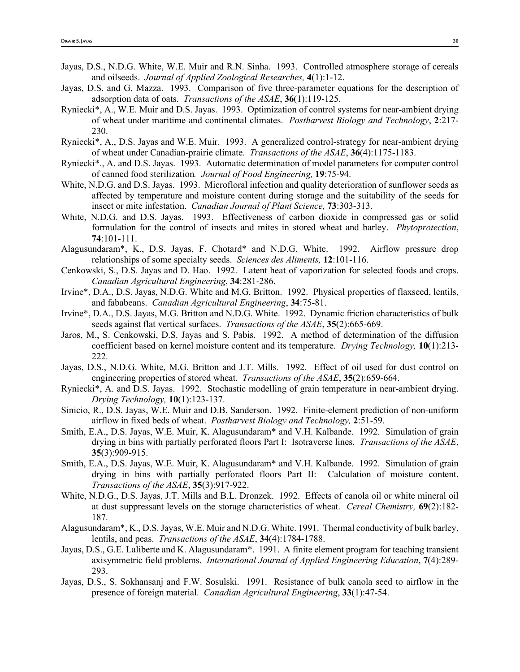- Jayas, D.S., N.D.G. White, W.E. Muir and R.N. Sinha. 1993. Controlled atmosphere storage of cereals and oilseeds. *Journal of Applied Zoological Researches,* **4**(1):1-12.
- Jayas, D.S. and G. Mazza. 1993. Comparison of five three-parameter equations for the description of adsorption data of oats. *Transactions of the ASAE*, **36**(1):119-125.
- Ryniecki\*, A., W.E. Muir and D.S. Jayas. 1993. Optimization of control systems for near-ambient drying of wheat under maritime and continental climates. *Postharvest Biology and Technology*, **2**:217- 230.
- Ryniecki\*, A., D.S. Jayas and W.E. Muir. 1993. A generalized control-strategy for near-ambient drying of wheat under Canadian-prairie climate. *Transactions of the ASAE*, **36**(4):1175-1183.
- Ryniecki\*., A. and D.S. Jayas. 1993. Automatic determination of model parameters for computer control of canned food sterilization*. Journal of Food Engineering,* **19**:75-94.
- White, N.D.G. and D.S. Jayas. 1993. Microfloral infection and quality deterioration of sunflower seeds as affected by temperature and moisture content during storage and the suitability of the seeds for insect or mite infestation. *Canadian Journal of Plant Science,* **73**:303-313.
- White, N.D.G. and D.S. Jayas. 1993. Effectiveness of carbon dioxide in compressed gas or solid formulation for the control of insects and mites in stored wheat and barley. *Phytoprotection*, **74**:101-111.
- Alagusundaram\*, K., D.S. Jayas, F. Chotard\* and N.D.G. White. 1992. Airflow pressure drop relationships of some specialty seeds. *Sciences des Aliments,* **12**:101-116.
- Cenkowski, S., D.S. Jayas and D. Hao. 1992. Latent heat of vaporization for selected foods and crops. *Canadian Agricultural Engineering*, **34**:281-286.
- Irvine\*, D.A., D.S. Jayas, N.D.G. White and M.G. Britton. 1992. Physical properties of flaxseed, lentils, and fababeans. *Canadian Agricultural Engineering*, **34**:75-81.
- Irvine\*, D.A., D.S. Jayas, M.G. Britton and N.D.G. White. 1992. Dynamic friction characteristics of bulk seeds against flat vertical surfaces. *Transactions of the ASAE*, **35**(2):665-669.
- Jaros, M., S. Cenkowski, D.S. Jayas and S. Pabis. 1992. A method of determination of the diffusion coefficient based on kernel moisture content and its temperature. *Drying Technology,* **10**(1):213- 222.
- Jayas, D.S., N.D.G. White, M.G. Britton and J.T. Mills. 1992. Effect of oil used for dust control on engineering properties of stored wheat. *Transactions of the ASAE*, **35**(2):659-664.
- Ryniecki\*, A. and D.S. Jayas. 1992. Stochastic modelling of grain temperature in near-ambient drying. *Drying Technology,* **10**(1):123-137.
- Sinicio, R., D.S. Jayas, W.E. Muir and D.B. Sanderson. 1992. Finite-element prediction of non-uniform airflow in fixed beds of wheat. *Postharvest Biology and Technology,* **2**:51-59.
- Smith, E.A., D.S. Jayas, W.E. Muir, K. Alagusundaram\* and V.H. Kalbande. 1992. Simulation of grain drying in bins with partially perforated floors Part I: Isotraverse lines. *Transactions of the ASAE*, **35**(3):909-915.
- Smith, E.A., D.S. Jayas, W.E. Muir, K. Alagusundaram\* and V.H. Kalbande. 1992. Simulation of grain drying in bins with partially perforated floors Part II: Calculation of moisture content. *Transactions of the ASAE*, **35**(3):917-922.
- White, N.D.G., D.S. Jayas, J.T. Mills and B.L. Dronzek. 1992. Effects of canola oil or white mineral oil at dust suppressant levels on the storage characteristics of wheat. *Cereal Chemistry,* **69**(2):182- 187.
- Alagusundaram\*, K., D.S. Jayas, W.E. Muir and N.D.G. White. 1991. Thermal conductivity of bulk barley, lentils, and peas. *Transactions of the ASAE*, **34**(4):1784-1788.
- Jayas, D.S., G.E. Laliberte and K. Alagusundaram\*. 1991. A finite element program for teaching transient axisymmetric field problems. *International Journal of Applied Engineering Education*, **7**(4):289- 293.
- Jayas, D.S., S. Sokhansanj and F.W. Sosulski. 1991. Resistance of bulk canola seed to airflow in the presence of foreign material. *Canadian Agricultural Engineering*, **33**(1):47-54.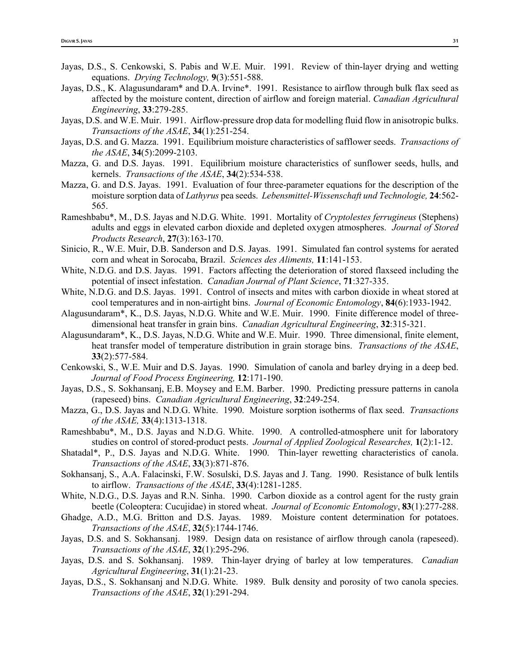- Jayas, D.S., S. Cenkowski, S. Pabis and W.E. Muir. 1991. Review of thin-layer drying and wetting equations. *Drying Technology,* **9**(3):551-588.
- Jayas, D.S., K. Alagusundaram\* and D.A. Irvine\*. 1991. Resistance to airflow through bulk flax seed as affected by the moisture content, direction of airflow and foreign material. *Canadian Agricultural Engineering*, **33**:279-285.
- Jayas, D.S. and W.E. Muir. 1991. Airflow-pressure drop data for modelling fluid flow in anisotropic bulks. *Transactions of the ASAE*, **34**(1):251-254.
- Jayas, D.S. and G. Mazza. 1991. Equilibrium moisture characteristics of safflower seeds. *Transactions of the ASAE*, **34**(5):2099-2103.
- Mazza, G. and D.S. Jayas. 1991. Equilibrium moisture characteristics of sunflower seeds, hulls, and kernels. *Transactions of the ASAE*, **34**(2):534-538.
- Mazza, G. and D.S. Jayas. 1991. Evaluation of four three-parameter equations for the description of the moisture sorption data of *Lathyrus* pea seeds. *Lebensmittel-Wissenschaft und Technologie,* **24**:562- 565.
- Rameshbabu\*, M., D.S. Jayas and N.D.G. White. 1991. Mortality of *Cryptolestes ferrugineus* (Stephens) adults and eggs in elevated carbon dioxide and depleted oxygen atmospheres. *Journal of Stored Products Research*, **27**(3):163-170.
- Sinicio, R., W.E. Muir, D.B. Sanderson and D.S. Jayas. 1991. Simulated fan control systems for aerated corn and wheat in Sorocaba, Brazil. *Sciences des Aliments,* **11**:141-153.
- White, N.D.G. and D.S. Jayas. 1991. Factors affecting the deterioration of stored flaxseed including the potential of insect infestation. *Canadian Journal of Plant Science*, **71**:327-335.
- White, N.D.G. and D.S. Jayas. 1991. Control of insects and mites with carbon dioxide in wheat stored at cool temperatures and in non-airtight bins. *Journal of Economic Entomology*, **84**(6):1933-1942.
- Alagusundaram\*, K., D.S. Jayas, N.D.G. White and W.E. Muir. 1990. Finite difference model of threedimensional heat transfer in grain bins. *Canadian Agricultural Engineering*, **32**:315-321.
- Alagusundaram\*, K., D.S. Jayas, N.D.G. White and W.E. Muir. 1990. Three dimensional, finite element, heat transfer model of temperature distribution in grain storage bins. *Transactions of the ASAE*, **33**(2):577-584.
- Cenkowski, S., W.E. Muir and D.S. Jayas. 1990. Simulation of canola and barley drying in a deep bed. *Journal of Food Process Engineering,* **12**:171-190.
- Jayas, D.S., S. Sokhansanj, E.B. Moysey and E.M. Barber. 1990. Predicting pressure patterns in canola (rapeseed) bins. *Canadian Agricultural Engineering*, **32**:249-254.
- Mazza, G., D.S. Jayas and N.D.G. White. 1990. Moisture sorption isotherms of flax seed. *Transactions of the ASAE,* **33**(4):1313-1318.
- Rameshbabu\*, M., D.S. Jayas and N.D.G. White. 1990. A controlled-atmosphere unit for laboratory studies on control of stored-product pests. *Journal of Applied Zoological Researches,* **1**(2):1-12.
- Shatadal\*, P., D.S. Jayas and N.D.G. White. 1990. Thin-layer rewetting characteristics of canola. *Transactions of the ASAE*, **33**(3):871-876.
- Sokhansanj, S., A.A. Falacinski, F.W. Sosulski, D.S. Jayas and J. Tang. 1990. Resistance of bulk lentils to airflow. *Transactions of the ASAE*, **33**(4):1281-1285.
- White, N.D.G., D.S. Jayas and R.N. Sinha. 1990. Carbon dioxide as a control agent for the rusty grain beetle (Coleoptera: Cucujidae) in stored wheat. *Journal of Economic Entomology*, **83**(1):277-288.
- Ghadge, A.D., M.G. Britton and D.S. Jayas. 1989. Moisture content determination for potatoes. *Transactions of the ASAE*, **32**(5):1744-1746.
- Jayas, D.S. and S. Sokhansanj. 1989. Design data on resistance of airflow through canola (rapeseed). *Transactions of the ASAE*, **32**(1):295-296.
- Jayas, D.S. and S. Sokhansanj. 1989. Thin-layer drying of barley at low temperatures. *Canadian Agricultural Engineering*, **31**(1):21-23.
- Jayas, D.S., S. Sokhansanj and N.D.G. White. 1989. Bulk density and porosity of two canola species. *Transactions of the ASAE*, **32**(1):291-294.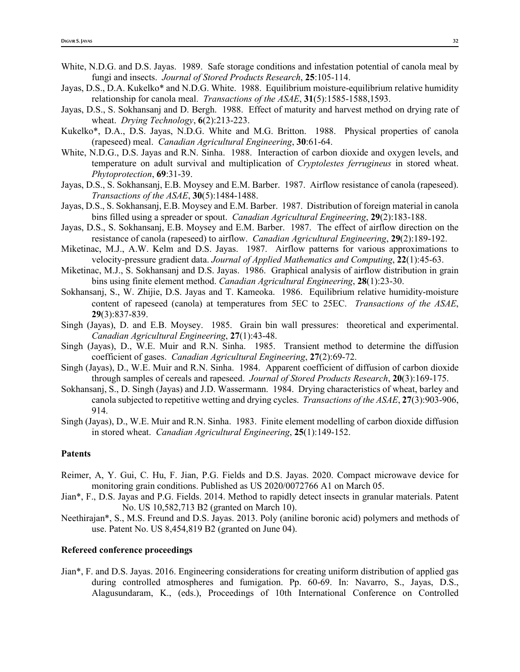- White, N.D.G. and D.S. Jayas. 1989. Safe storage conditions and infestation potential of canola meal by fungi and insects. *Journal of Stored Products Research*, **25**:105-114.
- Jayas, D.S., D.A. Kukelko\* and N.D.G. White. 1988. Equilibrium moisture-equilibrium relative humidity relationship for canola meal. *Transactions of the ASAE*, **31**(5):1585-1588,1593.
- Jayas, D.S., S. Sokhansanj and D. Bergh. 1988. Effect of maturity and harvest method on drying rate of wheat. *Drying Technology*, **6**(2):213-223.
- Kukelko\*, D.A., D.S. Jayas, N.D.G. White and M.G. Britton. 1988. Physical properties of canola (rapeseed) meal. *Canadian Agricultural Engineering*, **30**:61-64.
- White, N.D.G., D.S. Jayas and R.N. Sinha. 1988. Interaction of carbon dioxide and oxygen levels, and temperature on adult survival and multiplication of *Cryptolestes ferrugineus* in stored wheat. *Phytoprotection*, **69**:31-39.
- Jayas, D.S., S. Sokhansanj, E.B. Moysey and E.M. Barber. 1987. Airflow resistance of canola (rapeseed). *Transactions of the ASAE*, **30**(5):1484-1488.
- Jayas, D.S., S. Sokhansanj, E.B. Moysey and E.M. Barber. 1987. Distribution of foreign material in canola bins filled using a spreader or spout. *Canadian Agricultural Engineering*, **29**(2):183-188.
- Jayas, D.S., S. Sokhansanj, E.B. Moysey and E.M. Barber. 1987. The effect of airflow direction on the resistance of canola (rapeseed) to airflow. *Canadian Agricultural Engineering*, **29**(2):189-192.
- Miketinac, M.J., A.W. Kelm and D.S. Jayas. 1987. Airflow patterns for various approximations to velocity-pressure gradient data. *Journal of Applied Mathematics and Computing*, **22**(1):45-63.
- Miketinac, M.J., S. Sokhansanj and D.S. Jayas. 1986. Graphical analysis of airflow distribution in grain bins using finite element method. *Canadian Agricultural Engineering*, **28**(1):23-30.
- Sokhansanj, S., W. Zhijie, D.S. Jayas and T. Kameoka. 1986. Equilibrium relative humidity-moisture content of rapeseed (canola) at temperatures from 5ΕC to 25ΕC. *Transactions of the ASAE*, **29**(3):837-839.
- Singh (Jayas), D. and E.B. Moysey. 1985. Grain bin wall pressures: theoretical and experimental. *Canadian Agricultural Engineering*, **27**(1):43-48.
- Singh (Jayas), D., W.E. Muir and R.N. Sinha. 1985. Transient method to determine the diffusion coefficient of gases. *Canadian Agricultural Engineering*, **27**(2):69-72.
- Singh (Jayas), D., W.E. Muir and R.N. Sinha. 1984. Apparent coefficient of diffusion of carbon dioxide through samples of cereals and rapeseed. *Journal of Stored Products Research*, **20**(3):169-175.
- Sokhansanj, S., D. Singh (Jayas) and J.D. Wassermann. 1984. Drying characteristics of wheat, barley and canola subjected to repetitive wetting and drying cycles. *Transactions of the ASAE*, **27**(3):903-906, 914.
- Singh (Jayas), D., W.E. Muir and R.N. Sinha. 1983. Finite element modelling of carbon dioxide diffusion in stored wheat. *Canadian Agricultural Engineering*, **25**(1):149-152.

# **Patents**

- Reimer, A, Y. Gui, C. Hu, F. Jian, P.G. Fields and D.S. Jayas. 2020. Compact microwave device for monitoring grain conditions. Published as US 2020/0072766 A1 on March 05.
- Jian\*, F., D.S. Jayas and P.G. Fields. 2014. Method to rapidly detect insects in granular materials. Patent No. US 10,582,713 B2 (granted on March 10).
- Neethirajan\*, S., M.S. Freund and D.S. Jayas. 2013. Poly (aniline boronic acid) polymers and methods of use. Patent No. US 8,454,819 B2 (granted on June 04).

### **Refereed conference proceedings**

Jian\*, F. and D.S. Jayas. 2016. Engineering considerations for creating uniform distribution of applied gas during controlled atmospheres and fumigation. Pp. 60-69. In: Navarro, S., Jayas, D.S., Alagusundaram, K., (eds.), Proceedings of 10th International Conference on Controlled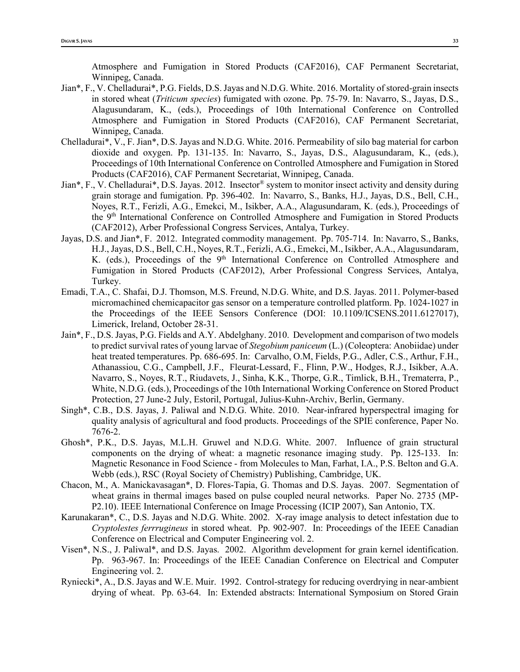Atmosphere and Fumigation in Stored Products (CAF2016), CAF Permanent Secretariat, Winnipeg, Canada.

- Jian\*, F., V. Chelladurai\*, P.G. Fields, D.S. Jayas and N.D.G. White. 2016. Mortality of stored-grain insects in stored wheat (*Triticum species*) fumigated with ozone. Pp. 75-79. In: Navarro, S., Jayas, D.S., Alagusundaram, K., (eds.), Proceedings of 10th International Conference on Controlled Atmosphere and Fumigation in Stored Products (CAF2016), CAF Permanent Secretariat, Winnipeg, Canada.
- Chelladurai\*, V., F. Jian\*, D.S. Jayas and N.D.G. White. 2016. Permeability of silo bag material for carbon dioxide and oxygen. Pp. 131-135. In: Navarro, S., Jayas, D.S., Alagusundaram, K., (eds.), Proceedings of 10th International Conference on Controlled Atmosphere and Fumigation in Stored Products (CAF2016), CAF Permanent Secretariat, Winnipeg, Canada.
- Jian\*, F., V. Chelladurai\*, D.S. Jayas. 2012. Insector® system to monitor insect activity and density during grain storage and fumigation. Pp. 396-402. In: Navarro, S., Banks, H.J., Jayas, D.S., Bell, C.H., Noyes, R.T., Ferizli, A.G., Emekci, M., Isikber, A.A., Alagusundaram, K. (eds.), Proceedings of the 9th International Conference on Controlled Atmosphere and Fumigation in Stored Products (CAF2012), Arber Professional Congress Services, Antalya, Turkey.
- Jayas, D.S. and Jian\*, F. 2012. Integrated commodity management. Pp. 705-714. In: Navarro, S., Banks, H.J., Jayas, D.S., Bell, C.H., Noyes, R.T., Ferizli, A.G., Emekci, M., Isikber, A.A., Alagusundaram, K. (eds.), Proceedings of the 9<sup>th</sup> International Conference on Controlled Atmosphere and Fumigation in Stored Products (CAF2012), Arber Professional Congress Services, Antalya, Turkey.
- Emadi, T.A., C. Shafai, D.J. Thomson, M.S. Freund, N.D.G. White, and D.S. Jayas. 2011. Polymer-based micromachined chemicapacitor gas sensor on a temperature controlled platform. Pp. 1024-1027 in the Proceedings of the IEEE Sensors Conference (DOI: 10.1109/ICSENS.2011.6127017), Limerick, Ireland, October 28-31.
- Jain\*, F., D.S. Jayas, P.G. Fields and A.Y. Abdelghany. 2010. Development and comparison of two models to predict survival rates of young larvae of *Stegobium paniceum* (L.) (Coleoptera: Anobiidae) under heat treated temperatures. Pp. 686-695. In: Carvalho, O.M, Fields, P.G., Adler, C.S., Arthur, F.H., Athanassiou, C.G., Campbell, J.F., Fleurat-Lessard, F., Flinn, P.W., Hodges, R.J., Isikber, A.A. Navarro, S., Noyes, R.T., Riudavets, J., Sinha, K.K., Thorpe, G.R., Timlick, B.H., Trematerra, P., White, N.D.G. (eds.), Proceedings of the 10th International Working Conference on Stored Product Protection, 27 June-2 July, Estoril, Portugal, Julius-Kuhn-Archiv, Berlin, Germany.
- Singh\*, C.B., D.S. Jayas, J. Paliwal and N.D.G. White. 2010. Near-infrared hyperspectral imaging for quality analysis of agricultural and food products. Proceedings of the SPIE conference, Paper No. 7676-2.
- Ghosh\*, P.K., D.S. Jayas, M.L.H. Gruwel and N.D.G. White. 2007. Influence of grain structural components on the drying of wheat: a magnetic resonance imaging study. Pp. 125-133. In: Magnetic Resonance in Food Science - from Molecules to Man, Farhat, I.A., P.S. Belton and G.A. Webb (eds.), RSC (Royal Society of Chemistry) Publishing, Cambridge, UK.
- Chacon, M., A. Manickavasagan\*, D. Flores-Tapia, G. Thomas and D.S. Jayas. 2007. Segmentation of wheat grains in thermal images based on pulse coupled neural networks. Paper No. 2735 (MP-P2.10). IEEE International Conference on Image Processing (ICIP 2007), San Antonio, TX.
- Karunakaran\*, C., D.S. Jayas and N.D.G. White. 2002. X-ray image analysis to detect infestation due to *Cryptolestes ferrrugineus* in stored wheat. Pp. 902-907. In: Proceedings of the IEEE Canadian Conference on Electrical and Computer Engineering vol. 2.
- Visen\*, N.S., J. Paliwal\*, and D.S. Jayas. 2002. Algorithm development for grain kernel identification. Pp. 963-967. In: Proceedings of the IEEE Canadian Conference on Electrical and Computer Engineering vol. 2.
- Ryniecki\*, A., D.S. Jayas and W.E. Muir. 1992. Control-strategy for reducing overdrying in near-ambient drying of wheat. Pp. 63-64. In: Extended abstracts: International Symposium on Stored Grain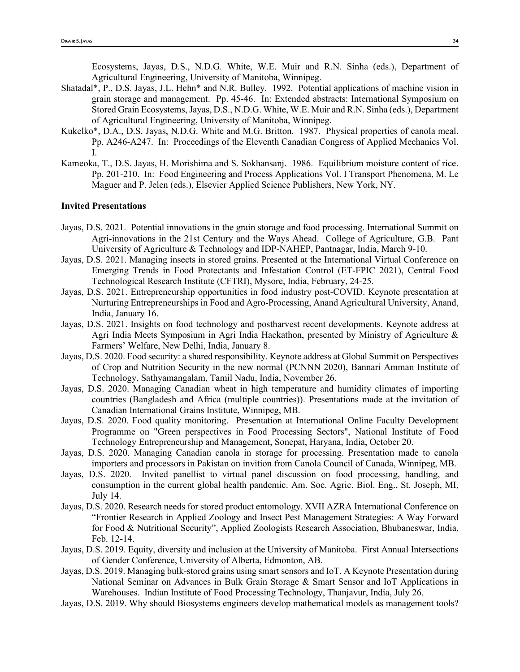Ecosystems, Jayas, D.S., N.D.G. White, W.E. Muir and R.N. Sinha (eds.), Department of Agricultural Engineering, University of Manitoba, Winnipeg.

- Shatadal\*, P., D.S. Jayas, J.L. Hehn\* and N.R. Bulley. 1992. Potential applications of machine vision in grain storage and management. Pp. 45-46. In: Extended abstracts: International Symposium on Stored Grain Ecosystems, Jayas, D.S., N.D.G. White, W.E. Muir and R.N. Sinha (eds.), Department of Agricultural Engineering, University of Manitoba, Winnipeg.
- Kukelko\*, D.A., D.S. Jayas, N.D.G. White and M.G. Britton. 1987. Physical properties of canola meal. Pp. A246-A247. In: Proceedings of the Eleventh Canadian Congress of Applied Mechanics Vol. I.
- Kameoka, T., D.S. Jayas, H. Morishima and S. Sokhansanj. 1986. Equilibrium moisture content of rice. Pp. 201-210. In: Food Engineering and Process Applications Vol. I Transport Phenomena, M. Le Maguer and P. Jelen (eds.), Elsevier Applied Science Publishers, New York, NY.

### **Invited Presentations**

- Jayas, D.S. 2021. Potential innovations in the grain storage and food processing. International Summit on Agri-innovations in the 21st Century and the Ways Ahead. College of Agriculture, G.B. Pant University of Agriculture & Technology and IDP-NAHEP, Pantnagar, India, March 9-10.
- Jayas, D.S. 2021. Managing insects in stored grains. Presented at the International Virtual Conference on Emerging Trends in Food Protectants and Infestation Control (ET-FPIC 2021), Central Food Technological Research Institute (CFTRI), Mysore, India, February, 24-25.
- Jayas, D.S. 2021. Entrepreneurship opportunities in food industry post-COVID. Keynote presentation at Nurturing Entrepreneurships in Food and Agro-Processing, Anand Agricultural University, Anand, India, January 16.
- Jayas, D.S. 2021. Insights on food technology and postharvest recent developments. Keynote address at Agri India Meets Symposium in Agri India Hackathon, presented by Ministry of Agriculture & Farmers' Welfare, New Delhi, India, January 8.
- Jayas, D.S. 2020. Food security: a shared responsibility. Keynote address at Global Summit on Perspectives of Crop and Nutrition Security in the new normal (PCNNN 2020), Bannari Amman Institute of Technology, Sathyamangalam, Tamil Nadu, India, November 26.
- Jayas, D.S. 2020. Managing Canadian wheat in high temperature and humidity climates of importing countries (Bangladesh and Africa (multiple countries)). Presentations made at the invitation of Canadian International Grains Institute, Winnipeg, MB.
- Jayas, D.S. 2020. Food quality monitoring. Presentation at International Online Faculty Development Programme on "Green perspectives in Food Processing Sectors", National Institute of Food Technology Entrepreneurship and Management, Sonepat, Haryana, India, October 20.
- Jayas, D.S. 2020. Managing Canadian canola in storage for processing. Presentation made to canola importers and processors in Pakistan on invition from Canola Council of Canada, Winnipeg, MB.
- Jayas, D.S. 2020. Invited panellist to virtual panel discussion on food processing, handling, and consumption in the current global health pandemic. Am. Soc. Agric. Biol. Eng., St. Joseph, MI, July 14.
- Jayas, D.S. 2020. Research needs for stored product entomology. XVII AZRA International Conference on "Frontier Research in Applied Zoology and Insect Pest Management Strategies: A Way Forward for Food & Nutritional Security", Applied Zoologists Research Association, Bhubaneswar, India, Feb. 12-14.
- Jayas, D.S. 2019. Equity, diversity and inclusion at the University of Manitoba. First Annual Intersections of Gender Conference, University of Alberta, Edmonton, AB.
- Jayas, D.S. 2019. Managing bulk-stored grains using smart sensors and IoT. A Keynote Presentation during National Seminar on Advances in Bulk Grain Storage & Smart Sensor and IoT Applications in Warehouses. Indian Institute of Food Processing Technology, Thanjavur, India, July 26.
- Jayas, D.S. 2019. Why should Biosystems engineers develop mathematical models as management tools?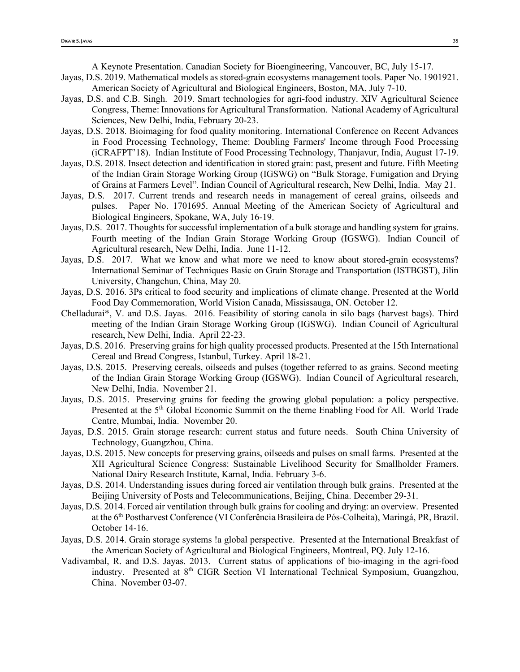A Keynote Presentation. Canadian Society for Bioengineering, Vancouver, BC, July 15-17.

- Jayas, D.S. 2019. Mathematical models as stored-grain ecosystems management tools. Paper No. 1901921. American Society of Agricultural and Biological Engineers, Boston, MA, July 7-10.
- Jayas, D.S. and C.B. Singh. 2019. Smart technologies for agri-food industry. XIV Agricultural Science Congress, Theme: Innovations for Agricultural Transformation. National Academy of Agricultural Sciences, New Delhi, India, February 20-23.
- Jayas, D.S. 2018. Bioimaging for food quality monitoring. International Conference on Recent Advances in Food Processing Technology, Theme: Doubling Farmers' Income through Food Processing (iCRAFPT'18). Indian Institute of Food Processing Technology, Thanjavur, India, August 17-19.
- Jayas, D.S. 2018. Insect detection and identification in stored grain: past, present and future. Fifth Meeting of the Indian Grain Storage Working Group (IGSWG) on "Bulk Storage, Fumigation and Drying of Grains at Farmers Level". Indian Council of Agricultural research, New Delhi, India. May 21.
- Jayas, D.S. 2017. Current trends and research needs in management of cereal grains, oilseeds and pulses. Paper No. 1701695. Annual Meeting of the American Society of Agricultural and Biological Engineers, Spokane, WA, July 16-19.
- Jayas, D.S. 2017. Thoughts for successful implementation of a bulk storage and handling system for grains. Fourth meeting of the Indian Grain Storage Working Group (IGSWG). Indian Council of Agricultural research, New Delhi, India. June 11-12.
- Jayas, D.S. 2017. What we know and what more we need to know about stored-grain ecosystems? International Seminar of Techniques Basic on Grain Storage and Transportation (ISTBGST), Jilin University, Changchun, China, May 20.
- Jayas, D.S. 2016. 3Ps critical to food security and implications of climate change. Presented at the World Food Day Commemoration, World Vision Canada, Mississauga, ON. October 12.
- Chelladurai\*, V. and D.S. Jayas. 2016. Feasibility of storing canola in silo bags (harvest bags). Third meeting of the Indian Grain Storage Working Group (IGSWG). Indian Council of Agricultural research, New Delhi, India. April 22-23.
- Jayas, D.S. 2016. Preserving grains for high quality processed products. Presented at the 15th International Cereal and Bread Congress, Istanbul, Turkey. April 18-21.
- Jayas, D.S. 2015. Preserving cereals, oilseeds and pulses (together referred to as grains. Second meeting of the Indian Grain Storage Working Group (IGSWG). Indian Council of Agricultural research, New Delhi, India. November 21.
- Jayas, D.S. 2015. Preserving grains for feeding the growing global population: a policy perspective. Presented at the 5<sup>th</sup> Global Economic Summit on the theme Enabling Food for All. World Trade Centre, Mumbai, India. November 20.
- Jayas, D.S. 2015. Grain storage research: current status and future needs. South China University of Technology, Guangzhou, China.
- Jayas, D.S. 2015. New concepts for preserving grains, oilseeds and pulses on small farms. Presented at the XII Agricultural Science Congress: Sustainable Livelihood Security for Smallholder Framers. National Dairy Research Institute, Karnal, India. February 3-6.
- Jayas, D.S. 2014. Understanding issues during forced air ventilation through bulk grains. Presented at the Beijing University of Posts and Telecommunications, Beijing, China. December 29-31.
- Jayas, D.S. 2014. Forced air ventilation through bulk grains for cooling and drying: an overview. Presented at the 6<sup>th</sup> Postharvest Conference (VI Conferência Brasileira de Pós-Colheita), Maringá, PR, Brazil. October 14-16.
- Jayas, D.S. 2014. Grain storage systems !a global perspective. Presented at the International Breakfast of the American Society of Agricultural and Biological Engineers, Montreal, PQ. July 12-16.
- Vadivambal, R. and D.S. Jayas. 2013. Current status of applications of bio-imaging in the agri-food industry. Presented at 8<sup>th</sup> CIGR Section VI International Technical Symposium, Guangzhou, China. November 03-07.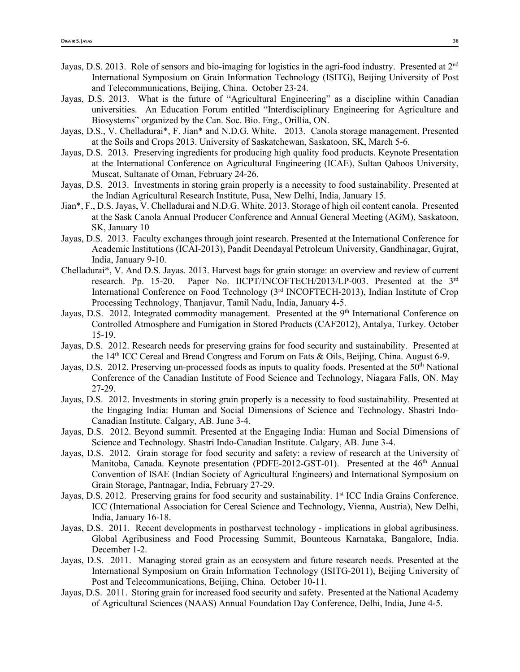- Jayas, D.S. 2013. Role of sensors and bio-imaging for logistics in the agri-food industry. Presented at 2nd International Symposium on Grain Information Technology (ISITG), Beijing University of Post and Telecommunications, Beijing, China. October 23-24.
- Jayas, D.S. 2013. What is the future of "Agricultural Engineering" as a discipline within Canadian universities. An Education Forum entitled "Interdisciplinary Engineering for Agriculture and Biosystems" organized by the Can. Soc. Bio. Eng., Orillia, ON.
- Jayas, D.S., V. Chelladurai\*, F. Jian\* and N.D.G. White. 2013. Canola storage management. Presented at the Soils and Crops 2013. University of Saskatchewan, Saskatoon, SK, March 5-6.
- Jayas, D.S. 2013. Preserving ingredients for producing high quality food products. Keynote Presentation at the International Conference on Agricultural Engineering (ICAE), Sultan Qaboos University, Muscat, Sultanate of Oman, February 24-26.
- Jayas, D.S. 2013. Investments in storing grain properly is a necessity to food sustainability. Presented at the Indian Agricultural Research Institute, Pusa, New Delhi, India, January 15.
- Jian\*, F., D.S. Jayas, V. Chelladurai and N.D.G. White. 2013. Storage of high oil content canola. Presented at the Sask Canola Annual Producer Conference and Annual General Meeting (AGM), Saskatoon, SK, January 10
- Jayas, D.S. 2013. Faculty exchanges through joint research. Presented at the International Conference for Academic Institutions (ICAI-2013), Pandit Deendayal Petroleum University, Gandhinagar, Gujrat, India, January 9-10.
- Chelladurai\*, V. And D.S. Jayas. 2013. Harvest bags for grain storage: an overview and review of current research. Pp. 15-20. Paper No. IICPT/INCOFTECH/2013/LP-003. Presented at the  $3<sup>rd</sup>$ International Conference on Food Technology (3<sup>rd</sup> INCOFTECH-2013), Indian Institute of Crop Processing Technology, Thanjavur, Tamil Nadu, India, January 4-5.
- Jayas, D.S. 2012. Integrated commodity management. Presented at the 9<sup>th</sup> International Conference on Controlled Atmosphere and Fumigation in Stored Products (CAF2012), Antalya, Turkey. October 15-19.
- Jayas, D.S. 2012. Research needs for preserving grains for food security and sustainability. Presented at the  $14<sup>th</sup> ICC Cereal and Bread Congress and Forum on Fats & Oils, Beijing, China. August 6-9.$
- Jayas, D.S. 2012. Preserving un-processed foods as inputs to quality foods. Presented at the 50<sup>th</sup> National Conference of the Canadian Institute of Food Science and Technology, Niagara Falls, ON. May 27-29.
- Jayas, D.S. 2012. Investments in storing grain properly is a necessity to food sustainability. Presented at the Engaging India: Human and Social Dimensions of Science and Technology. Shastri Indo-Canadian Institute. Calgary, AB. June 3-4.
- Jayas, D.S. 2012. Beyond summit. Presented at the Engaging India: Human and Social Dimensions of Science and Technology. Shastri Indo-Canadian Institute. Calgary, AB. June 3-4.
- Jayas, D.S. 2012. Grain storage for food security and safety: a review of research at the University of Manitoba, Canada. Keynote presentation (PDFE-2012-GST-01). Presented at the 46<sup>th</sup> Annual Convention of ISAE (Indian Society of Agricultural Engineers) and International Symposium on Grain Storage, Pantnagar, India, February 27-29.
- Jayas, D.S. 2012. Preserving grains for food security and sustainability. 1<sup>st</sup> ICC India Grains Conference. ICC (International Association for Cereal Science and Technology, Vienna, Austria), New Delhi, India, January 16-18.
- Jayas, D.S. 2011. Recent developments in postharvest technology implications in global agribusiness. Global Agribusiness and Food Processing Summit, Bounteous Karnataka, Bangalore, India. December 1-2.
- Jayas, D.S. 2011. Managing stored grain as an ecosystem and future research needs. Presented at the International Symposium on Grain Information Technology (ISITG-2011), Beijing University of Post and Telecommunications, Beijing, China. October 10-11.
- Jayas, D.S. 2011. Storing grain for increased food security and safety. Presented at the National Academy of Agricultural Sciences (NAAS) Annual Foundation Day Conference, Delhi, India, June 4-5.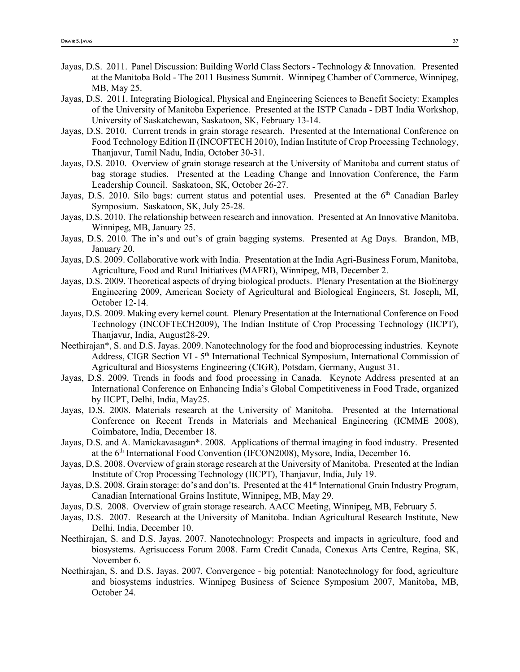- Jayas, D.S. 2011. Panel Discussion: Building World Class Sectors Technology & Innovation. Presented at the Manitoba Bold - The 2011 Business Summit. Winnipeg Chamber of Commerce, Winnipeg, MB, May 25.
- Jayas, D.S. 2011. Integrating Biological, Physical and Engineering Sciences to Benefit Society: Examples of the University of Manitoba Experience. Presented at the ISTP Canada - DBT India Workshop, University of Saskatchewan, Saskatoon, SK, February 13-14.
- Jayas, D.S. 2010. Current trends in grain storage research. Presented at the International Conference on Food Technology Edition II (INCOFTECH 2010), Indian Institute of Crop Processing Technology, Thanjavur, Tamil Nadu, India, October 30-31.
- Jayas, D.S. 2010. Overview of grain storage research at the University of Manitoba and current status of bag storage studies. Presented at the Leading Change and Innovation Conference, the Farm Leadership Council. Saskatoon, SK, October 26-27.
- Jayas, D.S. 2010. Silo bags: current status and potential uses. Presented at the 6<sup>th</sup> Canadian Barley Symposium. Saskatoon, SK, July 25-28.
- Jayas, D.S. 2010. The relationship between research and innovation. Presented at An Innovative Manitoba. Winnipeg, MB, January 25.
- Jayas, D.S. 2010. The in's and out's of grain bagging systems. Presented at Ag Days. Brandon, MB, January 20.
- Jayas, D.S. 2009. Collaborative work with India. Presentation at the India Agri-Business Forum, Manitoba, Agriculture, Food and Rural Initiatives (MAFRI), Winnipeg, MB, December 2.
- Jayas, D.S. 2009. Theoretical aspects of drying biological products. Plenary Presentation at the BioEnergy Engineering 2009, American Society of Agricultural and Biological Engineers, St. Joseph, MI, October 12-14.
- Jayas, D.S. 2009. Making every kernel count. Plenary Presentation at the International Conference on Food Technology (INCOFTECH2009), The Indian Institute of Crop Processing Technology (IICPT), Thanjavur, India, August28-29.
- Neethirajan\*, S. and D.S. Jayas. 2009. Nanotechnology for the food and bioprocessing industries. Keynote Address, CIGR Section VI - 5<sup>th</sup> International Technical Symposium, International Commission of Agricultural and Biosystems Engineering (CIGR), Potsdam, Germany, August 31.
- Jayas, D.S. 2009. Trends in foods and food processing in Canada. Keynote Address presented at an International Conference on Enhancing India's Global Competitiveness in Food Trade, organized by IICPT, Delhi, India, May25.
- Jayas, D.S. 2008. Materials research at the University of Manitoba. Presented at the International Conference on Recent Trends in Materials and Mechanical Engineering (ICMME 2008), Coimbatore, India, December 18.
- Jayas, D.S. and A. Manickavasagan\*. 2008. Applications of thermal imaging in food industry. Presented at the 6th International Food Convention (IFCON2008), Mysore, India, December 16.
- Jayas, D.S. 2008. Overview of grain storage research at the University of Manitoba. Presented at the Indian Institute of Crop Processing Technology (IICPT), Thanjavur, India, July 19.
- Jayas, D.S. 2008. Grain storage: do's and don'ts. Presented at the 41<sup>st</sup> International Grain Industry Program, Canadian International Grains Institute, Winnipeg, MB, May 29.
- Jayas, D.S. 2008. Overview of grain storage research. AACC Meeting, Winnipeg, MB, February 5.
- Jayas, D.S. 2007. Research at the University of Manitoba. Indian Agricultural Research Institute, New Delhi, India, December 10.
- Neethirajan, S. and D.S. Jayas. 2007. Nanotechnology: Prospects and impacts in agriculture, food and biosystems. Agrisuccess Forum 2008. Farm Credit Canada, Conexus Arts Centre, Regina, SK, November 6.
- Neethirajan, S. and D.S. Jayas. 2007. Convergence big potential: Nanotechnology for food, agriculture and biosystems industries. Winnipeg Business of Science Symposium 2007, Manitoba, MB, October 24.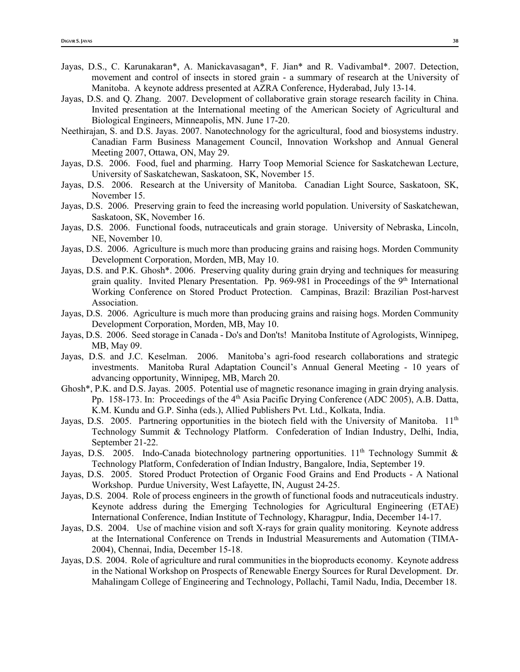- Jayas, D.S., C. Karunakaran\*, A. Manickavasagan\*, F. Jian\* and R. Vadivambal\*. 2007. Detection, movement and control of insects in stored grain - a summary of research at the University of Manitoba. A keynote address presented at AZRA Conference, Hyderabad, July 13-14.
- Jayas, D.S. and Q. Zhang. 2007. Development of collaborative grain storage research facility in China. Invited presentation at the International meeting of the American Society of Agricultural and Biological Engineers, Minneapolis, MN. June 17-20.
- Neethirajan, S. and D.S. Jayas. 2007. Nanotechnology for the agricultural, food and biosystems industry. Canadian Farm Business Management Council, Innovation Workshop and Annual General Meeting 2007, Ottawa, ON, May 29.
- Jayas, D.S. 2006. Food, fuel and pharming. Harry Toop Memorial Science for Saskatchewan Lecture, University of Saskatchewan, Saskatoon, SK, November 15.
- Jayas, D.S. 2006. Research at the University of Manitoba. Canadian Light Source, Saskatoon, SK, November 15.
- Jayas, D.S. 2006. Preserving grain to feed the increasing world population. University of Saskatchewan, Saskatoon, SK, November 16.
- Jayas, D.S. 2006. Functional foods, nutraceuticals and grain storage. University of Nebraska, Lincoln, NE, November 10.
- Jayas, D.S. 2006. Agriculture is much more than producing grains and raising hogs. Morden Community Development Corporation, Morden, MB, May 10.
- Jayas, D.S. and P.K. Ghosh\*. 2006. Preserving quality during grain drying and techniques for measuring grain quality. Invited Plenary Presentation. Pp. 969-981 in Proceedings of the 9<sup>th</sup> International Working Conference on Stored Product Protection. Campinas, Brazil: Brazilian Post-harvest Association.
- Jayas, D.S. 2006. Agriculture is much more than producing grains and raising hogs. Morden Community Development Corporation, Morden, MB, May 10.
- Jayas, D.S. 2006. Seed storage in Canada Do's and Don'ts! Manitoba Institute of Agrologists, Winnipeg, MB, May 09.
- Jayas, D.S. and J.C. Keselman. 2006. Manitoba's agri-food research collaborations and strategic investments. Manitoba Rural Adaptation Council's Annual General Meeting - 10 years of advancing opportunity, Winnipeg, MB, March 20.
- Ghosh\*, P.K. and D.S. Jayas. 2005. Potential use of magnetic resonance imaging in grain drying analysis. Pp. 158-173. In: Proceedings of the 4<sup>th</sup> Asia Pacific Drying Conference (ADC 2005), A.B. Datta, K.M. Kundu and G.P. Sinha (eds.), Allied Publishers Pvt. Ltd., Kolkata, India.
- Jayas, D.S. 2005. Partnering opportunities in the biotech field with the University of Manitoba.  $11<sup>th</sup>$ Technology Summit & Technology Platform. Confederation of Indian Industry, Delhi, India, September 21-22.
- Jayas, D.S. 2005. Indo-Canada biotechnology partnering opportunities.  $11<sup>th</sup>$  Technology Summit & Technology Platform, Confederation of Indian Industry, Bangalore, India, September 19.
- Jayas, D.S. 2005. Stored Product Protection of Organic Food Grains and End Products A National Workshop. Purdue University, West Lafayette, IN, August 24-25.
- Jayas, D.S. 2004. Role of process engineers in the growth of functional foods and nutraceuticals industry. Keynote address during the Emerging Technologies for Agricultural Engineering (ETAE) International Conference, Indian Institute of Technology, Kharagpur, India, December 14-17.
- Jayas, D.S. 2004. Use of machine vision and soft X-rays for grain quality monitoring. Keynote address at the International Conference on Trends in Industrial Measurements and Automation (TIMA-2004), Chennai, India, December 15-18.
- Jayas, D.S. 2004. Role of agriculture and rural communities in the bioproducts economy. Keynote address in the National Workshop on Prospects of Renewable Energy Sources for Rural Development. Dr. Mahalingam College of Engineering and Technology, Pollachi, Tamil Nadu, India, December 18.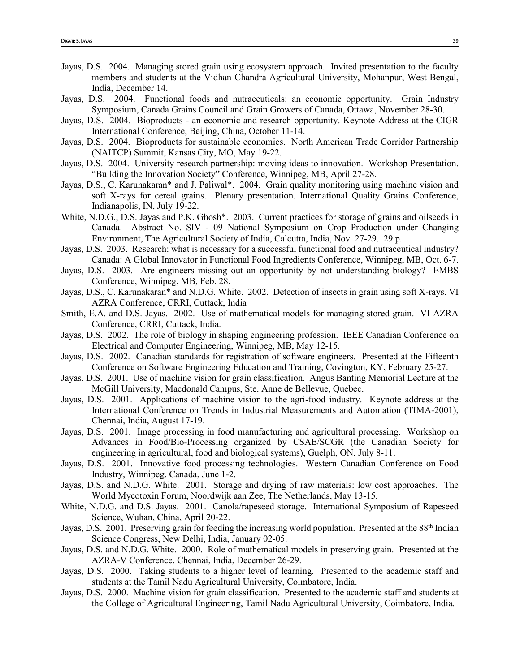- Jayas, D.S. 2004. Managing stored grain using ecosystem approach. Invited presentation to the faculty members and students at the Vidhan Chandra Agricultural University, Mohanpur, West Bengal, India, December 14.
- Jayas, D.S. 2004. Functional foods and nutraceuticals: an economic opportunity. Grain Industry Symposium, Canada Grains Council and Grain Growers of Canada, Ottawa, November 28-30.
- Jayas, D.S. 2004. Bioproducts an economic and research opportunity. Keynote Address at the CIGR International Conference, Beijing, China, October 11-14.
- Jayas, D.S. 2004. Bioproducts for sustainable economies. North American Trade Corridor Partnership (NAITCP) Summit, Kansas City, MO, May 19-22.
- Jayas, D.S. 2004. University research partnership: moving ideas to innovation. Workshop Presentation. "Building the Innovation Society" Conference, Winnipeg, MB, April 27-28.
- Jayas, D.S., C. Karunakaran\* and J. Paliwal\*. 2004. Grain quality monitoring using machine vision and soft X-rays for cereal grains. Plenary presentation. International Quality Grains Conference, Indianapolis, IN, July 19-22.
- White, N.D.G., D.S. Jayas and P.K. Ghosh\*. 2003. Current practices for storage of grains and oilseeds in Canada. Abstract No. SIV - 09 National Symposium on Crop Production under Changing Environment, The Agricultural Society of India, Calcutta, India, Nov. 27-29. 29 p.
- Jayas, D.S. 2003. Research: what is necessary for a successful functional food and nutraceutical industry? Canada: A Global Innovator in Functional Food Ingredients Conference, Winnipeg, MB, Oct. 6-7.
- Jayas, D.S. 2003. Are engineers missing out an opportunity by not understanding biology? EMBS Conference, Winnipeg, MB, Feb. 28.
- Jayas, D.S., C. Karunakaran\* and N.D.G. White. 2002. Detection of insects in grain using soft X-rays. VI AZRA Conference, CRRI, Cuttack, India
- Smith, E.A. and D.S. Jayas. 2002. Use of mathematical models for managing stored grain. VI AZRA Conference, CRRI, Cuttack, India.
- Jayas, D.S. 2002. The role of biology in shaping engineering profession. IEEE Canadian Conference on Electrical and Computer Engineering, Winnipeg, MB, May 12-15.
- Jayas, D.S. 2002. Canadian standards for registration of software engineers. Presented at the Fifteenth Conference on Software Engineering Education and Training, Covington, KY, February 25-27.
- Jayas. D.S. 2001. Use of machine vision for grain classification. Angus Banting Memorial Lecture at the McGill University, Macdonald Campus, Ste. Anne de Bellevue, Quebec.
- Jayas, D.S. 2001. Applications of machine vision to the agri-food industry. Keynote address at the International Conference on Trends in Industrial Measurements and Automation (TIMA-2001), Chennai, India, August 17-19.
- Jayas, D.S. 2001. Image processing in food manufacturing and agricultural processing. Workshop on Advances in Food/Bio-Processing organized by CSAE/SCGR (the Canadian Society for engineering in agricultural, food and biological systems), Guelph, ON, July 8-11.
- Jayas, D.S. 2001. Innovative food processing technologies. Western Canadian Conference on Food Industry, Winnipeg, Canada, June 1-2.
- Jayas, D.S. and N.D.G. White. 2001. Storage and drying of raw materials: low cost approaches. The World Mycotoxin Forum, Noordwijk aan Zee, The Netherlands, May 13-15.
- White, N.D.G. and D.S. Jayas. 2001. Canola/rapeseed storage. International Symposium of Rapeseed Science, Wuhan, China, April 20-22.
- Jayas, D.S. 2001. Preserving grain for feeding the increasing world population. Presented at the 88<sup>th</sup> Indian Science Congress, New Delhi, India, January 02-05.
- Jayas, D.S. and N.D.G. White. 2000. Role of mathematical models in preserving grain. Presented at the AZRA-V Conference, Chennai, India, December 26-29.
- Jayas, D.S. 2000. Taking students to a higher level of learning. Presented to the academic staff and students at the Tamil Nadu Agricultural University, Coimbatore, India.
- Jayas, D.S. 2000. Machine vision for grain classification. Presented to the academic staff and students at the College of Agricultural Engineering, Tamil Nadu Agricultural University, Coimbatore, India.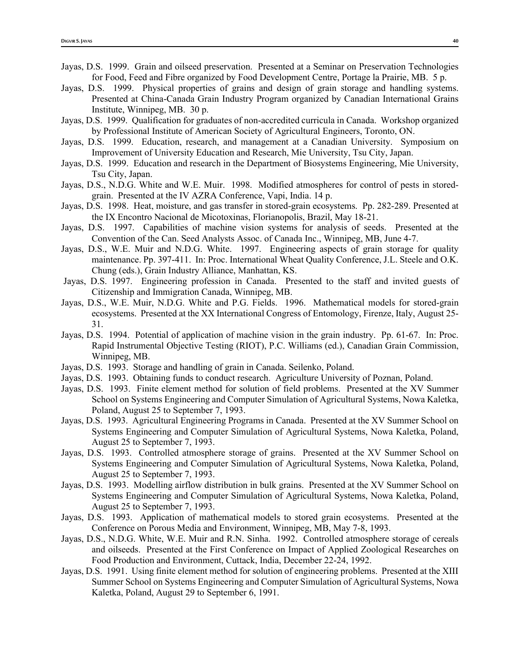- Jayas, D.S. 1999. Grain and oilseed preservation. Presented at a Seminar on Preservation Technologies for Food, Feed and Fibre organized by Food Development Centre, Portage la Prairie, MB. 5 p.
- Jayas, D.S. 1999. Physical properties of grains and design of grain storage and handling systems. Presented at China-Canada Grain Industry Program organized by Canadian International Grains Institute, Winnipeg, MB. 30 p.
- Jayas, D.S. 1999. Qualification for graduates of non-accredited curricula in Canada. Workshop organized by Professional Institute of American Society of Agricultural Engineers, Toronto, ON.
- Jayas, D.S. 1999. Education, research, and management at a Canadian University. Symposium on Improvement of University Education and Research, Mie University, Tsu City, Japan.
- Jayas, D.S. 1999. Education and research in the Department of Biosystems Engineering, Mie University, Tsu City, Japan.
- Jayas, D.S., N.D.G. White and W.E. Muir. 1998. Modified atmospheres for control of pests in storedgrain. Presented at the IV AZRA Conference, Vapi, India. 14 p.
- Jayas, D.S. 1998. Heat, moisture, and gas transfer in stored-grain ecosystems. Pp. 282-289. Presented at the IX Encontro Nacional de Micotoxinas, Florianopolis, Brazil, May 18-21.
- Jayas, D.S. 1997. Capabilities of machine vision systems for analysis of seeds. Presented at the Convention of the Can. Seed Analysts Assoc. of Canada Inc., Winnipeg, MB, June 4-7.
- Jayas, D.S., W.E. Muir and N.D.G. White. 1997. Engineering aspects of grain storage for quality maintenance. Pp. 397-411. In: Proc. International Wheat Quality Conference, J.L. Steele and O.K. Chung (eds.), Grain Industry Alliance, Manhattan, KS.
- Jayas, D.S. 1997. Engineering profession in Canada. Presented to the staff and invited guests of Citizenship and Immigration Canada, Winnipeg, MB.
- Jayas, D.S., W.E. Muir, N.D.G. White and P.G. Fields. 1996. Mathematical models for stored-grain ecosystems. Presented at the XX International Congress of Entomology, Firenze, Italy, August 25- 31.
- Jayas, D.S. 1994. Potential of application of machine vision in the grain industry. Pp. 61-67. In: Proc. Rapid Instrumental Objective Testing (RIOT), P.C. Williams (ed.), Canadian Grain Commission, Winnipeg, MB.
- Jayas, D.S. 1993. Storage and handling of grain in Canada. Seilenko, Poland.
- Jayas, D.S. 1993. Obtaining funds to conduct research. Agriculture University of Poznan, Poland.
- Jayas, D.S. 1993. Finite element method for solution of field problems. Presented at the XV Summer School on Systems Engineering and Computer Simulation of Agricultural Systems, Nowa Kaletka, Poland, August 25 to September 7, 1993.
- Jayas, D.S. 1993. Agricultural Engineering Programs in Canada. Presented at the XV Summer School on Systems Engineering and Computer Simulation of Agricultural Systems, Nowa Kaletka, Poland, August 25 to September 7, 1993.
- Jayas, D.S. 1993. Controlled atmosphere storage of grains. Presented at the XV Summer School on Systems Engineering and Computer Simulation of Agricultural Systems, Nowa Kaletka, Poland, August 25 to September 7, 1993.
- Jayas, D.S. 1993. Modelling airflow distribution in bulk grains. Presented at the XV Summer School on Systems Engineering and Computer Simulation of Agricultural Systems, Nowa Kaletka, Poland, August 25 to September 7, 1993.
- Jayas, D.S. 1993. Application of mathematical models to stored grain ecosystems. Presented at the Conference on Porous Media and Environment, Winnipeg, MB, May 7-8, 1993.
- Jayas, D.S., N.D.G. White, W.E. Muir and R.N. Sinha. 1992. Controlled atmosphere storage of cereals and oilseeds. Presented at the First Conference on Impact of Applied Zoological Researches on Food Production and Environment, Cuttack, India, December 22-24, 1992.
- Jayas, D.S. 1991. Using finite element method for solution of engineering problems. Presented at the XIII Summer School on Systems Engineering and Computer Simulation of Agricultural Systems, Nowa Kaletka, Poland, August 29 to September 6, 1991.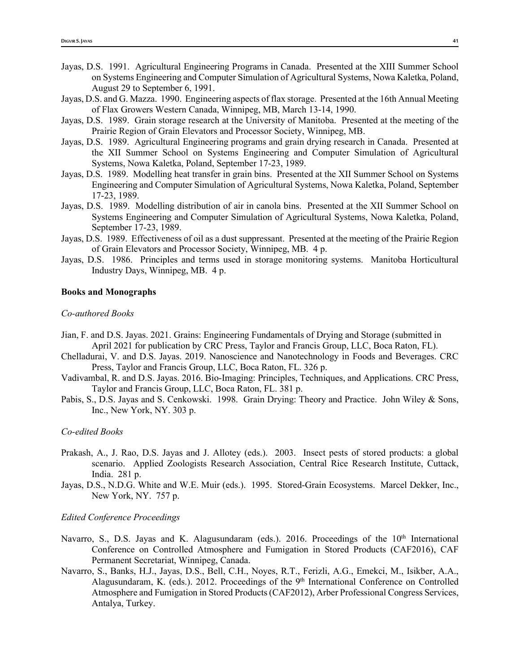- Jayas, D.S. 1991. Agricultural Engineering Programs in Canada. Presented at the XIII Summer School on Systems Engineering and Computer Simulation of Agricultural Systems, Nowa Kaletka, Poland, August 29 to September 6, 1991.
- Jayas, D.S. and G. Mazza. 1990. Engineering aspects of flax storage. Presented at the 16th Annual Meeting of Flax Growers Western Canada, Winnipeg, MB, March 13-14, 1990.
- Jayas, D.S. 1989. Grain storage research at the University of Manitoba. Presented at the meeting of the Prairie Region of Grain Elevators and Processor Society, Winnipeg, MB.
- Jayas, D.S. 1989. Agricultural Engineering programs and grain drying research in Canada. Presented at the XII Summer School on Systems Engineering and Computer Simulation of Agricultural Systems, Nowa Kaletka, Poland, September 17-23, 1989.
- Jayas, D.S. 1989. Modelling heat transfer in grain bins. Presented at the XII Summer School on Systems Engineering and Computer Simulation of Agricultural Systems, Nowa Kaletka, Poland, September 17-23, 1989.
- Jayas, D.S. 1989. Modelling distribution of air in canola bins. Presented at the XII Summer School on Systems Engineering and Computer Simulation of Agricultural Systems, Nowa Kaletka, Poland, September 17-23, 1989.
- Jayas, D.S. 1989. Effectiveness of oil as a dust suppressant. Presented at the meeting of the Prairie Region of Grain Elevators and Processor Society, Winnipeg, MB. 4 p.
- Jayas, D.S. 1986. Principles and terms used in storage monitoring systems. Manitoba Horticultural Industry Days, Winnipeg, MB. 4 p.

#### **Books and Monographs**

#### *Co-authored Books*

- Jian, F. and D.S. Jayas. 2021. Grains: Engineering Fundamentals of Drying and Storage (submitted in April 2021 for publication by CRC Press, Taylor and Francis Group, LLC, Boca Raton, FL).
- Chelladurai, V. and D.S. Jayas. 2019. Nanoscience and Nanotechnology in Foods and Beverages. CRC Press, Taylor and Francis Group, LLC, Boca Raton, FL. 326 p.
- Vadivambal, R. and D.S. Jayas. 2016. Bio-Imaging: Principles, Techniques, and Applications. CRC Press, Taylor and Francis Group, LLC, Boca Raton, FL. 381 p.
- Pabis, S., D.S. Jayas and S. Cenkowski. 1998. Grain Drying: Theory and Practice. John Wiley & Sons, Inc., New York, NY. 303 p.

## *Co-edited Books*

- Prakash, A., J. Rao, D.S. Jayas and J. Allotey (eds.). 2003. Insect pests of stored products: a global scenario. Applied Zoologists Research Association, Central Rice Research Institute, Cuttack, India. 281 p.
- Jayas, D.S., N.D.G. White and W.E. Muir (eds.). 1995. Stored-Grain Ecosystems. Marcel Dekker, Inc., New York, NY. 757 p.

## *Edited Conference Proceedings*

- Navarro, S., D.S. Jayas and K. Alagusundaram (eds.). 2016. Proceedings of the 10<sup>th</sup> International Conference on Controlled Atmosphere and Fumigation in Stored Products (CAF2016), CAF Permanent Secretariat, Winnipeg, Canada.
- Navarro, S., Banks, H.J., Jayas, D.S., Bell, C.H., Noyes, R.T., Ferizli, A.G., Emekci, M., Isikber, A.A., Alagusundaram, K. (eds.). 2012. Proceedings of the 9<sup>th</sup> International Conference on Controlled Atmosphere and Fumigation in Stored Products (CAF2012), Arber Professional Congress Services, Antalya, Turkey.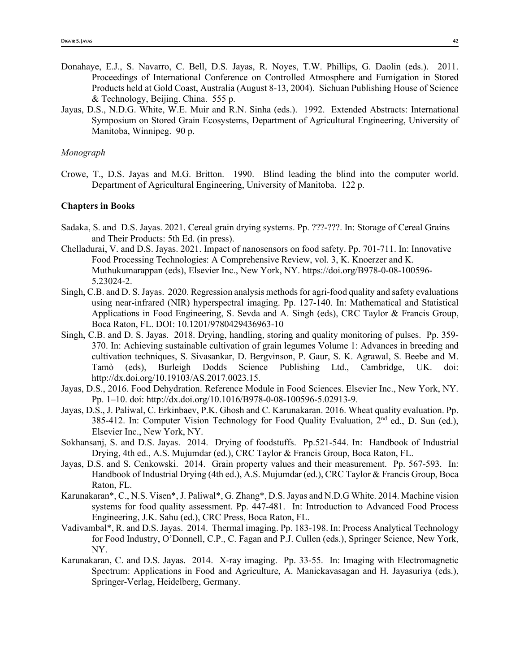- Donahaye, E.J., S. Navarro, C. Bell, D.S. Jayas, R. Noyes, T.W. Phillips, G. Daolin (eds.). 2011. Proceedings of International Conference on Controlled Atmosphere and Fumigation in Stored Products held at Gold Coast, Australia (August 8-13, 2004). Sichuan Publishing House of Science & Technology, Beijing. China. 555 p.
- Jayas, D.S., N.D.G. White, W.E. Muir and R.N. Sinha (eds.). 1992. Extended Abstracts: International Symposium on Stored Grain Ecosystems, Department of Agricultural Engineering, University of Manitoba, Winnipeg. 90 p.

#### *Monograph*

Crowe, T., D.S. Jayas and M.G. Britton. 1990. Blind leading the blind into the computer world. Department of Agricultural Engineering, University of Manitoba. 122 p.

## **Chapters in Books**

- Sadaka, S. and D.S. Jayas. 2021. Cereal grain drying systems. Pp. ???-???. In: Storage of Cereal Grains and Their Products: 5th Ed. (in press).
- Chelladurai, V. and D.S. Jayas. 2021. Impact of nanosensors on food safety. Pp. 701-711. In: Innovative Food Processing Technologies: A Comprehensive Review, vol. 3, K. Knoerzer and K. Muthukumarappan (eds), Elsevier Inc., New York, NY. https://doi.org/B978-0-08-100596- 5.23024-2.
- Singh, C.B. and D. S. Jayas. 2020. Regression analysis methods for agri-food quality and safety evaluations using near-infrared (NIR) hyperspectral imaging. Pp. 127-140. In: Mathematical and Statistical Applications in Food Engineering, S. Sevda and A. Singh (eds), CRC Taylor & Francis Group, Boca Raton, FL. DOI: 10.1201/9780429436963-10
- Singh, C.B. and D. S. Jayas. 2018. Drying, handling, storing and quality monitoring of pulses. Pp. 359- 370. In: Achieving sustainable cultivation of grain legumes Volume 1: Advances in breeding and cultivation techniques, S. Sivasankar, D. Bergvinson, P. Gaur, S. K. Agrawal, S. Beebe and M. Tamò (eds), Burleigh Dodds Science Publishing Ltd., Cambridge, UK. doi: http://dx.doi.org/10.19103/AS.2017.0023.15.
- Jayas, D.S., 2016. Food Dehydration. Reference Module in Food Sciences. Elsevier Inc., New York, NY. Pp. 1–10. doi: http://dx.doi.org/10.1016/B978-0-08-100596-5.02913-9.
- Jayas, D.S., J. Paliwal, C. Erkinbaev, P.K. Ghosh and C. Karunakaran. 2016. Wheat quality evaluation. Pp. 385-412. In: Computer Vision Technology for Food Quality Evaluation, 2nd ed., D. Sun (ed.), Elsevier Inc., New York, NY.
- Sokhansanj, S. and D.S. Jayas. 2014. Drying of foodstuffs. Pp.521-544. In: Handbook of Industrial Drying, 4th ed., A.S. Mujumdar (ed.), CRC Taylor & Francis Group, Boca Raton, FL.
- Jayas, D.S. and S. Cenkowski. 2014. Grain property values and their measurement. Pp. 567-593. In: Handbook of Industrial Drying (4th ed.), A.S. Mujumdar (ed.), CRC Taylor & Francis Group, Boca Raton, FL.
- Karunakaran\*, C., N.S. Visen\*, J. Paliwal\*, G. Zhang\*, D.S. Jayas and N.D.G White. 2014. Machine vision systems for food quality assessment. Pp. 447-481. In: Introduction to Advanced Food Process Engineering, J.K. Sahu (ed.), CRC Press, Boca Raton, FL.
- Vadivambal\*, R. and D.S. Jayas. 2014. Thermal imaging. Pp. 183-198. In: Process Analytical Technology for Food Industry, O'Donnell, C.P., C. Fagan and P.J. Cullen (eds.), Springer Science, New York, NY.
- Karunakaran, C. and D.S. Jayas. 2014. X-ray imaging. Pp. 33-55. In: Imaging with Electromagnetic Spectrum: Applications in Food and Agriculture, A. Manickavasagan and H. Jayasuriya (eds.), Springer-Verlag, Heidelberg, Germany.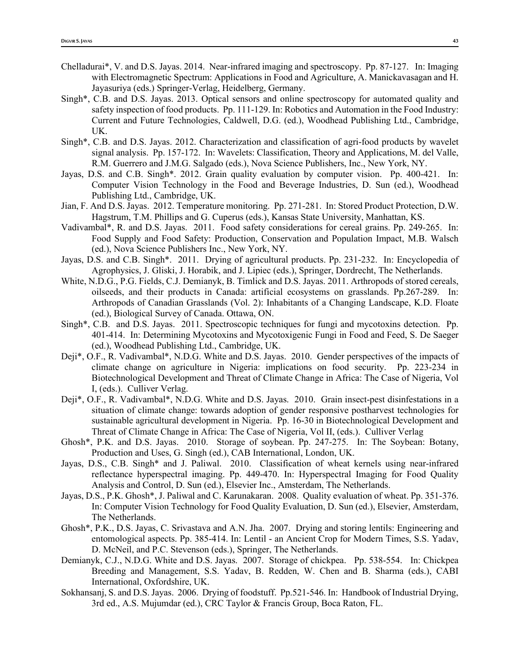- Chelladurai\*, V. and D.S. Jayas. 2014. Near-infrared imaging and spectroscopy. Pp. 87-127. In: Imaging with Electromagnetic Spectrum: Applications in Food and Agriculture, A. Manickavasagan and H. Jayasuriya (eds.) Springer-Verlag, Heidelberg, Germany.
- Singh\*, C.B. and D.S. Jayas. 2013. Optical sensors and online spectroscopy for automated quality and safety inspection of food products. Pp. 111-129. In: Robotics and Automation in the Food Industry: Current and Future Technologies, Caldwell, D.G. (ed.), Woodhead Publishing Ltd., Cambridge, UK.
- Singh\*, C.B. and D.S. Jayas. 2012. Characterization and classification of agri-food products by wavelet signal analysis. Pp. 157-172. In: Wavelets: Classification, Theory and Applications, M. del Valle, R.M. Guerrero and J.M.G. Salgado (eds.), Nova Science Publishers, Inc., New York, NY.
- Jayas, D.S. and C.B. Singh\*. 2012. Grain quality evaluation by computer vision. Pp. 400-421. In: Computer Vision Technology in the Food and Beverage Industries, D. Sun (ed.), Woodhead Publishing Ltd., Cambridge, UK.
- Jian, F. And D.S. Jayas. 2012. Temperature monitoring. Pp. 271-281. In: Stored Product Protection, D.W. Hagstrum, T.M. Phillips and G. Cuperus (eds.), Kansas State University, Manhattan, KS.
- Vadivambal\*, R. and D.S. Jayas. 2011. Food safety considerations for cereal grains. Pp. 249-265. In: Food Supply and Food Safety: Production, Conservation and Population Impact, M.B. Walsch (ed.), Nova Science Publishers Inc., New York, NY.
- Jayas, D.S. and C.B. Singh\*. 2011. Drying of agricultural products. Pp. 231-232. In: Encyclopedia of Agrophysics, J. Gliski, J. Horabik, and J. Lipiec (eds.), Springer, Dordrecht, The Netherlands.
- White, N.D.G., P.G. Fields, C.J. Demianyk, B. Timlick and D.S. Jayas. 2011. Arthropods of stored cereals, oilseeds, and their products in Canada: artificial ecosystems on grasslands. Pp.267-289. In: Arthropods of Canadian Grasslands (Vol. 2): Inhabitants of a Changing Landscape, K.D. Floate (ed.), Biological Survey of Canada. Ottawa, ON.
- Singh\*, C.B. and D.S. Jayas. 2011. Spectroscopic techniques for fungi and mycotoxins detection. Pp. 401-414. In: Determining Mycotoxins and Mycotoxigenic Fungi in Food and Feed, S. De Saeger (ed.), Woodhead Publishing Ltd., Cambridge, UK.
- Deji\*, O.F., R. Vadivambal\*, N.D.G. White and D.S. Jayas. 2010. Gender perspectives of the impacts of climate change on agriculture in Nigeria: implications on food security. Pp. 223-234 in Biotechnological Development and Threat of Climate Change in Africa: The Case of Nigeria, Vol I, (eds.). Culliver Verlag.
- Deji\*, O.F., R. Vadivambal\*, N.D.G. White and D.S. Jayas. 2010. Grain insect-pest disinfestations in a situation of climate change: towards adoption of gender responsive postharvest technologies for sustainable agricultural development in Nigeria. Pp. 16-30 in Biotechnological Development and Threat of Climate Change in Africa: The Case of Nigeria, Vol II, (eds.). Culliver Verlag
- Ghosh\*, P.K. and D.S. Jayas. 2010. Storage of soybean. Pp. 247-275. In: The Soybean: Botany, Production and Uses, G. Singh (ed.), CAB International, London, UK.
- Jayas, D.S., C.B. Singh\* and J. Paliwal. 2010. Classification of wheat kernels using near-infrared reflectance hyperspectral imaging. Pp. 449-470. In: Hyperspectral Imaging for Food Quality Analysis and Control, D. Sun (ed.), Elsevier Inc., Amsterdam, The Netherlands.
- Jayas, D.S., P.K. Ghosh\*, J. Paliwal and C. Karunakaran. 2008. Quality evaluation of wheat. Pp. 351-376. In: Computer Vision Technology for Food Quality Evaluation, D. Sun (ed.), Elsevier, Amsterdam, The Netherlands.
- Ghosh\*, P.K., D.S. Jayas, C. Srivastava and A.N. Jha. 2007. Drying and storing lentils: Engineering and entomological aspects. Pp. 385-414. In: Lentil - an Ancient Crop for Modern Times, S.S. Yadav, D. McNeil, and P.C. Stevenson (eds.), Springer, The Netherlands.
- Demianyk, C.J., N.D.G. White and D.S. Jayas. 2007. Storage of chickpea. Pp. 538-554. In: Chickpea Breeding and Management, S.S. Yadav, B. Redden, W. Chen and B. Sharma (eds.), CABI International, Oxfordshire, UK.
- Sokhansanj, S. and D.S. Jayas. 2006. Drying of foodstuff. Pp.521-546. In: Handbook of Industrial Drying, 3rd ed., A.S. Mujumdar (ed.), CRC Taylor & Francis Group, Boca Raton, FL.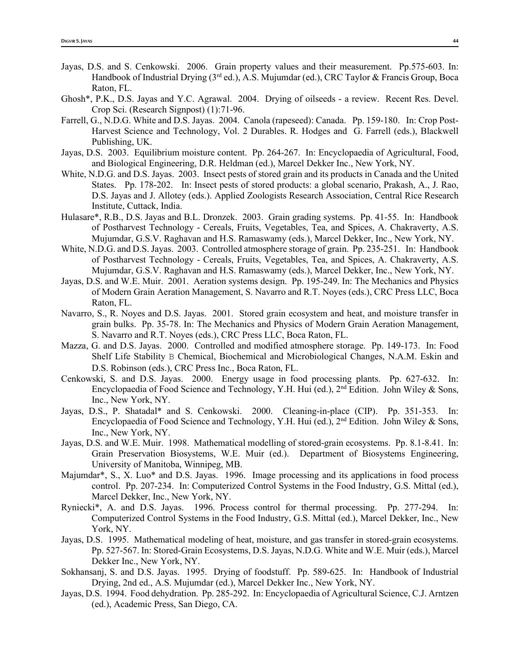- Jayas, D.S. and S. Cenkowski. 2006. Grain property values and their measurement. Pp.575-603. In: Handbook of Industrial Drying (3<sup>rd</sup> ed.), A.S. Mujumdar (ed.), CRC Taylor & Francis Group, Boca Raton, FL.
- Ghosh\*, P.K., D.S. Jayas and Y.C. Agrawal. 2004. Drying of oilseeds a review. Recent Res. Devel. Crop Sci. (Research Signpost) (1):71-96.
- Farrell, G., N.D.G. White and D.S. Jayas. 2004. Canola (rapeseed): Canada. Pp. 159-180. In: Crop Post-Harvest Science and Technology, Vol. 2 Durables. R. Hodges and G. Farrell (eds.), Blackwell Publishing, UK.
- Jayas, D.S. 2003. Equilibrium moisture content. Pp. 264-267. In: Encyclopaedia of Agricultural, Food, and Biological Engineering, D.R. Heldman (ed.), Marcel Dekker Inc., New York, NY.
- White, N.D.G. and D.S. Jayas. 2003. Insect pests of stored grain and its products in Canada and the United States. Pp. 178-202. In: Insect pests of stored products: a global scenario, Prakash, A., J. Rao, D.S. Jayas and J. Allotey (eds.). Applied Zoologists Research Association, Central Rice Research Institute, Cuttack, India.
- Hulasare\*, R.B., D.S. Jayas and B.L. Dronzek. 2003. Grain grading systems. Pp. 41-55. In: Handbook of Postharvest Technology - Cereals, Fruits, Vegetables, Tea, and Spices, A. Chakraverty, A.S. Mujumdar, G.S.V. Raghavan and H.S. Ramaswamy (eds.), Marcel Dekker, Inc., New York, NY.
- White, N.D.G. and D.S. Jayas. 2003. Controlled atmosphere storage of grain. Pp. 235-251. In: Handbook of Postharvest Technology - Cereals, Fruits, Vegetables, Tea, and Spices, A. Chakraverty, A.S. Mujumdar, G.S.V. Raghavan and H.S. Ramaswamy (eds.), Marcel Dekker, Inc., New York, NY.
- Jayas, D.S. and W.E. Muir. 2001. Aeration systems design. Pp. 195-249. In: The Mechanics and Physics of Modern Grain Aeration Management, S. Navarro and R.T. Noyes (eds.), CRC Press LLC, Boca Raton, FL.
- Navarro, S., R. Noyes and D.S. Jayas. 2001. Stored grain ecosystem and heat, and moisture transfer in grain bulks. Pp. 35-78. In: The Mechanics and Physics of Modern Grain Aeration Management, S. Navarro and R.T. Noyes (eds.), CRC Press LLC, Boca Raton, FL.
- Mazza, G. and D.S. Jayas. 2000. Controlled and modified atmosphere storage. Pp. 149-173. In: Food Shelf Life Stability B Chemical, Biochemical and Microbiological Changes, N.A.M. Eskin and D.S. Robinson (eds.), CRC Press Inc., Boca Raton, FL.
- Cenkowski, S. and D.S. Jayas. 2000. Energy usage in food processing plants. Pp. 627-632. In: Encyclopaedia of Food Science and Technology, Y.H. Hui (ed.),  $2<sup>nd</sup>$  Edition. John Wiley & Sons, Inc., New York, NY.
- Jayas, D.S., P. Shatadal\* and S. Cenkowski. 2000. Cleaning-in-place (CIP). Pp. 351-353. In: Encyclopaedia of Food Science and Technology, Y.H. Hui (ed.),  $2<sup>nd</sup>$  Edition. John Wiley & Sons, Inc., New York, NY.
- Jayas, D.S. and W.E. Muir. 1998. Mathematical modelling of stored-grain ecosystems. Pp. 8.1-8.41. In: Grain Preservation Biosystems, W.E. Muir (ed.). Department of Biosystems Engineering, University of Manitoba, Winnipeg, MB.
- Majumdar\*, S., X. Luo\* and D.S. Jayas. 1996. Image processing and its applications in food process control. Pp. 207-234. In: Computerized Control Systems in the Food Industry, G.S. Mittal (ed.), Marcel Dekker, Inc., New York, NY.
- Ryniecki\*, A. and D.S. Jayas. 1996. Process control for thermal processing. Pp. 277-294. In: Computerized Control Systems in the Food Industry, G.S. Mittal (ed.), Marcel Dekker, Inc., New York, NY.
- Jayas, D.S. 1995. Mathematical modeling of heat, moisture, and gas transfer in stored-grain ecosystems. Pp. 527-567. In: Stored-Grain Ecosystems, D.S. Jayas, N.D.G. White and W.E. Muir (eds.), Marcel Dekker Inc., New York, NY.
- Sokhansanj, S. and D.S. Jayas. 1995. Drying of foodstuff. Pp. 589-625. In: Handbook of Industrial Drying, 2nd ed., A.S. Mujumdar (ed.), Marcel Dekker Inc., New York, NY.
- Jayas, D.S. 1994. Food dehydration. Pp. 285-292. In: Encyclopaedia of Agricultural Science, C.J. Arntzen (ed.), Academic Press, San Diego, CA.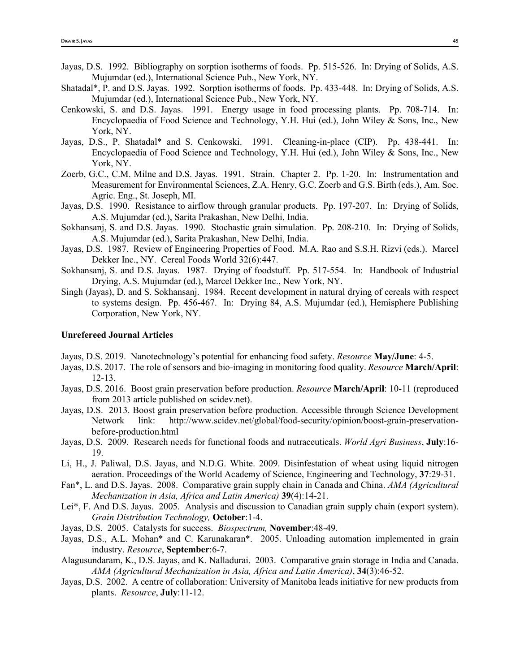- Jayas, D.S. 1992. Bibliography on sorption isotherms of foods. Pp. 515-526. In: Drying of Solids, A.S. Mujumdar (ed.), International Science Pub., New York, NY.
- Shatadal\*, P. and D.S. Jayas. 1992. Sorption isotherms of foods. Pp. 433-448. In: Drying of Solids, A.S. Mujumdar (ed.), International Science Pub., New York, NY.
- Cenkowski, S. and D.S. Jayas. 1991. Energy usage in food processing plants. Pp. 708-714. In: Encyclopaedia of Food Science and Technology, Y.H. Hui (ed.), John Wiley & Sons, Inc., New York, NY.
- Jayas, D.S., P. Shatadal\* and S. Cenkowski. 1991. Cleaning-in-place (CIP). Pp. 438-441. In: Encyclopaedia of Food Science and Technology, Y.H. Hui (ed.), John Wiley & Sons, Inc., New York, NY.
- Zoerb, G.C., C.M. Milne and D.S. Jayas. 1991. Strain. Chapter 2. Pp. 1-20. In: Instrumentation and Measurement for Environmental Sciences, Z.A. Henry, G.C. Zoerb and G.S. Birth (eds.), Am. Soc. Agric. Eng., St. Joseph, MI.
- Jayas, D.S. 1990. Resistance to airflow through granular products. Pp. 197-207. In: Drying of Solids, A.S. Mujumdar (ed.), Sarita Prakashan, New Delhi, India.
- Sokhansanj, S. and D.S. Jayas. 1990. Stochastic grain simulation. Pp. 208-210. In: Drying of Solids, A.S. Mujumdar (ed.), Sarita Prakashan, New Delhi, India.
- Jayas, D.S. 1987. Review of Engineering Properties of Food. M.A. Rao and S.S.H. Rizvi (eds.). Marcel Dekker Inc., NY. Cereal Foods World 32(6):447.
- Sokhansanj, S. and D.S. Jayas. 1987. Drying of foodstuff. Pp. 517-554. In: Handbook of Industrial Drying, A.S. Mujumdar (ed.), Marcel Dekker Inc., New York, NY.
- Singh (Jayas), D. and S. Sokhansanj. 1984. Recent development in natural drying of cereals with respect to systems design. Pp. 456-467. In: Drying 84, A.S. Mujumdar (ed.), Hemisphere Publishing Corporation, New York, NY.

# **Unrefereed Journal Articles**

- Jayas, D.S. 2019. Nanotechnology's potential for enhancing food safety. *Resource* **May/June**: 4-5.
- Jayas, D.S. 2017. The role of sensors and bio-imaging in monitoring food quality. *Resource* **March/April**: 12-13.
- Jayas, D.S. 2016. Boost grain preservation before production. *Resource* **March/April**: 10-11 (reproduced from 2013 article published on scidev.net).
- Jayas, D.S. 2013. Boost grain preservation before production. Accessible through Science Development Network link: http://www.scidev.net/global/food-security/opinion/boost-grain-preservationbefore-production.html
- Jayas, D.S. 2009. Research needs for functional foods and nutraceuticals. *World Agri Business*, **July**:16- 19.
- Li, H., J. Paliwal, D.S. Jayas, and N.D.G. White. 2009. Disinfestation of wheat using liquid nitrogen aeration. Proceedings of the World Academy of Science, Engineering and Technology, **37**:29-31.
- Fan\*, L. and D.S. Jayas. 2008. Comparative grain supply chain in Canada and China. *AMA (Agricultural Mechanization in Asia, Africa and Latin America)* **39**(4):14-21.
- Lei\*, F. And D.S. Jayas. 2005. Analysis and discussion to Canadian grain supply chain (export system). *Grain Distribution Technology,* **October**:1-4.
- Jayas, D.S. 2005. Catalysts for success. *Biospectrum,* **November**:48-49.
- Jayas, D.S., A.L. Mohan\* and C. Karunakaran\*. 2005. Unloading automation implemented in grain industry. *Resource*, **September**:6-7.
- Alagusundaram, K., D.S. Jayas, and K. Nalladurai. 2003. Comparative grain storage in India and Canada. *AMA (Agricultural Mechanization in Asia, Africa and Latin America)*, **34**(3):46-52.
- Jayas, D.S. 2002. A centre of collaboration: University of Manitoba leads initiative for new products from plants. *Resource*, **July**:11-12.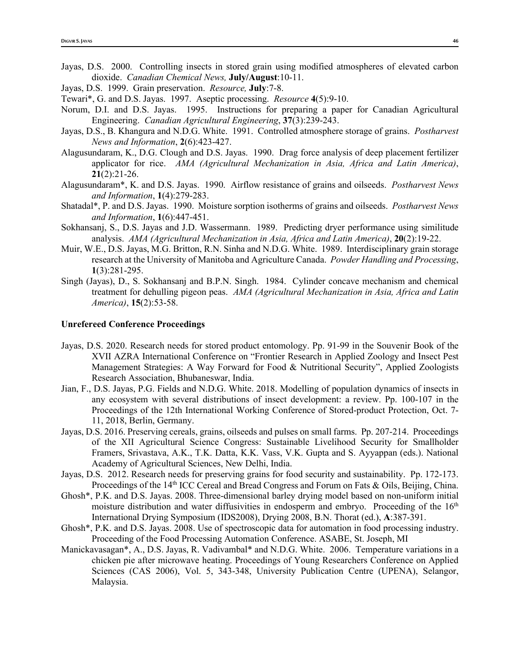- Jayas, D.S. 2000. Controlling insects in stored grain using modified atmospheres of elevated carbon dioxide. *Canadian Chemical News,* **July/August**:10-11.
- Jayas, D.S. 1999. Grain preservation. *Resource,* **July**:7-8.
- Tewari\*, G. and D.S. Jayas. 1997. Aseptic processing. *Resource* **4**(5):9-10.
- Norum, D.I. and D.S. Jayas. 1995. Instructions for preparing a paper for Canadian Agricultural Engineering. *Canadian Agricultural Engineering*, **37**(3):239-243.
- Jayas, D.S., B. Khangura and N.D.G. White. 1991. Controlled atmosphere storage of grains. *Postharvest News and Information*, **2**(6):423-427.
- Alagusundaram, K., D.G. Clough and D.S. Jayas. 1990. Drag force analysis of deep placement fertilizer applicator for rice. *AMA (Agricultural Mechanization in Asia, Africa and Latin America)*, **21**(2):21-26.
- Alagusundaram\*, K. and D.S. Jayas. 1990. Airflow resistance of grains and oilseeds. *Postharvest News and Information*, **1**(4):279-283.
- Shatadal\*, P. and D.S. Jayas. 1990. Moisture sorption isotherms of grains and oilseeds. *Postharvest News and Information*, **1**(6):447-451.
- Sokhansanj, S., D.S. Jayas and J.D. Wassermann. 1989. Predicting dryer performance using similitude analysis. *AMA (Agricultural Mechanization in Asia, Africa and Latin America)*, **20**(2):19-22.
- Muir, W.E., D.S. Jayas, M.G. Britton, R.N. Sinha and N.D.G. White. 1989. Interdisciplinary grain storage research at the University of Manitoba and Agriculture Canada. *Powder Handling and Processing*, **1**(3):281-295.
- Singh (Jayas), D., S. Sokhansanj and B.P.N. Singh. 1984. Cylinder concave mechanism and chemical treatment for dehulling pigeon peas. *AMA (Agricultural Mechanization in Asia, Africa and Latin America)*, **15**(2):53-58.

## **Unrefereed Conference Proceedings**

- Jayas, D.S. 2020. Research needs for stored product entomology. Pp. 91-99 in the Souvenir Book of the XVII AZRA International Conference on "Frontier Research in Applied Zoology and Insect Pest Management Strategies: A Way Forward for Food & Nutritional Security", Applied Zoologists Research Association, Bhubaneswar, India.
- Jian, F., D.S. Jayas, P.G. Fields and N.D.G. White. 2018. Modelling of population dynamics of insects in any ecosystem with several distributions of insect development: a review. Pp. 100-107 in the Proceedings of the 12th International Working Conference of Stored-product Protection, Oct. 7- 11, 2018, Berlin, Germany.
- Jayas, D.S. 2016. Preserving cereals, grains, oilseeds and pulses on small farms. Pp. 207-214. Proceedings of the XII Agricultural Science Congress: Sustainable Livelihood Security for Smallholder Framers, Srivastava, A.K., T.K. Datta, K.K. Vass, V.K. Gupta and S. Ayyappan (eds.). National Academy of Agricultural Sciences, New Delhi, India.
- Jayas, D.S. 2012. Research needs for preserving grains for food security and sustainability. Pp. 172-173. Proceedings of the 14<sup>th</sup> ICC Cereal and Bread Congress and Forum on Fats & Oils, Beijing, China.
- Ghosh\*, P.K. and D.S. Jayas. 2008. Three-dimensional barley drying model based on non-uniform initial moisture distribution and water diffusivities in endosperm and embryo. Proceeding of the  $16<sup>th</sup>$ International Drying Symposium (IDS2008), Drying 2008, B.N. Thorat (ed.), **A**:387-391.
- Ghosh\*, P.K. and D.S. Jayas. 2008. Use of spectroscopic data for automation in food processing industry. Proceeding of the Food Processing Automation Conference. ASABE, St. Joseph, MI
- Manickavasagan\*, A., D.S. Jayas, R. Vadivambal\* and N.D.G. White. 2006. Temperature variations in a chicken pie after microwave heating. Proceedings of Young Researchers Conference on Applied Sciences (CAS 2006), Vol. 5, 343-348, University Publication Centre (UPENA), Selangor, Malaysia.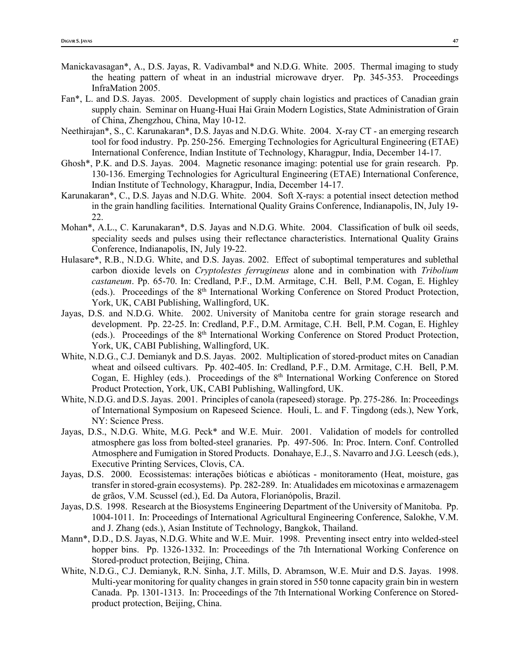- Manickavasagan\*, A., D.S. Jayas, R. Vadivambal\* and N.D.G. White. 2005. Thermal imaging to study the heating pattern of wheat in an industrial microwave dryer. Pp. 345-353. Proceedings InfraMation 2005.
- Fan\*, L. and D.S. Jayas. 2005. Development of supply chain logistics and practices of Canadian grain supply chain. Seminar on Huang-Huai Hai Grain Modern Logistics, State Administration of Grain of China, Zhengzhou, China, May 10-12.
- Neethirajan\*, S., C. Karunakaran\*, D.S. Jayas and N.D.G. White. 2004. X-ray CT an emerging research tool for food industry. Pp. 250-256. Emerging Technologies for Agricultural Engineering (ETAE) International Conference, Indian Institute of Technology, Kharagpur, India, December 14-17.
- Ghosh\*, P.K. and D.S. Jayas. 2004. Magnetic resonance imaging: potential use for grain research. Pp. 130-136. Emerging Technologies for Agricultural Engineering (ETAE) International Conference, Indian Institute of Technology, Kharagpur, India, December 14-17.
- Karunakaran\*, C., D.S. Jayas and N.D.G. White. 2004. Soft X-rays: a potential insect detection method in the grain handling facilities. International Quality Grains Conference, Indianapolis, IN, July 19- 22.
- Mohan\*, A.L., C. Karunakaran\*, D.S. Jayas and N.D.G. White. 2004. Classification of bulk oil seeds, speciality seeds and pulses using their reflectance characteristics. International Quality Grains Conference, Indianapolis, IN, July 19-22.
- Hulasare\*, R.B., N.D.G. White, and D.S. Jayas. 2002. Effect of suboptimal temperatures and sublethal carbon dioxide levels on *Cryptolestes ferrugineus* alone and in combination with *Tribolium castaneum*. Pp. 65-70. In: Credland, P.F., D.M. Armitage, C.H. Bell, P.M. Cogan, E. Highley (eds.). Proceedings of the 8th International Working Conference on Stored Product Protection, York, UK, CABI Publishing, Wallingford, UK.
- Jayas, D.S. and N.D.G. White. 2002. University of Manitoba centre for grain storage research and development. Pp. 22-25. In: Credland, P.F., D.M. Armitage, C.H. Bell, P.M. Cogan, E. Highley (eds.). Proceedings of the 8<sup>th</sup> International Working Conference on Stored Product Protection, York, UK, CABI Publishing, Wallingford, UK.
- White, N.D.G., C.J. Demianyk and D.S. Jayas. 2002. Multiplication of stored-product mites on Canadian wheat and oilseed cultivars. Pp. 402-405. In: Credland, P.F., D.M. Armitage, C.H. Bell, P.M. Cogan, E. Highley (eds.). Proceedings of the 8<sup>th</sup> International Working Conference on Stored Product Protection, York, UK, CABI Publishing, Wallingford, UK.
- White, N.D.G. and D.S. Jayas. 2001. Principles of canola (rapeseed) storage. Pp. 275-286. In: Proceedings of International Symposium on Rapeseed Science. Houli, L. and F. Tingdong (eds.), New York, NY: Science Press.
- Jayas, D.S., N.D.G. White, M.G. Peck\* and W.E. Muir. 2001. Validation of models for controlled atmosphere gas loss from bolted-steel granaries. Pp. 497-506. In: Proc. Intern. Conf. Controlled Atmosphere and Fumigation in Stored Products. Donahaye, E.J., S. Navarro and J.G. Leesch (eds.), Executive Printing Services, Clovis, CA.
- Jayas, D.S. 2000. Ecossistemas: interações bióticas e abióticas monitoramento (Heat, moisture, gas transfer in stored-grain ecosystems). Pp. 282-289. In: Atualidades em micotoxinas e armazenagem de grãos, V.M. Scussel (ed.), Ed. Da Autora, Florianópolis, Brazil.
- Jayas, D.S. 1998. Research at the Biosystems Engineering Department of the University of Manitoba. Pp. 1004-1011. In: Proceedings of International Agricultural Engineering Conference, Salokhe, V.M. and J. Zhang (eds.), Asian Institute of Technology, Bangkok, Thailand.
- Mann\*, D.D., D.S. Jayas, N.D.G. White and W.E. Muir. 1998. Preventing insect entry into welded-steel hopper bins. Pp. 1326-1332. In: Proceedings of the 7th International Working Conference on Stored-product protection, Beijing, China.
- White, N.D.G., C.J. Demianyk, R.N. Sinha, J.T. Mills, D. Abramson, W.E. Muir and D.S. Jayas. 1998. Multi-year monitoring for quality changes in grain stored in 550 tonne capacity grain bin in western Canada. Pp. 1301-1313. In: Proceedings of the 7th International Working Conference on Storedproduct protection, Beijing, China.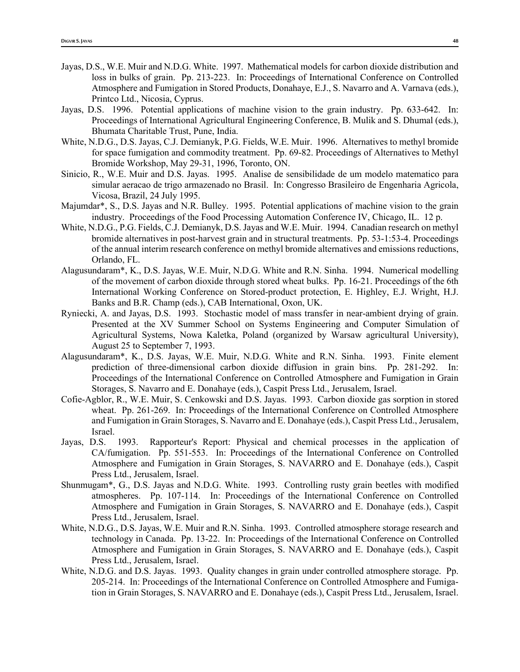- Jayas, D.S., W.E. Muir and N.D.G. White. 1997. Mathematical models for carbon dioxide distribution and loss in bulks of grain. Pp. 213-223. In: Proceedings of International Conference on Controlled Atmosphere and Fumigation in Stored Products, Donahaye, E.J., S. Navarro and A. Varnava (eds.), Printco Ltd., Nicosia, Cyprus.
- Jayas, D.S. 1996. Potential applications of machine vision to the grain industry. Pp. 633-642. In: Proceedings of International Agricultural Engineering Conference, B. Mulik and S. Dhumal (eds.), Bhumata Charitable Trust, Pune, India.
- White, N.D.G., D.S. Jayas, C.J. Demianyk, P.G. Fields, W.E. Muir. 1996. Alternatives to methyl bromide for space fumigation and commodity treatment. Pp. 69-82. Proceedings of Alternatives to Methyl Bromide Workshop, May 29-31, 1996, Toronto, ON.
- Sinicio, R., W.E. Muir and D.S. Jayas. 1995. Analise de sensibilidade de um modelo matematico para simular aeracao de trigo armazenado no Brasil. In: Congresso Brasileiro de Engenharia Agricola, Vicosa, Brazil, 24 July 1995.
- Majumdar\*, S., D.S. Jayas and N.R. Bulley. 1995. Potential applications of machine vision to the grain industry. Proceedings of the Food Processing Automation Conference IV, Chicago, IL. 12 p.
- White, N.D.G., P.G. Fields, C.J. Demianyk, D.S. Jayas and W.E. Muir. 1994. Canadian research on methyl bromide alternatives in post-harvest grain and in structural treatments. Pp. 53-1:53-4. Proceedings of the annual interim research conference on methyl bromide alternatives and emissions reductions, Orlando, FL.
- Alagusundaram\*, K., D.S. Jayas, W.E. Muir, N.D.G. White and R.N. Sinha. 1994. Numerical modelling of the movement of carbon dioxide through stored wheat bulks. Pp. 16-21. Proceedings of the 6th International Working Conference on Stored-product protection, E. Highley, E.J. Wright, H.J. Banks and B.R. Champ (eds.), CAB International, Oxon, UK.
- Ryniecki, A. and Jayas, D.S. 1993. Stochastic model of mass transfer in near-ambient drying of grain. Presented at the XV Summer School on Systems Engineering and Computer Simulation of Agricultural Systems, Nowa Kaletka, Poland (organized by Warsaw agricultural University), August 25 to September 7, 1993.
- Alagusundaram\*, K., D.S. Jayas, W.E. Muir, N.D.G. White and R.N. Sinha. 1993. Finite element prediction of three-dimensional carbon dioxide diffusion in grain bins. Pp. 281-292. In: Proceedings of the International Conference on Controlled Atmosphere and Fumigation in Grain Storages, S. Navarro and E. Donahaye (eds.), Caspit Press Ltd., Jerusalem, Israel.
- Cofie-Agblor, R., W.E. Muir, S. Cenkowski and D.S. Jayas. 1993. Carbon dioxide gas sorption in stored wheat. Pp. 261-269. In: Proceedings of the International Conference on Controlled Atmosphere and Fumigation in Grain Storages, S. Navarro and E. Donahaye (eds.), Caspit Press Ltd., Jerusalem, Israel.
- Jayas, D.S. 1993. Rapporteur's Report: Physical and chemical processes in the application of CA/fumigation. Pp. 551-553. In: Proceedings of the International Conference on Controlled Atmosphere and Fumigation in Grain Storages, S. NAVARRO and E. Donahaye (eds.), Caspit Press Ltd., Jerusalem, Israel.
- Shunmugam\*, G., D.S. Jayas and N.D.G. White. 1993. Controlling rusty grain beetles with modified atmospheres. Pp. 107-114. In: Proceedings of the International Conference on Controlled Atmosphere and Fumigation in Grain Storages, S. NAVARRO and E. Donahaye (eds.), Caspit Press Ltd., Jerusalem, Israel.
- White, N.D.G., D.S. Jayas, W.E. Muir and R.N. Sinha. 1993. Controlled atmosphere storage research and technology in Canada. Pp. 13-22. In: Proceedings of the International Conference on Controlled Atmosphere and Fumigation in Grain Storages, S. NAVARRO and E. Donahaye (eds.), Caspit Press Ltd., Jerusalem, Israel.
- White, N.D.G. and D.S. Jayas. 1993. Quality changes in grain under controlled atmosphere storage. Pp. 205-214. In: Proceedings of the International Conference on Controlled Atmosphere and Fumigation in Grain Storages, S. NAVARRO and E. Donahaye (eds.), Caspit Press Ltd., Jerusalem, Israel.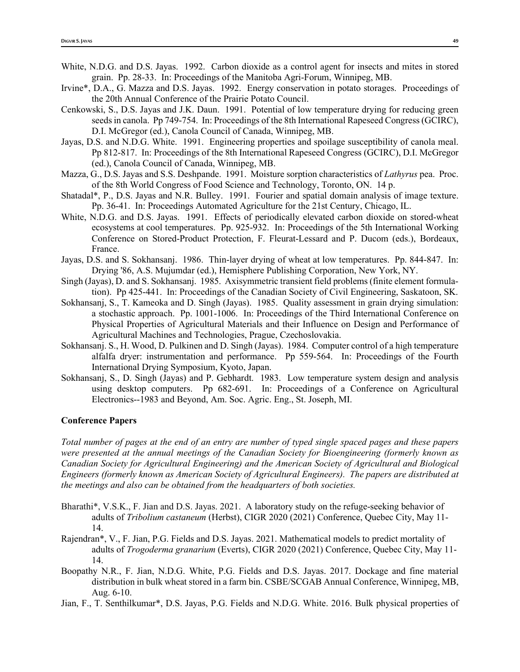- White, N.D.G. and D.S. Jayas. 1992. Carbon dioxide as a control agent for insects and mites in stored grain. Pp. 28-33. In: Proceedings of the Manitoba Agri-Forum, Winnipeg, MB.
- Irvine\*, D.A., G. Mazza and D.S. Jayas. 1992. Energy conservation in potato storages. Proceedings of the 20th Annual Conference of the Prairie Potato Council.
- Cenkowski, S., D.S. Jayas and J.K. Daun. 1991. Potential of low temperature drying for reducing green seeds in canola. Pp 749-754. In: Proceedings of the 8th International Rapeseed Congress (GCIRC), D.I. McGregor (ed.), Canola Council of Canada, Winnipeg, MB.
- Jayas, D.S. and N.D.G. White. 1991. Engineering properties and spoilage susceptibility of canola meal. Pp 812-817. In: Proceedings of the 8th International Rapeseed Congress (GCIRC), D.I. McGregor (ed.), Canola Council of Canada, Winnipeg, MB.
- Mazza, G., D.S. Jayas and S.S. Deshpande. 1991. Moisture sorption characteristics of *Lathyrus* pea. Proc. of the 8th World Congress of Food Science and Technology, Toronto, ON. 14 p.
- Shatadal\*, P., D.S. Jayas and N.R. Bulley. 1991. Fourier and spatial domain analysis of image texture. Pp. 36-41. In: Proceedings Automated Agriculture for the 21st Century, Chicago, IL.
- White, N.D.G. and D.S. Jayas. 1991. Effects of periodically elevated carbon dioxide on stored-wheat ecosystems at cool temperatures. Pp. 925-932. In: Proceedings of the 5th International Working Conference on Stored-Product Protection, F. Fleurat-Lessard and P. Ducom (eds.), Bordeaux, France.
- Jayas, D.S. and S. Sokhansanj. 1986. Thin-layer drying of wheat at low temperatures. Pp. 844-847. In: Drying '86, A.S. Mujumdar (ed.), Hemisphere Publishing Corporation, New York, NY.
- Singh (Jayas), D. and S. Sokhansanj. 1985. Axisymmetric transient field problems (finite element formulation). Pp 425-441. In: Proceedings of the Canadian Society of Civil Engineering, Saskatoon, SK.
- Sokhansanj, S., T. Kameoka and D. Singh (Jayas). 1985. Quality assessment in grain drying simulation: a stochastic approach. Pp. 1001-1006. In: Proceedings of the Third International Conference on Physical Properties of Agricultural Materials and their Influence on Design and Performance of Agricultural Machines and Technologies, Prague, Czechoslovakia.
- Sokhansanj. S., H. Wood, D. Pulkinen and D. Singh (Jayas). 1984. Computer control of a high temperature alfalfa dryer: instrumentation and performance. Pp 559-564. In: Proceedings of the Fourth International Drying Symposium, Kyoto, Japan.
- Sokhansanj, S., D. Singh (Jayas) and P. Gebhardt. 1983. Low temperature system design and analysis using desktop computers. Pp 682-691. In: Proceedings of a Conference on Agricultural Electronics--1983 and Beyond, Am. Soc. Agric. Eng., St. Joseph, MI.

# **Conference Papers**

*Total number of pages at the end of an entry are number of typed single spaced pages and these papers were presented at the annual meetings of the Canadian Society for Bioengineering (formerly known as Canadian Society for Agricultural Engineering) and the American Society of Agricultural and Biological Engineers (formerly known as American Society of Agricultural Engineers). The papers are distributed at the meetings and also can be obtained from the headquarters of both societies.*

- Bharathi\*, V.S.K., F. Jian and D.S. Jayas. 2021. A laboratory study on the refuge-seeking behavior of adults of *Tribolium castaneum* (Herbst), CIGR 2020 (2021) Conference, Quebec City, May 11- 14.
- Rajendran\*, V., F. Jian, P.G. Fields and D.S. Jayas. 2021. Mathematical models to predict mortality of adults of *Trogoderma granarium* (Everts), CIGR 2020 (2021) Conference, Quebec City, May 11- 14.
- Boopathy N.R., F. Jian, N.D.G. White, P.G. Fields and D.S. Jayas. 2017. Dockage and fine material distribution in bulk wheat stored in a farm bin. CSBE/SCGAB Annual Conference, Winnipeg, MB, Aug. 6-10.
- Jian, F., T. Senthilkumar\*, D.S. Jayas, P.G. Fields and N.D.G. White. 2016. Bulk physical properties of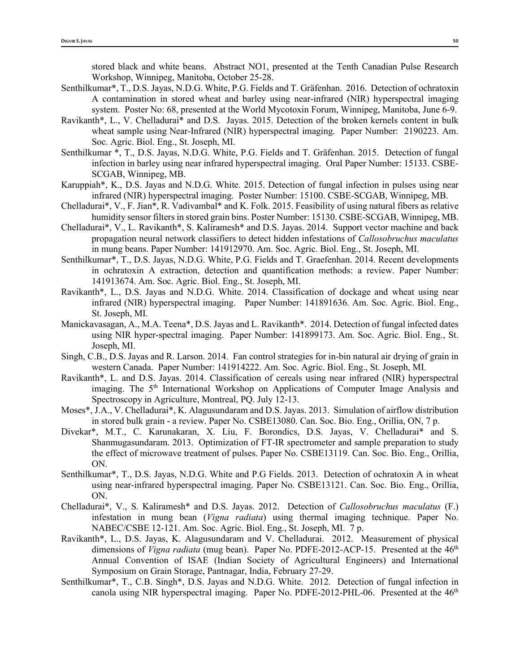stored black and white beans. Abstract NO1, presented at the Tenth Canadian Pulse Research Workshop, Winnipeg, Manitoba, October 25-28.

- Senthilkumar\*, T., D.S. Jayas, N.D.G. White, P.G. Fields and T. Gräfenhan. 2016. Detection of ochratoxin A contamination in stored wheat and barley using near-infrared (NIR) hyperspectral imaging system. Poster No: 68, presented at the World Mycotoxin Forum, Winnipeg, Manitoba, June 6-9.
- Ravikanth\*, L., V. Chelladurai\* and D.S. Jayas. 2015. Detection of the broken kernels content in bulk wheat sample using Near-Infrared (NIR) hyperspectral imaging. Paper Number: 2190223. Am. Soc. Agric. Biol. Eng., St. Joseph, MI.
- Senthilkumar \*, T., D.S. Jayas, N.D.G. White, P.G. Fields and T. Gräfenhan. 2015. Detection of fungal infection in barley using near infrared hyperspectral imaging. Oral Paper Number: 15133. CSBE-SCGAB, Winnipeg, MB.
- Karuppiah\*, K., D.S. Jayas and N.D.G. White. 2015. Detection of fungal infection in pulses using near infrared (NIR) hyperspectral imaging. Poster Number: 15100. CSBE-SCGAB, Winnipeg, MB.
- Chelladurai\*, V., F. Jian\*, R. Vadivambal\* and K. Folk. 2015. Feasibility of using natural fibers as relative humidity sensor filters in stored grain bins. Poster Number: 15130. CSBE-SCGAB, Winnipeg, MB.
- Chelladurai\*, V., L. Ravikanth\*, S. Kaliramesh\* and D.S. Jayas. 2014. Support vector machine and back propagation neural network classifiers to detect hidden infestations of *Callosobruchus maculatus* in mung beans. Paper Number: 141912970. Am. Soc. Agric. Biol. Eng., St. Joseph, MI.
- Senthilkumar\*, T., D.S. Jayas, N.D.G. White, P.G. Fields and T. Graefenhan. 2014. Recent developments in ochratoxin A extraction, detection and quantification methods: a review. Paper Number: 141913674. Am. Soc. Agric. Biol. Eng., St. Joseph, MI.
- Ravikanth\*, L., D.S. Jayas and N.D.G. White. 2014. Classification of dockage and wheat using near infrared (NIR) hyperspectral imaging. Paper Number: 141891636. Am. Soc. Agric. Biol. Eng., St. Joseph, MI.
- Manickavasagan, A., M.A. Teena\*, D.S. Jayas and L. Ravikanth\*. 2014. Detection of fungal infected dates using NIR hyper-spectral imaging. Paper Number: 141899173. Am. Soc. Agric. Biol. Eng., St. Joseph, MI.
- Singh, C.B., D.S. Jayas and R. Larson. 2014. Fan control strategies for in-bin natural air drying of grain in western Canada. Paper Number: 141914222. Am. Soc. Agric. Biol. Eng., St. Joseph, MI.
- Ravikanth\*, L. and D.S. Jayas. 2014. Classification of cereals using near infrared (NIR) hyperspectral imaging. The 5<sup>th</sup> International Workshop on Applications of Computer Image Analysis and Spectroscopy in Agriculture, Montreal, PQ. July 12-13.
- Moses\*, J.A., V. Chelladurai\*, K. Alagusundaram and D.S. Jayas. 2013. Simulation of airflow distribution in stored bulk grain - a review. Paper No. CSBE13080. Can. Soc. Bio. Eng., Orillia, ON, 7 p.
- Divekar\*, M.T., C. Karunakaran, X. Liu, F. Borondics, D.S. Jayas, V. Chelladurai\* and S. Shanmugasundaram. 2013. Optimization of FT-IR spectrometer and sample preparation to study the effect of microwave treatment of pulses. Paper No. CSBE13119. Can. Soc. Bio. Eng., Orillia, ON.
- Senthilkumar\*, T., D.S. Jayas, N.D.G. White and P.G Fields. 2013. Detection of ochratoxin A in wheat using near-infrared hyperspectral imaging. Paper No. CSBE13121. Can. Soc. Bio. Eng., Orillia, ON.
- Chelladurai\*, V., S. Kaliramesh\* and D.S. Jayas. 2012. Detection of *Callosobruchus maculatus* (F.) infestation in mung bean (*Vigna radiata*) using thermal imaging technique. Paper No. NABEC/CSBE 12-121. Am. Soc. Agric. Biol. Eng., St. Joseph, MI. 7 p.
- Ravikanth\*, L., D.S. Jayas, K. Alagusundaram and V. Chelladurai. 2012. Measurement of physical dimensions of *Vigna radiata* (mug bean). Paper No. PDFE-2012-ACP-15. Presented at the 46<sup>th</sup> Annual Convention of ISAE (Indian Society of Agricultural Engineers) and International Symposium on Grain Storage, Pantnagar, India, February 27-29.
- Senthilkumar\*, T., C.B. Singh\*, D.S. Jayas and N.D.G. White. 2012. Detection of fungal infection in canola using NIR hyperspectral imaging. Paper No. PDFE-2012-PHL-06. Presented at the 46<sup>th</sup>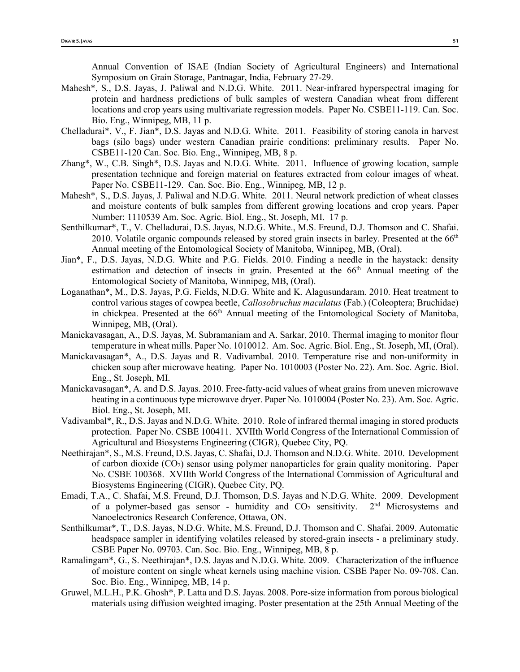Annual Convention of ISAE (Indian Society of Agricultural Engineers) and International Symposium on Grain Storage, Pantnagar, India, February 27-29.

- Mahesh\*, S., D.S. Jayas, J. Paliwal and N.D.G. White. 2011. Near-infrared hyperspectral imaging for protein and hardness predictions of bulk samples of western Canadian wheat from different locations and crop years using multivariate regression models. Paper No. CSBE11-119. Can. Soc. Bio. Eng., Winnipeg, MB, 11 p.
- Chelladurai\*, V., F. Jian\*, D.S. Jayas and N.D.G. White. 2011. Feasibility of storing canola in harvest bags (silo bags) under western Canadian prairie conditions: preliminary results. Paper No. CSBE11-120 Can. Soc. Bio. Eng., Winnipeg, MB, 8 p.
- Zhang\*, W., C.B. Singh\*, D.S. Jayas and N.D.G. White. 2011. Influence of growing location, sample presentation technique and foreign material on features extracted from colour images of wheat. Paper No. CSBE11-129. Can. Soc. Bio. Eng., Winnipeg, MB, 12 p.
- Mahesh\*, S., D.S. Jayas, J. Paliwal and N.D.G. White. 2011. Neural network prediction of wheat classes and moisture contents of bulk samples from different growing locations and crop years. Paper Number: 1110539 Am. Soc. Agric. Biol. Eng., St. Joseph, MI. 17 p.
- Senthilkumar\*, T., V. Chelladurai, D.S. Jayas, N.D.G. White., M.S. Freund, D.J. Thomson and C. Shafai. 2010. Volatile organic compounds released by stored grain insects in barley. Presented at the  $66<sup>th</sup>$ Annual meeting of the Entomological Society of Manitoba, Winnipeg, MB, (Oral).
- Jian\*, F., D.S. Jayas, N.D.G. White and P.G. Fields. 2010. Finding a needle in the haystack: density estimation and detection of insects in grain. Presented at the 66<sup>th</sup> Annual meeting of the Entomological Society of Manitoba, Winnipeg, MB, (Oral).
- Loganathan\*, M., D.S. Jayas, P.G. Fields, N.D.G. White and K. Alagusundaram. 2010. Heat treatment to control various stages of cowpea beetle, *Callosobruchus maculatus* (Fab.) (Coleoptera; Bruchidae) in chickpea. Presented at the 66<sup>th</sup> Annual meeting of the Entomological Society of Manitoba, Winnipeg, MB, (Oral).
- Manickavasagan, A., D.S. Jayas, M. Subramaniam and A. Sarkar, 2010. Thermal imaging to monitor flour temperature in wheat mills. Paper No. 1010012. Am. Soc. Agric. Biol. Eng., St. Joseph, MI, (Oral).
- Manickavasagan\*, A., D.S. Jayas and R. Vadivambal. 2010. Temperature rise and non-uniformity in chicken soup after microwave heating. Paper No. 1010003 (Poster No. 22). Am. Soc. Agric. Biol. Eng., St. Joseph, MI.
- Manickavasagan\*, A. and D.S. Jayas. 2010. Free-fatty-acid values of wheat grains from uneven microwave heating in a continuous type microwave dryer. Paper No. 1010004 (Poster No. 23). Am. Soc. Agric. Biol. Eng., St. Joseph, MI.
- Vadivambal\*, R., D.S. Jayas and N.D.G. White. 2010. Role of infrared thermal imaging in stored products protection. Paper No. CSBE 100411. XVIIth World Congress of the International Commission of Agricultural and Biosystems Engineering (CIGR), Quebec City, PQ.
- Neethirajan\*, S., M.S. Freund, D.S. Jayas, C. Shafai, D.J. Thomson and N.D.G. White. 2010. Development of carbon dioxide  $(CO<sub>2</sub>)$  sensor using polymer nanoparticles for grain quality monitoring. Paper No. CSBE 100368. XVIIth World Congress of the International Commission of Agricultural and Biosystems Engineering (CIGR), Quebec City, PQ.
- Emadi, T.A., C. Shafai, M.S. Freund, D.J. Thomson, D.S. Jayas and N.D.G. White. 2009. Development of a polymer-based gas sensor - humidity and  $CO_2$  sensitivity.  $2<sup>nd</sup>$  Microsystems and Nanoelectronics Research Conference, Ottawa, ON.
- Senthilkumar\*, T., D.S. Jayas, N.D.G. White, M.S. Freund, D.J. Thomson and C. Shafai. 2009. Automatic headspace sampler in identifying volatiles released by stored-grain insects - a preliminary study. CSBE Paper No. 09703. Can. Soc. Bio. Eng., Winnipeg, MB, 8 p.
- Ramalingam\*, G., S. Neethirajan\*, D.S. Jayas and N.D.G. White. 2009. Characterization of the influence of moisture content on single wheat kernels using machine vision. CSBE Paper No. 09-708. Can. Soc. Bio. Eng., Winnipeg, MB, 14 p.
- Gruwel, M.L.H., P.K. Ghosh\*, P. Latta and D.S. Jayas. 2008. Pore-size information from porous biological materials using diffusion weighted imaging. Poster presentation at the 25th Annual Meeting of the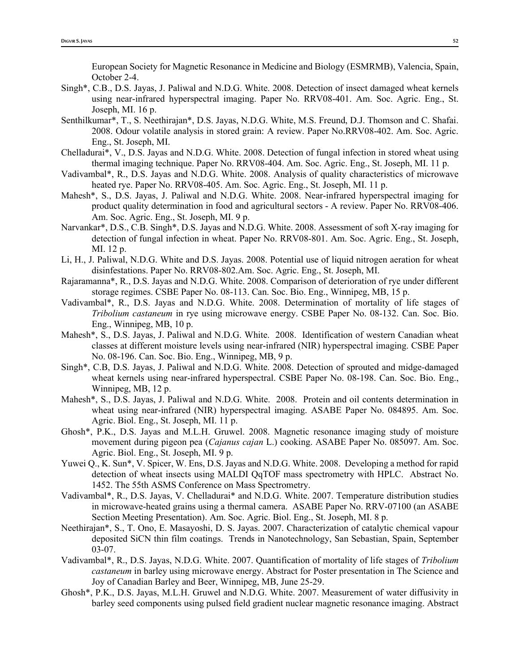European Society for Magnetic Resonance in Medicine and Biology (ESMRMB), Valencia, Spain, October 2-4.

- Singh\*, C.B., D.S. Jayas, J. Paliwal and N.D.G. White. 2008. Detection of insect damaged wheat kernels using near-infrared hyperspectral imaging. Paper No. RRV08-401. Am. Soc. Agric. Eng., St. Joseph, MI. 16 p.
- Senthilkumar\*, T., S. Neethirajan\*, D.S. Jayas, N.D.G. White, M.S. Freund, D.J. Thomson and C. Shafai. 2008. Odour volatile analysis in stored grain: A review. Paper No.RRV08-402. Am. Soc. Agric. Eng., St. Joseph, MI.
- Chelladurai\*, V., D.S. Jayas and N.D.G. White. 2008. Detection of fungal infection in stored wheat using thermal imaging technique. Paper No. RRV08-404. Am. Soc. Agric. Eng., St. Joseph, MI. 11 p.
- Vadivambal\*, R., D.S. Jayas and N.D.G. White. 2008. Analysis of quality characteristics of microwave heated rye. Paper No. RRV08-405. Am. Soc. Agric. Eng., St. Joseph, MI. 11 p.
- Mahesh\*, S., D.S. Jayas, J. Paliwal and N.D.G. White. 2008. Near-infrared hyperspectral imaging for product quality determination in food and agricultural sectors - A review. Paper No. RRV08-406. Am. Soc. Agric. Eng., St. Joseph, MI. 9 p.
- Narvankar\*, D.S., C.B. Singh\*, D.S. Jayas and N.D.G. White. 2008. Assessment of soft X-ray imaging for detection of fungal infection in wheat. Paper No. RRV08-801. Am. Soc. Agric. Eng., St. Joseph, MI. 12 p.
- Li, H., J. Paliwal, N.D.G. White and D.S. Jayas. 2008. Potential use of liquid nitrogen aeration for wheat disinfestations. Paper No. RRV08-802.Am. Soc. Agric. Eng., St. Joseph, MI.
- Rajaramanna\*, R., D.S. Jayas and N.D.G. White. 2008. Comparison of deterioration of rye under different storage regimes. CSBE Paper No. 08-113. Can. Soc. Bio. Eng., Winnipeg, MB, 15 p.
- Vadivambal\*, R., D.S. Jayas and N.D.G. White. 2008. Determination of mortality of life stages of *Tribolium castaneum* in rye using microwave energy. CSBE Paper No. 08-132. Can. Soc. Bio. Eng., Winnipeg, MB, 10 p.
- Mahesh\*, S., D.S. Jayas, J. Paliwal and N.D.G. White. 2008. Identification of western Canadian wheat classes at different moisture levels using near-infrared (NIR) hyperspectral imaging. CSBE Paper No. 08-196. Can. Soc. Bio. Eng., Winnipeg, MB, 9 p.
- Singh\*, C.B, D.S. Jayas, J. Paliwal and N.D.G. White. 2008. Detection of sprouted and midge-damaged wheat kernels using near-infrared hyperspectral. CSBE Paper No. 08-198. Can. Soc. Bio. Eng., Winnipeg, MB, 12 p.
- Mahesh\*, S., D.S. Jayas, J. Paliwal and N.D.G. White. 2008. Protein and oil contents determination in wheat using near-infrared (NIR) hyperspectral imaging. ASABE Paper No. 084895. Am. Soc. Agric. Biol. Eng., St. Joseph, MI. 11 p.
- Ghosh\*, P.K., D.S. Jayas and M.L.H. Gruwel. 2008. Magnetic resonance imaging study of moisture movement during pigeon pea (*Cajanus cajan* L.) cooking. ASABE Paper No. 085097. Am. Soc. Agric. Biol. Eng., St. Joseph, MI. 9 p.
- Yuwei Q., K. Sun\*, V. Spicer, W. Ens, D.S. Jayas and N.D.G. White. 2008. Developing a method for rapid detection of wheat insects using MALDI QqTOF mass spectrometry with HPLC. Abstract No. 1452. The 55th ASMS Conference on Mass Spectrometry.
- Vadivambal\*, R., D.S. Jayas, V. Chelladurai\* and N.D.G. White. 2007. Temperature distribution studies in microwave-heated grains using a thermal camera. ASABE Paper No. RRV-07100 (an ASABE Section Meeting Presentation). Am. Soc. Agric. Biol. Eng., St. Joseph, MI. 8 p.
- Neethirajan\*, S., T. Ono, E. Masayoshi, D. S. Jayas. 2007. Characterization of catalytic chemical vapour deposited SiCN thin film coatings. Trends in Nanotechnology, San Sebastian, Spain, September 03-07.
- Vadivambal\*, R., D.S. Jayas, N.D.G. White. 2007. Quantification of mortality of life stages of *Tribolium castaneum* in barley using microwave energy. Abstract for Poster presentation in The Science and Joy of Canadian Barley and Beer, Winnipeg, MB, June 25-29.
- Ghosh\*, P.K., D.S. Jayas, M.L.H. Gruwel and N.D.G. White. 2007. Measurement of water diffusivity in barley seed components using pulsed field gradient nuclear magnetic resonance imaging. Abstract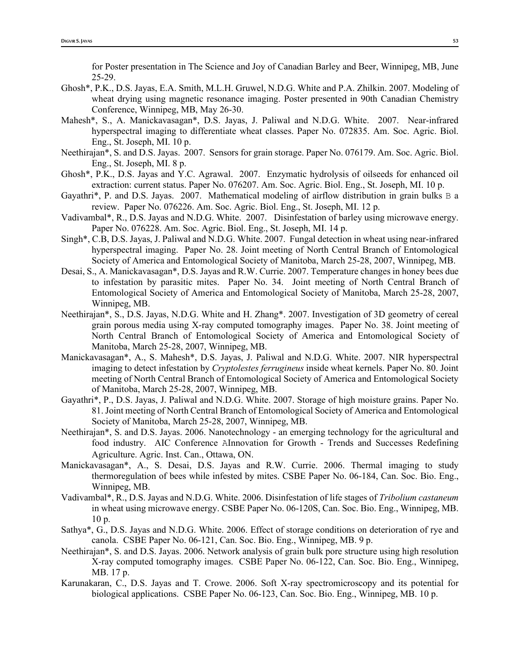for Poster presentation in The Science and Joy of Canadian Barley and Beer, Winnipeg, MB, June 25-29.

- Ghosh\*, P.K., D.S. Jayas, E.A. Smith, M.L.H. Gruwel, N.D.G. White and P.A. Zhilkin. 2007. Modeling of wheat drying using magnetic resonance imaging. Poster presented in 90th Canadian Chemistry Conference, Winnipeg, MB, May 26-30.
- Mahesh\*, S., A. Manickavasagan\*, D.S. Jayas, J. Paliwal and N.D.G. White. 2007. Near-infrared hyperspectral imaging to differentiate wheat classes. Paper No. 072835. Am. Soc. Agric. Biol. Eng., St. Joseph, MI. 10 p.
- Neethirajan\*, S. and D.S. Jayas. 2007. Sensors for grain storage. Paper No. 076179. Am. Soc. Agric. Biol. Eng., St. Joseph, MI. 8 p.
- Ghosh\*, P.K., D.S. Jayas and Y.C. Agrawal. 2007. Enzymatic hydrolysis of oilseeds for enhanced oil extraction: current status. Paper No. 076207. Am. Soc. Agric. Biol. Eng., St. Joseph, MI. 10 p.
- Gayathri\*, P. and D.S. Jayas. 2007. Mathematical modeling of airflow distribution in grain bulks B a review. Paper No. 076226. Am. Soc. Agric. Biol. Eng., St. Joseph, MI. 12 p.
- Vadivambal\*, R., D.S. Jayas and N.D.G. White. 2007. Disinfestation of barley using microwave energy. Paper No. 076228. Am. Soc. Agric. Biol. Eng., St. Joseph, MI. 14 p.
- Singh\*, C.B, D.S. Jayas, J. Paliwal and N.D.G. White. 2007. Fungal detection in wheat using near-infrared hyperspectral imaging. Paper No. 28. Joint meeting of North Central Branch of Entomological Society of America and Entomological Society of Manitoba, March 25-28, 2007, Winnipeg, MB.
- Desai, S., A. Manickavasagan\*, D.S. Jayas and R.W. Currie. 2007. Temperature changes in honey bees due to infestation by parasitic mites. Paper No. 34. Joint meeting of North Central Branch of Entomological Society of America and Entomological Society of Manitoba, March 25-28, 2007, Winnipeg, MB.
- Neethirajan\*, S., D.S. Jayas, N.D.G. White and H. Zhang\*. 2007. Investigation of 3D geometry of cereal grain porous media using X-ray computed tomography images. Paper No. 38. Joint meeting of North Central Branch of Entomological Society of America and Entomological Society of Manitoba, March 25-28, 2007, Winnipeg, MB.
- Manickavasagan\*, A., S. Mahesh\*, D.S. Jayas, J. Paliwal and N.D.G. White. 2007. NIR hyperspectral imaging to detect infestation by *Cryptolestes ferrugineus* inside wheat kernels. Paper No. 80. Joint meeting of North Central Branch of Entomological Society of America and Entomological Society of Manitoba, March 25-28, 2007, Winnipeg, MB.
- Gayathri\*, P., D.S. Jayas, J. Paliwal and N.D.G. White. 2007. Storage of high moisture grains. Paper No. 81. Joint meeting of North Central Branch of Entomological Society of America and Entomological Society of Manitoba, March 25-28, 2007, Winnipeg, MB.
- Neethirajan\*, S. and D.S. Jayas. 2006. Nanotechnology an emerging technology for the agricultural and food industry. AIC Conference AInnovation for Growth - Trends and Successes Redefining Agriculture. Agric. Inst. Can., Ottawa, ON.
- Manickavasagan\*, A., S. Desai, D.S. Jayas and R.W. Currie. 2006. Thermal imaging to study thermoregulation of bees while infested by mites. CSBE Paper No. 06-184, Can. Soc. Bio. Eng., Winnipeg, MB.
- Vadivambal\*, R., D.S. Jayas and N.D.G. White. 2006. Disinfestation of life stages of *Tribolium castaneum*  in wheat using microwave energy. CSBE Paper No. 06-120S, Can. Soc. Bio. Eng., Winnipeg, MB. 10 p.
- Sathya\*, G., D.S. Jayas and N.D.G. White. 2006. Effect of storage conditions on deterioration of rye and canola. CSBE Paper No. 06-121, Can. Soc. Bio. Eng., Winnipeg, MB. 9 p.
- Neethirajan\*, S. and D.S. Jayas. 2006. Network analysis of grain bulk pore structure using high resolution X-ray computed tomography images. CSBE Paper No. 06-122, Can. Soc. Bio. Eng., Winnipeg, MB. 17 p.
- Karunakaran, C., D.S. Jayas and T. Crowe. 2006. Soft X-ray spectromicroscopy and its potential for biological applications. CSBE Paper No. 06-123, Can. Soc. Bio. Eng., Winnipeg, MB. 10 p.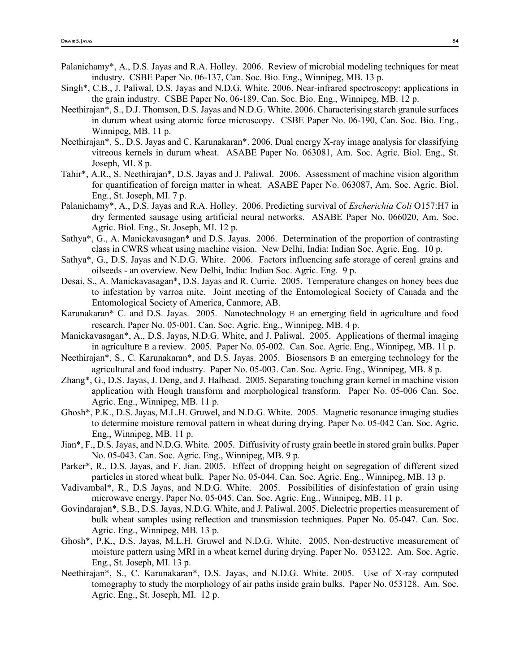- Palanichamy\*, A., D.S. Jayas and R.A. Holley. 2006. Review of microbial modeling techniques for meat industry. CSBE Paper No. 06-137, Can. Soc. Bio. Eng., Winnipeg, MB. 13 p.
- Singh\*, C.B., J. Paliwal, D.S. Jayas and N.D.G. White. 2006. Near-infrared spectroscopy: applications in the grain industry. CSBE Paper No. 06-189, Can. Soc. Bio. Eng., Winnipeg, MB. 12 p.
- Neethirajan\*, S., D.J. Thomson, D.S. Jayas and N.D.G. White. 2006. Characterising starch granule surfaces in durum wheat using atomic force microscopy. CSBE Paper No. 06-190, Can. Soc. Bio. Eng., Winnipeg, MB. 11 p.
- Neethirajan\*, S., D.S. Jayas and C. Karunakaran\*. 2006. Dual energy X-ray image analysis for classifying vitreous kernels in durum wheat. ASABE Paper No. 063081, Am. Soc. Agric. Biol. Eng., St. Joseph, MI. 8 p.
- Tahir\*, A.R., S. Neethirajan\*, D.S. Jayas and J. Paliwal. 2006. Assessment of machine vision algorithm for quantification of foreign matter in wheat. ASABE Paper No. 063087, Am. Soc. Agric. Biol. Eng., St. Joseph, MI. 7 p.
- Palanichamy\*, A., D.S. Jayas and R.A. Holley. 2006. Predicting survival of *Escherichia Coli* O157:H7 in dry fermented sausage using artificial neural networks. ASABE Paper No. 066020, Am. Soc. Agric. Biol. Eng., St. Joseph, MI. 12 p.
- Sathya\*, G., A. Manickavasagan\* and D.S. Jayas. 2006. Determination of the proportion of contrasting class in CWRS wheat using machine vision. New Delhi, India: Indian Soc. Agric. Eng. 10 p.
- Sathya\*, G., D.S. Jayas and N.D.G. White. 2006. Factors influencing safe storage of cereal grains and oilseeds - an overview. New Delhi, India: Indian Soc. Agric. Eng. 9 p.
- Desai, S., A. Manickavasagan\*, D.S. Jayas and R. Currie. 2005. Temperature changes on honey bees due to infestation by varroa mite. Joint meeting of the Entomological Society of Canada and the Entomological Society of America, Canmore, AB.
- Karunakaran\* C. and D.S. Jayas. 2005. Nanotechnology B an emerging field in agriculture and food research. Paper No. 05-001. Can. Soc. Agric. Eng., Winnipeg, MB. 4 p.
- Manickavasagan\*, A., D.S. Jayas, N.D.G. White, and J. Paliwal. 2005. Applications of thermal imaging in agriculture B a review. 2005. Paper No. 05-002. Can. Soc. Agric. Eng., Winnipeg, MB. 11 p.
- Neethirajan\*, S., C. Karunakaran\*, and D.S. Jayas. 2005. Biosensors B an emerging technology for the agricultural and food industry. Paper No. 05-003. Can. Soc. Agric. Eng., Winnipeg, MB. 8 p.
- Zhang\*, G., D.S. Jayas, J. Deng, and J. Halhead. 2005. Separating touching grain kernel in machine vision application with Hough transform and morphological transform. Paper No. 05-006 Can. Soc. Agric. Eng., Winnipeg, MB. 11 p.
- Ghosh\*, P.K., D.S. Jayas, M.L.H. Gruwel, and N.D.G. White. 2005. Magnetic resonance imaging studies to determine moisture removal pattern in wheat during drying. Paper No. 05-042 Can. Soc. Agric. Eng., Winnipeg, MB. 11 p.
- Jian\*, F., D.S. Jayas, and N.D.G. White. 2005. Diffusivity of rusty grain beetle in stored grain bulks. Paper No. 05-043. Can. Soc. Agric. Eng., Winnipeg, MB. 9 p.
- Parker\*, R., D.S. Jayas, and F. Jian. 2005. Effect of dropping height on segregation of different sized particles in stored wheat bulk. Paper No. 05-044. Can. Soc. Agric. Eng., Winnipeg, MB. 13 p.
- Vadivambal\*, R., D.S Jayas, and N.D.G. White. 2005. Possibilities of disinfestation of grain using microwave energy. Paper No. 05-045. Can. Soc. Agric. Eng., Winnipeg, MB. 11 p.
- Govindarajan\*, S.B., D.S. Jayas, N.D.G. White, and J. Paliwal. 2005. Dielectric properties measurement of bulk wheat samples using reflection and transmission techniques. Paper No. 05-047. Can. Soc. Agric. Eng., Winnipeg, MB. 13 p.
- Ghosh\*, P.K., D.S. Jayas, M.L.H. Gruwel and N.D.G. White. 2005. Non-destructive measurement of moisture pattern using MRI in a wheat kernel during drying. Paper No. 053122. Am. Soc. Agric. Eng., St. Joseph, MI. 13 p.
- Neethirajan\*, S., C. Karunakaran\*, D.S. Jayas, and N.D.G. White. 2005. Use of X-ray computed tomography to study the morphology of air paths inside grain bulks. Paper No. 053128. Am. Soc. Agric. Eng., St. Joseph, MI. 12 p.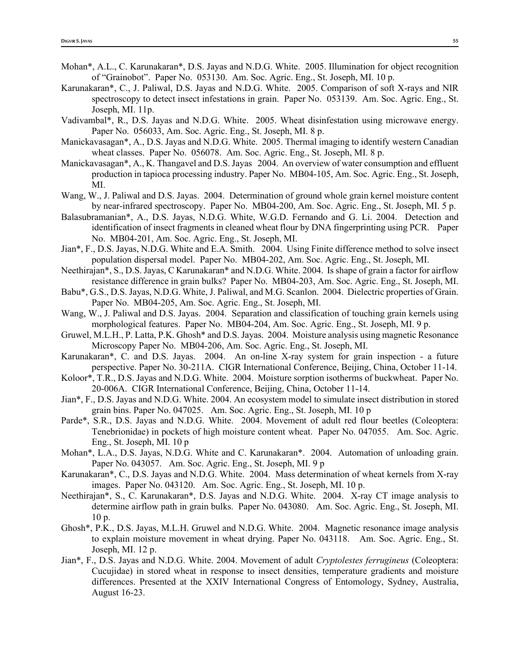- Mohan\*, A.L., C. Karunakaran\*, D.S. Jayas and N.D.G. White. 2005. Illumination for object recognition of "Grainobot". Paper No. 053130. Am. Soc. Agric. Eng., St. Joseph, MI. 10 p.
- Karunakaran\*, C., J. Paliwal, D.S. Jayas and N.D.G. White. 2005. Comparison of soft X-rays and NIR spectroscopy to detect insect infestations in grain. Paper No. 053139. Am. Soc. Agric. Eng., St. Joseph, MI. 11p.
- Vadivambal\*, R., D.S. Jayas and N.D.G. White. 2005. Wheat disinfestation using microwave energy. Paper No. 056033, Am. Soc. Agric. Eng., St. Joseph, MI. 8 p.
- Manickavasagan\*, A., D.S. Jayas and N.D.G. White. 2005. Thermal imaging to identify western Canadian wheat classes. Paper No. 056078. Am. Soc. Agric. Eng., St. Joseph, MI. 8 p.
- Manickavasagan\*, A., K. Thangavel and D.S. Jayas 2004. An overview of water consumption and effluent production in tapioca processing industry. Paper No. MB04-105, Am. Soc. Agric. Eng., St. Joseph, MI.
- Wang, W., J. Paliwal and D.S. Jayas. 2004. Determination of ground whole grain kernel moisture content by near-infrared spectroscopy. Paper No. MB04-200, Am. Soc. Agric. Eng., St. Joseph, MI. 5 p.
- Balasubramanian\*, A., D.S. Jayas, N.D.G. White, W.G.D. Fernando and G. Li. 2004. Detection and identification of insect fragments in cleaned wheat flour by DNA fingerprinting using PCR. Paper No. MB04-201, Am. Soc. Agric. Eng., St. Joseph, MI.
- Jian\*, F., D.S. Jayas, N.D.G. White and E.A. Smith. 2004. Using Finite difference method to solve insect population dispersal model. Paper No. MB04-202, Am. Soc. Agric. Eng., St. Joseph, MI.
- Neethirajan\*, S., D.S. Jayas, C Karunakaran\* and N.D.G. White. 2004. Is shape of grain a factor for airflow resistance difference in grain bulks? Paper No. MB04-203, Am. Soc. Agric. Eng., St. Joseph, MI.
- Babu\*, G.S., D.S. Jayas, N.D.G. White, J. Paliwal, and M.G. Scanlon. 2004. Dielectric properties of Grain. Paper No. MB04-205, Am. Soc. Agric. Eng., St. Joseph, MI.
- Wang, W., J. Paliwal and D.S. Jayas. 2004. Separation and classification of touching grain kernels using morphological features. Paper No. MB04-204, Am. Soc. Agric. Eng., St. Joseph, MI. 9 p.
- Gruwel, M.L.H., P. Latta, P.K. Ghosh\* and D.S. Jayas. 2004. Moisture analysis using magnetic Resonance Microscopy Paper No. MB04-206, Am. Soc. Agric. Eng., St. Joseph, MI.
- Karunakaran\*, C. and D.S. Jayas. 2004. An on-line X-ray system for grain inspection a future perspective. Paper No. 30-211A. CIGR International Conference, Beijing, China, October 11-14.
- Koloor\*, T.R., D.S. Jayas and N.D.G. White. 2004. Moisture sorption isotherms of buckwheat. Paper No. 20-006A. CIGR International Conference, Beijing, China, October 11-14.
- Jian\*, F., D.S. Jayas and N.D.G. White. 2004. An ecosystem model to simulate insect distribution in stored grain bins. Paper No. 047025. Am. Soc. Agric. Eng., St. Joseph, MI. 10 p
- Parde\*, S.R., D.S. Jayas and N.D.G. White. 2004. Movement of adult red flour beetles (Coleoptera: Tenebrionidae) in pockets of high moisture content wheat. Paper No. 047055. Am. Soc. Agric. Eng., St. Joseph, MI. 10 p
- Mohan\*, L.A., D.S. Jayas, N.D.G. White and C. Karunakaran\*. 2004. Automation of unloading grain. Paper No. 043057. Am. Soc. Agric. Eng., St. Joseph, MI. 9 p
- Karunakaran\*, C., D.S. Jayas and N.D.G. White. 2004. Mass determination of wheat kernels from X-ray images. Paper No. 043120. Am. Soc. Agric. Eng., St. Joseph, MI. 10 p.
- Neethirajan\*, S., C. Karunakaran\*, D.S. Jayas and N.D.G. White. 2004. X-ray CT image analysis to determine airflow path in grain bulks. Paper No. 043080. Am. Soc. Agric. Eng., St. Joseph, MI. 10 p.
- Ghosh\*, P.K., D.S. Jayas, M.L.H. Gruwel and N.D.G. White. 2004. Magnetic resonance image analysis to explain moisture movement in wheat drying. Paper No. 043118. Am. Soc. Agric. Eng., St. Joseph, MI. 12 p.
- Jian\*, F., D.S. Jayas and N.D.G. White. 2004. Movement of adult *Cryptolestes ferrugineus* (Coleoptera: Cucujidae) in stored wheat in response to insect densities, temperature gradients and moisture differences. Presented at the XXIV International Congress of Entomology, Sydney, Australia, August 16-23.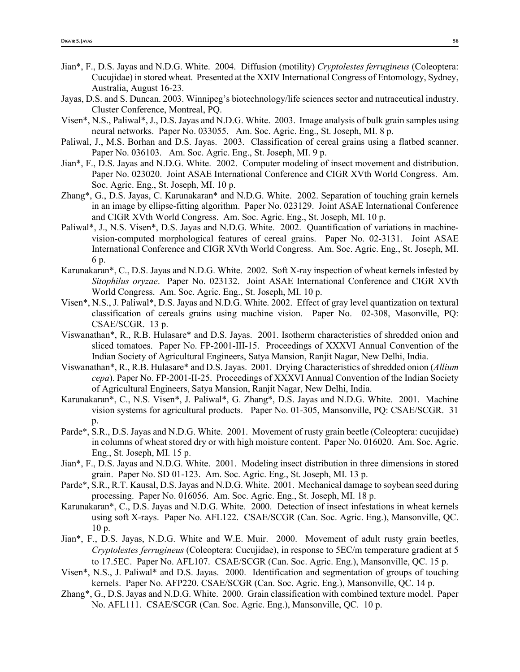- Jian\*, F., D.S. Jayas and N.D.G. White. 2004. Diffusion (motility) *Cryptolestes ferrugineus* (Coleoptera: Cucujidae) in stored wheat. Presented at the XXIV International Congress of Entomology, Sydney, Australia, August 16-23.
- Jayas, D.S. and S. Duncan. 2003. Winnipeg's biotechnology/life sciences sector and nutraceutical industry. Cluster Conference, Montreal, PQ.
- Visen\*, N.S., Paliwal\*, J., D.S. Jayas and N.D.G. White. 2003. Image analysis of bulk grain samples using neural networks. Paper No. 033055. Am. Soc. Agric. Eng., St. Joseph, MI. 8 p.
- Paliwal, J., M.S. Borhan and D.S. Jayas. 2003. Classification of cereal grains using a flatbed scanner. Paper No. 036103. Am. Soc. Agric. Eng., St. Joseph, MI. 9 p.
- Jian\*, F., D.S. Jayas and N.D.G. White. 2002. Computer modeling of insect movement and distribution. Paper No. 023020. Joint ASAE International Conference and CIGR XVth World Congress. Am. Soc. Agric. Eng., St. Joseph, MI. 10 p.
- Zhang\*, G., D.S. Jayas, C. Karunakaran\* and N.D.G. White. 2002. Separation of touching grain kernels in an image by ellipse-fitting algorithm. Paper No. 023129. Joint ASAE International Conference and CIGR XVth World Congress. Am. Soc. Agric. Eng., St. Joseph, MI. 10 p.
- Paliwal\*, J., N.S. Visen\*, D.S. Jayas and N.D.G. White. 2002. Quantification of variations in machinevision-computed morphological features of cereal grains. Paper No. 02-3131. Joint ASAE International Conference and CIGR XVth World Congress. Am. Soc. Agric. Eng., St. Joseph, MI. 6 p.
- Karunakaran\*, C., D.S. Jayas and N.D.G. White. 2002. Soft X-ray inspection of wheat kernels infested by *Sitophilus oryzae*. Paper No. 023132. Joint ASAE International Conference and CIGR XVth World Congress. Am. Soc. Agric. Eng., St. Joseph, MI. 10 p.
- Visen\*, N.S., J. Paliwal\*, D.S. Jayas and N.D.G. White. 2002. Effect of gray level quantization on textural classification of cereals grains using machine vision. Paper No. 02-308, Masonville, PQ: CSAE/SCGR. 13 p.
- Viswanathan\*, R., R.B. Hulasare\* and D.S. Jayas. 2001. Isotherm characteristics of shredded onion and sliced tomatoes. Paper No. FP-2001-III-15. Proceedings of XXXVI Annual Convention of the Indian Society of Agricultural Engineers, Satya Mansion, Ranjit Nagar, New Delhi, India.
- Viswanathan\*, R., R.B. Hulasare\* and D.S. Jayas. 2001. Drying Characteristics of shredded onion (*Allium cepa*). Paper No. FP-2001-II-25. Proceedings of XXXVI Annual Convention of the Indian Society of Agricultural Engineers, Satya Mansion, Ranjit Nagar, New Delhi, India.
- Karunakaran\*, C., N.S. Visen\*, J. Paliwal\*, G. Zhang\*, D.S. Jayas and N.D.G. White. 2001. Machine vision systems for agricultural products. Paper No. 01-305, Mansonville, PQ: CSAE/SCGR. 31 p.
- Parde\*, S.R., D.S. Jayas and N.D.G. White. 2001. Movement of rusty grain beetle (Coleoptera: cucujidae) in columns of wheat stored dry or with high moisture content. Paper No. 016020. Am. Soc. Agric. Eng., St. Joseph, MI. 15 p.
- Jian\*, F., D.S. Jayas and N.D.G. White. 2001. Modeling insect distribution in three dimensions in stored grain. Paper No. SD 01-123. Am. Soc. Agric. Eng., St. Joseph, MI. 13 p.
- Parde\*, S.R., R.T. Kausal, D.S. Jayas and N.D.G. White. 2001. Mechanical damage to soybean seed during processing. Paper No. 016056. Am. Soc. Agric. Eng., St. Joseph, MI. 18 p.
- Karunakaran\*, C., D.S. Jayas and N.D.G. White. 2000. Detection of insect infestations in wheat kernels using soft X-rays. Paper No. AFL122. CSAE/SCGR (Can. Soc. Agric. Eng.), Mansonville, QC. 10 p.
- Jian\*, F., D.S. Jayas, N.D.G. White and W.E. Muir. 2000. Movement of adult rusty grain beetles, *Cryptolestes ferrugineus* (Coleoptera: Cucujidae), in response to 5ΕC/m temperature gradient at 5 to 17.5ΕC. Paper No. AFL107. CSAE/SCGR (Can. Soc. Agric. Eng.), Mansonville, QC. 15 p.
- Visen\*, N.S., J. Paliwal\* and D.S. Jayas. 2000. Identification and segmentation of groups of touching kernels. Paper No. AFP220. CSAE/SCGR (Can. Soc. Agric. Eng.), Mansonville, QC. 14 p.
- Zhang\*, G., D.S. Jayas and N.D.G. White. 2000. Grain classification with combined texture model. Paper No. AFL111. CSAE/SCGR (Can. Soc. Agric. Eng.), Mansonville, QC. 10 p.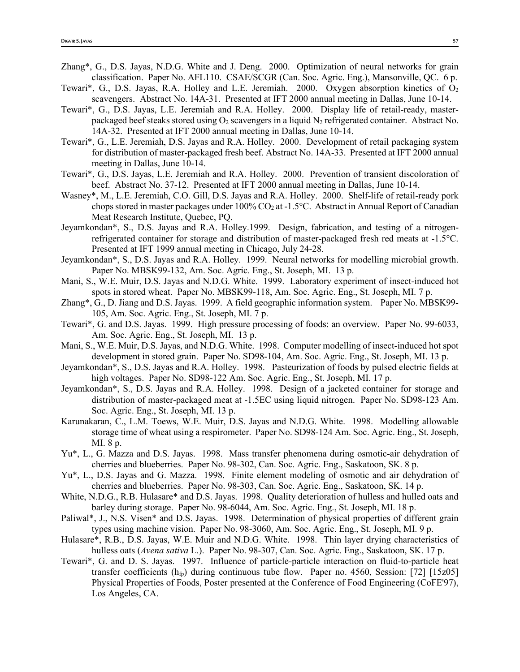- Zhang\*, G., D.S. Jayas, N.D.G. White and J. Deng. 2000. Optimization of neural networks for grain classification. Paper No. AFL110. CSAE/SCGR (Can. Soc. Agric. Eng.), Mansonville, QC. 6 p.
- Tewari\*, G., D.S. Jayas, R.A. Holley and L.E. Jeremiah. 2000. Oxygen absorption kinetics of O<sub>2</sub> scavengers. Abstract No. 14A-31. Presented at IFT 2000 annual meeting in Dallas, June 10-14.
- Tewari\*, G., D.S. Jayas, L.E. Jeremiah and R.A. Holley. 2000. Display life of retail-ready, masterpackaged beef steaks stored using  $O_2$  scavengers in a liquid  $N_2$  refrigerated container. Abstract No. 14A-32. Presented at IFT 2000 annual meeting in Dallas, June 10-14.
- Tewari\*, G., L.E. Jeremiah, D.S. Jayas and R.A. Holley. 2000. Development of retail packaging system for distribution of master-packaged fresh beef. Abstract No. 14A-33. Presented at IFT 2000 annual meeting in Dallas, June 10-14.
- Tewari\*, G., D.S. Jayas, L.E. Jeremiah and R.A. Holley. 2000. Prevention of transient discoloration of beef. Abstract No. 37-12. Presented at IFT 2000 annual meeting in Dallas, June 10-14.
- Wasney\*, M., L.E. Jeremiah, C.O. Gill, D.S. Jayas and R.A. Holley. 2000. Shelf-life of retail-ready pork chops stored in master packages under  $100\%$  CO<sub>2</sub> at  $-1.5$ °C. Abstract in Annual Report of Canadian Meat Research Institute, Quebec, PQ.
- Jeyamkondan\*, S., D.S. Jayas and R.A. Holley.1999. Design, fabrication, and testing of a nitrogenrefrigerated container for storage and distribution of master-packaged fresh red meats at -1.5°C. Presented at IFT 1999 annual meeting in Chicago, July 24-28.
- Jeyamkondan\*, S., D.S. Jayas and R.A. Holley. 1999. Neural networks for modelling microbial growth. Paper No. MBSK99-132, Am. Soc. Agric. Eng., St. Joseph, MI. 13 p.
- Mani, S., W.E. Muir, D.S. Jayas and N.D.G. White. 1999. Laboratory experiment of insect-induced hot spots in stored wheat. Paper No. MBSK99-118, Am. Soc. Agric. Eng., St. Joseph, MI. 7 p.
- Zhang\*, G., D. Jiang and D.S. Jayas. 1999. A field geographic information system. Paper No. MBSK99- 105, Am. Soc. Agric. Eng., St. Joseph, MI. 7 p.
- Tewari\*, G. and D.S. Jayas. 1999. High pressure processing of foods: an overview. Paper No. 99-6033, Am. Soc. Agric. Eng., St. Joseph, MI. 13 p.
- Mani, S., W.E. Muir, D.S. Jayas, and N.D.G. White. 1998. Computer modelling of insect-induced hot spot development in stored grain. Paper No. SD98-104, Am. Soc. Agric. Eng., St. Joseph, MI. 13 p.
- Jeyamkondan\*, S., D.S. Jayas and R.A. Holley. 1998. Pasteurization of foods by pulsed electric fields at high voltages. Paper No. SD98-122 Am. Soc. Agric. Eng., St. Joseph, MI. 17 p.
- Jeyamkondan\*, S., D.S. Jayas and R.A. Holley. 1998. Design of a jacketed container for storage and distribution of master-packaged meat at -1.5ΕC using liquid nitrogen. Paper No. SD98-123 Am. Soc. Agric. Eng., St. Joseph, MI. 13 p.
- Karunakaran, C., L.M. Toews, W.E. Muir, D.S. Jayas and N.D.G. White. 1998. Modelling allowable storage time of wheat using a respirometer. Paper No. SD98-124 Am. Soc. Agric. Eng., St. Joseph, MI. 8 p.
- Yu\*, L., G. Mazza and D.S. Jayas. 1998. Mass transfer phenomena during osmotic-air dehydration of cherries and blueberries. Paper No. 98-302, Can. Soc. Agric. Eng., Saskatoon, SK. 8 p.
- Yu\*, L., D.S. Jayas and G. Mazza. 1998. Finite element modeling of osmotic and air dehydration of cherries and blueberries. Paper No. 98-303, Can. Soc. Agric. Eng., Saskatoon, SK. 14 p.
- White, N.D.G., R.B. Hulasare\* and D.S. Jayas. 1998. Quality deterioration of hulless and hulled oats and barley during storage. Paper No. 98-6044, Am. Soc. Agric. Eng., St. Joseph, MI. 18 p.
- Paliwal\*, J., N.S. Visen\* and D.S. Jayas. 1998. Determination of physical properties of different grain types using machine vision. Paper No. 98-3060, Am. Soc. Agric. Eng., St. Joseph, MI. 9 p.
- Hulasare\*, R.B., D.S. Jayas, W.E. Muir and N.D.G. White. 1998. Thin layer drying characteristics of hulless oats (*Avena sativa* L.). Paper No. 98-307, Can. Soc. Agric. Eng., Saskatoon, SK. 17 p.
- Tewari\*, G. and D. S. Jayas. 1997. Influence of particle-particle interaction on fluid-to-particle heat transfer coefficients  $(h_{fp})$  during continuous tube flow. Paper no. 4560, Session: [72] [15z05] Physical Properties of Foods, Poster presented at the Conference of Food Engineering (CoFE'97), Los Angeles, CA.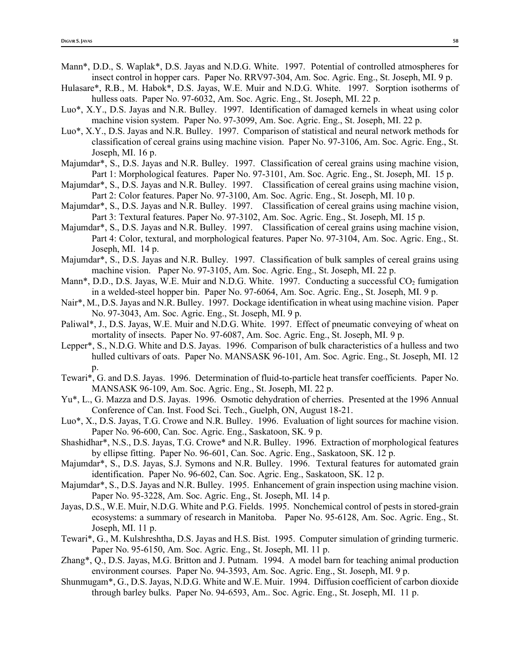- Mann\*, D.D., S. Waplak\*, D.S. Jayas and N.D.G. White. 1997. Potential of controlled atmospheres for insect control in hopper cars. Paper No. RRV97-304, Am. Soc. Agric. Eng., St. Joseph, MI. 9 p.
- Hulasare\*, R.B., M. Habok\*, D.S. Jayas, W.E. Muir and N.D.G. White. 1997. Sorption isotherms of hulless oats. Paper No. 97-6032, Am. Soc. Agric. Eng., St. Joseph, MI. 22 p.
- Luo\*, X.Y., D.S. Jayas and N.R. Bulley. 1997. Identification of damaged kernels in wheat using color machine vision system. Paper No. 97-3099, Am. Soc. Agric. Eng., St. Joseph, MI. 22 p.
- Luo\*, X.Y., D.S. Jayas and N.R. Bulley. 1997. Comparison of statistical and neural network methods for classification of cereal grains using machine vision. Paper No. 97-3106, Am. Soc. Agric. Eng., St. Joseph, MI. 16 p.
- Majumdar\*, S., D.S. Jayas and N.R. Bulley. 1997. Classification of cereal grains using machine vision, Part 1: Morphological features. Paper No. 97-3101, Am. Soc. Agric. Eng., St. Joseph, MI. 15 p.
- Majumdar\*, S., D.S. Jayas and N.R. Bulley. 1997. Classification of cereal grains using machine vision, Part 2: Color features. Paper No. 97-3100, Am. Soc. Agric. Eng., St. Joseph, MI. 10 p.
- Majumdar\*, S., D.S. Jayas and N.R. Bulley. 1997. Classification of cereal grains using machine vision, Part 3: Textural features. Paper No. 97-3102, Am. Soc. Agric. Eng., St. Joseph, MI. 15 p.
- Majumdar\*, S., D.S. Jayas and N.R. Bulley. 1997. Classification of cereal grains using machine vision, Part 4: Color, textural, and morphological features. Paper No. 97-3104, Am. Soc. Agric. Eng., St. Joseph, MI. 14 p.
- Majumdar\*, S., D.S. Jayas and N.R. Bulley. 1997. Classification of bulk samples of cereal grains using machine vision. Paper No. 97-3105, Am. Soc. Agric. Eng., St. Joseph, MI. 22 p.
- Mann<sup>\*</sup>, D.D., D.S. Jayas, W.E. Muir and N.D.G. White. 1997. Conducting a successful CO<sub>2</sub> fumigation in a welded-steel hopper bin. Paper No. 97-6064, Am. Soc. Agric. Eng., St. Joseph, MI. 9 p.
- Nair\*, M., D.S. Jayas and N.R. Bulley. 1997. Dockage identification in wheat using machine vision. Paper No. 97-3043, Am. Soc. Agric. Eng., St. Joseph, MI. 9 p.
- Paliwal\*, J., D.S. Jayas, W.E. Muir and N.D.G. White. 1997. Effect of pneumatic conveying of wheat on mortality of insects. Paper No. 97-6087, Am. Soc. Agric. Eng., St. Joseph, MI. 9 p.
- Lepper\*, S., N.D.G. White and D.S. Jayas. 1996. Comparison of bulk characteristics of a hulless and two hulled cultivars of oats. Paper No. MANSASK 96-101, Am. Soc. Agric. Eng., St. Joseph, MI. 12 p.
- Tewari\*, G. and D.S. Jayas. 1996. Determination of fluid-to-particle heat transfer coefficients. Paper No. MANSASK 96-109, Am. Soc. Agric. Eng., St. Joseph, MI. 22 p.
- Yu\*, L., G. Mazza and D.S. Jayas. 1996. Osmotic dehydration of cherries. Presented at the 1996 Annual Conference of Can. Inst. Food Sci. Tech., Guelph, ON, August 18-21.
- Luo\*, X., D.S. Jayas, T.G. Crowe and N.R. Bulley. 1996. Evaluation of light sources for machine vision. Paper No. 96-600, Can. Soc. Agric. Eng., Saskatoon, SK. 9 p.
- Shashidhar\*, N.S., D.S. Jayas, T.G. Crowe\* and N.R. Bulley. 1996. Extraction of morphological features by ellipse fitting. Paper No. 96-601, Can. Soc. Agric. Eng., Saskatoon, SK. 12 p.
- Majumdar\*, S., D.S. Jayas, S.J. Symons and N.R. Bulley. 1996. Textural features for automated grain identification. Paper No. 96-602, Can. Soc. Agric. Eng., Saskatoon, SK. 12 p.
- Majumdar\*, S., D.S. Jayas and N.R. Bulley. 1995. Enhancement of grain inspection using machine vision. Paper No. 95-3228, Am. Soc. Agric. Eng., St. Joseph, MI. 14 p.
- Jayas, D.S., W.E. Muir, N.D.G. White and P.G. Fields. 1995. Nonchemical control of pests in stored-grain ecosystems: a summary of research in Manitoba. Paper No. 95-6128, Am. Soc. Agric. Eng., St. Joseph, MI. 11 p.
- Tewari\*, G., M. Kulshreshtha, D.S. Jayas and H.S. Bist. 1995. Computer simulation of grinding turmeric. Paper No. 95-6150, Am. Soc. Agric. Eng., St. Joseph, MI. 11 p.
- Zhang\*, Q., D.S. Jayas, M.G. Britton and J. Putnam. 1994. A model barn for teaching animal production environment courses. Paper No. 94-3593, Am. Soc. Agric. Eng., St. Joseph, MI. 9 p.
- Shunmugam\*, G., D.S. Jayas, N.D.G. White and W.E. Muir. 1994. Diffusion coefficient of carbon dioxide through barley bulks. Paper No. 94-6593, Am.. Soc. Agric. Eng., St. Joseph, MI. 11 p.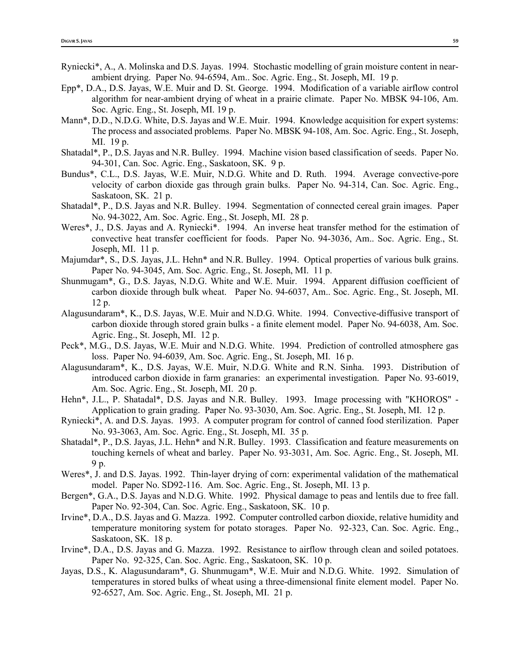- Ryniecki\*, A., A. Molinska and D.S. Jayas. 1994. Stochastic modelling of grain moisture content in nearambient drying. Paper No. 94-6594, Am.. Soc. Agric. Eng., St. Joseph, MI. 19 p.
- Epp\*, D.A., D.S. Jayas, W.E. Muir and D. St. George. 1994. Modification of a variable airflow control algorithm for near-ambient drying of wheat in a prairie climate. Paper No. MBSK 94-106, Am. Soc. Agric. Eng., St. Joseph, MI. 19 p.
- Mann\*, D.D., N.D.G. White, D.S. Jayas and W.E. Muir. 1994. Knowledge acquisition for expert systems: The process and associated problems. Paper No. MBSK 94-108, Am. Soc. Agric. Eng., St. Joseph, MI. 19 p.
- Shatadal\*, P., D.S. Jayas and N.R. Bulley. 1994. Machine vision based classification of seeds. Paper No. 94-301, Can. Soc. Agric. Eng., Saskatoon, SK. 9 p.
- Bundus\*, C.L., D.S. Jayas, W.E. Muir, N.D.G. White and D. Ruth. 1994. Average convective-pore velocity of carbon dioxide gas through grain bulks. Paper No. 94-314, Can. Soc. Agric. Eng., Saskatoon, SK. 21 p.
- Shatadal\*, P., D.S. Jayas and N.R. Bulley. 1994. Segmentation of connected cereal grain images. Paper No. 94-3022, Am. Soc. Agric. Eng., St. Joseph, MI. 28 p.
- Weres\*, J., D.S. Jayas and A. Ryniecki\*. 1994. An inverse heat transfer method for the estimation of convective heat transfer coefficient for foods. Paper No. 94-3036, Am.. Soc. Agric. Eng., St. Joseph, MI. 11 p.
- Majumdar\*, S., D.S. Jayas, J.L. Hehn\* and N.R. Bulley. 1994. Optical properties of various bulk grains. Paper No. 94-3045, Am. Soc. Agric. Eng., St. Joseph, MI. 11 p.
- Shunmugam\*, G., D.S. Jayas, N.D.G. White and W.E. Muir. 1994. Apparent diffusion coefficient of carbon dioxide through bulk wheat. Paper No. 94-6037, Am.. Soc. Agric. Eng., St. Joseph, MI. 12 p.
- Alagusundaram\*, K., D.S. Jayas, W.E. Muir and N.D.G. White. 1994. Convective-diffusive transport of carbon dioxide through stored grain bulks - a finite element model. Paper No. 94-6038, Am. Soc. Agric. Eng., St. Joseph, MI. 12 p.
- Peck\*, M.G., D.S. Jayas, W.E. Muir and N.D.G. White. 1994. Prediction of controlled atmosphere gas loss. Paper No. 94-6039, Am. Soc. Agric. Eng., St. Joseph, MI. 16 p.
- Alagusundaram\*, K., D.S. Jayas, W.E. Muir, N.D.G. White and R.N. Sinha. 1993. Distribution of introduced carbon dioxide in farm granaries: an experimental investigation. Paper No. 93-6019, Am. Soc. Agric. Eng., St. Joseph, MI. 20 p.
- Hehn\*, J.L., P. Shatadal\*, D.S. Jayas and N.R. Bulley. 1993. Image processing with "KHOROS" Application to grain grading. Paper No. 93-3030, Am. Soc. Agric. Eng., St. Joseph, MI. 12 p.
- Ryniecki\*, A. and D.S. Jayas. 1993. A computer program for control of canned food sterilization. Paper No. 93-3063, Am. Soc. Agric. Eng., St. Joseph, MI. 35 p.
- Shatadal\*, P., D.S. Jayas, J.L. Hehn\* and N.R. Bulley. 1993. Classification and feature measurements on touching kernels of wheat and barley. Paper No. 93-3031, Am. Soc. Agric. Eng., St. Joseph, MI. 9 p.
- Weres\*, J. and D.S. Jayas. 1992. Thin-layer drying of corn: experimental validation of the mathematical model. Paper No. SD92-116. Am. Soc. Agric. Eng., St. Joseph, MI. 13 p.
- Bergen\*, G.A., D.S. Jayas and N.D.G. White. 1992. Physical damage to peas and lentils due to free fall. Paper No. 92-304, Can. Soc. Agric. Eng., Saskatoon, SK. 10 p.
- Irvine\*, D.A., D.S. Jayas and G. Mazza. 1992. Computer controlled carbon dioxide, relative humidity and temperature monitoring system for potato storages. Paper No. 92-323, Can. Soc. Agric. Eng., Saskatoon, SK. 18 p.
- Irvine\*, D.A., D.S. Jayas and G. Mazza. 1992. Resistance to airflow through clean and soiled potatoes. Paper No. 92-325, Can. Soc. Agric. Eng., Saskatoon, SK. 10 p.
- Jayas, D.S., K. Alagusundaram\*, G. Shunmugam\*, W.E. Muir and N.D.G. White. 1992. Simulation of temperatures in stored bulks of wheat using a three-dimensional finite element model. Paper No. 92-6527, Am. Soc. Agric. Eng., St. Joseph, MI. 21 p.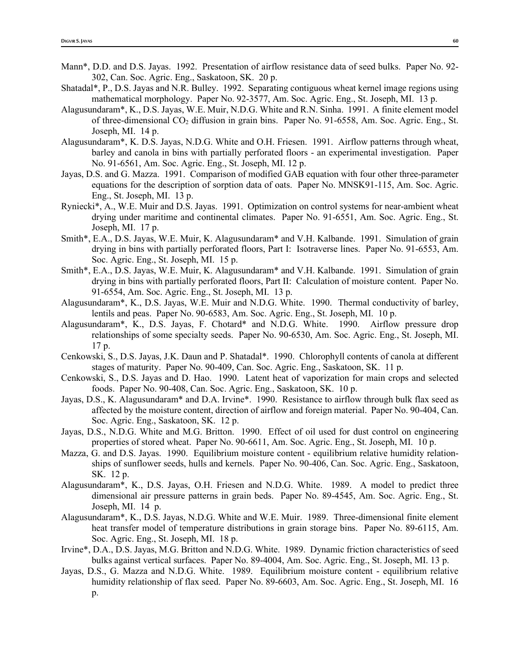- Mann\*, D.D. and D.S. Jayas. 1992. Presentation of airflow resistance data of seed bulks. Paper No. 92- 302, Can. Soc. Agric. Eng., Saskatoon, SK. 20 p.
- Shatadal\*, P., D.S. Jayas and N.R. Bulley. 1992. Separating contiguous wheat kernel image regions using mathematical morphology. Paper No. 92-3577, Am. Soc. Agric. Eng., St. Joseph, MI. 13 p.
- Alagusundaram\*, K., D.S. Jayas, W.E. Muir, N.D.G. White and R.N. Sinha. 1991. A finite element model of three-dimensional CO2 diffusion in grain bins. Paper No. 91-6558, Am. Soc. Agric. Eng., St. Joseph, MI. 14 p.
- Alagusundaram\*, K. D.S. Jayas, N.D.G. White and O.H. Friesen. 1991. Airflow patterns through wheat, barley and canola in bins with partially perforated floors - an experimental investigation. Paper No. 91-6561, Am. Soc. Agric. Eng., St. Joseph, MI. 12 p.
- Jayas, D.S. and G. Mazza. 1991. Comparison of modified GAB equation with four other three-parameter equations for the description of sorption data of oats. Paper No. MNSK91-115, Am. Soc. Agric. Eng., St. Joseph, MI. 13 p.
- Ryniecki\*, A., W.E. Muir and D.S. Jayas. 1991. Optimization on control systems for near-ambient wheat drying under maritime and continental climates. Paper No. 91-6551, Am. Soc. Agric. Eng., St. Joseph, MI. 17 p.
- Smith\*, E.A., D.S. Jayas, W.E. Muir, K. Alagusundaram\* and V.H. Kalbande. 1991. Simulation of grain drying in bins with partially perforated floors, Part I: Isotraverse lines. Paper No. 91-6553, Am. Soc. Agric. Eng., St. Joseph, MI. 15 p.
- Smith\*, E.A., D.S. Jayas, W.E. Muir, K. Alagusundaram\* and V.H. Kalbande. 1991. Simulation of grain drying in bins with partially perforated floors, Part II: Calculation of moisture content. Paper No. 91-6554, Am. Soc. Agric. Eng., St. Joseph, MI. 13 p.
- Alagusundaram\*, K., D.S. Jayas, W.E. Muir and N.D.G. White. 1990. Thermal conductivity of barley, lentils and peas. Paper No. 90-6583, Am. Soc. Agric. Eng., St. Joseph, MI. 10 p.
- Alagusundaram\*, K., D.S. Jayas, F. Chotard\* and N.D.G. White. 1990. Airflow pressure drop relationships of some specialty seeds. Paper No. 90-6530, Am. Soc. Agric. Eng., St. Joseph, MI. 17 p.
- Cenkowski, S., D.S. Jayas, J.K. Daun and P. Shatadal\*. 1990. Chlorophyll contents of canola at different stages of maturity. Paper No. 90-409, Can. Soc. Agric. Eng., Saskatoon, SK. 11 p.
- Cenkowski, S., D.S. Jayas and D. Hao. 1990. Latent heat of vaporization for main crops and selected foods. Paper No. 90-408, Can. Soc. Agric. Eng., Saskatoon, SK. 10 p.
- Jayas, D.S., K. Alagusundaram\* and D.A. Irvine\*. 1990. Resistance to airflow through bulk flax seed as affected by the moisture content, direction of airflow and foreign material. Paper No. 90-404, Can. Soc. Agric. Eng., Saskatoon, SK. 12 p.
- Jayas, D.S., N.D.G. White and M.G. Britton. 1990. Effect of oil used for dust control on engineering properties of stored wheat. Paper No. 90-6611, Am. Soc. Agric. Eng., St. Joseph, MI. 10 p.
- Mazza, G. and D.S. Jayas. 1990. Equilibrium moisture content equilibrium relative humidity relationships of sunflower seeds, hulls and kernels. Paper No. 90-406, Can. Soc. Agric. Eng., Saskatoon, SK. 12 p.
- Alagusundaram\*, K., D.S. Jayas, O.H. Friesen and N.D.G. White. 1989. A model to predict three dimensional air pressure patterns in grain beds. Paper No. 89-4545, Am. Soc. Agric. Eng., St. Joseph, MI. 14 p.
- Alagusundaram\*, K., D.S. Jayas, N.D.G. White and W.E. Muir. 1989. Three-dimensional finite element heat transfer model of temperature distributions in grain storage bins. Paper No. 89-6115, Am. Soc. Agric. Eng., St. Joseph, MI. 18 p.
- Irvine\*, D.A., D.S. Jayas, M.G. Britton and N.D.G. White. 1989. Dynamic friction characteristics of seed bulks against vertical surfaces. Paper No. 89-4004, Am. Soc. Agric. Eng., St. Joseph, MI. 13 p.
- Jayas, D.S., G. Mazza and N.D.G. White. 1989. Equilibrium moisture content equilibrium relative humidity relationship of flax seed. Paper No. 89-6603, Am. Soc. Agric. Eng., St. Joseph, MI. 16 p.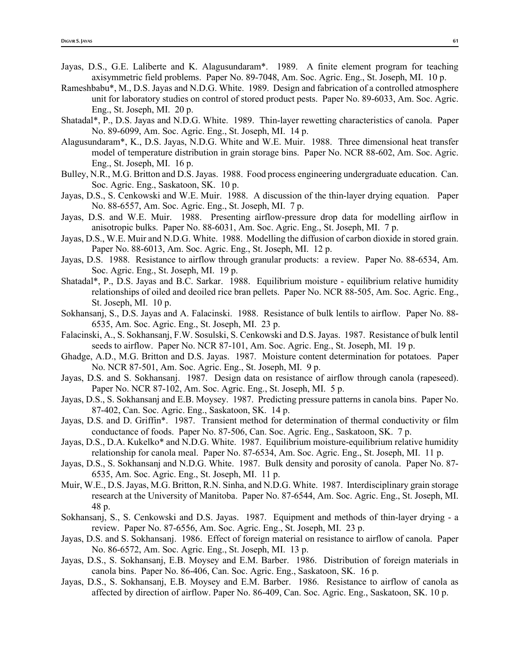- Jayas, D.S., G.E. Laliberte and K. Alagusundaram\*. 1989. A finite element program for teaching axisymmetric field problems. Paper No. 89-7048, Am. Soc. Agric. Eng., St. Joseph, MI. 10 p.
- Rameshbabu\*, M., D.S. Jayas and N.D.G. White. 1989. Design and fabrication of a controlled atmosphere unit for laboratory studies on control of stored product pests. Paper No. 89-6033, Am. Soc. Agric. Eng., St. Joseph, MI. 20 p.
- Shatadal\*, P., D.S. Jayas and N.D.G. White. 1989. Thin-layer rewetting characteristics of canola. Paper No. 89-6099, Am. Soc. Agric. Eng., St. Joseph, MI. 14 p.
- Alagusundaram\*, K., D.S. Jayas, N.D.G. White and W.E. Muir. 1988. Three dimensional heat transfer model of temperature distribution in grain storage bins. Paper No. NCR 88-602, Am. Soc. Agric. Eng., St. Joseph, MI. 16 p.
- Bulley, N.R., M.G. Britton and D.S. Jayas. 1988. Food process engineering undergraduate education. Can. Soc. Agric. Eng., Saskatoon, SK. 10 p.
- Jayas, D.S., S. Cenkowski and W.E. Muir. 1988. A discussion of the thin-layer drying equation. Paper No. 88-6557, Am. Soc. Agric. Eng., St. Joseph, MI. 7 p.
- Jayas, D.S. and W.E. Muir. 1988. Presenting airflow-pressure drop data for modelling airflow in anisotropic bulks. Paper No. 88-6031, Am. Soc. Agric. Eng., St. Joseph, MI. 7 p.
- Jayas, D.S., W.E. Muir and N.D.G. White. 1988. Modelling the diffusion of carbon dioxide in stored grain. Paper No. 88-6013, Am. Soc. Agric. Eng., St. Joseph, MI. 12 p.
- Jayas, D.S. 1988. Resistance to airflow through granular products: a review. Paper No. 88-6534, Am. Soc. Agric. Eng., St. Joseph, MI. 19 p.
- Shatadal\*, P., D.S. Jayas and B.C. Sarkar. 1988. Equilibrium moisture equilibrium relative humidity relationships of oiled and deoiled rice bran pellets. Paper No. NCR 88-505, Am. Soc. Agric. Eng., St. Joseph, MI. 10 p.
- Sokhansanj, S., D.S. Jayas and A. Falacinski. 1988. Resistance of bulk lentils to airflow. Paper No. 88- 6535, Am. Soc. Agric. Eng., St. Joseph, MI. 23 p.
- Falacinski, A., S. Sokhansanj, F.W. Sosulski, S. Cenkowski and D.S. Jayas. 1987. Resistance of bulk lentil seeds to airflow. Paper No. NCR 87-101, Am. Soc. Agric. Eng., St. Joseph, MI. 19 p.
- Ghadge, A.D., M.G. Britton and D.S. Jayas. 1987. Moisture content determination for potatoes. Paper No. NCR 87-501, Am. Soc. Agric. Eng., St. Joseph, MI. 9 p.
- Jayas, D.S. and S. Sokhansanj. 1987. Design data on resistance of airflow through canola (rapeseed). Paper No. NCR 87-102, Am. Soc. Agric. Eng., St. Joseph, MI. 5 p.
- Jayas, D.S., S. Sokhansanj and E.B. Moysey. 1987. Predicting pressure patterns in canola bins. Paper No. 87-402, Can. Soc. Agric. Eng., Saskatoon, SK. 14 p.
- Jayas, D.S. and D. Griffin\*. 1987. Transient method for determination of thermal conductivity or film conductance of foods. Paper No. 87-506, Can. Soc. Agric. Eng., Saskatoon, SK. 7 p.
- Jayas, D.S., D.A. Kukelko\* and N.D.G. White. 1987. Equilibrium moisture-equilibrium relative humidity relationship for canola meal. Paper No. 87-6534, Am. Soc. Agric. Eng., St. Joseph, MI. 11 p.
- Jayas, D.S., S. Sokhansanj and N.D.G. White. 1987. Bulk density and porosity of canola. Paper No. 87- 6535, Am. Soc. Agric. Eng., St. Joseph, MI. 11 p.
- Muir, W.E., D.S. Jayas, M.G. Britton, R.N. Sinha, and N.D.G. White. 1987. Interdisciplinary grain storage research at the University of Manitoba. Paper No. 87-6544, Am. Soc. Agric. Eng., St. Joseph, MI. 48 p.
- Sokhansanj, S., S. Cenkowski and D.S. Jayas. 1987. Equipment and methods of thin-layer drying a review. Paper No. 87-6556, Am. Soc. Agric. Eng., St. Joseph, MI. 23 p.
- Jayas, D.S. and S. Sokhansanj. 1986. Effect of foreign material on resistance to airflow of canola. Paper No. 86-6572, Am. Soc. Agric. Eng., St. Joseph, MI. 13 p.
- Jayas, D.S., S. Sokhansanj, E.B. Moysey and E.M. Barber. 1986. Distribution of foreign materials in canola bins. Paper No. 86-406, Can. Soc. Agric. Eng., Saskatoon, SK. 16 p.
- Jayas, D.S., S. Sokhansanj, E.B. Moysey and E.M. Barber. 1986. Resistance to airflow of canola as affected by direction of airflow. Paper No. 86-409, Can. Soc. Agric. Eng., Saskatoon, SK. 10 p.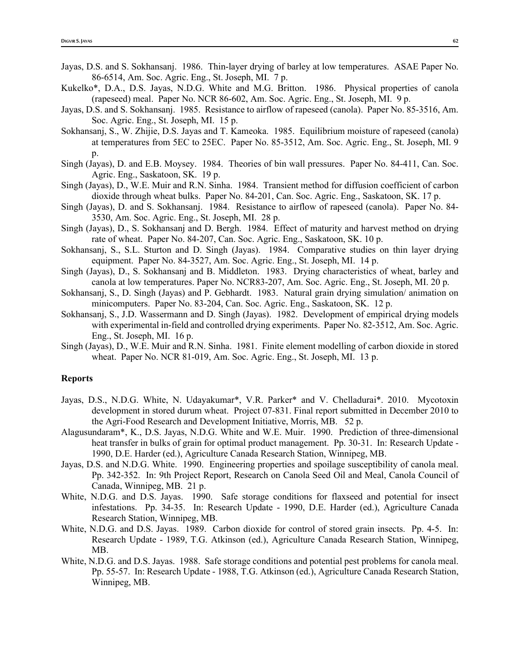- Jayas, D.S. and S. Sokhansanj. 1986. Thin-layer drying of barley at low temperatures. ASAE Paper No. 86-6514, Am. Soc. Agric. Eng., St. Joseph, MI. 7 p.
- Kukelko\*, D.A., D.S. Jayas, N.D.G. White and M.G. Britton. 1986. Physical properties of canola (rapeseed) meal. Paper No. NCR 86-602, Am. Soc. Agric. Eng., St. Joseph, MI. 9 p.
- Jayas, D.S. and S. Sokhansanj. 1985. Resistance to airflow of rapeseed (canola). Paper No. 85-3516, Am. Soc. Agric. Eng., St. Joseph, MI. 15 p.
- Sokhansanj, S., W. Zhijie, D.S. Jayas and T. Kameoka. 1985. Equilibrium moisture of rapeseed (canola) at temperatures from 5ΕC to 25ΕC. Paper No. 85-3512, Am. Soc. Agric. Eng., St. Joseph, MI. 9 p.
- Singh (Jayas), D. and E.B. Moysey. 1984. Theories of bin wall pressures. Paper No. 84-411, Can. Soc. Agric. Eng., Saskatoon, SK. 19 p.
- Singh (Jayas), D., W.E. Muir and R.N. Sinha. 1984. Transient method for diffusion coefficient of carbon dioxide through wheat bulks. Paper No. 84-201, Can. Soc. Agric. Eng., Saskatoon, SK. 17 p.
- Singh (Jayas), D. and S. Sokhansanj. 1984. Resistance to airflow of rapeseed (canola). Paper No. 84- 3530, Am. Soc. Agric. Eng., St. Joseph, MI. 28 p.
- Singh (Jayas), D., S. Sokhansanj and D. Bergh. 1984. Effect of maturity and harvest method on drying rate of wheat. Paper No. 84-207, Can. Soc. Agric. Eng., Saskatoon, SK. 10 p.
- Sokhansanj, S., S.L. Sturton and D. Singh (Jayas). 1984. Comparative studies on thin layer drying equipment. Paper No. 84-3527, Am. Soc. Agric. Eng., St. Joseph, MI. 14 p.
- Singh (Jayas), D., S. Sokhansanj and B. Middleton. 1983. Drying characteristics of wheat, barley and canola at low temperatures. Paper No. NCR83-207, Am. Soc. Agric. Eng., St. Joseph, MI. 20 p.
- Sokhansanj, S., D. Singh (Jayas) and P. Gebhardt. 1983. Natural grain drying simulation/ animation on minicomputers. Paper No. 83-204, Can. Soc. Agric. Eng., Saskatoon, SK. 12 p.
- Sokhansanj, S., J.D. Wassermann and D. Singh (Jayas). 1982. Development of empirical drying models with experimental in-field and controlled drying experiments. Paper No. 82-3512, Am. Soc. Agric. Eng., St. Joseph, MI. 16 p.
- Singh (Jayas), D., W.E. Muir and R.N. Sinha. 1981. Finite element modelling of carbon dioxide in stored wheat. Paper No. NCR 81-019, Am. Soc. Agric. Eng., St. Joseph, MI. 13 p.

# **Reports**

- Jayas, D.S., N.D.G. White, N. Udayakumar\*, V.R. Parker\* and V. Chelladurai\*. 2010. Mycotoxin development in stored durum wheat. Project 07-831. Final report submitted in December 2010 to the Agri-Food Research and Development Initiative, Morris, MB. 52 p.
- Alagusundaram\*, K., D.S. Jayas, N.D.G. White and W.E. Muir. 1990. Prediction of three-dimensional heat transfer in bulks of grain for optimal product management. Pp. 30-31. In: Research Update - 1990, D.E. Harder (ed.), Agriculture Canada Research Station, Winnipeg, MB.
- Jayas, D.S. and N.D.G. White. 1990. Engineering properties and spoilage susceptibility of canola meal. Pp. 342-352. In: 9th Project Report, Research on Canola Seed Oil and Meal, Canola Council of Canada, Winnipeg, MB. 21 p.
- White, N.D.G. and D.S. Jayas. 1990. Safe storage conditions for flaxseed and potential for insect infestations. Pp. 34-35. In: Research Update - 1990, D.E. Harder (ed.), Agriculture Canada Research Station, Winnipeg, MB.
- White, N.D.G. and D.S. Jayas. 1989. Carbon dioxide for control of stored grain insects. Pp. 4-5. In: Research Update - 1989, T.G. Atkinson (ed.), Agriculture Canada Research Station, Winnipeg, MB.
- White, N.D.G. and D.S. Jayas. 1988. Safe storage conditions and potential pest problems for canola meal. Pp. 55-57. In: Research Update - 1988, T.G. Atkinson (ed.), Agriculture Canada Research Station, Winnipeg, MB.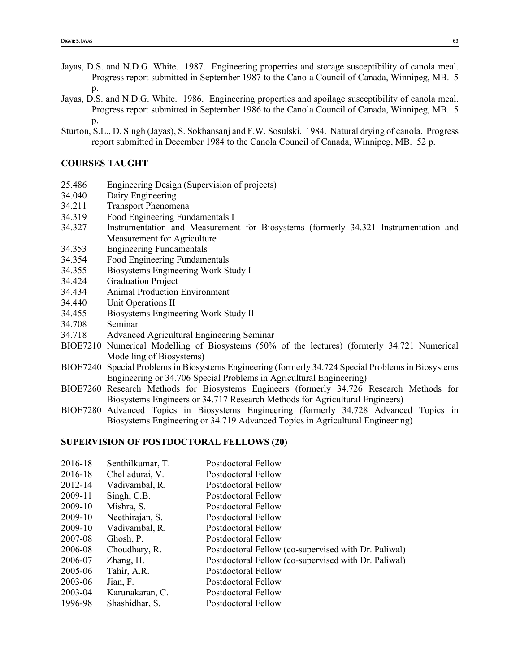- Jayas, D.S. and N.D.G. White. 1987. Engineering properties and storage susceptibility of canola meal. Progress report submitted in September 1987 to the Canola Council of Canada, Winnipeg, MB. 5 p.
- Jayas, D.S. and N.D.G. White. 1986. Engineering properties and spoilage susceptibility of canola meal. Progress report submitted in September 1986 to the Canola Council of Canada, Winnipeg, MB. 5 p.
- Sturton, S.L., D. Singh (Jayas), S. Sokhansanj and F.W. Sosulski. 1984. Natural drying of canola. Progress report submitted in December 1984 to the Canola Council of Canada, Winnipeg, MB. 52 p.

# **COURSES TAUGHT**

- 25.486 Engineering Design (Supervision of projects)
- 34.040 Dairy Engineering
- 34.211 Transport Phenomena
- 34.319 Food Engineering Fundamentals I
- 34.327 Instrumentation and Measurement for Biosystems (formerly 34.321 Instrumentation and Measurement for Agriculture
- 34.353 Engineering Fundamentals
- 34.354 Food Engineering Fundamentals
- 34.355 Biosystems Engineering Work Study I
- 34.424 Graduation Project
- 34.434 Animal Production Environment
- 34.440 Unit Operations II
- 34.455 Biosystems Engineering Work Study II
- 34.708 Seminar
- 34.718 Advanced Agricultural Engineering Seminar
- BIOE7210 Numerical Modelling of Biosystems (50% of the lectures) (formerly 34.721 Numerical Modelling of Biosystems)
- BIOE7240 Special Problems in Biosystems Engineering (formerly 34.724 Special Problems in Biosystems Engineering or 34.706 Special Problems in Agricultural Engineering)
- BIOE7260 Research Methods for Biosystems Engineers (formerly 34.726 Research Methods for Biosystems Engineers or 34.717 Research Methods for Agricultural Engineers)
- BIOE7280 Advanced Topics in Biosystems Engineering (formerly 34.728 Advanced Topics in Biosystems Engineering or 34.719 Advanced Topics in Agricultural Engineering)

## **SUPERVISION OF POSTDOCTORAL FELLOWS (20)**

| 2016-18 | Senthilkumar, T. | Postdoctoral Fellow                                  |
|---------|------------------|------------------------------------------------------|
| 2016-18 | Chelladurai, V.  | Postdoctoral Fellow                                  |
| 2012-14 | Vadivambal, R.   | Postdoctoral Fellow                                  |
| 2009-11 | Singh, C.B.      | Postdoctoral Fellow                                  |
| 2009-10 | Mishra, S.       | Postdoctoral Fellow                                  |
| 2009-10 | Neethirajan, S.  | Postdoctoral Fellow                                  |
| 2009-10 | Vadivambal, R.   | Postdoctoral Fellow                                  |
| 2007-08 | Ghosh, P.        | Postdoctoral Fellow                                  |
| 2006-08 | Choudhary, R.    | Postdoctoral Fellow (co-supervised with Dr. Paliwal) |
| 2006-07 | Zhang, H.        | Postdoctoral Fellow (co-supervised with Dr. Paliwal) |
| 2005-06 | Tahir, A.R.      | Postdoctoral Fellow                                  |
| 2003-06 | Jian, F.         | Postdoctoral Fellow                                  |
| 2003-04 | Karunakaran, C.  | Postdoctoral Fellow                                  |
| 1996-98 | Shashidhar, S.   | Postdoctoral Fellow                                  |
|         |                  |                                                      |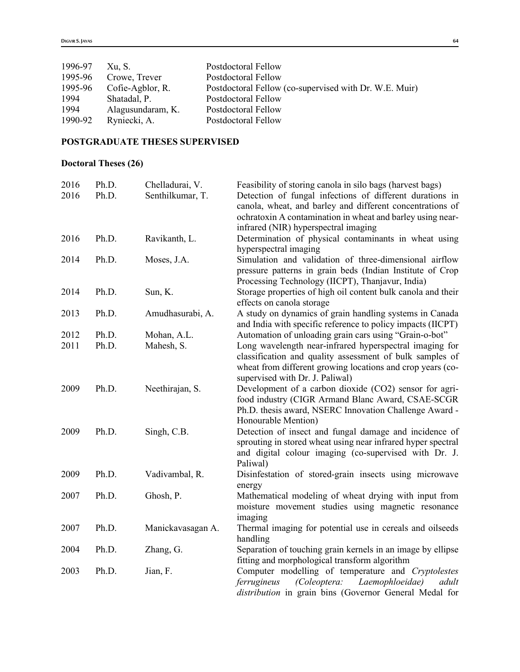| Xu, S.            | Postdoctoral Fellow                                    |
|-------------------|--------------------------------------------------------|
| Crowe, Trever     | Postdoctoral Fellow                                    |
| Cofie-Agblor, R.  | Postdoctoral Fellow (co-supervised with Dr. W.E. Muir) |
| Shatadal, P.      | Postdoctoral Fellow                                    |
| Alagusundaram, K. | Postdoctoral Fellow                                    |
| Ryniecki, A.      | Postdoctoral Fellow                                    |
|                   |                                                        |

# **POSTGRADUATE THESES SUPERVISED**

# **Doctoral Theses (26)**

| 2016 | Ph.D. | Chelladurai, V.   | Feasibility of storing canola in silo bags (harvest bags)    |
|------|-------|-------------------|--------------------------------------------------------------|
| 2016 | Ph.D. | Senthilkumar, T.  | Detection of fungal infections of different durations in     |
|      |       |                   | canola, wheat, and barley and different concentrations of    |
|      |       |                   | ochratoxin A contamination in wheat and barley using near-   |
|      |       |                   | infrared (NIR) hyperspectral imaging                         |
| 2016 | Ph.D. | Ravikanth, L.     | Determination of physical contaminants in wheat using        |
|      |       |                   | hyperspectral imaging                                        |
| 2014 | Ph.D. | Moses, J.A.       | Simulation and validation of three-dimensional airflow       |
|      |       |                   | pressure patterns in grain beds (Indian Institute of Crop    |
|      |       |                   | Processing Technology (IICPT), Thanjavur, India)             |
| 2014 | Ph.D. | Sun, K.           | Storage properties of high oil content bulk canola and their |
|      |       |                   | effects on canola storage                                    |
| 2013 | Ph.D. | Amudhasurabi, A.  | A study on dynamics of grain handling systems in Canada      |
|      |       |                   | and India with specific reference to policy impacts (IICPT)  |
| 2012 | Ph.D. | Mohan, A.L.       | Automation of unloading grain cars using "Grain-o-bot"       |
| 2011 | Ph.D. | Mahesh, S.        | Long wavelength near-infrared hyperspectral imaging for      |
|      |       |                   | classification and quality assessment of bulk samples of     |
|      |       |                   | wheat from different growing locations and crop years (co-   |
|      |       |                   | supervised with Dr. J. Paliwal)                              |
| 2009 | Ph.D. | Neethirajan, S.   | Development of a carbon dioxide (CO2) sensor for agri-       |
|      |       |                   | food industry (CIGR Armand Blanc Award, CSAE-SCGR            |
|      |       |                   | Ph.D. thesis award, NSERC Innovation Challenge Award -       |
|      |       |                   | Honourable Mention)                                          |
| 2009 | Ph.D. | Singh, C.B.       | Detection of insect and fungal damage and incidence of       |
|      |       |                   | sprouting in stored wheat using near infrared hyper spectral |
|      |       |                   | and digital colour imaging (co-supervised with Dr. J.        |
|      |       |                   | Paliwal)                                                     |
| 2009 | Ph.D. | Vadivambal, R.    | Disinfestation of stored-grain insects using microwave       |
|      |       |                   | energy                                                       |
| 2007 | Ph.D. | Ghosh, P.         | Mathematical modeling of wheat drying with input from        |
|      |       |                   | moisture movement studies using magnetic resonance           |
|      |       |                   | imaging                                                      |
| 2007 | Ph.D. | Manickavasagan A. | Thermal imaging for potential use in cereals and oilseeds    |
|      |       |                   | handling                                                     |
| 2004 | Ph.D. | Zhang, G.         | Separation of touching grain kernels in an image by ellipse  |
|      |       |                   | fitting and morphological transform algorithm                |
| 2003 | Ph.D. | Jian, F.          | Computer modelling of temperature and Cryptolestes           |
|      |       |                   | ferrugineus<br>(Coleoptera:<br>Laemophloeidae)<br>adult      |
|      |       |                   | distribution in grain bins (Governor General Medal for       |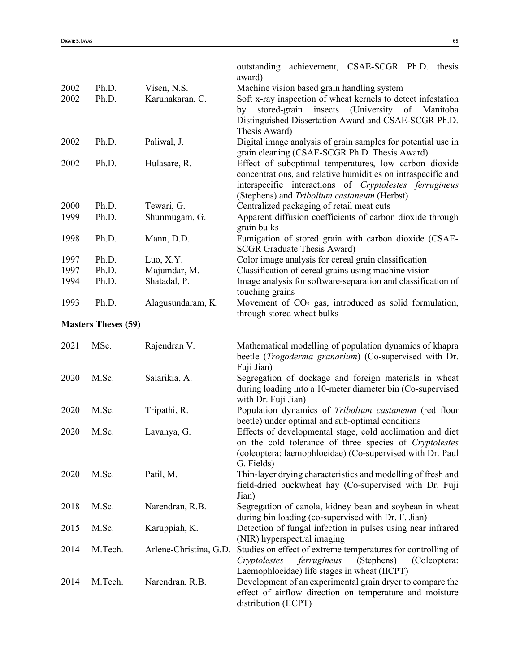|      |                            |                        | outstanding achievement, CSAE-SCGR Ph.D. thesis<br>award)                                                                 |
|------|----------------------------|------------------------|---------------------------------------------------------------------------------------------------------------------------|
| 2002 | Ph.D.                      | Visen, N.S.            | Machine vision based grain handling system                                                                                |
| 2002 | Ph.D.                      | Karunakaran, C.        | Soft x-ray inspection of wheat kernels to detect infestation                                                              |
|      |                            |                        | stored-grain insects (University of Manitoba<br>by                                                                        |
|      |                            |                        | Distinguished Dissertation Award and CSAE-SCGR Ph.D.<br>Thesis Award)                                                     |
| 2002 | Ph.D.                      | Paliwal, J.            | Digital image analysis of grain samples for potential use in                                                              |
|      |                            |                        | grain cleaning (CSAE-SCGR Ph.D. Thesis Award)                                                                             |
| 2002 | Ph.D.                      | Hulasare, R.           | Effect of suboptimal temperatures, low carbon dioxide                                                                     |
|      |                            |                        | concentrations, and relative humidities on intraspecific and                                                              |
|      |                            |                        | interspecific interactions of Cryptolestes ferrugineus                                                                    |
|      |                            |                        | (Stephens) and Tribolium castaneum (Herbst)                                                                               |
| 2000 | Ph.D.<br>Ph.D.             | Tewari, G.             | Centralized packaging of retail meat cuts                                                                                 |
| 1999 |                            | Shunmugam, G.          | Apparent diffusion coefficients of carbon dioxide through<br>grain bulks                                                  |
| 1998 | Ph.D.                      | Mann, D.D.             | Fumigation of stored grain with carbon dioxide (CSAE-                                                                     |
|      |                            |                        | <b>SCGR Graduate Thesis Award)</b>                                                                                        |
| 1997 | Ph.D.                      | Luo, X.Y.              | Color image analysis for cereal grain classification                                                                      |
| 1997 | Ph.D.                      | Majumdar, M.           | Classification of cereal grains using machine vision                                                                      |
| 1994 | Ph.D.                      | Shatadal, P.           | Image analysis for software-separation and classification of                                                              |
|      |                            |                        | touching grains                                                                                                           |
| 1993 | Ph.D.                      | Alagusundaram, K.      | Movement of CO <sub>2</sub> gas, introduced as solid formulation,                                                         |
|      |                            |                        | through stored wheat bulks                                                                                                |
|      | <b>Masters Theses (59)</b> |                        |                                                                                                                           |
| 2021 | MSc.                       | Rajendran V.           | Mathematical modelling of population dynamics of khapra                                                                   |
|      |                            |                        | beetle ( <i>Trogoderma granarium</i> ) (Co-supervised with Dr.                                                            |
|      |                            |                        | Fuji Jian)                                                                                                                |
| 2020 | M.Sc.                      | Salarikia, A.          | Segregation of dockage and foreign materials in wheat                                                                     |
|      |                            |                        | during loading into a 10-meter diameter bin (Co-supervised                                                                |
|      |                            |                        |                                                                                                                           |
|      |                            |                        | with Dr. Fuji Jian)                                                                                                       |
| 2020 | M.Sc.                      | Tripathi, R.           | Population dynamics of Tribolium castaneum (red flour                                                                     |
|      |                            |                        | beetle) under optimal and sub-optimal conditions                                                                          |
| 2020 | M.Sc.                      | Lavanya, G.            | Effects of developmental stage, cold acclimation and diet                                                                 |
|      |                            |                        | on the cold tolerance of three species of Cryptolestes<br>(coleoptera: laemophloeidae) (Co-supervised with Dr. Paul       |
|      |                            |                        | G. Fields)                                                                                                                |
| 2020 | M.Sc.                      | Patil, M.              | Thin-layer drying characteristics and modelling of fresh and                                                              |
|      |                            |                        | field-dried buckwheat hay (Co-supervised with Dr. Fuji                                                                    |
|      |                            |                        | Jian)                                                                                                                     |
| 2018 | M.Sc.                      | Narendran, R.B.        | Segregation of canola, kidney bean and soybean in wheat                                                                   |
|      |                            |                        | during bin loading (co-supervised with Dr. F. Jian)                                                                       |
| 2015 | M.Sc.                      | Karuppiah, K.          | Detection of fungal infection in pulses using near infrared                                                               |
|      |                            |                        | (NIR) hyperspectral imaging                                                                                               |
| 2014 | M.Tech.                    | Arlene-Christina, G.D. | Studies on effect of extreme temperatures for controlling of<br>ferrugineus<br>(Stephens)<br>Cryptolestes<br>(Coleoptera: |
|      |                            |                        | Laemophloeidae) life stages in wheat (IICPT)                                                                              |
| 2014 | M.Tech.                    | Narendran, R.B.        | Development of an experimental grain dryer to compare the                                                                 |
|      |                            |                        | effect of airflow direction on temperature and moisture<br>distribution (IICPT)                                           |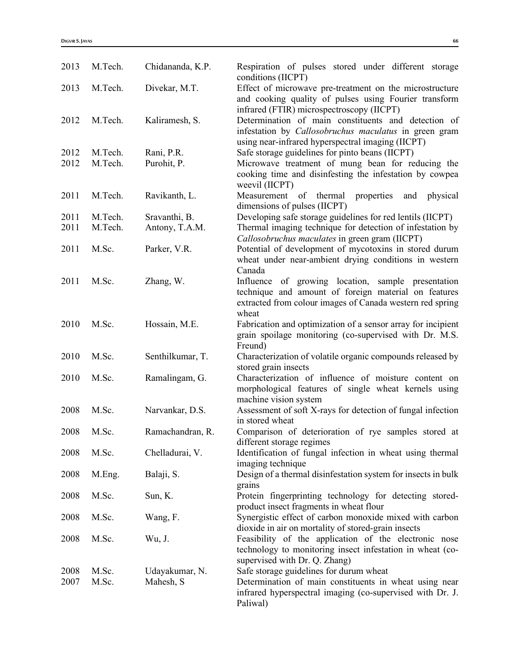| 2013         | M.Tech.        | Chidananda, K.P.            | Respiration of pulses stored under different storage<br>conditions (IICPT)                                                                                                       |
|--------------|----------------|-----------------------------|----------------------------------------------------------------------------------------------------------------------------------------------------------------------------------|
| 2013         | M.Tech.        | Divekar, M.T.               | Effect of microwave pre-treatment on the microstructure<br>and cooking quality of pulses using Fourier transform<br>infrared (FTIR) microspectroscopy (IICPT)                    |
| 2012         | M.Tech.        | Kaliramesh, S.              | Determination of main constituents and detection of<br>infestation by Callosobruchus maculatus in green gram<br>using near-infrared hyperspectral imaging (IICPT)                |
| 2012         | M.Tech.        | Rani, P.R.                  | Safe storage guidelines for pinto beans (IICPT)                                                                                                                                  |
| 2012         | M.Tech.        | Purohit, P.                 | Microwave treatment of mung bean for reducing the<br>cooking time and disinfesting the infestation by cowpea<br>weevil (IICPT)                                                   |
| 2011         | M.Tech.        | Ravikanth, L.               | Measurement<br>of<br>thermal<br>properties<br>physical<br>and<br>dimensions of pulses (IICPT)                                                                                    |
| 2011         | M.Tech.        | Sravanthi, B.               | Developing safe storage guidelines for red lentils (IICPT)                                                                                                                       |
| 2011         | M.Tech.        | Antony, T.A.M.              | Thermal imaging technique for detection of infestation by<br>Callosobruchus maculates in green gram (IICPT)                                                                      |
| 2011         | M.Sc.          | Parker, V.R.                | Potential of development of mycotoxins in stored durum<br>wheat under near-ambient drying conditions in western<br>Canada                                                        |
| 2011         | M.Sc.          | Zhang, W.                   | Influence of growing location, sample presentation<br>technique and amount of foreign material on features<br>extracted from colour images of Canada western red spring<br>wheat |
| 2010         | M.Sc.          | Hossain, M.E.               | Fabrication and optimization of a sensor array for incipient<br>grain spoilage monitoring (co-supervised with Dr. M.S.<br>Freund)                                                |
| 2010         | M.Sc.          | Senthilkumar, T.            | Characterization of volatile organic compounds released by<br>stored grain insects                                                                                               |
| 2010         | M.Sc.          | Ramalingam, G.              | Characterization of influence of moisture content on<br>morphological features of single wheat kernels using<br>machine vision system                                            |
| 2008         | M.Sc.          | Narvankar, D.S.             | Assessment of soft X-rays for detection of fungal infection<br>in stored wheat                                                                                                   |
| 2008         | M.Sc.          | Ramachandran, R.            | Comparison of deterioration of rye samples stored at<br>different storage regimes                                                                                                |
| 2008         | M.Sc.          | Chelladurai, V.             | Identification of fungal infection in wheat using thermal<br>imaging technique                                                                                                   |
| 2008         | M.Eng.         | Balaji, S.                  | Design of a thermal disinfestation system for insects in bulk<br>grains                                                                                                          |
| 2008         | M.Sc.          | Sun, K.                     | Protein fingerprinting technology for detecting stored-<br>product insect fragments in wheat flour                                                                               |
| 2008         | M.Sc.          | Wang, F.                    | Synergistic effect of carbon monoxide mixed with carbon<br>dioxide in air on mortality of stored-grain insects                                                                   |
| 2008         | M.Sc.          | Wu, J.                      | Feasibility of the application of the electronic nose<br>technology to monitoring insect infestation in wheat (co-<br>supervised with Dr. Q. Zhang)                              |
| 2008<br>2007 | M.Sc.<br>M.Sc. | Udayakumar, N.<br>Mahesh, S | Safe storage guidelines for durum wheat<br>Determination of main constituents in wheat using near<br>infrared hyperspectral imaging (co-supervised with Dr. J.<br>Paliwal)       |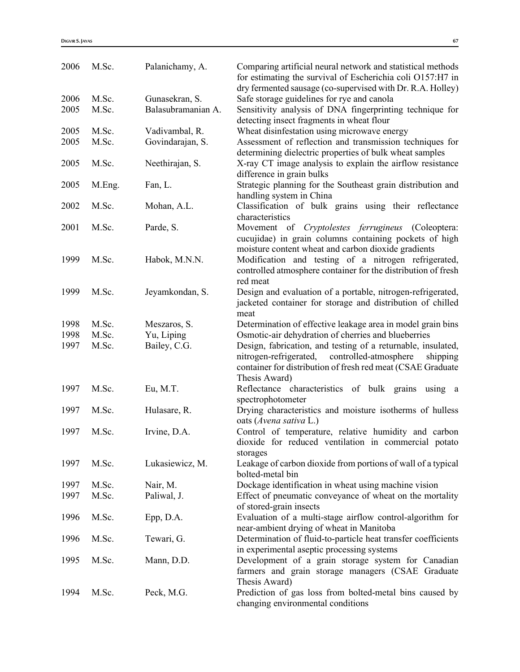| 2006 | M.Sc.  | Palanichamy, A.    | Comparing artificial neural network and statistical methods<br>for estimating the survival of Escherichia coli O157:H7 in                                                                                   |
|------|--------|--------------------|-------------------------------------------------------------------------------------------------------------------------------------------------------------------------------------------------------------|
|      |        |                    | dry fermented sausage (co-supervised with Dr. R.A. Holley)                                                                                                                                                  |
| 2006 | M.Sc.  | Gunasekran, S.     | Safe storage guidelines for rye and canola                                                                                                                                                                  |
| 2005 | M.Sc.  | Balasubramanian A. | Sensitivity analysis of DNA fingerprinting technique for<br>detecting insect fragments in wheat flour                                                                                                       |
| 2005 | M.Sc.  | Vadivambal, R.     | Wheat disinfestation using microwave energy                                                                                                                                                                 |
| 2005 | M.Sc.  | Govindarajan, S.   | Assessment of reflection and transmission techniques for<br>determining dielectric properties of bulk wheat samples                                                                                         |
| 2005 | M.Sc.  | Neethirajan, S.    | X-ray CT image analysis to explain the airflow resistance<br>difference in grain bulks                                                                                                                      |
| 2005 | M.Eng. | Fan, L.            | Strategic planning for the Southeast grain distribution and<br>handling system in China                                                                                                                     |
| 2002 | M.Sc.  | Mohan, A.L.        | Classification of bulk grains using their reflectance<br>characteristics                                                                                                                                    |
| 2001 | M.Sc.  | Parde, S.          | Movement of Cryptolestes ferrugineus (Coleoptera:<br>cucujidae) in grain columns containing pockets of high<br>moisture content wheat and carbon dioxide gradients                                          |
| 1999 | M.Sc.  | Habok, M.N.N.      | Modification and testing of a nitrogen refrigerated,<br>controlled atmosphere container for the distribution of fresh<br>red meat                                                                           |
| 1999 | M.Sc.  | Jeyamkondan, S.    | Design and evaluation of a portable, nitrogen-refrigerated,<br>jacketed container for storage and distribution of chilled<br>meat                                                                           |
| 1998 | M.Sc.  | Meszaros, S.       | Determination of effective leakage area in model grain bins                                                                                                                                                 |
| 1998 | M.Sc.  | Yu, Liping         | Osmotic-air dehydration of cherries and blueberries                                                                                                                                                         |
| 1997 | M.Sc.  | Bailey, C.G.       | Design, fabrication, and testing of a returnable, insulated,<br>nitrogen-refrigerated,<br>controlled-atmosphere<br>shipping<br>container for distribution of fresh red meat (CSAE Graduate<br>Thesis Award) |
| 1997 | M.Sc.  | Eu, M.T.           | Reflectance characteristics of bulk grains<br>using a<br>spectrophotometer                                                                                                                                  |
| 1997 | M.Sc.  | Hulasare, R.       | Drying characteristics and moisture isotherms of hulless<br>oats (Avena sativa L.)                                                                                                                          |
| 1997 | M.Sc.  | Irvine, D.A.       | Control of temperature, relative humidity and carbon<br>dioxide for reduced ventilation in commercial potato<br>storages                                                                                    |
| 1997 | M.Sc.  | Lukasiewicz, M.    | Leakage of carbon dioxide from portions of wall of a typical<br>bolted-metal bin                                                                                                                            |
| 1997 | M.Sc.  | Nair, M.           | Dockage identification in wheat using machine vision                                                                                                                                                        |
| 1997 | M.Sc.  | Paliwal, J.        | Effect of pneumatic conveyance of wheat on the mortality<br>of stored-grain insects                                                                                                                         |
| 1996 | M.Sc.  | Epp, D.A.          | Evaluation of a multi-stage airflow control-algorithm for<br>near-ambient drying of wheat in Manitoba                                                                                                       |
| 1996 | M.Sc.  | Tewari, G.         | Determination of fluid-to-particle heat transfer coefficients<br>in experimental aseptic processing systems                                                                                                 |
| 1995 | M.Sc.  | Mann, D.D.         | Development of a grain storage system for Canadian<br>farmers and grain storage managers (CSAE Graduate<br>Thesis Award)                                                                                    |
| 1994 | M.Sc.  | Peck, M.G.         | Prediction of gas loss from bolted-metal bins caused by<br>changing environmental conditions                                                                                                                |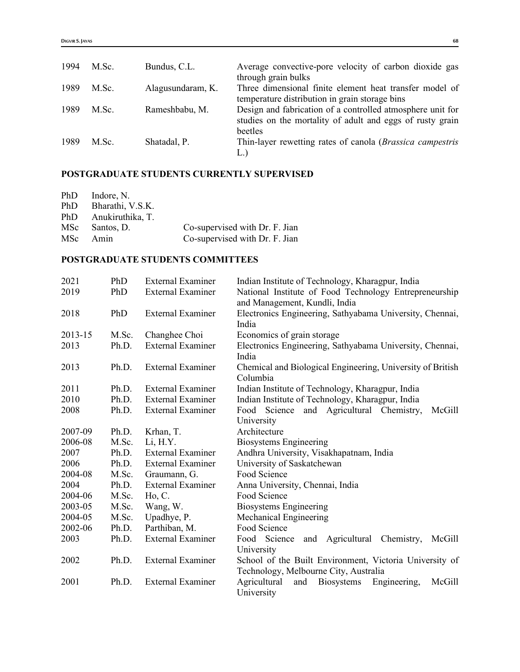| 1994 | M.Sc. | Bundus, C.L.      | Average convective-pore velocity of carbon dioxide gas<br>through grain bulks                                                      |
|------|-------|-------------------|------------------------------------------------------------------------------------------------------------------------------------|
| 1989 | M.Sc. | Alagusundaram, K. | Three dimensional finite element heat transfer model of<br>temperature distribution in grain storage bins                          |
| 1989 | M.Sc. | Rameshbabu, M.    | Design and fabrication of a controlled atmosphere unit for<br>studies on the mortality of adult and eggs of rusty grain<br>beetles |
| 1989 | M.Sc. | Shatadal, P.      | Thin-layer rewetting rates of canola ( <i>Brassica campestris</i><br>L.)                                                           |

# **POSTGRADUATE STUDENTS CURRENTLY SUPERVISED**

| PhD Indore, N.       |                                |
|----------------------|--------------------------------|
| PhD Bharathi, V.S.K. |                                |
| PhD Anukiruthika, T. |                                |
| MSc Santos, D.       | Co-supervised with Dr. F. Jian |
| MSc Amin             | Co-supervised with Dr. F. Jian |
|                      |                                |

# **POSTGRADUATE STUDENTS COMMITTEES**

| 2021    | PhD   | <b>External Examiner</b> | Indian Institute of Technology, Kharagpur, India                   |
|---------|-------|--------------------------|--------------------------------------------------------------------|
| 2019    | PhD   | <b>External Examiner</b> | National Institute of Food Technology Entrepreneurship             |
|         |       |                          | and Management, Kundli, India                                      |
| 2018    | PhD   | <b>External Examiner</b> | Electronics Engineering, Sathyabama University, Chennai,           |
|         |       |                          | India                                                              |
| 2013-15 | M.Sc. | Changhee Choi            | Economics of grain storage                                         |
| 2013    | Ph.D. | <b>External Examiner</b> | Electronics Engineering, Sathyabama University, Chennai,           |
|         |       |                          | India                                                              |
| 2013    | Ph.D. | <b>External Examiner</b> | Chemical and Biological Engineering, University of British         |
|         |       |                          | Columbia                                                           |
| 2011    | Ph.D. | <b>External Examiner</b> | Indian Institute of Technology, Kharagpur, India                   |
| 2010    | Ph.D. | <b>External Examiner</b> | Indian Institute of Technology, Kharagpur, India                   |
| 2008    | Ph.D. | <b>External Examiner</b> | and Agricultural Chemistry,<br>Food Science<br>McGill              |
|         |       |                          | University                                                         |
| 2007-09 | Ph.D. | Krhan, T.                | Architecture                                                       |
| 2006-08 | M.Sc. | Li, H.Y.                 | <b>Biosystems Engineering</b>                                      |
| 2007    | Ph.D. | <b>External Examiner</b> | Andhra University, Visakhapatnam, India                            |
| 2006    | Ph.D. | <b>External Examiner</b> | University of Saskatchewan                                         |
| 2004-08 | M.Sc. | Graumann, G.             | Food Science                                                       |
| 2004    | Ph.D. | <b>External Examiner</b> | Anna University, Chennai, India                                    |
| 2004-06 | M.Sc. | Ho, C.                   | Food Science                                                       |
| 2003-05 | M.Sc. | Wang, W.                 | <b>Biosystems Engineering</b>                                      |
| 2004-05 | M.Sc. | Upadhye, P.              | Mechanical Engineering                                             |
| 2002-06 | Ph.D. | Parthiban, M.            | Food Science                                                       |
| 2003    | Ph.D. | <b>External Examiner</b> | and Agricultural Chemistry,<br>Food Science<br>McGill              |
|         |       |                          | University                                                         |
| 2002    | Ph.D. | <b>External Examiner</b> | School of the Built Environment, Victoria University of            |
|         |       |                          | Technology, Melbourne City, Australia                              |
| 2001    | Ph.D. | <b>External Examiner</b> | Agricultural<br><b>Biosystems</b><br>and<br>Engineering,<br>McGill |
|         |       |                          | University                                                         |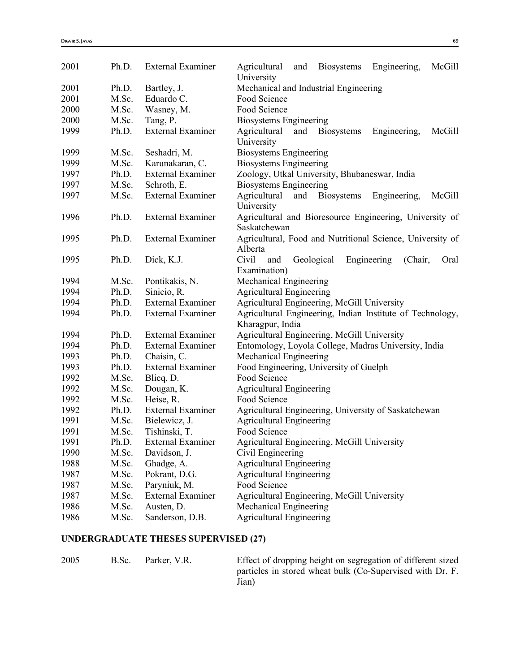| 2001 | Ph.D. | <b>External Examiner</b> | <b>Biosystems</b><br>Engineering,<br>McGill<br>Agricultural<br>and<br>University |
|------|-------|--------------------------|----------------------------------------------------------------------------------|
| 2001 | Ph.D. | Bartley, J.              | Mechanical and Industrial Engineering                                            |
| 2001 | M.Sc. | Eduardo C.               | Food Science                                                                     |
| 2000 | M.Sc. | Wasney, M.               | Food Science                                                                     |
| 2000 | M.Sc. | Tang, P.                 | <b>Biosystems Engineering</b>                                                    |
| 1999 | Ph.D. | <b>External Examiner</b> | Agricultural<br>and Biosystems<br>Engineering,<br>McGill                         |
|      |       |                          | University                                                                       |
| 1999 | M.Sc. | Seshadri, M.             | <b>Biosystems Engineering</b>                                                    |
| 1999 | M.Sc. | Karunakaran, C.          | <b>Biosystems Engineering</b>                                                    |
| 1997 | Ph.D. | <b>External Examiner</b> | Zoology, Utkal University, Bhubaneswar, India                                    |
| 1997 | M.Sc. | Schroth, E.              | <b>Biosystems Engineering</b>                                                    |
| 1997 | M.Sc. | <b>External Examiner</b> | Biosystems<br>Agricultural<br>and<br>Engineering,<br>McGill                      |
|      |       |                          | University                                                                       |
| 1996 | Ph.D. | <b>External Examiner</b> | Agricultural and Bioresource Engineering, University of                          |
|      |       |                          | Saskatchewan                                                                     |
| 1995 | Ph.D. | <b>External Examiner</b> | Agricultural, Food and Nutritional Science, University of                        |
|      |       |                          | Alberta                                                                          |
| 1995 | Ph.D. | Dick, K.J.               | Civil<br>Geological<br>Engineering<br>(Chair,<br>and<br>Oral                     |
|      |       |                          | Examination)                                                                     |
| 1994 | M.Sc. | Pontikakis, N.           | Mechanical Engineering                                                           |
| 1994 | Ph.D. | Sinicio, R.              | <b>Agricultural Engineering</b>                                                  |
| 1994 | Ph.D. | <b>External Examiner</b> | Agricultural Engineering, McGill University                                      |
| 1994 | Ph.D. | <b>External Examiner</b> | Agricultural Engineering, Indian Institute of Technology,                        |
|      |       |                          | Kharagpur, India                                                                 |
| 1994 | Ph.D. | <b>External Examiner</b> | Agricultural Engineering, McGill University                                      |
| 1994 | Ph.D. | <b>External Examiner</b> | Entomology, Loyola College, Madras University, India                             |
| 1993 | Ph.D. | Chaisin, C.              | Mechanical Engineering                                                           |
| 1993 | Ph.D. | <b>External Examiner</b> | Food Engineering, University of Guelph                                           |
| 1992 | M.Sc. | Blicq, D.                | Food Science                                                                     |
| 1992 | M.Sc. | Dougan, K.               | <b>Agricultural Engineering</b>                                                  |
| 1992 | M.Sc. | Heise, R.                | Food Science                                                                     |
| 1992 | Ph.D. | <b>External Examiner</b> | Agricultural Engineering, University of Saskatchewan                             |
| 1991 | M.Sc. | Bielewicz, J.            | <b>Agricultural Engineering</b>                                                  |
| 1991 | M.Sc. | Tishinski, T.            | Food Science                                                                     |
| 1991 | Ph.D. | External Examiner        | Agricultural Engineering, McGill University                                      |
| 1990 | M.Sc. | Davidson, J.             | Civil Engineering                                                                |
| 1988 | M.Sc. | Ghadge, A.               | <b>Agricultural Engineering</b>                                                  |
| 1987 | M.Sc. | Pokrant, D.G.            | <b>Agricultural Engineering</b>                                                  |
| 1987 | M.Sc. | Paryniuk, M.             | Food Science                                                                     |
| 1987 | M.Sc. | <b>External Examiner</b> | Agricultural Engineering, McGill University                                      |
| 1986 | M.Sc. | Austen, D.               | Mechanical Engineering                                                           |
| 1986 | M.Sc. | Sanderson, D.B.          | <b>Agricultural Engineering</b>                                                  |
|      |       |                          |                                                                                  |

# **UNDERGRADUATE THESES SUPERVISED (27)**

| 2005 | B.Sc. | Parker, V.R. | Effect of dropping height on segregation of different sized |
|------|-------|--------------|-------------------------------------------------------------|
|      |       |              | particles in stored wheat bulk (Co-Supervised with Dr. F.   |
|      |       |              | Jian)                                                       |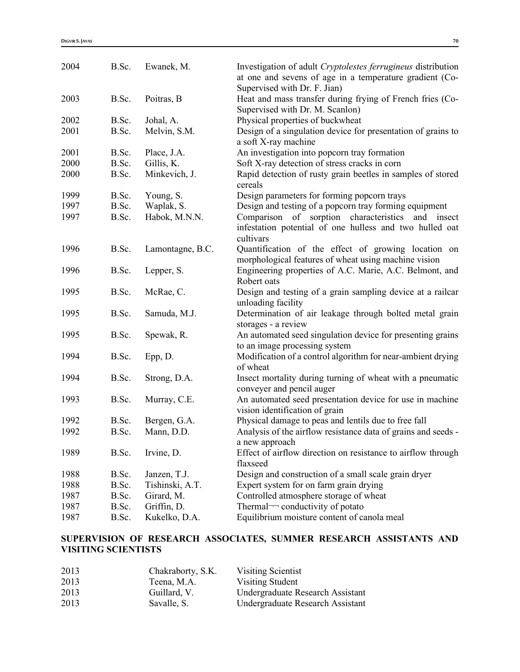| Supervised with Dr. F. Jian)<br>Heat and mass transfer during frying of French fries (Co-<br>2003<br>B.Sc.<br>Poitras, B                                    |  |
|-------------------------------------------------------------------------------------------------------------------------------------------------------------|--|
| Supervised with Dr. M. Scanlon)                                                                                                                             |  |
| Physical properties of buckwheat<br>2002<br>B.Sc.<br>Johal, A.                                                                                              |  |
| Design of a singulation device for presentation of grains to<br>2001<br>B.Sc.<br>Melvin, S.M.<br>a soft X-ray machine                                       |  |
| An investigation into popcorn tray formation<br>2001<br>B.Sc.<br>Place, J.A.                                                                                |  |
| 2000<br>B.Sc.<br>Gillis, K.<br>Soft X-ray detection of stress cracks in corn                                                                                |  |
| B.Sc.<br>Minkevich, J.<br>Rapid detection of rusty grain beetles in samples of stored<br>2000<br>cereals                                                    |  |
| 1999<br>B.Sc.<br>Young, S.<br>Design parameters for forming popcorn trays                                                                                   |  |
| 1997<br>Waplak, S.<br>Design and testing of a popcorn tray forming equipment<br>B.Sc.                                                                       |  |
| Comparison of sorption characteristics and insect<br>1997<br>B.Sc.<br>Habok, M.N.N.<br>infestation potential of one hulless and two hulled oat<br>cultivars |  |
| 1996<br>B.Sc.<br>Lamontagne, B.C.<br>Quantification of the effect of growing location on<br>morphological features of wheat using machine vision            |  |
| Engineering properties of A.C. Marie, A.C. Belmont, and<br>1996<br>B.Sc.<br>Lepper, S.<br>Robert oats                                                       |  |
| B.Sc.<br>Design and testing of a grain sampling device at a railcar<br>1995<br>McRae, C.<br>unloading facility                                              |  |
| B.Sc.<br>Determination of air leakage through bolted metal grain<br>1995<br>Samuda, M.J.<br>storages - a review                                             |  |
| B.Sc.<br>An automated seed singulation device for presenting grains<br>1995<br>Spewak, R.<br>to an image processing system                                  |  |
| Modification of a control algorithm for near-ambient drying<br>1994<br>B.Sc.<br>Epp, D.<br>of wheat                                                         |  |
| 1994<br>B.Sc.<br>Strong, D.A.<br>Insect mortality during turning of wheat with a pneumatic<br>conveyer and pencil auger                                     |  |
| An automated seed presentation device for use in machine<br>1993<br>B.Sc.<br>Murray, C.E.<br>vision identification of grain                                 |  |
| 1992<br>B.Sc.<br>Physical damage to peas and lentils due to free fall<br>Bergen, G.A.                                                                       |  |
| Analysis of the airflow resistance data of grains and seeds -<br>1992<br>B.Sc.<br>Mann, D.D.                                                                |  |
| a new approach<br>1989<br>B.Sc.<br>Irvine, D.<br>Effect of airflow direction on resistance to airflow through<br>flaxseed                                   |  |
| Design and construction of a small scale grain dryer<br>1988<br>B.Sc.<br>Janzen, T.J.                                                                       |  |
| 1988<br>B.Sc.<br>Tishinski, A.T.<br>Expert system for on farm grain drying                                                                                  |  |
| 1987<br>Girard, M.<br>Controlled atmosphere storage of wheat<br>B.Sc.                                                                                       |  |
| 1987<br>B.Sc.<br>Griffin, D.<br>Thermal <sup>---</sup> conductivity of potato                                                                               |  |
| 1987<br>Kukelko, D.A.<br>Equilibrium moisture content of canola meal<br>B.Sc.                                                                               |  |

# **SUPERVISION OF RESEARCH ASSOCIATES, SUMMER RESEARCH ASSISTANTS AND VISITING SCIENTISTS**

| 2013 | Chakraborty, S.K. | Visiting Scientist               |
|------|-------------------|----------------------------------|
| 2013 | Teena, M.A.       | Visiting Student                 |
| 2013 | Guillard, V.      | Undergraduate Research Assistant |
| 2013 | Savalle, S.       | Undergraduate Research Assistant |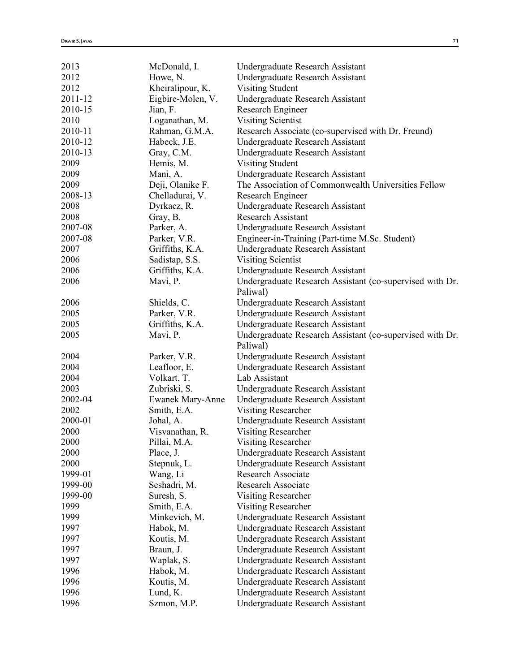| 2013    | McDonald, I.                 | Undergraduate Research Assistant                                     |
|---------|------------------------------|----------------------------------------------------------------------|
| 2012    | Howe, N.                     | Undergraduate Research Assistant                                     |
| 2012    | Kheiralipour, K.             | Visiting Student                                                     |
| 2011-12 | Eigbire-Molen, V.            | Undergraduate Research Assistant                                     |
| 2010-15 | Jian, F.                     | Research Engineer                                                    |
| 2010    | Loganathan, M.               | <b>Visiting Scientist</b>                                            |
| 2010-11 | Rahman, G.M.A.               | Research Associate (co-supervised with Dr. Freund)                   |
| 2010-12 | Habeck, J.E.                 | Undergraduate Research Assistant                                     |
| 2010-13 | Gray, C.M.                   | Undergraduate Research Assistant                                     |
| 2009    | Hemis, M.                    | Visiting Student                                                     |
| 2009    | Mani, A.                     | Undergraduate Research Assistant                                     |
| 2009    | Deji, Olanike F.             | The Association of Commonwealth Universities Fellow                  |
| 2008-13 | Chelladurai, V.              | Research Engineer                                                    |
| 2008    | Dyrkacz, R.                  | Undergraduate Research Assistant                                     |
| 2008    | Gray, B.                     | <b>Research Assistant</b>                                            |
| 2007-08 | Parker, A.                   | Undergraduate Research Assistant                                     |
| 2007-08 | Parker, V.R.                 | Engineer-in-Training (Part-time M.Sc. Student)                       |
| 2007    | Griffiths, K.A.              | Undergraduate Research Assistant                                     |
| 2006    | Sadistap, S.S.               | <b>Visiting Scientist</b>                                            |
| 2006    | Griffiths, K.A.              | Undergraduate Research Assistant                                     |
| 2006    | Mavi, P.                     | Undergraduate Research Assistant (co-supervised with Dr.             |
|         |                              | Paliwal)                                                             |
| 2006    | Shields, C.                  | Undergraduate Research Assistant                                     |
| 2005    | Parker, V.R.                 | Undergraduate Research Assistant                                     |
| 2005    | Griffiths, K.A.              | Undergraduate Research Assistant                                     |
| 2005    | Mavi, P.                     | Undergraduate Research Assistant (co-supervised with Dr.             |
|         |                              |                                                                      |
| 2004    |                              | Paliwal)                                                             |
| 2004    | Parker, V.R.<br>Leafloor, E. | Undergraduate Research Assistant<br>Undergraduate Research Assistant |
| 2004    | Volkart, T.                  | Lab Assistant                                                        |
| 2003    |                              |                                                                      |
|         | Zubriski, S.                 | Undergraduate Research Assistant                                     |
| 2002-04 | <b>Ewanek Mary-Anne</b>      | Undergraduate Research Assistant                                     |
| 2002    | Smith, E.A.                  | <b>Visiting Researcher</b>                                           |
| 2000-01 | Johal, A.                    | Undergraduate Research Assistant                                     |
| 2000    | Visvanathan, R.              | <b>Visiting Researcher</b>                                           |
| 2000    | Pillai, M.A.                 | Visiting Researcher                                                  |
| 2000    | Place, J.                    | Undergraduate Research Assistant                                     |
| 2000    | Stepnuk, L.                  | Undergraduate Research Assistant                                     |
| 1999-01 | Wang, Li                     | Research Associate                                                   |
| 1999-00 | Seshadri, M.                 | Research Associate                                                   |
| 1999-00 | Suresh, S.                   | Visiting Researcher                                                  |
| 1999    | Smith, E.A.                  | <b>Visiting Researcher</b>                                           |
| 1999    | Minkevich, M.                | Undergraduate Research Assistant                                     |
| 1997    | Habok, M.                    | Undergraduate Research Assistant                                     |
| 1997    | Koutis, M.                   | Undergraduate Research Assistant                                     |
| 1997    | Braun, J.                    | Undergraduate Research Assistant                                     |
| 1997    | Waplak, S.                   | Undergraduate Research Assistant                                     |
| 1996    | Habok, M.                    | Undergraduate Research Assistant                                     |
| 1996    | Koutis, M.                   | Undergraduate Research Assistant                                     |
| 1996    | Lund, K.                     | Undergraduate Research Assistant                                     |
| 1996    | Szmon, M.P.                  | Undergraduate Research Assistant                                     |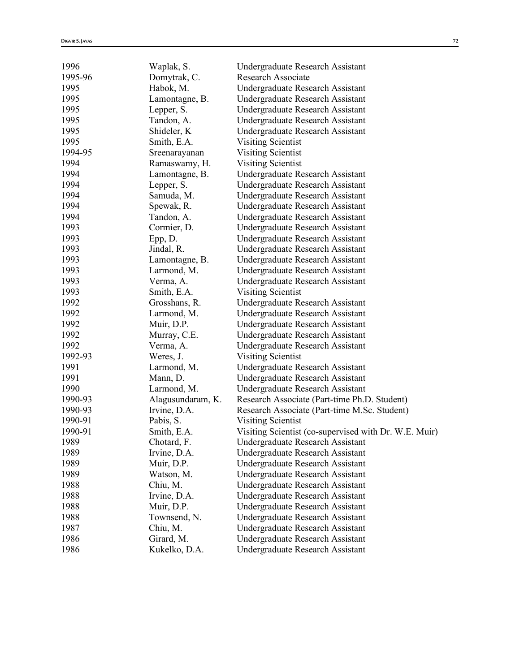| 1996    | Waplak, S.        | Undergraduate Research Assistant                                     |
|---------|-------------------|----------------------------------------------------------------------|
| 1995-96 | Domytrak, C.      | Research Associate                                                   |
| 1995    | Habok, M.         | Undergraduate Research Assistant                                     |
| 1995    | Lamontagne, B.    | Undergraduate Research Assistant                                     |
| 1995    | Lepper, S.        | Undergraduate Research Assistant                                     |
| 1995    | Tandon, A.        | Undergraduate Research Assistant                                     |
| 1995    | Shideler, K       | Undergraduate Research Assistant                                     |
| 1995    | Smith, E.A.       | <b>Visiting Scientist</b>                                            |
| 1994-95 | Sreenarayanan     | <b>Visiting Scientist</b>                                            |
| 1994    | Ramaswamy, H.     | <b>Visiting Scientist</b>                                            |
| 1994    | Lamontagne, B.    | Undergraduate Research Assistant                                     |
| 1994    | Lepper, S.        | Undergraduate Research Assistant                                     |
| 1994    | Samuda, M.        | Undergraduate Research Assistant                                     |
| 1994    | Spewak, R.        | Undergraduate Research Assistant                                     |
| 1994    | Tandon, A.        | Undergraduate Research Assistant                                     |
| 1993    | Cormier, D.       | Undergraduate Research Assistant                                     |
| 1993    | Epp, D.           | Undergraduate Research Assistant                                     |
| 1993    | Jindal, R.        | Undergraduate Research Assistant                                     |
| 1993    | Lamontagne, B.    | Undergraduate Research Assistant                                     |
| 1993    | Larmond, M.       | Undergraduate Research Assistant                                     |
| 1993    | Verma, A.         | Undergraduate Research Assistant                                     |
| 1993    | Smith, E.A.       | <b>Visiting Scientist</b>                                            |
| 1992    | Grosshans, R.     | Undergraduate Research Assistant                                     |
| 1992    | Larmond, M.       | Undergraduate Research Assistant                                     |
| 1992    | Muir, D.P.        | Undergraduate Research Assistant                                     |
| 1992    | Murray, C.E.      | Undergraduate Research Assistant                                     |
| 1992    | Verma, A.         | Undergraduate Research Assistant                                     |
| 1992-93 | Weres, J.         | <b>Visiting Scientist</b>                                            |
| 1991    | Larmond, M.       | Undergraduate Research Assistant                                     |
| 1991    | Mann, D.          | Undergraduate Research Assistant                                     |
| 1990    | Larmond, M.       | Undergraduate Research Assistant                                     |
| 1990-93 | Alagusundaram, K. | Research Associate (Part-time Ph.D. Student)                         |
| 1990-93 | Irvine, D.A.      | Research Associate (Part-time M.Sc. Student)                         |
| 1990-91 | Pabis, S.         | Visiting Scientist                                                   |
| 1990-91 | Smith, E.A.       | Visiting Scientist (co-supervised with Dr. W.E. Muir)                |
| 1989    | Chotard, F.       | Undergraduate Research Assistant                                     |
| 1989    | Irvine, D.A.      | Undergraduate Research Assistant                                     |
| 1989    | Muir, D.P.        | Undergraduate Research Assistant                                     |
| 1989    | Watson, M.        | Undergraduate Research Assistant                                     |
| 1988    | Chiu, M.          | Undergraduate Research Assistant                                     |
| 1988    | Irvine, D.A.      | Undergraduate Research Assistant                                     |
| 1988    | Muir, D.P.        | Undergraduate Research Assistant                                     |
| 1988    | Townsend, N.      |                                                                      |
| 1987    | Chiu, M.          | Undergraduate Research Assistant<br>Undergraduate Research Assistant |
| 1986    |                   |                                                                      |
|         | Girard, M.        | Undergraduate Research Assistant                                     |
| 1986    | Kukelko, D.A.     | Undergraduate Research Assistant                                     |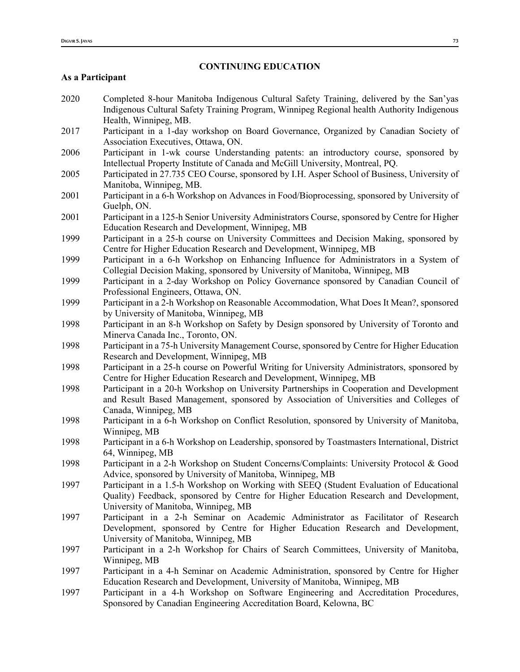## **CONTINUING EDUCATION**

## **As a Participant**

- 2020 Completed 8-hour Manitoba Indigenous Cultural Safety Training, delivered by the San'yas Indigenous Cultural Safety Training Program, Winnipeg Regional health Authority Indigenous Health, Winnipeg, MB.
- 2017 Participant in a 1-day workshop on Board Governance, Organized by Canadian Society of Association Executives, Ottawa, ON.
- 2006 Participant in 1-wk course Understanding patents: an introductory course, sponsored by Intellectual Property Institute of Canada and McGill University, Montreal, PQ.
- 2005 Participated in 27.735 CEO Course, sponsored by I.H. Asper School of Business, University of Manitoba, Winnipeg, MB.
- 2001 Participant in a 6-h Workshop on Advances in Food/Bioprocessing, sponsored by University of Guelph, ON.
- 2001 Participant in a 125-h Senior University Administrators Course, sponsored by Centre for Higher Education Research and Development, Winnipeg, MB
- 1999 Participant in a 25-h course on University Committees and Decision Making, sponsored by Centre for Higher Education Research and Development, Winnipeg, MB
- 1999 Participant in a 6-h Workshop on Enhancing Influence for Administrators in a System of Collegial Decision Making, sponsored by University of Manitoba, Winnipeg, MB
- 1999 Participant in a 2-day Workshop on Policy Governance sponsored by Canadian Council of Professional Engineers, Ottawa, ON.
- 1999 Participant in a 2-h Workshop on Reasonable Accommodation, What Does It Mean?, sponsored by University of Manitoba, Winnipeg, MB
- 1998 Participant in an 8-h Workshop on Safety by Design sponsored by University of Toronto and Minerva Canada Inc., Toronto, ON.
- 1998 Participant in a 75-h University Management Course, sponsored by Centre for Higher Education Research and Development, Winnipeg, MB
- 1998 Participant in a 25-h course on Powerful Writing for University Administrators, sponsored by Centre for Higher Education Research and Development, Winnipeg, MB
- 1998 Participant in a 20-h Workshop on University Partnerships in Cooperation and Development and Result Based Management, sponsored by Association of Universities and Colleges of Canada, Winnipeg, MB
- 1998 Participant in a 6-h Workshop on Conflict Resolution, sponsored by University of Manitoba, Winnipeg, MB
- 1998 Participant in a 6-h Workshop on Leadership, sponsored by Toastmasters International, District 64, Winnipeg, MB
- 1998 Participant in a 2-h Workshop on Student Concerns/Complaints: University Protocol & Good Advice, sponsored by University of Manitoba, Winnipeg, MB
- 1997 Participant in a 1.5-h Workshop on Working with SEEQ (Student Evaluation of Educational Quality) Feedback, sponsored by Centre for Higher Education Research and Development, University of Manitoba, Winnipeg, MB
- 1997 Participant in a 2-h Seminar on Academic Administrator as Facilitator of Research Development, sponsored by Centre for Higher Education Research and Development, University of Manitoba, Winnipeg, MB
- 1997 Participant in a 2-h Workshop for Chairs of Search Committees, University of Manitoba, Winnipeg, MB
- 1997 Participant in a 4-h Seminar on Academic Administration, sponsored by Centre for Higher Education Research and Development, University of Manitoba, Winnipeg, MB
- 1997 Participant in a 4-h Workshop on Software Engineering and Accreditation Procedures, Sponsored by Canadian Engineering Accreditation Board, Kelowna, BC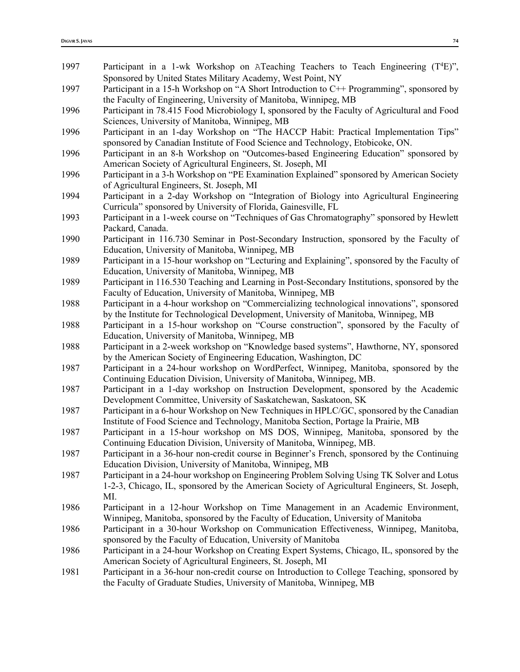| 1997 | Participant in a 1-wk Workshop on ATeaching Teachers to Teach Engineering (T <sup>4</sup> E)", |
|------|------------------------------------------------------------------------------------------------|
|      | Sponsored by United States Military Academy, West Point, NY                                    |
| 1997 | Participant in a 15-h Workshop on "A Short Introduction to C++ Programming", sponsored by      |
|      | the Faculty of Engineering, University of Manitoba, Winnipeg, MB                               |
| 1996 | Participant in 78.415 Food Microbiology I, sponsored by the Faculty of Agricultural and Food   |
|      | Sciences, University of Manitoba, Winnipeg, MB                                                 |
| 1996 | Participant in an 1-day Workshop on "The HACCP Habit: Practical Implementation Tips"           |
|      | sponsored by Canadian Institute of Food Science and Technology, Etobicoke, ON.                 |
| 1996 | Participant in an 8-h Workshop on "Outcomes-based Engineering Education" sponsored by          |
|      | American Society of Agricultural Engineers, St. Joseph, MI                                     |
| 1996 | Participant in a 3-h Workshop on "PE Examination Explained" sponsored by American Society      |
|      | of Agricultural Engineers, St. Joseph, MI                                                      |
| 1994 | Participant in a 2-day Workshop on "Integration of Biology into Agricultural Engineering       |
|      | Curricula" sponsored by University of Florida, Gainesville, FL                                 |
| 1993 | Participant in a 1-week course on "Techniques of Gas Chromatography" sponsored by Hewlett      |
|      | Packard, Canada.                                                                               |
| 1990 | Participant in 116.730 Seminar in Post-Secondary Instruction, sponsored by the Faculty of      |
|      | Education, University of Manitoba, Winnipeg, MB                                                |
| 1989 | Participant in a 15-hour workshop on "Lecturing and Explaining", sponsored by the Faculty of   |
|      | Education, University of Manitoba, Winnipeg, MB                                                |
| 1989 | Participant in 116.530 Teaching and Learning in Post-Secondary Institutions, sponsored by the  |
|      | Faculty of Education, University of Manitoba, Winnipeg, MB                                     |
| 1988 | Participant in a 4-hour workshop on "Commercializing technological innovations", sponsored     |
|      | by the Institute for Technological Development, University of Manitoba, Winnipeg, MB           |
| 1988 | Participant in a 15-hour workshop on "Course construction", sponsored by the Faculty of        |
|      | Education, University of Manitoba, Winnipeg, MB                                                |
| 1988 | Participant in a 2-week workshop on "Knowledge based systems", Hawthorne, NY, sponsored        |
|      | by the American Society of Engineering Education, Washington, DC                               |
| 1987 | Participant in a 24-hour workshop on WordPerfect, Winnipeg, Manitoba, sponsored by the         |
|      | Continuing Education Division, University of Manitoba, Winnipeg, MB.                           |
| 1987 | Participant in a 1-day workshop on Instruction Development, sponsored by the Academic          |
|      | Development Committee, University of Saskatchewan, Saskatoon, SK                               |
| 1987 | Participant in a 6-hour Workshop on New Techniques in HPLC/GC, sponsored by the Canadian       |
|      | Institute of Food Science and Technology, Manitoba Section, Portage la Prairie, MB             |
| 1987 | Participant in a 15-hour workshop on MS DOS, Winnipeg, Manitoba, sponsored by the              |
|      | Continuing Education Division, University of Manitoba, Winnipeg, MB.                           |
| 1987 | Participant in a 36-hour non-credit course in Beginner's French, sponsored by the Continuing   |
|      | Education Division, University of Manitoba, Winnipeg, MB                                       |
| 1987 | Participant in a 24-hour workshop on Engineering Problem Solving Using TK Solver and Lotus     |
|      | 1-2-3, Chicago, IL, sponsored by the American Society of Agricultural Engineers, St. Joseph,   |
|      | MI.                                                                                            |
| 1986 | Participant in a 12-hour Workshop on Time Management in an Academic Environment,               |
|      | Winnipeg, Manitoba, sponsored by the Faculty of Education, University of Manitoba              |
| 1986 | Participant in a 30-hour Workshop on Communication Effectiveness, Winnipeg, Manitoba,          |
|      | sponsored by the Faculty of Education, University of Manitoba                                  |
| 1986 | Participant in a 24-hour Workshop on Creating Expert Systems, Chicago, IL, sponsored by the    |
|      | American Society of Agricultural Engineers, St. Joseph, MI                                     |
| 1981 | Participant in a 36-hour non-credit course on Introduction to College Teaching, sponsored by   |
|      | the Faculty of Graduate Studies, University of Manitoba, Winnipeg, MB                          |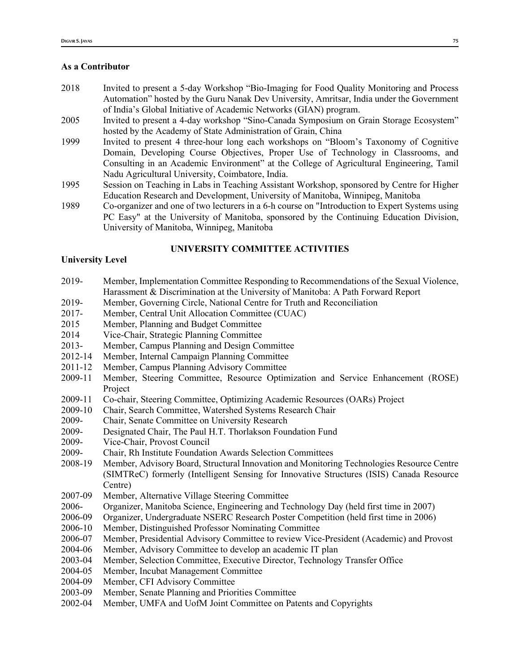#### **As a Contributor**

- 2018 Invited to present a 5-day Workshop "Bio-Imaging for Food Quality Monitoring and Process Automation" hosted by the Guru Nanak Dev University, Amritsar, India under the Government of India's Global Initiative of Academic Networks (GIAN) program.
- 2005 Invited to present a 4-day workshop "Sino-Canada Symposium on Grain Storage Ecosystem" hosted by the Academy of State Administration of Grain, China
- 1999 Invited to present 4 three-hour long each workshops on "Bloom's Taxonomy of Cognitive Domain, Developing Course Objectives, Proper Use of Technology in Classrooms, and Consulting in an Academic Environment" at the College of Agricultural Engineering, Tamil Nadu Agricultural University, Coimbatore, India.
- 1995 Session on Teaching in Labs in Teaching Assistant Workshop, sponsored by Centre for Higher Education Research and Development, University of Manitoba, Winnipeg, Manitoba
- 1989 Co-organizer and one of two lecturers in a 6-h course on "Introduction to Expert Systems using PC Easy" at the University of Manitoba, sponsored by the Continuing Education Division, University of Manitoba, Winnipeg, Manitoba

## **UNIVERSITY COMMITTEE ACTIVITIES**

#### **University Level**

- 2019- Member, Implementation Committee Responding to Recommendations of the Sexual Violence, Harassment & Discrimination at the University of Manitoba: A Path Forward Report
- 2019- Member, Governing Circle, National Centre for Truth and Reconciliation
- 2017- Member, Central Unit Allocation Committee (CUAC)
- 2015 Member, Planning and Budget Committee
- 2014 Vice-Chair, Strategic Planning Committee
- 2013- Member, Campus Planning and Design Committee
- 2012-14 Member, Internal Campaign Planning Committee
- 2011-12 Member, Campus Planning Advisory Committee
- 2009-11 Member, Steering Committee, Resource Optimization and Service Enhancement (ROSE) Project
- 2009-11 Co-chair, Steering Committee, Optimizing Academic Resources (OARs) Project
- 2009-10 Chair, Search Committee, Watershed Systems Research Chair
- 2009- Chair, Senate Committee on University Research
- 2009- Designated Chair, The Paul H.T. Thorlakson Foundation Fund
- 2009- Vice-Chair, Provost Council
- 2009- Chair, Rh Institute Foundation Awards Selection Committees
- 2008-19 Member, Advisory Board, Structural Innovation and Monitoring Technologies Resource Centre (SIMTReC) formerly (Intelligent Sensing for Innovative Structures (ISIS) Canada Resource Centre)
- 2007-09 Member, Alternative Village Steering Committee
- 2006- Organizer, Manitoba Science, Engineering and Technology Day (held first time in 2007)
- 2006-09 Organizer, Undergraduate NSERC Research Poster Competition (held first time in 2006)
- 2006-10 Member, Distinguished Professor Nominating Committee
- 2006-07 Member, Presidential Advisory Committee to review Vice-President (Academic) and Provost
- 2004-06 Member, Advisory Committee to develop an academic IT plan
- 2003-04 Member, Selection Committee, Executive Director, Technology Transfer Office
- 2004-05 Member, Incubat Management Committee
- 2004-09 Member, CFI Advisory Committee
- 2003-09 Member, Senate Planning and Priorities Committee
- 2002-04 Member, UMFA and UofM Joint Committee on Patents and Copyrights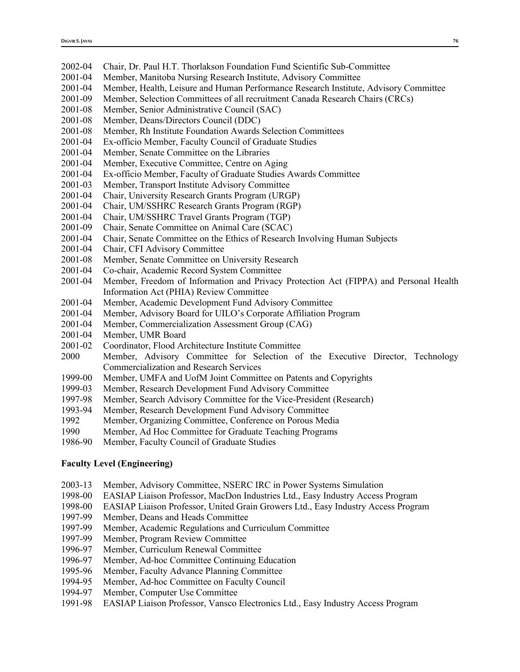- 2002-04 Chair, Dr. Paul H.T. Thorlakson Foundation Fund Scientific Sub-Committee
- 2001-04 Member, Manitoba Nursing Research Institute, Advisory Committee
- 2001-04 Member, Health, Leisure and Human Performance Research Institute, Advisory Committee
- 2001-09 Member, Selection Committees of all recruitment Canada Research Chairs (CRCs)
- 2001-08 Member, Senior Administrative Council (SAC)
- 2001-08 Member, Deans/Directors Council (DDC)<br>2001-08 Member, Rh Institute Foundation Awards
- Member, Rh Institute Foundation Awards Selection Committees
- 2001-04 Ex-officio Member, Faculty Council of Graduate Studies
- 2001-04 Member, Senate Committee on the Libraries
- 2001-04 Member, Executive Committee, Centre on Aging
- 2001-04 Ex-officio Member, Faculty of Graduate Studies Awards Committee
- 2001-03 Member, Transport Institute Advisory Committee
- 2001-04 Chair, University Research Grants Program (URGP)
- 2001-04 Chair, UM/SSHRC Research Grants Program (RGP)
- 2001-04 Chair, UM/SSHRC Travel Grants Program (TGP)
- 2001-09 Chair, Senate Committee on Animal Care (SCAC)
- 2001-04 Chair, Senate Committee on the Ethics of Research Involving Human Subjects
- 2001-04 Chair, CFI Advisory Committee
- 2001-08 Member, Senate Committee on University Research
- 2001-04 Co-chair, Academic Record System Committee
- 2001-04 Member, Freedom of Information and Privacy Protection Act (FIPPA) and Personal Health Information Act (PHIA) Review Committee
- 2001-04 Member, Academic Development Fund Advisory Committee
- 2001-04 Member, Advisory Board for UILO's Corporate Affiliation Program
- 2001-04 Member, Commercialization Assessment Group (CAG)
- 2001-04 Member, UMR Board
- 2001-02 Coordinator, Flood Architecture Institute Committee
- 2000 Member, Advisory Committee for Selection of the Executive Director, Technology Commercialization and Research Services
- 1999-00 Member, UMFA and UofM Joint Committee on Patents and Copyrights
- 1999-03 Member, Research Development Fund Advisory Committee
- 1997-98 Member, Search Advisory Committee for the Vice-President (Research)
- 1993-94 Member, Research Development Fund Advisory Committee
- 1992 Member, Organizing Committee, Conference on Porous Media
- 1990 Member, Ad Hoc Committee for Graduate Teaching Programs
- 1986-90 Member, Faculty Council of Graduate Studies

#### **Faculty Level (Engineering)**

- 2003-13 Member, Advisory Committee, NSERC IRC in Power Systems Simulation
- 1998-00 EASIAP Liaison Professor, MacDon Industries Ltd., Easy Industry Access Program
- 1998-00 EASIAP Liaison Professor, United Grain Growers Ltd., Easy Industry Access Program
- 1997-99 Member, Deans and Heads Committee
- 1997-99 Member, Academic Regulations and Curriculum Committee
- 1997-99 Member, Program Review Committee
- 1996-97 Member, Curriculum Renewal Committee
- 1996-97 Member, Ad-hoc Committee Continuing Education
- 1995-96 Member, Faculty Advance Planning Committee
- 1994-95 Member, Ad-hoc Committee on Faculty Council
- 1994-97 Member, Computer Use Committee
- 1991-98 EASIAP Liaison Professor, Vansco Electronics Ltd., Easy Industry Access Program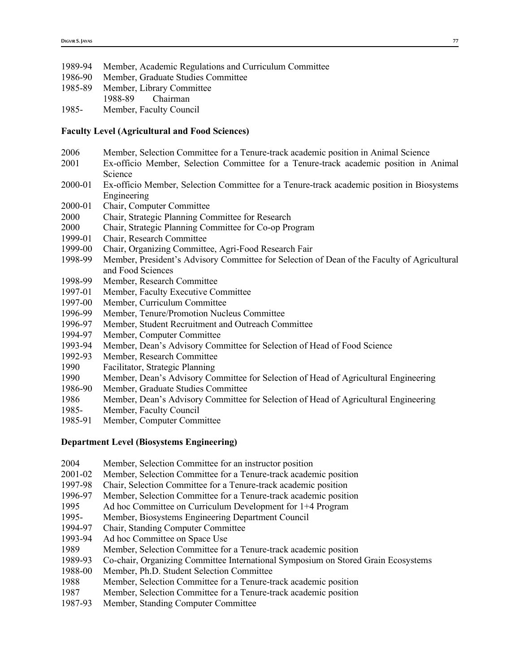| 1989-94 |  |  | Member, Academic Regulations and Curriculum Committee |  |
|---------|--|--|-------------------------------------------------------|--|
|---------|--|--|-------------------------------------------------------|--|

- 1986-90 Member, Graduate Studies Committee
- 1985-89 Member, Library Committee
- 1988-89 Chairman
- 1985- Member, Faculty Council

## **Faculty Level (Agricultural and Food Sciences)**

- 2006 Member, Selection Committee for a Tenure-track academic position in Animal Science
- 2001 Ex-officio Member, Selection Committee for a Tenure-track academic position in Animal Science
- 2000-01 Ex-officio Member, Selection Committee for a Tenure-track academic position in Biosystems Engineering
- 2000-01 Chair, Computer Committee
- 2000 Chair, Strategic Planning Committee for Research
- 2000 Chair, Strategic Planning Committee for Co-op Program
- 1999-01 Chair, Research Committee
- 1999-00 Chair, Organizing Committee, Agri-Food Research Fair
- 1998-99 Member, President's Advisory Committee for Selection of Dean of the Faculty of Agricultural and Food Sciences
- 1998-99 Member, Research Committee
- 1997-01 Member, Faculty Executive Committee
- 1997-00 Member, Curriculum Committee
- 1996-99 Member, Tenure/Promotion Nucleus Committee
- 1996-97 Member, Student Recruitment and Outreach Committee
- 1994-97 Member, Computer Committee
- 1993-94 Member, Dean's Advisory Committee for Selection of Head of Food Science
- 1992-93 Member, Research Committee
- 1990 Facilitator, Strategic Planning
- 1990 Member, Dean's Advisory Committee for Selection of Head of Agricultural Engineering
- 1986-90 Member, Graduate Studies Committee
- 1986 Member, Dean's Advisory Committee for Selection of Head of Agricultural Engineering
- 1985- Member, Faculty Council
- 1985-91 Member, Computer Committee

## **Department Level (Biosystems Engineering)**

- 2004 Member, Selection Committee for an instructor position
- 2001-02 Member, Selection Committee for a Tenure-track academic position
- 1997-98 Chair, Selection Committee for a Tenure-track academic position
- 1996-97 Member, Selection Committee for a Tenure-track academic position
- 1995 Ad hoc Committee on Curriculum Development for 1+4 Program
- 1995- Member, Biosystems Engineering Department Council
- 1994-97 Chair, Standing Computer Committee
- 1993-94 Ad hoc Committee on Space Use
- 1989 Member, Selection Committee for a Tenure-track academic position
- 1989-93 Co-chair, Organizing Committee International Symposium on Stored Grain Ecosystems
- 1988-00 Member, Ph.D. Student Selection Committee
- 1988 Member, Selection Committee for a Tenure-track academic position
- 1987 Member, Selection Committee for a Tenure-track academic position
- 1987-93 Member, Standing Computer Committee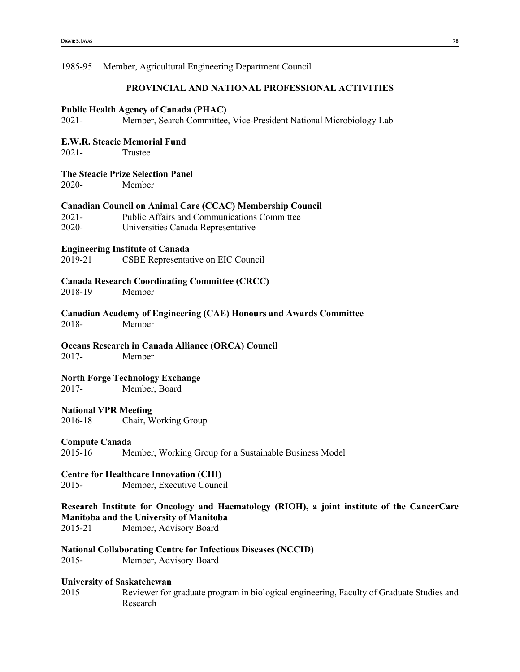#### 1985-95 Member, Agricultural Engineering Department Council

## **PROVINCIAL AND NATIONAL PROFESSIONAL ACTIVITIES**

#### **Public Health Agency of Canada (PHAC)**

2021- Member, Search Committee, Vice-President National Microbiology Lab

#### **E.W.R. Steacie Memorial Fund**

2021- Trustee

## **The Steacie Prize Selection Panel**

2020- Member

## **Canadian Council on Animal Care (CCAC) Membership Council**

2021- Public Affairs and Communications Committee 2020- Universities Canada Representative

## **Engineering Institute of Canada**

2019-21 CSBE Representative on EIC Council

#### **Canada Research Coordinating Committee (CRCC)**

2018-19 Member

**Canadian Academy of Engineering (CAE) Honours and Awards Committee** 2018- Member

**Oceans Research in Canada Alliance (ORCA) Council** 2017- Member

# **North Forge Technology Exchange**<br>2017-**Member, Board**

Member, Board

## **National VPR Meeting**

2016-18 Chair, Working Group

## **Compute Canada**

2015-16 Member, Working Group for a Sustainable Business Model

## **Centre for Healthcare Innovation (CHI)**

2015- Member, Executive Council

# **Research Institute for Oncology and Haematology (RIOH), a joint institute of the CancerCare Manitoba and the University of Manitoba**

2015-21 Member, Advisory Board

#### **National Collaborating Centre for Infectious Diseases (NCCID)**

2015- Member, Advisory Board

#### **University of Saskatchewan**

2015 Reviewer for graduate program in biological engineering, Faculty of Graduate Studies and Research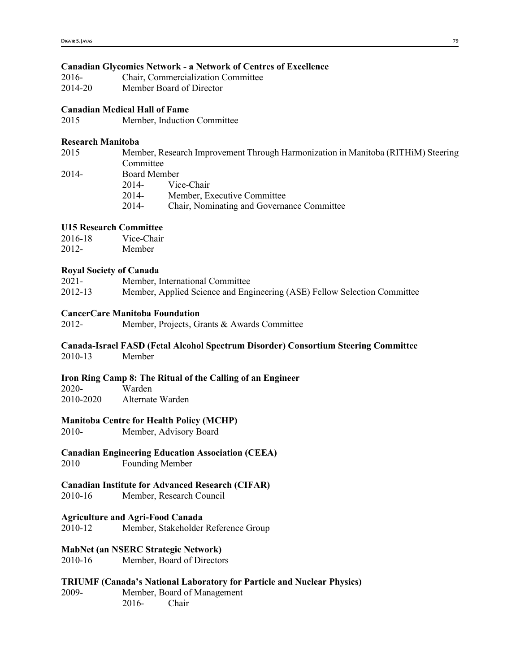#### **Canadian Glycomics Network - a Network of Centres of Excellence**

2014-20 Member Board of Director

#### **Canadian Medical Hall of Fame**

2015 Member, Induction Committee

#### **Research Manitoba**

- 2015 Member, Research Improvement Through Harmonization in Manitoba (RITHiM) Steering Committee
- 2014- Board Member 2014- Vice-Chair 2014- Member, Executive Committee 2014- Chair, Nominating and Governance Committee

#### **U15 Research Committee**

2016-18 Vice-Chair 2012- Member

#### **Royal Society of Canada**

2021- Member, International Committee 2012-13 Member, Applied Science and Engineering (ASE) Fellow Selection Committee

## **CancerCare Manitoba Foundation**

2012- Member, Projects, Grants & Awards Committee

#### **Canada-Israel FASD (Fetal Alcohol Spectrum Disorder) Consortium Steering Committee** 2010-13 Member

## **Iron Ring Camp 8: The Ritual of the Calling of an Engineer**

2020- Warden

2010-2020 Alternate Warden

## **Manitoba Centre for Health Policy (MCHP)**

2010- Member, Advisory Board

## **Canadian Engineering Education Association (CEEA)**

2010 Founding Member

## **Canadian Institute for Advanced Research (CIFAR)**

2010-16 Member, Research Council

## **Agriculture and Agri-Food Canada**

2010-12 Member, Stakeholder Reference Group

## **MabNet (an NSERC Strategic Network)**

2010-16 Member, Board of Directors

## **TRIUMF (Canada's National Laboratory for Particle and Nuclear Physics)**

2009- Member, Board of Management 2016- Chair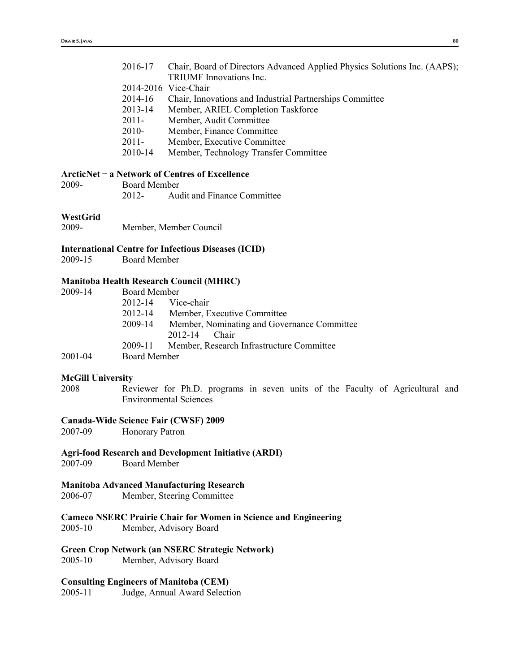| 2016-17  | Chair, Board of Directors Advanced Applied Physics Solutions Inc. (AAPS); |
|----------|---------------------------------------------------------------------------|
|          | TRIUMF Innovations Inc.                                                   |
|          | $2014 - 2016$ Vice-Chair                                                  |
| 2014-16  | Chair, Innovations and Industrial Partnerships Committee                  |
| 2013-14  | Member, ARIEL Completion Taskforce                                        |
| $2011 -$ | Member, Audit Committee                                                   |
| $2010-$  | Member, Finance Committee                                                 |
| $2011 -$ | Member, Executive Committee                                               |
| 2010-14  | Member, Technology Transfer Committee                                     |

## **ArcticNet ̶ a Network of Centres of Excellence**

| 2009- | <b>Board Member</b> |                                    |  |
|-------|---------------------|------------------------------------|--|
|       | 2012-               | <b>Audit and Finance Committee</b> |  |

#### **WestGrid**

2009- Member, Member Council

#### **International Centre for Infectious Diseases (ICID)**

2009-15 Board Member

## **Manitoba Health Research Council (MHRC)**

| 2009-14 | <b>Board Member</b> |                                             |
|---------|---------------------|---------------------------------------------|
|         | 2012-14             | Vice-chair                                  |
|         | 2012-14             | Member, Executive Committee                 |
|         | 2009-14             | Member, Nominating and Governance Committee |
|         |                     | 2012-14 Chair                               |
|         | 2009-11             | Member, Research Infrastructure Committee   |
| 2001-04 | <b>Board Member</b> |                                             |
|         |                     |                                             |

# **McGill University**<br>2008 Rev

Reviewer for Ph.D. programs in seven units of the Faculty of Agricultural and Environmental Sciences

#### **Canada-Wide Science Fair (CWSF) 2009**

2007-09 Honorary Patron

# **Agri-food Research and Development Initiative (ARDI)**

Board Member

#### **Manitoba Advanced Manufacturing Research**

2006-07 Member, Steering Committee

## **Cameco NSERC Prairie Chair for Women in Science and Engineering**

2005-10 Member, Advisory Board

#### **Green Crop Network (an NSERC Strategic Network)**

2005-10 Member, Advisory Board

## **Consulting Engineers of Manitoba (CEM)**

2005-11 Judge, Annual Award Selection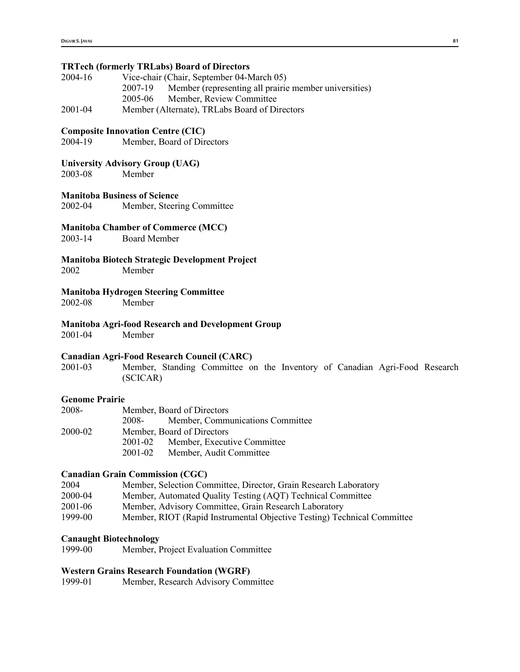#### **TRTech (formerly TRLabs) Board of Directors**

| 2004-16 | Vice-chair (Chair, September 04-March 05)                        |  |  |
|---------|------------------------------------------------------------------|--|--|
|         | Member (representing all prairie member universities)<br>2007-19 |  |  |
|         | Member, Review Committee<br>2005-06                              |  |  |
| 2001-04 | Member (Alternate), TRLabs Board of Directors                    |  |  |

## **Composite Innovation Centre (CIC)**

2004-19 Member, Board of Directors

## **University Advisory Group (UAG)**

2003-08 Member

## **Manitoba Business of Science**

2002-04 Member, Steering Committee

## **Manitoba Chamber of Commerce (MCC)**

2003-14 Board Member

# **Manitoba Biotech Strategic Development Project**

2002 Member

#### **Manitoba Hydrogen Steering Committee**

2002-08 Member

#### **Manitoba Agri-food Research and Development Group**

2001-04 Member

## **Canadian Agri-Food Research Council (CARC)**

2001-03 Member, Standing Committee on the Inventory of Canadian Agri-Food Research (SCICAR)

## **Genome Prairie**

| 2008-   | Member, Board of Directors |                                  |  |
|---------|----------------------------|----------------------------------|--|
|         | 2008-                      | Member, Communications Committee |  |
| 2000-02 |                            | Member, Board of Directors       |  |
|         | 2001-02                    | Member, Executive Committee      |  |
|         | $2001 - 02$                | Member, Audit Committee          |  |

#### **Canadian Grain Commission (CGC)**

2004 Member, Selection Committee, Director, Grain Research Laboratory

- 2000-04 Member, Automated Quality Testing (AQT) Technical Committee
- 2001-06 Member, Advisory Committee, Grain Research Laboratory
- 1999-00 Member, RIOT (Rapid Instrumental Objective Testing) Technical Committee

#### **Canaught Biotechnology**

1999-00 Member, Project Evaluation Committee

#### **Western Grains Research Foundation (WGRF)**

1999-01 Member, Research Advisory Committee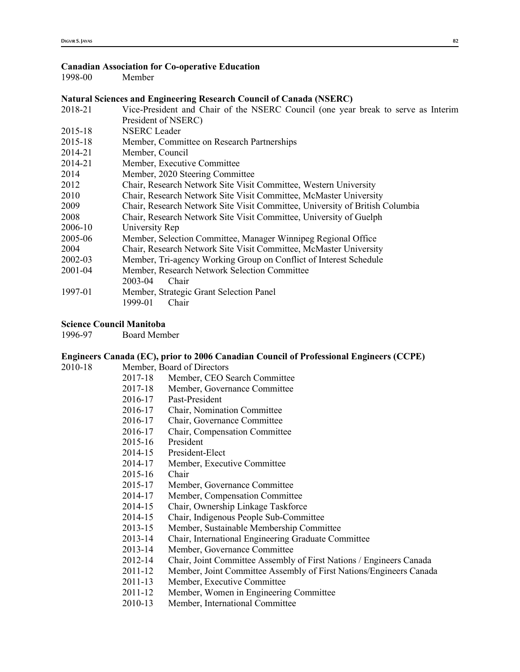#### **Canadian Association for Co-operative Education**

| 1998-00 | Member                                                                            |
|---------|-----------------------------------------------------------------------------------|
|         | <b>Natural Sciences and Engineering Research Council of Canada (NSERC)</b>        |
| 2018-21 | Vice-President and Chair of the NSERC Council (one year break to serve as Interim |
|         | President of NSERC)                                                               |
| 2015-18 | <b>NSERC</b> Leader                                                               |
| 2015-18 | Member, Committee on Research Partnerships                                        |
| 2014-21 | Member, Council                                                                   |
| 2014-21 | Member, Executive Committee                                                       |
| 2014    | Member, 2020 Steering Committee                                                   |
| 2012    | Chair, Research Network Site Visit Committee, Western University                  |
| 2010    | Chair, Research Network Site Visit Committee, McMaster University                 |
| 2009    | Chair, Research Network Site Visit Committee, University of British Columbia      |
| 2008    | Chair, Research Network Site Visit Committee, University of Guelph                |
| 2006-10 | University Rep                                                                    |
| 2005-06 | Member, Selection Committee, Manager Winnipeg Regional Office                     |
| 2004    | Chair, Research Network Site Visit Committee, McMaster University                 |
| 2002-03 | Member, Tri-agency Working Group on Conflict of Interest Schedule                 |
| 2001-04 | Member, Research Network Selection Committee                                      |
|         | Chair<br>2003-04                                                                  |
| 1997-01 | Member, Strategic Grant Selection Panel                                           |
|         | 1999-01<br>Chair                                                                  |
|         |                                                                                   |

#### **Science Council Manitoba**

## **Engineers Canada (EC), prior to 2006 Canadian Council of Professional Engineers (CCPE)**

| 2010-18 | Member, Board of Directors |  |  |  |
|---------|----------------------------|--|--|--|
|---------|----------------------------|--|--|--|

- 2017-18 Member, CEO Search Committee
- 2017-18 Member, Governance Committee
	- 2016-17 Past-President
	- 2016-17 Chair, Nomination Committee
	- 2016-17 Chair, Governance Committee
	- 2016-17 Chair, Compensation Committee
	- 2015-16 President
	- 2014-15 President-Elect
	- 2014-17 Member, Executive Committee
	- 2015-16 Chair
	- 2015-17 Member, Governance Committee
	- 2014-17 Member, Compensation Committee
	- 2014-15 Chair, Ownership Linkage Taskforce
	- 2014-15 Chair, Indigenous People Sub-Committee
	- 2013-15 Member, Sustainable Membership Committee
	- 2013-14 Chair, International Engineering Graduate Committee
	- 2013-14 Member, Governance Committee
	- 2012-14 Chair, Joint Committee Assembly of First Nations / Engineers Canada
	- 2011-12 Member, Joint Committee Assembly of First Nations/Engineers Canada
	- 2011-13 Member, Executive Committee
	- 2011-12 Member, Women in Engineering Committee
	- 2010-13 Member, International Committee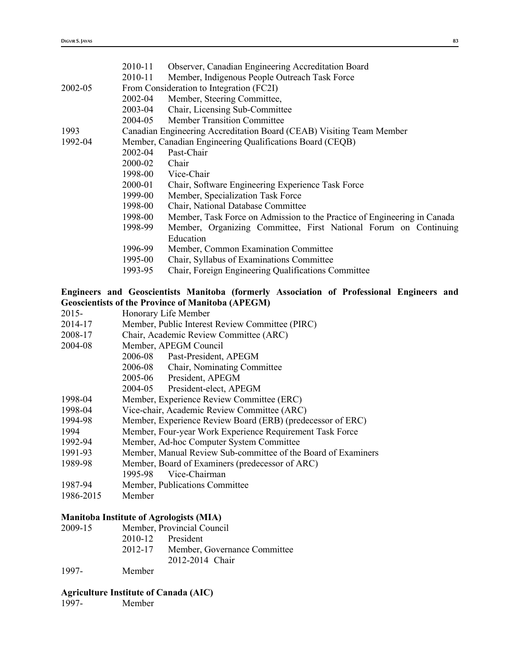|         | 2010-11 | Observer, Canadian Engineering Accreditation Board                       |  |
|---------|---------|--------------------------------------------------------------------------|--|
|         | 2010-11 | Member, Indigenous People Outreach Task Force                            |  |
| 2002-05 |         | From Consideration to Integration (FC2I)                                 |  |
|         | 2002-04 | Member, Steering Committee,                                              |  |
|         | 2003-04 | Chair, Licensing Sub-Committee                                           |  |
|         | 2004-05 | <b>Member Transition Committee</b>                                       |  |
| 1993    |         | Canadian Engineering Accreditation Board (CEAB) Visiting Team Member     |  |
| 1992-04 |         | Member, Canadian Engineering Qualifications Board (CEQB)                 |  |
|         | 2002-04 | Past-Chair                                                               |  |
|         | 2000-02 | Chair                                                                    |  |
|         | 1998-00 | Vice-Chair                                                               |  |
|         | 2000-01 | Chair, Software Engineering Experience Task Force                        |  |
|         | 1999-00 | Member, Specialization Task Force                                        |  |
|         | 1998-00 | Chair, National Database Committee                                       |  |
|         | 1998-00 | Member, Task Force on Admission to the Practice of Engineering in Canada |  |
|         | 1998-99 | Member, Organizing Committee, First National Forum on Continuing         |  |
|         |         | Education                                                                |  |
|         | 1996-99 | Member, Common Examination Committee                                     |  |
|         | 1995-00 | Chair, Syllabus of Examinations Committee                                |  |
|         | 1993-95 | Chair, Foreign Engineering Qualifications Committee                      |  |
|         |         |                                                                          |  |

## **Engineers and Geoscientists Manitoba (formerly Association of Professional Engineers and Geoscientists of the Province of Manitoba (APEGM)**

| Honorary Life Member |
|----------------------|
|                      |

- 2014-17 Member, Public Interest Review Committee (PIRC)
- 2008-17 Chair, Academic Review Committee (ARC)
- 2004-08 Member, APEGM Council
	- 2006-08 Past-President, APEGM
		- 2006-08 Chair, Nominating Committee
	- 2005-06 President, APEGM
	- 2004-05 President-elect, APEGM
- 1998-04 Member, Experience Review Committee (ERC)
- 1998-04 Vice-chair, Academic Review Committee (ARC)
- 1994-98 Member, Experience Review Board (ERB) (predecessor of ERC)
- 1994 Member, Four-year Work Experience Requirement Task Force
- 1992-94 Member, Ad-hoc Computer System Committee
- 1991-93 Member, Manual Review Sub-committee of the Board of Examiners
- 1989-98 Member, Board of Examiners (predecessor of ARC)
- 1995-98 Vice-Chairman
- 1987-94 Member, Publications Committee
- 1986-2015 Member

## **Manitoba Institute of Agrologists (MIA)**

| 2009-15 | Member, Provincial Council |                              |  |
|---------|----------------------------|------------------------------|--|
|         | 2010-12 President          |                              |  |
|         | 2012-17                    | Member, Governance Committee |  |
|         |                            | 2012-2014 Chair              |  |
| 1997-   | Member                     |                              |  |

## **Agriculture Institute of Canada (AIC)**

1997- Member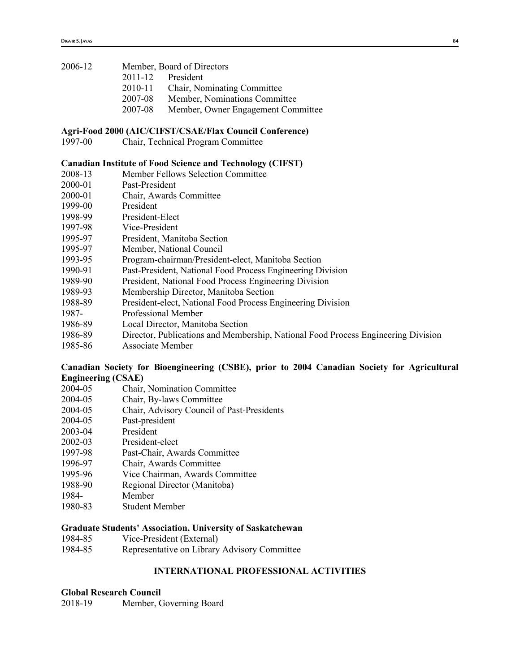# 2006-12 Member, Board of Directors 2011-12 President 2010-11 Chair, Nominating Committee

- 2007-08 Member, Nominations Committee
- 2007-08 Member, Owner Engagement Committee

## **Agri-Food 2000 (AIC/CIFST/CSAE/Flax Council Conference)**

1997-00 Chair, Technical Program Committee

#### **Canadian Institute of Food Science and Technology (CIFST)**

- 2008-13 Member Fellows Selection Committee
- 2000-01 Past-President
- 2000-01 Chair, Awards Committee
- 1999-00 President
- 1998-99 President-Elect
- 1997-98 Vice-President
- 1995-97 President, Manitoba Section
- 1995-97 Member, National Council
- 1993-95 Program-chairman/President-elect, Manitoba Section
- 1990-91 Past-President, National Food Process Engineering Division
- 1989-90 President, National Food Process Engineering Division
- 1989-93 Membership Director, Manitoba Section
- 1988-89 President-elect, National Food Process Engineering Division
- 1987- Professional Member
- 1986-89 Local Director, Manitoba Section
- 1986-89 Director, Publications and Membership, National Food Process Engineering Division
- 1985-86 Associate Member

## **Canadian Society for Bioengineering (CSBE), prior to 2004 Canadian Society for Agricultural Engineering (CSAE)**

- 2004-05 Chair, Nomination Committee
- 2004-05 Chair, By-laws Committee
- 2004-05 Chair, Advisory Council of Past-Presidents
- 2004-05 Past-president
- 2003-04 President
- 2002-03 President-elect
- 1997-98 Past-Chair, Awards Committee
- 1996-97 Chair, Awards Committee
- 1995-96 Vice Chairman, Awards Committee
- 1988-90 Regional Director (Manitoba)
- 1984- Member
- 1980-83 Student Member

#### **Graduate Students' Association, University of Saskatchewan**

- 1984-85 Vice-President (External)
- 1984-85 Representative on Library Advisory Committee

## **INTERNATIONAL PROFESSIONAL ACTIVITIES**

## **Global Research Council**

2018-19 Member, Governing Board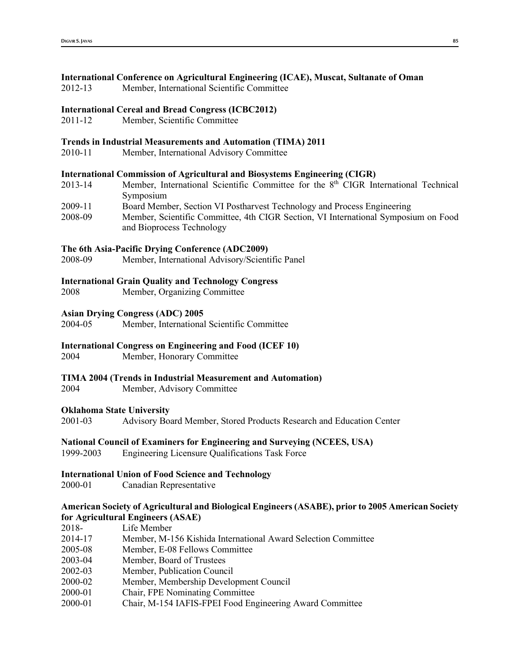## **International Conference on Agricultural Engineering (ICAE), Muscat, Sultanate of Oman**

2012-13 Member, International Scientific Committee

#### **International Cereal and Bread Congress (ICBC2012)**

2011-12 Member, Scientific Committee

## **Trends in Industrial Measurements and Automation (TIMA) 2011**

2010-11 Member, International Advisory Committee

## **International Commission of Agricultural and Biosystems Engineering (CIGR)**

- 2013-14 Member, International Scientific Committee for the 8th CIGR International Technical Symposium
- 2009-11 Board Member, Section VI Postharvest Technology and Process Engineering
- 2008-09 Member, Scientific Committee, 4th CIGR Section, VI International Symposium on Food and Bioprocess Technology

#### **The 6th Asia-Pacific Drying Conference (ADC2009)**

2008-09 Member, International Advisory/Scientific Panel

#### **International Grain Quality and Technology Congress**

2008 Member, Organizing Committee

#### **Asian Drying Congress (ADC) 2005**

2004-05 Member, International Scientific Committee

## **International Congress on Engineering and Food (ICEF 10)**

2004 Member, Honorary Committee

## **TIMA 2004 (Trends in Industrial Measurement and Automation)**

2004 Member, Advisory Committee

#### **Oklahoma State University**

2001-03 Advisory Board Member, Stored Products Research and Education Center

#### **National Council of Examiners for Engineering and Surveying (NCEES, USA)**

1999-2003 Engineering Licensure Qualifications Task Force

#### **International Union of Food Science and Technology**

2000-01 Canadian Representative

## **American Society of Agricultural and Biological Engineers (ASABE), prior to 2005 American Society for Agricultural Engineers (ASAE)**

| 2018-   | Life Member                                                   |
|---------|---------------------------------------------------------------|
| 2014-17 | Member, M-156 Kishida International Award Selection Committee |
| 2005-08 | Member, E-08 Fellows Committee                                |
| 2003-04 | Member, Board of Trustees                                     |
| 2002-03 | Member, Publication Council                                   |
| 2000-02 | Member, Membership Development Council                        |
| 2000-01 | Chair, FPE Nominating Committee                               |
| 0.00001 | $\sim$                                                        |

2000-01 Chair, M-154 IAFIS-FPEI Food Engineering Award Committee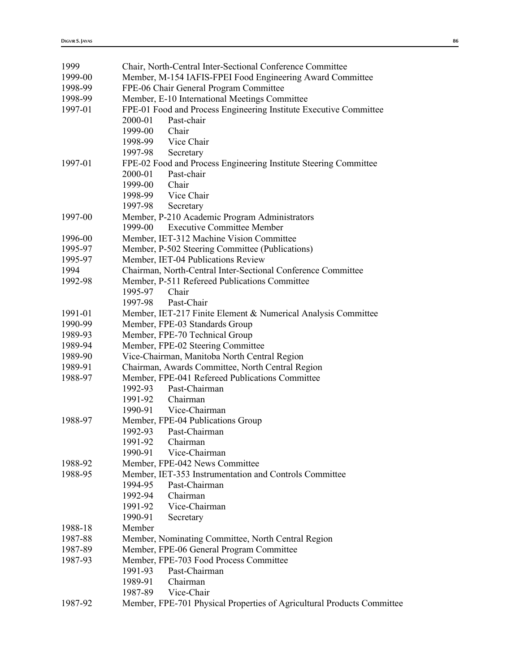| 1999    | Chair, North-Central Inter-Sectional Conference Committee                                 |
|---------|-------------------------------------------------------------------------------------------|
| 1999-00 | Member, M-154 IAFIS-FPEI Food Engineering Award Committee                                 |
| 1998-99 | FPE-06 Chair General Program Committee                                                    |
| 1998-99 | Member, E-10 International Meetings Committee                                             |
| 1997-01 | FPE-01 Food and Process Engineering Institute Executive Committee                         |
|         | Past-chair<br>2000-01                                                                     |
|         | 1999-00<br>Chair                                                                          |
|         | 1998-99 Vice Chair                                                                        |
|         | 1997-98                                                                                   |
| 1997-01 | Secretary                                                                                 |
|         | FPE-02 Food and Process Engineering Institute Steering Committee<br>Past-chair<br>2000-01 |
|         | Chair                                                                                     |
|         | 1999-00                                                                                   |
|         | 1998-99 Vice Chair                                                                        |
|         | 1997-98<br>Secretary                                                                      |
| 1997-00 | Member, P-210 Academic Program Administrators                                             |
|         | <b>Executive Committee Member</b><br>1999-00                                              |
| 1996-00 | Member, IET-312 Machine Vision Committee                                                  |
| 1995-97 | Member, P-502 Steering Committee (Publications)                                           |
| 1995-97 | Member, IET-04 Publications Review                                                        |
| 1994    | Chairman, North-Central Inter-Sectional Conference Committee                              |
| 1992-98 | Member, P-511 Refereed Publications Committee                                             |
|         | 1995-97<br>Chair                                                                          |
|         | 1997-98<br>Past-Chair                                                                     |
| 1991-01 | Member, IET-217 Finite Element & Numerical Analysis Committee                             |
| 1990-99 | Member, FPE-03 Standards Group                                                            |
| 1989-93 | Member, FPE-70 Technical Group                                                            |
| 1989-94 | Member, FPE-02 Steering Committee                                                         |
| 1989-90 | Vice-Chairman, Manitoba North Central Region                                              |
| 1989-91 | Chairman, Awards Committee, North Central Region                                          |
| 1988-97 | Member, FPE-041 Refereed Publications Committee                                           |
|         | 1992-93 Past-Chairman                                                                     |
|         | 1991-92<br>Chairman                                                                       |
|         | 1990-91 Vice-Chairman                                                                     |
| 1988-97 | Member, FPE-04 Publications Group                                                         |
|         | Past-Chairman<br>1992-93                                                                  |
|         | 1991-92<br>Chairman                                                                       |
|         | 1990-91<br>Vice-Chairman                                                                  |
| 1988-92 | Member, FPE-042 News Committee                                                            |
| 1988-95 | Member, IET-353 Instrumentation and Controls Committee                                    |
|         | 1994-95<br>Past-Chairman                                                                  |
|         | 1992-94<br>Chairman                                                                       |
|         | 1991-92<br>Vice-Chairman                                                                  |
|         | 1990-91<br>Secretary                                                                      |
| 1988-18 | Member                                                                                    |
| 1987-88 | Member, Nominating Committee, North Central Region                                        |
| 1987-89 | Member, FPE-06 General Program Committee                                                  |
| 1987-93 | Member, FPE-703 Food Process Committee                                                    |
|         | Past-Chairman<br>1991-93                                                                  |
|         | Chairman<br>1989-91                                                                       |
|         | Vice-Chair<br>1987-89                                                                     |
| 1987-92 | Member, FPE-701 Physical Properties of Agricultural Products Committee                    |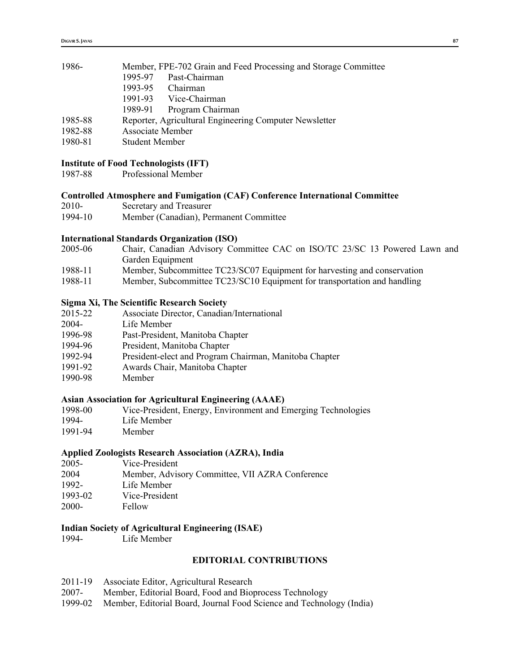| 1986-   | Member, FPE-702 Grain and Feed Processing and Storage Committee |  |  |
|---------|-----------------------------------------------------------------|--|--|
|         | Past-Chairman<br>1995-97                                        |  |  |
|         | 1993-95<br>Chairman                                             |  |  |
|         | 1991-93 Vice-Chairman                                           |  |  |
|         | Program Chairman<br>1989-91                                     |  |  |
| 1985-88 | Reporter, Agricultural Engineering Computer Newsletter          |  |  |
| 1982-88 | Associate Member                                                |  |  |
| 1980-81 | <b>Student Member</b>                                           |  |  |

#### **Institute of Food Technologists (IFT)**

1987-88 Professional Member

## **Controlled Atmosphere and Fumigation (CAF) Conference International Committee**

2010- Secretary and Treasurer

1994-10 Member (Canadian), Permanent Committee

## **International Standards Organization (ISO)**

| 2005-06 | Chair, Canadian Advisory Committee CAC on ISO/TC 23/SC 13 Powered Lawn and    |  |
|---------|-------------------------------------------------------------------------------|--|
|         | Garden Equipment                                                              |  |
| 100011  | Maurican Carles annualities TCO (CO Trainment for bourseting and conservation |  |

- 1988-11 Member, Subcommittee TC23/SC07 Equipment for harvesting and conservation
- 1988-11 Member, Subcommittee TC23/SC10 Equipment for transportation and handling

#### **Sigma Xi, The Scientific Research Society**

| 2015-22 | Associate Director, Canadian/International             |
|---------|--------------------------------------------------------|
| 2004-   | Life Member                                            |
| 1996-98 | Past-President, Manitoba Chapter                       |
| 1994-96 | President, Manitoba Chapter                            |
| 1992-94 | President-elect and Program Chairman, Manitoba Chapter |
| 1991-92 | Awards Chair, Manitoba Chapter                         |
| 1000.00 | $M$ amban                                              |

1990-98 Member

#### **Asian Association for Agricultural Engineering (AAAE)**

| 1998-00 | Vice-President, Energy, Environment and Emerging Technologies |  |
|---------|---------------------------------------------------------------|--|
|         |                                                               |  |

- 1994- Life Member
- 1991-94 Member

## **Applied Zoologists Research Association (AZRA), India**

| $2005 -$ | Vice-President                                  |
|----------|-------------------------------------------------|
| 2004     | Member, Advisory Committee, VII AZRA Conference |
| 1992-    | Life Member                                     |
| 1993-02  | Vice-President                                  |
| 2000-    | Fellow                                          |

## **Indian Society of Agricultural Engineering (ISAE)**

1994- Life Member

## **EDITORIAL CONTRIBUTIONS**

|       | 2011-19 Associate Editor, Agricultural Research                              |
|-------|------------------------------------------------------------------------------|
| 2007- | Member, Editorial Board, Food and Bioprocess Technology                      |
|       | 1999-02 Member, Editorial Board, Journal Food Science and Technology (India) |